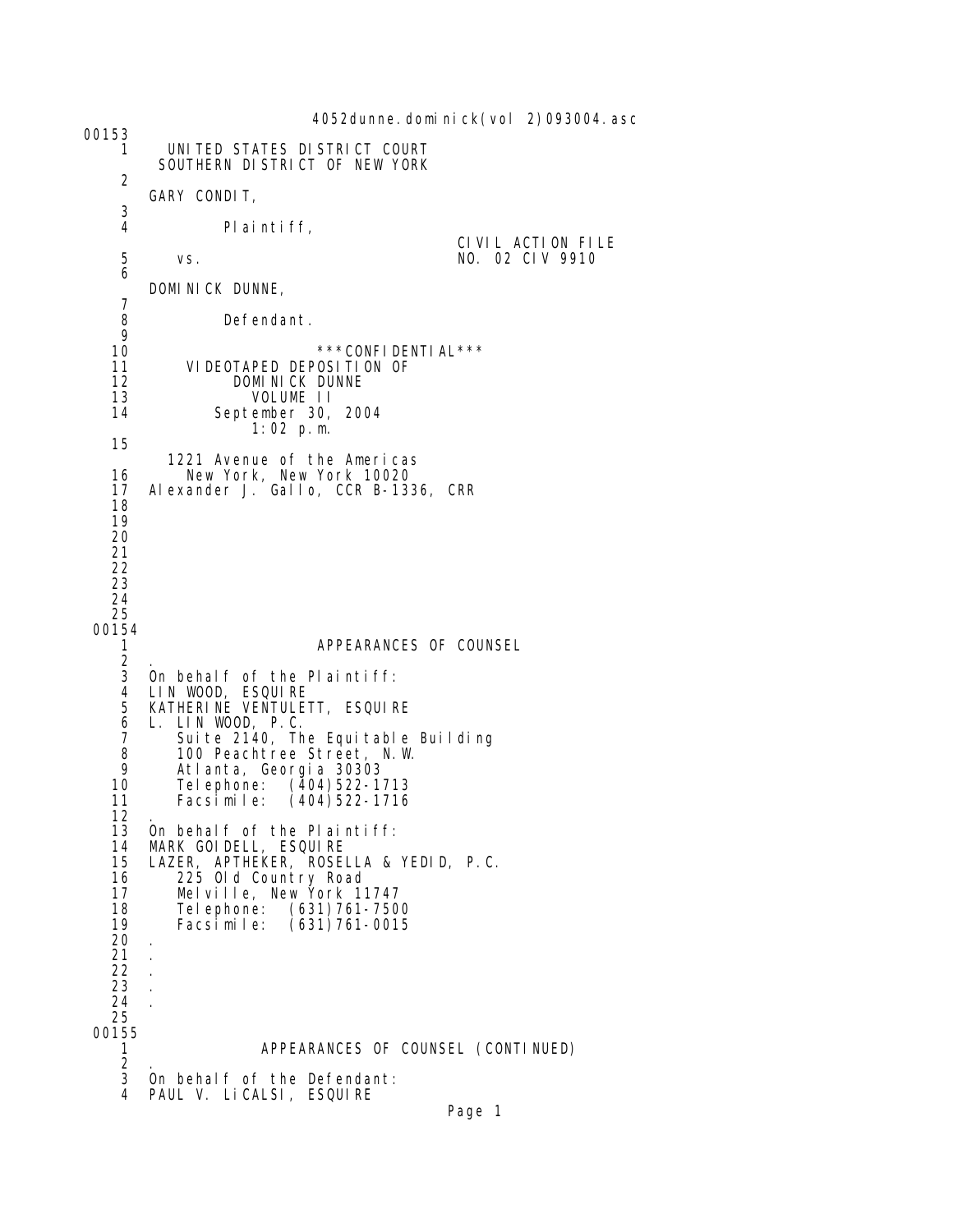4052dunne.dominick(vol 2)093004.asc 00153 1 UNITED STATES DISTRICT COURT SOUTHERN DISTRICT OF NEW YORK 2 GARY CONDIT,  $\frac{3}{4}$ Pl ai nti ff, CIVIL ACTION FILE<br>5 vs. the contract of the MO. 02 CIV 9910 5 vs. NO. 02 CIV 9910 6 DOMINICK DUNNE, 7 Defendant.  $\frac{9}{10}$ 10 \*\*\*CONFIDENTIAL\*\*\*<br>11 VIDEOTAPED DEPOSITION OF 11 VIDEOTAPED DEPOSITION OF<br>12 DOMINICK DUNNE 12 DOMINICK DUNNE<br>13 VOLUME II 13 VOLUME II September 30, 2004 1:02 p.m. 15 1221 Avenue of the Americas 16 New York, New York 10020 17 Alexander J. Gallo, CCR B-1336, CRR 18 19 20 21 22 23 24 25 00154<br>1 1 APPEARANCES OF COUNSEL  $\frac{2}{3}$  3 On behalf of the Plaintiff: 4 LIN WOOD, ESQUIRE 5 KATHERINE VENTULETT, ESQUIRE 6 L. LIN WOOD, P.C. 7 Suite 2140, The Equitable Building 8 100 Peachtree Street, N.W. 9 Atlanta, Georgia 30303 10 Telephone: (404)522-1713  $(404)522 - 1716$ 12<br>13 13 On behalf of the Plaintiff:<br>14 MARK GOIDELL, ESQUIRE 14 MARK GOIDELL, ESQUIRE 15 LAZER, APTHEKER, ROSELLA & YEDID, P.C. 16 225 Old Country Road 17 Melville, New York 11747 18 Telephone: (631)761-7500 19 Facsimile: (631)761-0015 20 . 21 . 22 . 23 . 24 . 25 00155 1 APPEARANCES OF COUNSEL (CONTINUED)  $\frac{2}{3}$ On behalf of the Defendant: 4 PAUL V. LiCALSI, ESQUIRE

```
Page 1
```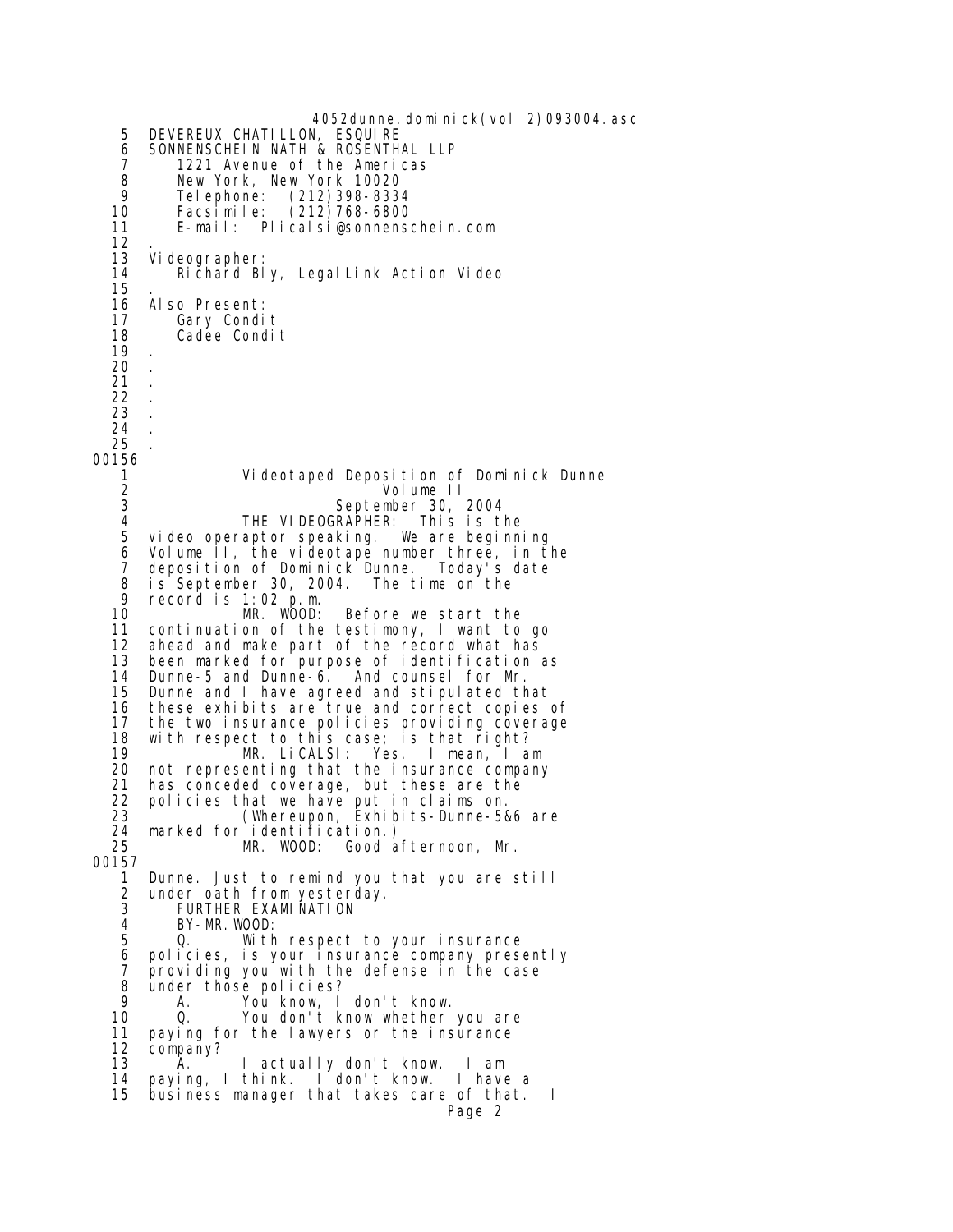4052dunne.dominick(vol 2)093004.asc 5 DEVEREUX CHATILLON, ESQUIRE 6 SONNENSCHEIN NATH & ROSENTHAL LLP<br>7 1221 Avenue of the Americas 7 1221 Avenue of the Americas 8 New York, New York 10020 9 Telephone: (212)398-8334 10 Facsimile: (212)768-6800 11 E-mail: Plicalsi@sonnenschein.com  $\frac{12}{13}$  13 Videographer: Richard Bly, LegalLink Action Video 15<br>16 16 Also Present:<br>17 Gary Condi 17 Gary Condit<br>18 Cadee Condi Cadee Condit 19 . 20 . 21 . 22 . 23 . 24 . 25 . 00156 1 Videotaped Deposition of Dominick Dunne 2 Volume II<br>3 September 30 3 September 30, 2004 4 THE VIDEOGRAPHER:<br>5 video operaptor speaking. video operaptor speaking. We are beginning 6 Volume II, the videotape number three, in the 7 deposition of Dominick Dunne. Today's date 8 is September 30, 2004. The time on the  $9$  record is 1:02 p m 9 record is 1:02 p.m. 10 MR. WOOD: Before we start the 11 continuation of the testimony, I want to go ahead and make part of the record what has 13 been marked for purpose of identification as<br>14 Dunne-5 and Dunne-6. And counsel for Mr. 14 Dunne-5 and Dunne-6.<br>15 Dunne and I have agre 15 Dunne and I have agreed and stipulated that 16 these exhibits are true and correct copies of 17 the two insurance policies providing coverage<br>18 with respect to this case; is that right? 18 with respect to this case; is that right? 19 MR. LiCALSI: Yes. I mean, I am 20 not representing that the insurance company<br>21 has conceded coverage, but these are the has conceded coverage, but these are the 22 policies that we have put in claims on. 23 (Whereupon, Exhibits-Dunne-5&6 are 24 marked for identification.)<br>25 MR. WOOD: Good a MR. WOOD: Good afternoon, Mr. 00157 1 Dunne. Just to remind you that you are still 2 under oath from yesterday. 3 FURTHER EXAMIÑATION<br>4 BY-MR.WOOD: 4 BY-MR.WOOD: 5 Q. With respect to your insurance<br>6 policies, is your insurance company pres policies, is your insurance company presently 7 providing you with the defense in the case 8 under those policies?<br>9 A You know L 9 A. You know, I don't know. 10 Q. You don't know whether you are<br>11 paving for the lawyers or the insurance 11 paying for the lawyers or the insurance<br>12 company? 12 company?<br>13 A. I actually don't know. I am 14 paying, I think. I don't know. I have a  $b$ usiness manager that takes care of that. I Page 2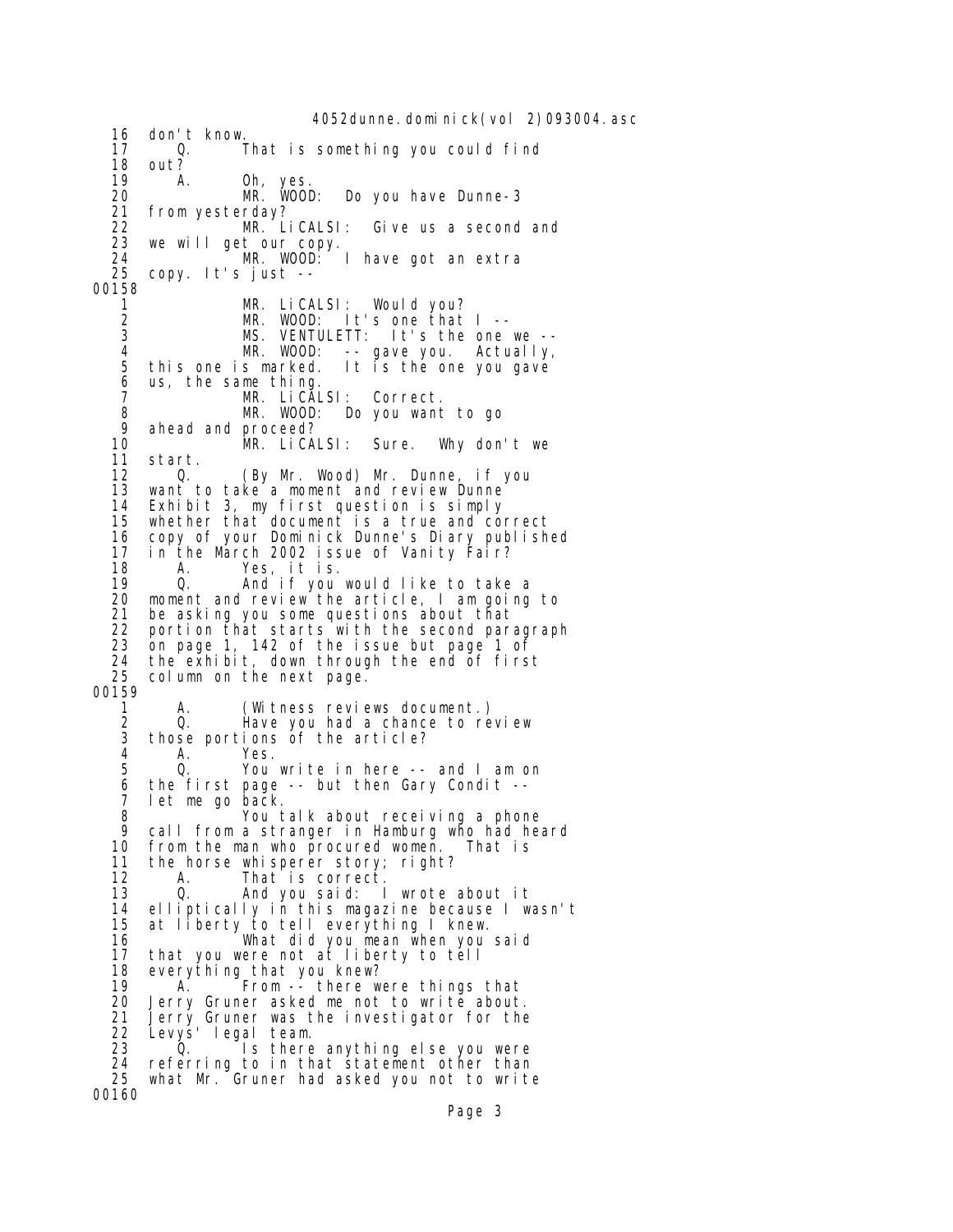4052dunne.dominick(vol 2)093004.asc 16 don't know.<br>17 0. 17 Q. That is something you could find 18 out?<br>19 A 19 A. Oh, yes. 20 MR. WOOD: Do you have Dunne-3 21 from yesterday? 22 MR. LiCALSI: Give us a second and 23 we will get our copy. 24 MR. WOOD: I have got an extra 25 copy. It's just -- 00158 1 MR. LiCALSI: Would you?<br>2 MR. WOOD: It's one that 2 MR. WOOD: It's one that I --<br>3 MS. VENTULETT: It's the one MS. VENTULETT: It's the one we --<br>MR. WOOD: -- gave you. Actually, 4 MR. WOOD: -- gave you. Actually, 5 this one is marked. It is the one you gave 6 us, the same thing. MR. LiCALSI: Correct. 8 MR. WOOD: Do you want to go 9 ahead and proceed? 10 MR. LiCALSI: Sure. Why don't we start. 12 Q. (By Mr. Wood) Mr. Dunne, if you 13 want to take a moment and review Dunne 14 Exhibit 3, my first question is simply whether that document is a true and correct 16 copy of your Dominick Dunne's Diary published 17 in the March 2002 issue of Vanity Fair? 18 A. Yes, it is. 19 0. And if you would like to take a<br>20 moment and review the article,I am going 20 moment and review the article, I am going to<br>21 be asking you some questions about that 21 be asking you some questions about that 22 portion that starts with the second paragraph<br>23 on page 1, 142 of the issue but page 1 of on page 1, 142 of the issue but page 1 of 24 the exhibit, down through the end of first  $25$  column on the next page. column on the next page. 00159 1 A. (Witness reviews document.) 2 Q. Have you had a chance to review 3 those portions of the article? 4 A. Yes. 5 Q. You write in here -- and I am on<br>6 the first page -- but then Gary Condit -the first page -- but then Gary Condit -- 7 let me go back. 8 You talk about receiving a phone 9 call from a stranger in Hamburg who had heard<br>10 from the man who procured women. That is 10 from the man who procured women. That is<br>11 the horse whisperer story: right? the horse whisperer story; right? 12 A. That is correct. 13 Q. And you said: I wrote about it 14 elliptically in this magazine because I wasn't at liberty to tell everything I knew. 16 What did you mean when you said<br>17 that you were not at liberty to tell that you were not at liberty to tell 18 everything that you knew?<br>19 A. From -- there w 19 A. From -- there were things that<br>20 Jerry Gruner asked me not to write about 20 Jerry Gruner asked me not to write about.<br>21 Jerry Gruner was the investigator for the 21 Jerry Gruner was the investigator for the 22 Levys' legal team. 23 Q. Is there anything else you were 24 referring to in that statement other than 25 what Mr. Gruner had asked you not to write 00160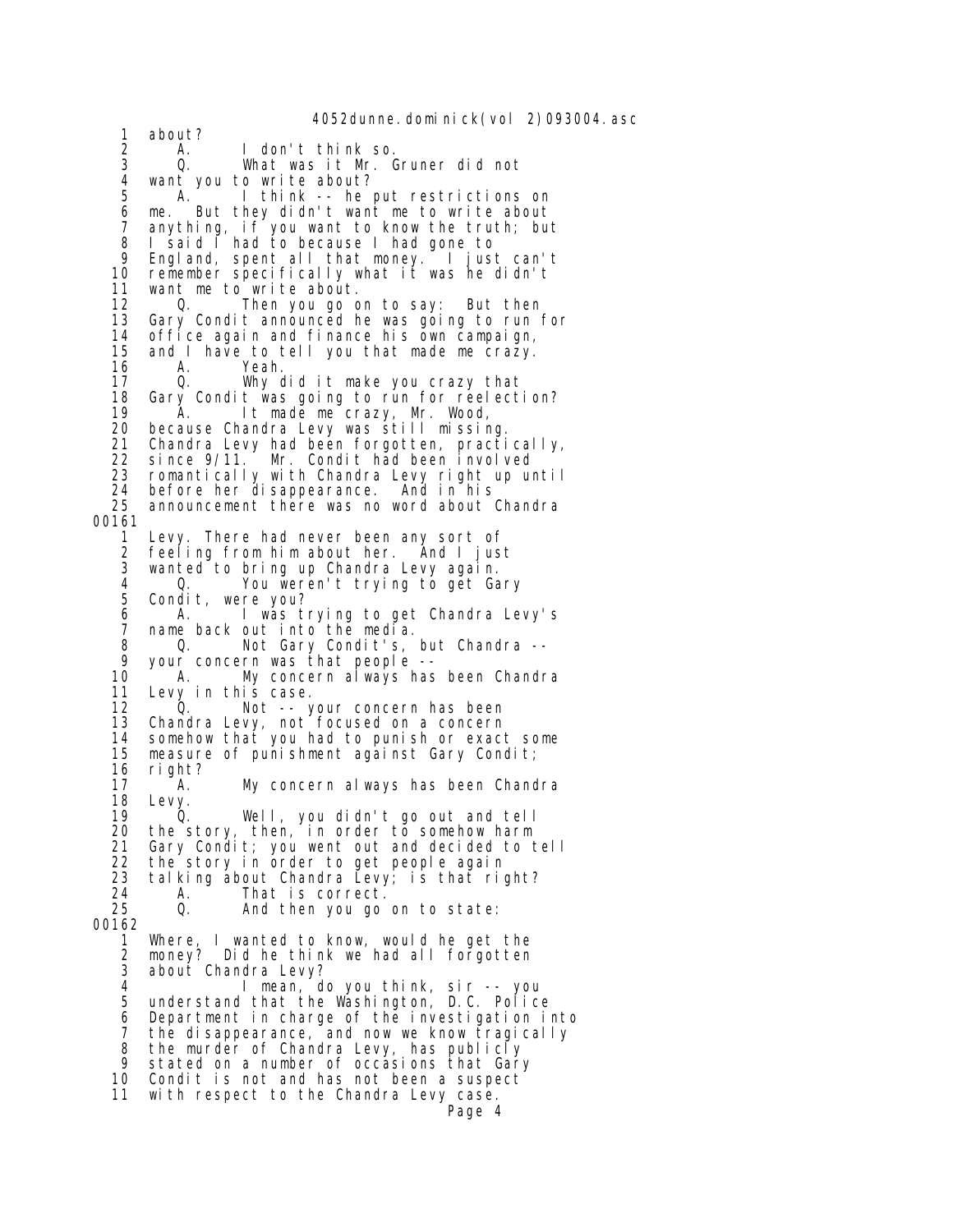4052dunne.dominick(vol 2)093004.asc 1 about?<br>2 A.<br>3 Q. 2 A. I don't think so. 3 Q. What was it Mr. Gruner did not 4 want you to write about? A. I think -- he put restrictions on 6 me. But they didn't want me to write about 7 anything, if you want to know the truth; but 8 I said I had to because I had gone to<br>9 Fooland spent all that money I just 9 England, spent all that money. I just can't 10 remember specifically what it was he didn't 11 want me to write about. 12 O. Then you go on to say: But then<br>13 Gary Condit announced he was going to run i Gary Condit announced he was going to run for 14 office again and finance his own campaign, 15 and I have to tell you that made me crazy. 16 A. Yeah.<br>17 Q. Why Why did it make you crazy that 18 Gary Condit was going to run for reelection? 19 A. It made me crazy, Mr. Wood,<br>20 because Chandra Levy was still missir 20 because Chandra Levy was still missing. 21 Chandra Levy had been forgotten, practically, 22 since 9/11. Mr. Condit had been involved<br>23 romantically with Chandra Levy right up um 23 romantically with Chandra Levy right up until 24 before her disappearance. And in his 25 announcement there was no word about Chandra 00161 Levy. There had never been any sort of 2 feeling from him about her. And I just 3 wanted to bring up Chandra Levy again. 4 Q. You weren't trying to get Gary Condit, were you? 6 A. I was trying to get Chandra Levy's 7 name back out into the media. 8 Q. Not Gary Condit's, but Chandra -- 9 your concern was that people -- A. My concern always has been Chandra 11 Levy in this case. 12 Q. Not -- your concern has been 13 Chandra Levy, not focused on a concern 14 somehow that you had to punish or exact some 15 measure of punishment against Gary Condit; 16 right?<br>17 A. My concern always has been Chandra 18 Levy. 19 Q. Well, you didn't go out and tell 20 the story, then, in order to somehow harm 21 Gary Condit; you went out and decided to tell 22 the story in order to get people again 23 talking about Chandra Levy; is that right? 24 A. That is correct.<br>25 Q. And then you go And then you go on to state: 00162 1 Where, I wanted to know, would he get the money? Did he think we had all forgotten 3 about Chandra Levy?<br>4 **b** nean d 4 I mean, do you think, sir -- you 5 understand that the Washington, D.C. Police 6 Department in charge of the investigation into 7 the disappearance, and now we know tragically 8 the murder of Chandra Levy, has publicly 9 stated on a number of occasions that Gary 10 Condit is not and has not been a suspect 11 with respect to the Chandra Levy case. Page 4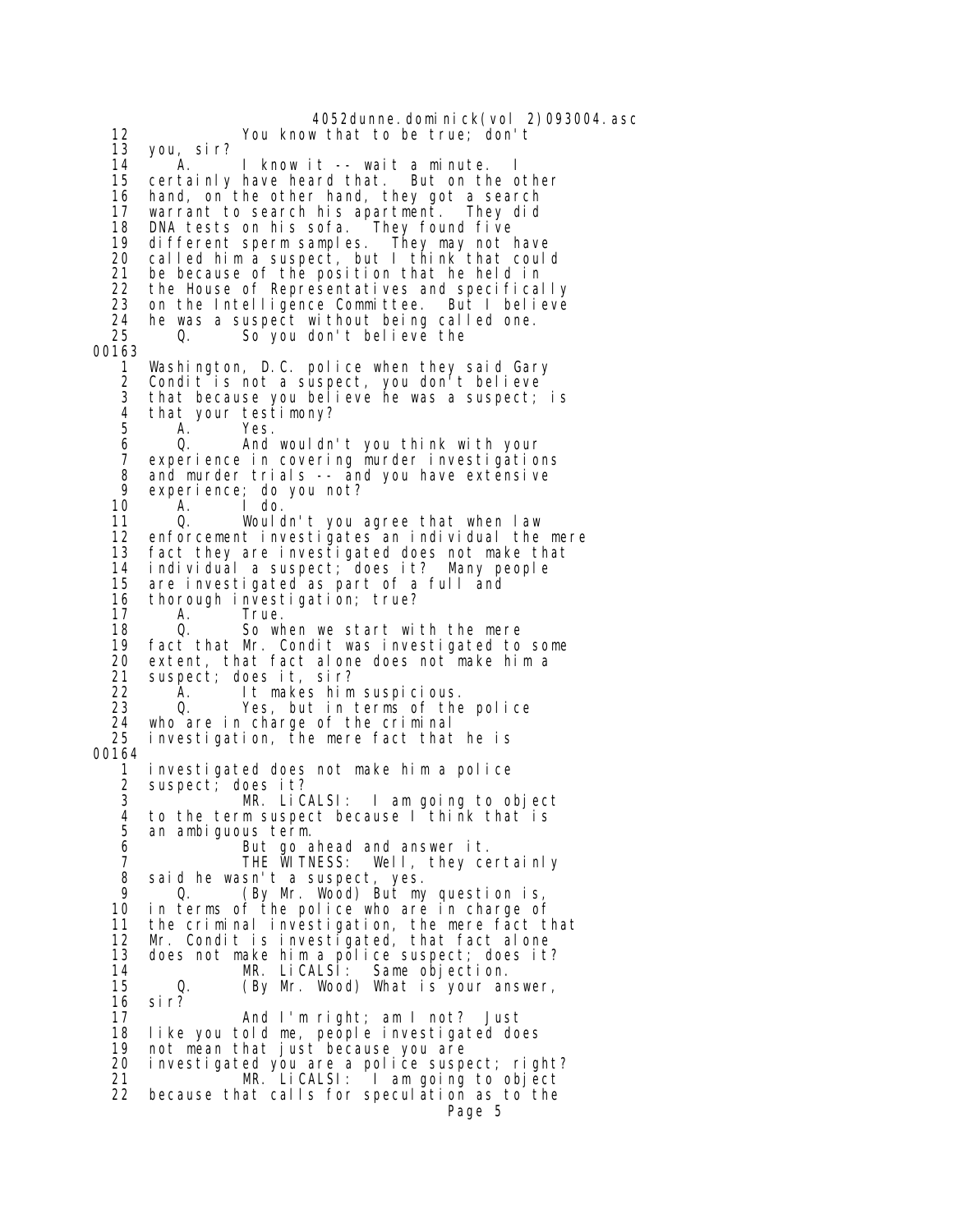4052dunne.dominick(vol 2)093004.asc 12 You know that to be true; don't 13 you, sir? 14 A. I know it -- wait a minute. I<br>15 certainly have heard that. But on the c certainly have heard that. But on the other 16 hand, on the other hand, they got a search<br>17 warrant to search his apartment. They did 17 warrant to search his apartment. 18 DNA tests on his sofa. They found five different sperm samples. They may not have 20 called him a suspect, but I think that could 21 be because of the position that he held in<br>22 the House of Representatives and specifical 22 the House of Representatives and specifically on the Intelligence Committee. But I believe 24 he was a suspect without being called one.<br>25  $\qquad$  0.  $\qquad$  So you don't believe the 25 Q. So you don't believe the 00163 1 Washington, D.C. police when they said Gary Condit is not a suspect, you don't believe 3 that because you believe he was a suspect; is 4 that your testimony?<br>5 A. Yes. 5 A. Yes. 6 Q. And wouldn't you think with your experience in covering murder investigations 8 and murder trials -- and you have extensive 9 experience; do you not? 10 A. Ido.<br>11 Q. Would 11 Q. Wouldn't you agree that when law<br>12 enforcement investigates an individual the enforcement investigates an individual the mere 13 fact they are investigated does not make that  $14$  individual a suspect: does it? Many people 14 individual a suspect; does it? Many people are investigated as part of a full and 16 thorough investigation; true?<br>17 A. True. 17 A. True. 18 Q. So when we start with the mere fact that Mr. Condit was investigated to some 20 extent, that fact alone does not make him a<br>21 suspect; does it, sir? 21 suspect; does it, sir? 22 A. It makes him suspicious. Yes, but in terms of the police 24 who are in charge of the criminal investigation, the mere fact that he is 00164 1 investigated does not make him a police suspect; does it? 3 MR. LiCALSI: I am going to object 4 to the term suspect because I think that is 5 an ambiguous term.<br>6 But go a 6 But go ahead and answer it. 7 THE WITNESS: Well, they certainly 8 said he wasn't a suspect, yes. 9 Q. (By Mr. Wood) But my question is, 10 in terms of the police who are in charge of 11 the criminal investigation, the mere fact that 12 Mr. Condit is investigated, that fact alone 13 does not make him a police suspect; does it? 14 MR. LiCALSI: Same objection. 15 Q. (By Mr. Wood) What is your answer, 16 sir? 17 And I'm right; am I not? Just 18 like you told me, people investigated does 19 not mean that just because you are 20 investigated you are a police suspect; right? 21 MR. LiCALSI: I am going to object 22 because that calls for speculation as to the Page 5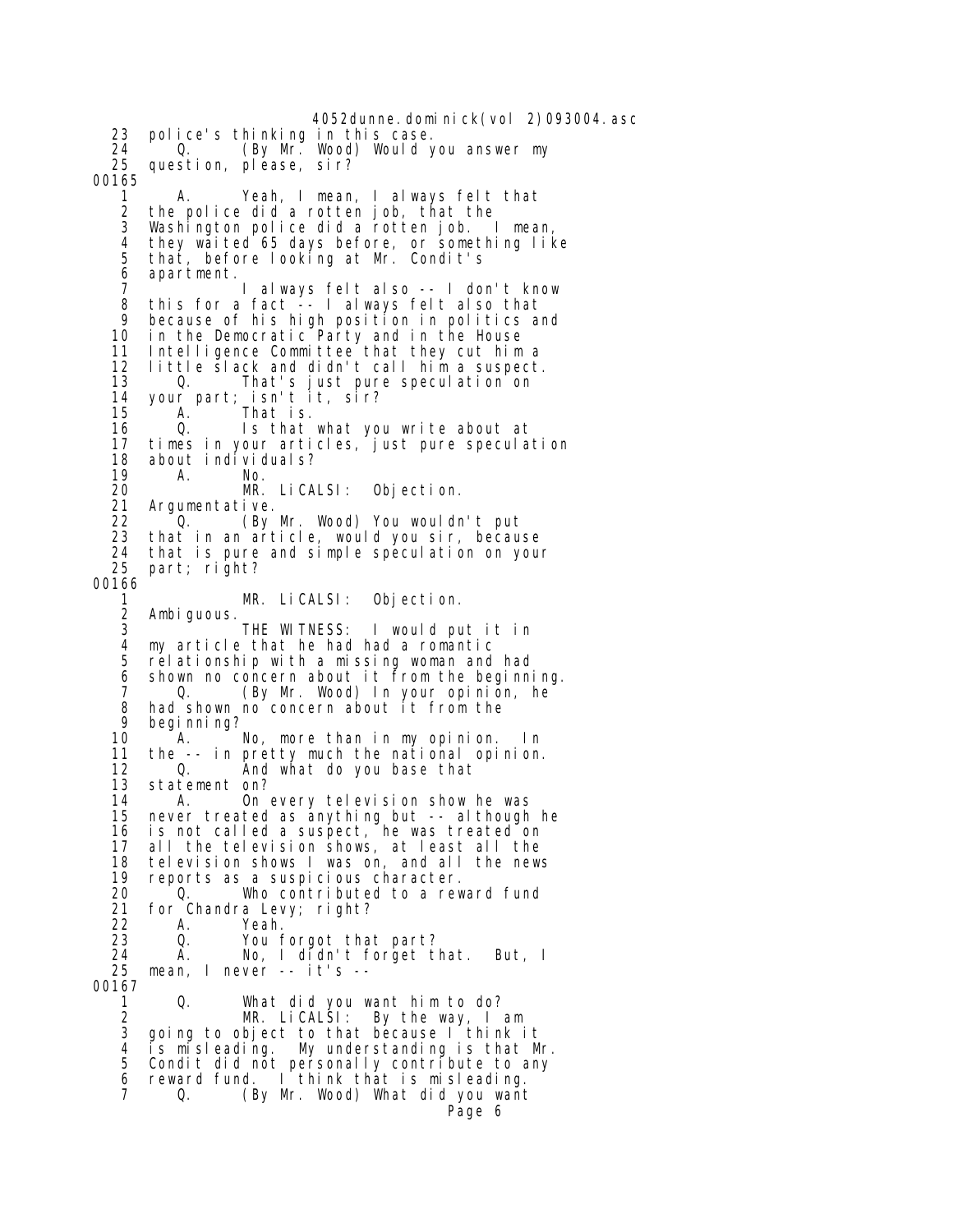4052dunne.dominick(vol 2)093004.asc 23 police's thinking in this case. 24 Q. (By Mr. Wood) Would you answer my<br>25 question, please, sir? question, please, sir? 00165 1 A. Yeah, I mean, I always felt that 2 the police did a rotten job, that the 3 Washington police did a rotten job. I mean, 4 they waited 65 days before, or something like 5 that, before looking at Mr. Condit's 6 apartment. 7 I always felt also -- I don't know 8 this for a fact -- I always felt also that 9 because of his high position in politics and 10 in the Democratic Party and in the House 11 Intelligence Committee that they cut him a 12 little slack and didn't call him a suspect. That's just pure speculation on 14 your part; isn't it, sir? 15 A. That is. 16 Q. Is that what you write about at 17 times in your articles, just pure speculation<br>18 about individuals? about individuals? 19 A. No.<br>20 MR. 20 MR. LiCALSI: Objection. 21 Argumentative.<br>22 0. (By 22 Q. (By Mr. Wood) You wouldn't put that in an article, would you sir, because 24 that is pure and simple speculation on your 25 part; right? 00166 1 MR. LiCALSI: Objection. 2 Ambiguous.<br>3 THE WITNESS: I would put it in 4 my article that he had had a romantic 5 relationship with a missing woman and had 6 shown no concern about it from the beginning. 7 Q. (By Mr. Wood) In your opinion, he 8 had shown no concern about it from the<br>9 heginning? 9 begi nni ng?<br>10 A. A. No, more than in my opinion. In 11 the -- in pretty much the national opinion. 12 Q. And what do you base that<br>13 statement on? statement on? 14 A. On every television show he was 15 never treated as anything but -- although he 16 is not called a suspect, he was treated on 17 all the television shows, at least all the television shows I was on, and all the news 19 reports as a suspicious character. 20 Q. Who contributed to a reward fund 21 for Chandra Levy; right?<br>22 A. Yeah. 22 A. Yeah. 23 Q. You forgot that part? 24 A. No, I didn't forget that. But, I mean,  $l$  never -- it's --00167 1 Q. What did you want him to do?<br>2 MR. LiCALSI: By the way, I 2 MR. LiCALSI: By the way, I am 3 going to object to that because I think it 4 is misleading. My understanding is that Mr. 5 Condit did not personally contribute to any 6 reward fund. I think that is misleading. Q. (By Mr. Wood) What did you want Page 6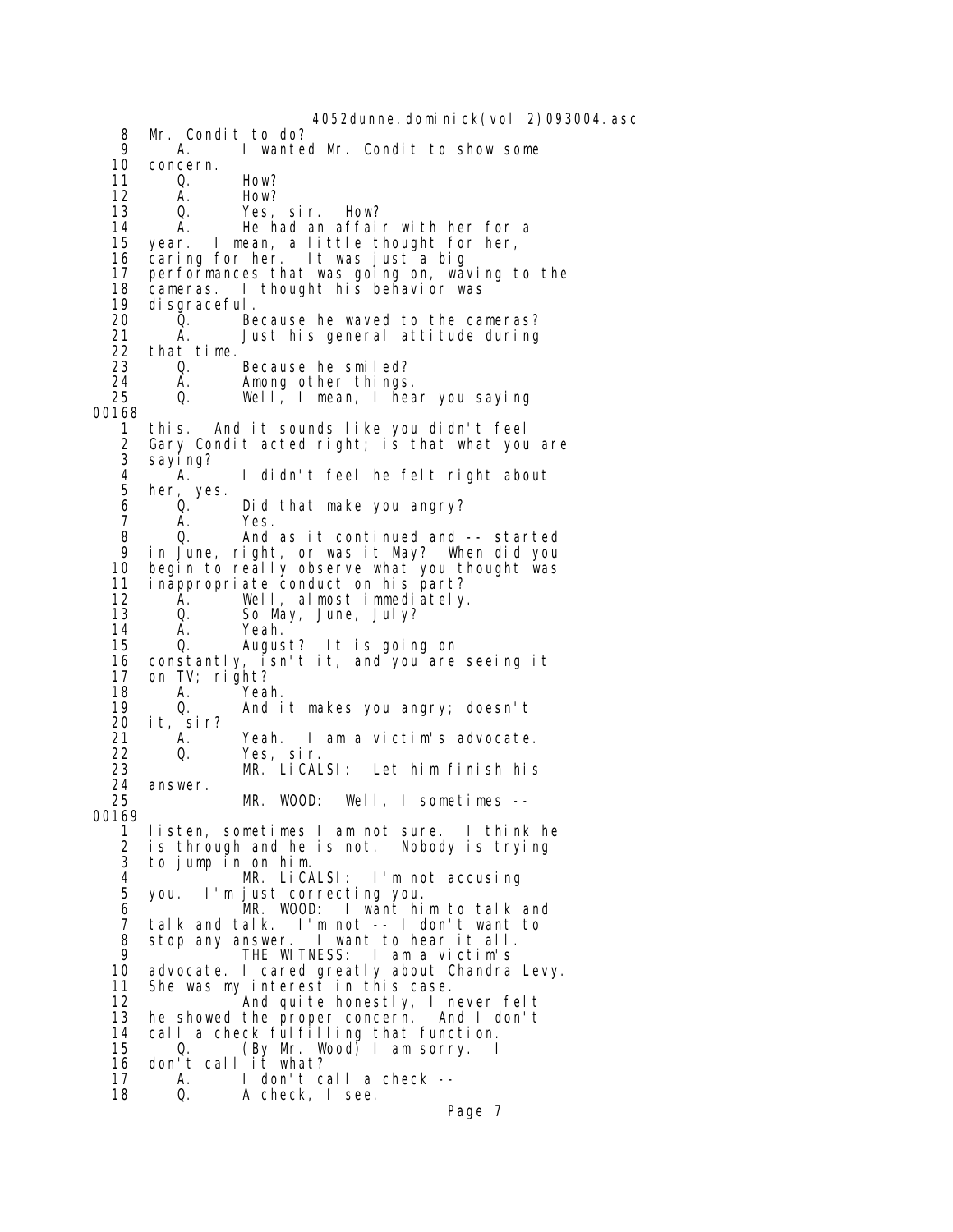4052dunne.dominick(vol 2)093004.asc 8 Mr. Condit to do?<br>9 A. I wante 9 A. I wanted Mr. Condit to show some 10 concern.<br>11 0. 11 Q. How? 12 A. How?<br>13 Q. Yes, 13 Q. Yes, sir. How?<br>14 A. He had an affai 14 A. He had an affair with her for a<br>15 year. I mean, a little thought for her. year. I mean, a little thought for her, 16 caring for her. It was just a big 17 performances that was going on, waving to the 18 cameras. I thought his behavior was 19 di sgraceful.<br>20 0. 20 Q. Because he waved to the cameras? 21 A. Just his general attitude during<br>22 that time. 22 that time. 23 Q. Because he smiled?<br>24 A. Among other things 24 A. Among other things.<br>25 Q. Well, I mean, I hea 25 Q. Well, I mean, I hear you saying 00168 1 this. And it sounds like you didn't feel 2 Gary Condit acted right; is that what you are sayi ng? 4 A. I didn't feel he felt right about her, yes.<br> $Q$ . 6 Q. Did that make you angry?<br>7 A. Yes. 7 A. Yes. 8 Q. And as it continued and -- started 9 in June, right, or was it May? When did you 10 begin to really observe what you thought was<br>11 inappropriate conduct on his part? 11 inappropriate conduct on his part? 12 A. Well, almostimmediately.<br>13 Q. So May, June, July? 13 Q. So May, June, July? 14 A. Yeah. 0. August? It is going on 16 constantly, isn't it, and you are seeing it on TV; right? 18 A. Yeah. 19 Q. And it makes you angry; doesn't 20 it, sir? 21 A. Yeah. I am a victim's advocate. 22 Q. Yes, sir. 23 MR. LiCALSI: Let him finish his 24 answer.<br>25 MR. WOOD: Well, I sometimes --00169 1 listen, sometimes I am not sure. I think he 2 is through and he is not. Nobody is trying to jump in on him. 4 MR. LiCALSI: I'm not accusing<br>5 you. I'm iust correcting you. 5 you. I'm just correcting you. 6 MR. WOOD: I want him to talk and 7 talk and talk. I'm not -- I don't want to 8 stop any answer. I want to hear it all.<br>9 THE WITNESS: I am a victim's 9 THE WITNESS: I am a victim's advocate. I cared greatly about Chandra Levy. 11 She was my interest in this case. 12 **And quite honestly, I never felt**<br>13 he showed the proper concern. And I don't 13 he showed the proper concern. And I don't 14 call a check fulfilling that function. 15 Q. (By Mr. Wood) I am sorry. I 16 don't call it what?<br>17 A. I don't ca A. I don't call a check --<br>Q. A check, I see. 18 Q. A check, I see.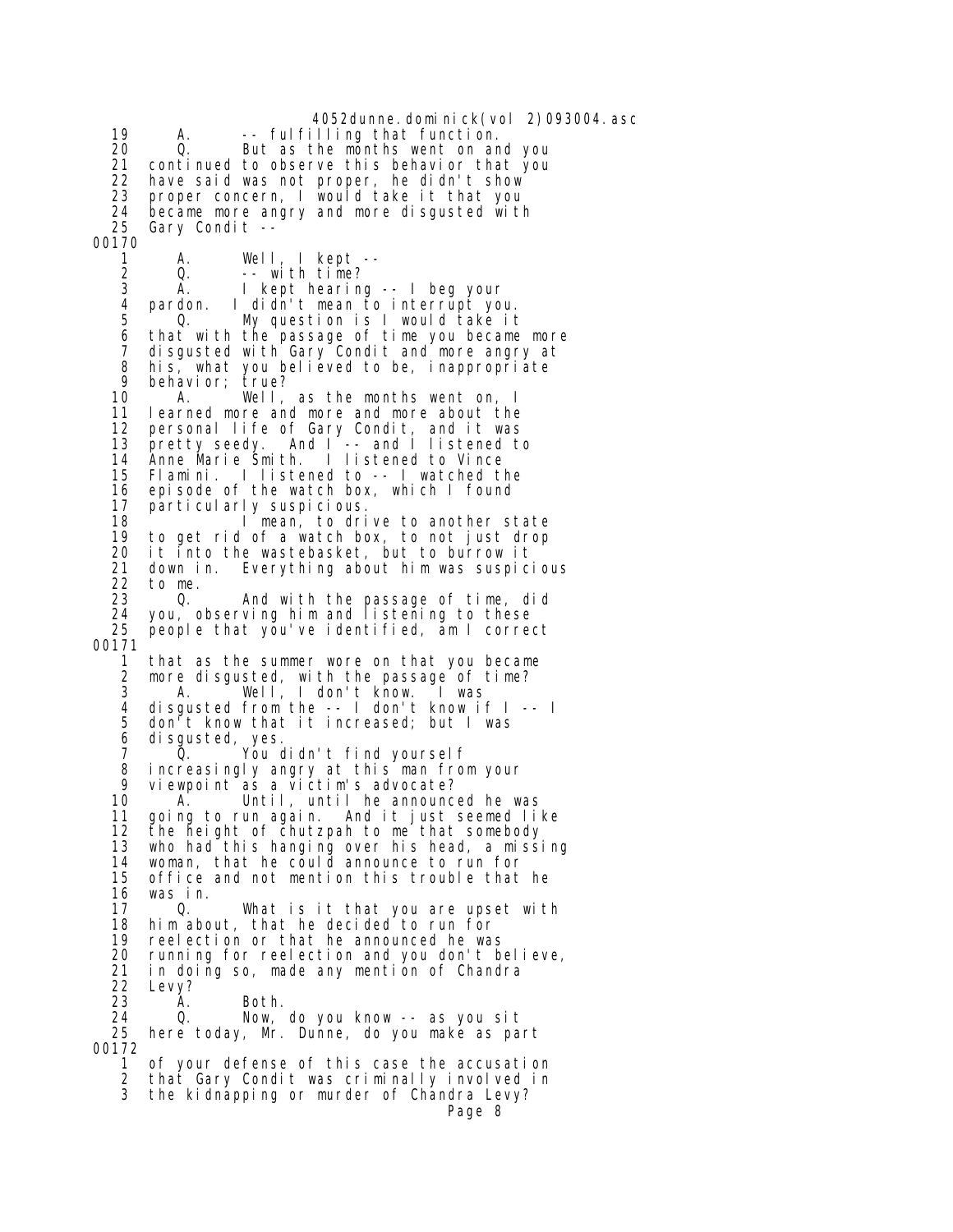4052dunne.dominick(vol 2)093004.asc 19 A. -- fulfilling that function. 20 Q. But as the months went on and you continued to observe this behavior that you 22 have said was not proper, he didn't show 23 proper concern, I would take it that you 24 became more angry and more disgusted with<br>25 Gary Condit --Gary Condit --00170 1 A. Well, I kept --<br>2 Q. --with time? 2 Q. --with time?<br>3 A. I kept hearing 3 A. I kept hearing -- I beg your pardon. I didn't mean to interrupt you. 5 Q. My question is I would take it 6 that with the passage of time you became more 7 disgusted with Gary Condit and more angry at 8 his, what you believed to be, inappropriate<br>9 behavior: true? 9 behavior; true? A. Well, as the months went on, I 11 learned more and more and more about the 12 personal life of Gary Condit, and it was<br>13 pretty seedy. And I -- and I listened to 13 pretty seedy. And I<sup>-</sup>-- and I listened to<br>14 Anne Marie Smith. I listened to Vince Anne Marie Smith. I listened to Vince 15 Flamini. I listened to -- I watched the 16 episode of the watch box, which I found<br>17 particularly suspicious. 17 particularly suspicious. 18 I mean, to drive to another state<br>19 to get rid of a watch box, to not iust drop to get rid of a watch box, to not just drop 20 it into the wastebasket, but to burrow it 21 down in. Everything about him was suspicious<br>22 to me. 22 to me. 23 Q. And with the passage of time, did 24 you, observing him and listening to these 25 people that you've identified, am I correct 00171 1 that as the summer wore on that you became<br>2 more disqusted, with the passage of time? more disgusted, with the passage of time? 3 A. Well, I don't know. I was 4 disgusted from the -- I don't know if I -- I 5 don't know that it increased; but I was 6 disgusted, yes. 7 Q. You didn't find yourself 8 increasingly angry at this man from your<br>9 viewnoint as a victim's advocate? 9 viewpoint as a victim's advocate?<br>10 A. Until, until he announc A. Until, until he announced he was 11 going to run again. And it just seemed like 12 the height of chutzpah to me that somebody 13 who had this hanging over his head, a missing 14 woman, that he could announce to run for 15 office and not mention this trouble that he 16 was in. 17 Q. What is it that you are upset with 18 him about, that he decided to run for<br>19 reelection or that he announced he way 19 reelection or that he announced he was<br>20 running for reelection and you don't b running for reelection and you don't believe, 21 in doing so, made any mention of Chandra<br>22 Levv? 22 Levy?<br>23 A. 23 A. Both. 24 Q. Now, do you know -- as you sit 25 here today, Mr. Dunne, do you make as part 00172 1 of your defense of this case the accusation 2 that Gary Condit was criminally involved in 3 the kidnapping or murder of Chandra Levy? Page 8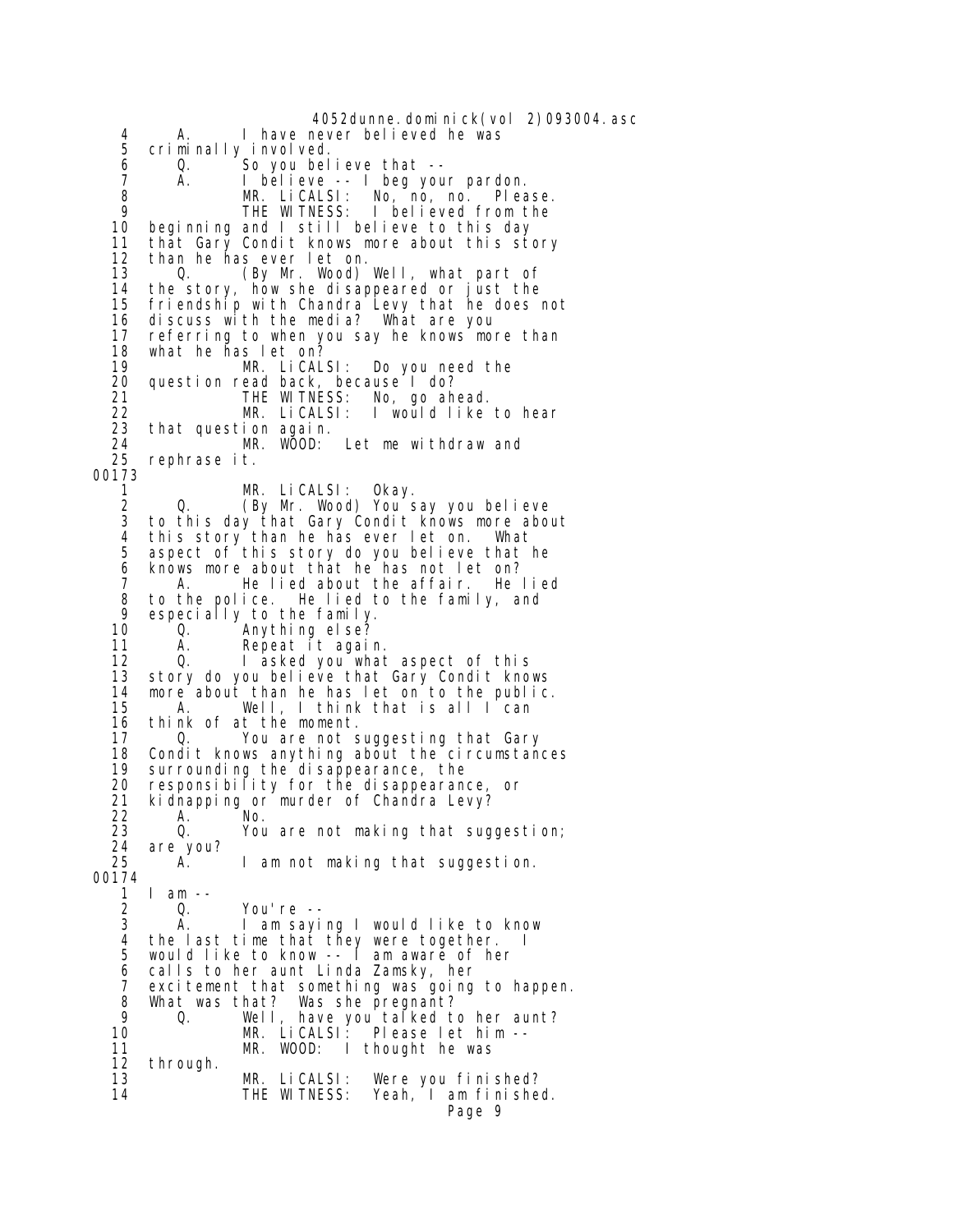4052dunne.dominick(vol 2)093004.asc 4 A. I have never believed he was<br>5 criminally involved. 5 criminally involved.<br>6 0. So you bel 6 Q. So you believe that -- 7 A. I believe -- I beg your pardon. 8 MR. LiCALSI: No, no, no. Please. 9 THE WITNESS: I believed from the 10 beginning and I still believe to this day<br>11 that Gary Condit knows more about this st that Gary Condit knows more about this story 12 than he has ever let on. 13 Q. (By Mr. Wood) Well, what part of<br>14 the story, how she disappeared or just the 14 the story, how she disappeared or just the 15 friendship with Chandra Levy that he does not 16 discuss with the media? What are you 17 referring to when you say he knows more than 18 what he has let on? 19 MR. LiCALSI: Do you need the 20 question read back, because I do?<br>21 THE WITNESS: No, go ah 21 THE WITNESS: No, go ahead. 22 MR. LiCALSI: I would like to hear 23 that question again. 24 MR. WOOD: Let me withdraw and<br>25 rephrase it. rephrase it. 00173 1 MR. LiCALSI: Okay. 2 Q. (By Mr. Wood) You say you believe to this day that Gary Condit knows more about 4 this story than he has ever let on. What aspect of this story do you believe that he 6 knows more about that he has not let on? 7 A. He lied about the affair. He lied 8 to the police. He lied to the family, and<br>9 especially to the family 9 especially to the family.<br>10 0. Anything else? 10 Q. Anything else? Repeat it again. 12 Q. I asked you what aspect of this<br>13 story do you believe that Gary Condit know story do you believe that Gary Condit knows 14 more about than he has let on to the public. A. Well, I think that is all I can 16 think of at the moment.<br>17 0. You are not s 17 Q. You are not suggesting that Gary 18 Condit knows anything about the circumstances<br>19 surrounding the disappearance, the 19 surrounding the disappearance, the<br>20 responsibility for the disappearand 20 responsibility for the disappearance, or<br>21 kidnapping or murder of Chandra Levy? 21 kidnapping or murder of Chandra Levy?<br>22 A. No. 22 A. No. 23 Q. You are not making that suggestion; 24 are you?<br>25 A. 1 am not making that suggestion. 00174 1 I am --<br>2 0. 2 Q. You're -- A. I am saying I would like to know 4 the last time that they were together.<br>5 would like to know -- I am aware of her 5 would like to know -- I am aware of her 6 calls to her aunt Linda Zamsky, her 7 excitement that something was going to happen. 8 What was that? Was she pregnant?<br>9 0. Well, have you talked to 9 Q. Well, have you talked to her aunt? 10 MR. LiCALSI: Please let him -- 10 MR. LiCALSI: Please let him --<br>11 MR. WOOD: I thought he was 12 through.<br>13 MR. LiCALSI: Were you finished?<br>THE WITNESS: Yeah, I am finishe 14 THE WITNESS: Yeah, I am finished. Page 9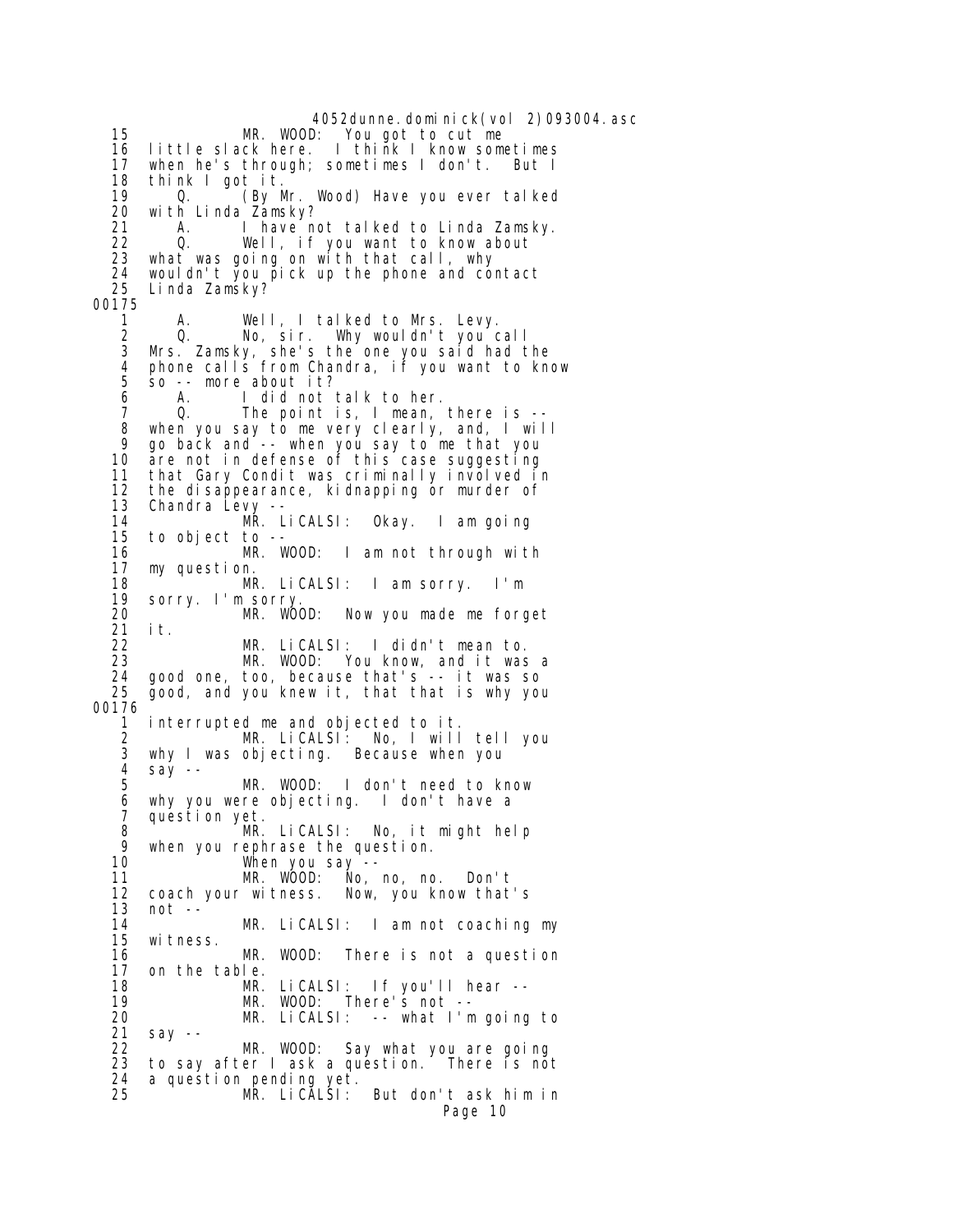4052dunne.dominick(vol 2)093004.asc<br>MR. WOOD: You got to cut me 15 MR. WOOD: You got to cut me 16 little slack here. I think I know sometimes when he's through; sometimes I don't. But I 18 think I got it. 19 Q. (By Mr. Wood) Have you ever talked 20 with Linda Zamsky?<br>21 A. I have no 21 A. I have not talked to Linda Zamsky.<br>22 O. Well. if you want to know about 22 Q. Well, if you want to know about<br>23 what was going on with that call, why what was going on with that call, why 24 wouldn't you pick up the phone and contact Linda Zamsky? 00175 1 A. Well, I talked to Mrs. Levy. 2 Q. No, sir. Why wouldn't you call 3 Mrs. Zamsky, she's the one you said had the 4 phone calls from Chandra, if you want to know 5 so -- more about it? 6 A. I did not talk to her. 7 Q. The point is, I mean, there is -- 8 when you say to me very clearly, and, I will 9 go back and -- when you say to me that you are not in defense of this case suggesting 11 that Gary Condit was criminally involved in 12 the disappearance, kidnapping or murder of  $13$  Chandra Levy  $-$ -13 Chandra Levy --<br>14 MR. LiCALSI: 14 MR. LiCALSI: Okay. I am going to object to -- 16 MR. WOOD: I am not through with 17 my question. 18 MR. LiCALSI: I am sorry. I'm 19 sorry. I'm sorry. 20 MR. WOOD: Now you made me forget 21 it. 22 MR. LiCALSI: I didn't mean to. 23 MR. WOOD: You know, and it was a 24 good one, too, because that's -- it was so 25 good, and you knew it, that that is why you 00176 1 interrupted me and objected to it. 2 MR. LiCALSI: No, I will tell you 3 why I was objecting. Because when you 4 say -- MR. WOOD: I don't need to know 6 why you were objecting. I don't have a 7 question yet.<br>8 MR. 8 MR. LiCALSI: No, it might help 9 when you rephrase the question. 10 When you say -- 11 MR. WOOD: No, no, no. Don't 12 coach your witness. Now, you know that's 13 not -- 14 MR. LiCALSI: I am not coaching my 15 witness.<br>16 MR. WOOD: There is not a question 17 on the table. 18 MR. LiCALSI: If you'll hear -- 19 MR. WOOD: There's not -- 20 MR. LiCALSI: -- what I'm going to 21 say -- 22 MR. WOOD: Say what you are going<br>23 to say after I ask a question. There is no to say after I ask a question. There is not 24 a question pending yet.<br>25 MR. LiCALSI: But don't ask him in Page 10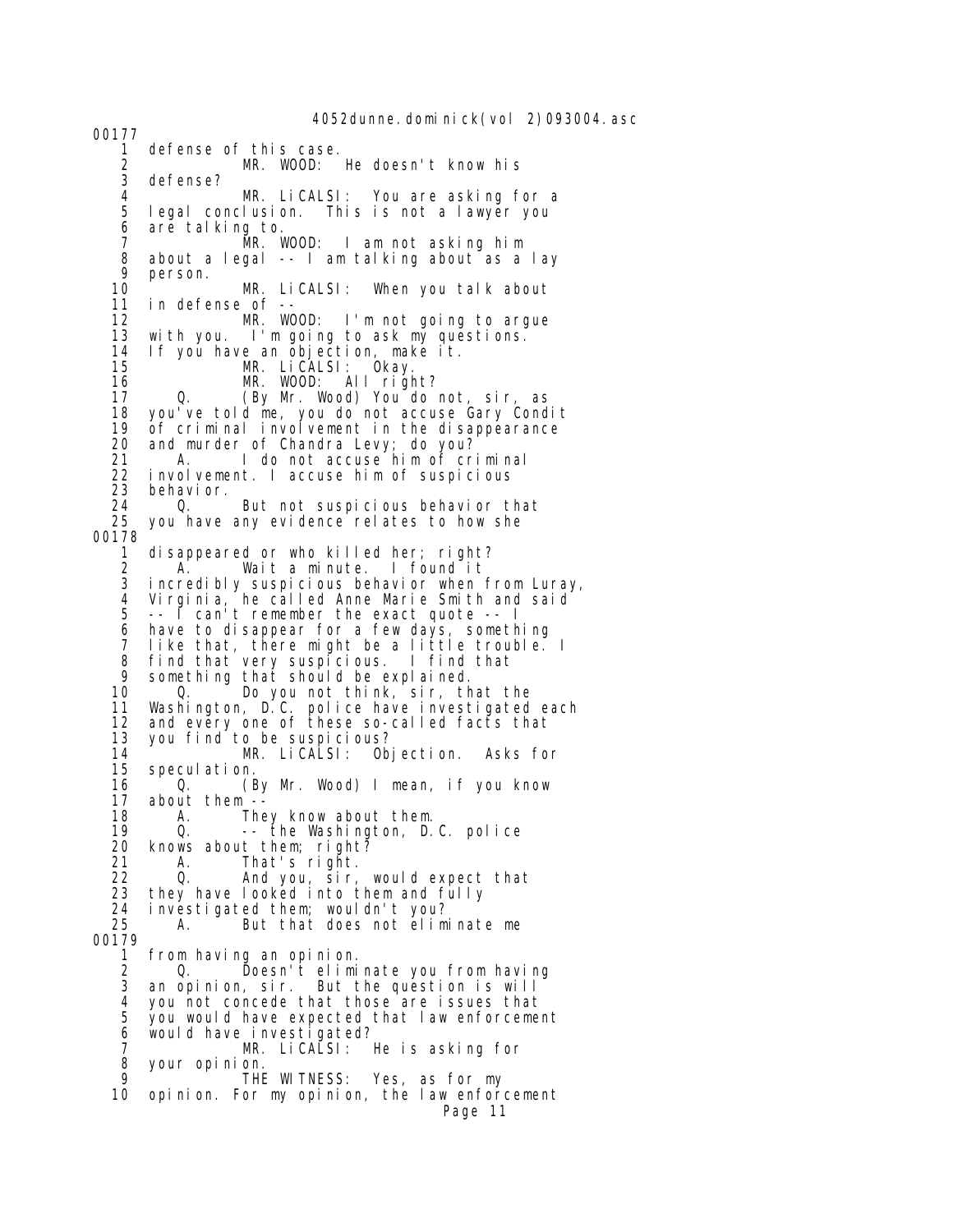4052dunne.dominick(vol 2)093004.asc

1 defense of this case.<br>2 MR. WOOD: 2 MR. WOOD: He doesn't know his 3 defense?<br>4 4 MR. LiCALSI: You are asking for a legal conclusion. This is not a lawyer you 6 are talking to. 7 MR. WOOD: I am not asking him 8 about a legal -- I am talking about as a lay 9 person. 10 MR. LiCALSI: When you talk about in defense of -- 12 MR. WOOD: I'm not going to argue 13 with you. I'm going to ask my questions. 14 If you have an objection, make it. 15 MR. LiCALSI: Okay.<br>16 MR. WOOD: All righ 16 MR. WOOD: All right? 0. (By Mr. Wood) You do not, sir, as 18 you've told me, you do not accuse Gary Condit 19 of criminal involvement in the disappearance<br>20 and murder of Chandra Levy: do you? 20 and murder of Chandra Levy; do you? 21 A. I do not accuse him of criminal<br>22 involvement. I accuse him of suspicious 22 involvement. I accuse him of suspicious<br>23 behavior. 23 behavior. 24 Q. But not suspicious behavior that<br>25 you have any evidence relates to how she you have any evidence relates to how she 00178 1 disappeared or who killed her; right? 2 A. Wait a minute. I found it incredibly suspicious behavior when from Luray, 4 Virginia, he called Anne Marie Smith and said 5 -- I can't remember the exact quote -- I 6 have to disappear for a few days, something 7 like that, there might be a little trouble. I<br>8 find that very suspicious. I find that 8 find that very suspicious. I find that 9 something that should be explained.<br>10 0. Do you not think, sir, the 10 Q. Do you not think, sir, that the 11 Washington, D.C. police have investigated each 12 and every one of these so-called facts that 13 you find to be suspicious? 14 MR. LiCALSI: Objection. Asks for 15 speculation.<br>16 0. (E 16 Q. (By Mr. Wood) I mean, if you know 17 about them -- 18 A. They know about them. 19 Q. -- the Washington, D.C. police 20 knows about them; right? 21 A. That's right. 22 Q. And you, sir, would expect that 23 they have looked into them and fully 24 investigated them; wouldn't you? A. But that does not eliminate me 00179 from having an opinion. 2 Q. Doesn't eliminate you from having an opinion, sir. But the question is will 4 you not concede that those are issues that<br>5 you would have expected that law enforceme 5 you would have expected that law enforcement 6 would have investigated? 7 MR. LiCALSI: He is asking for your opinion. 9 THE WITNESS: Yes, as for my 10 opinion. For my opinion, the law enforcement Page 11

00177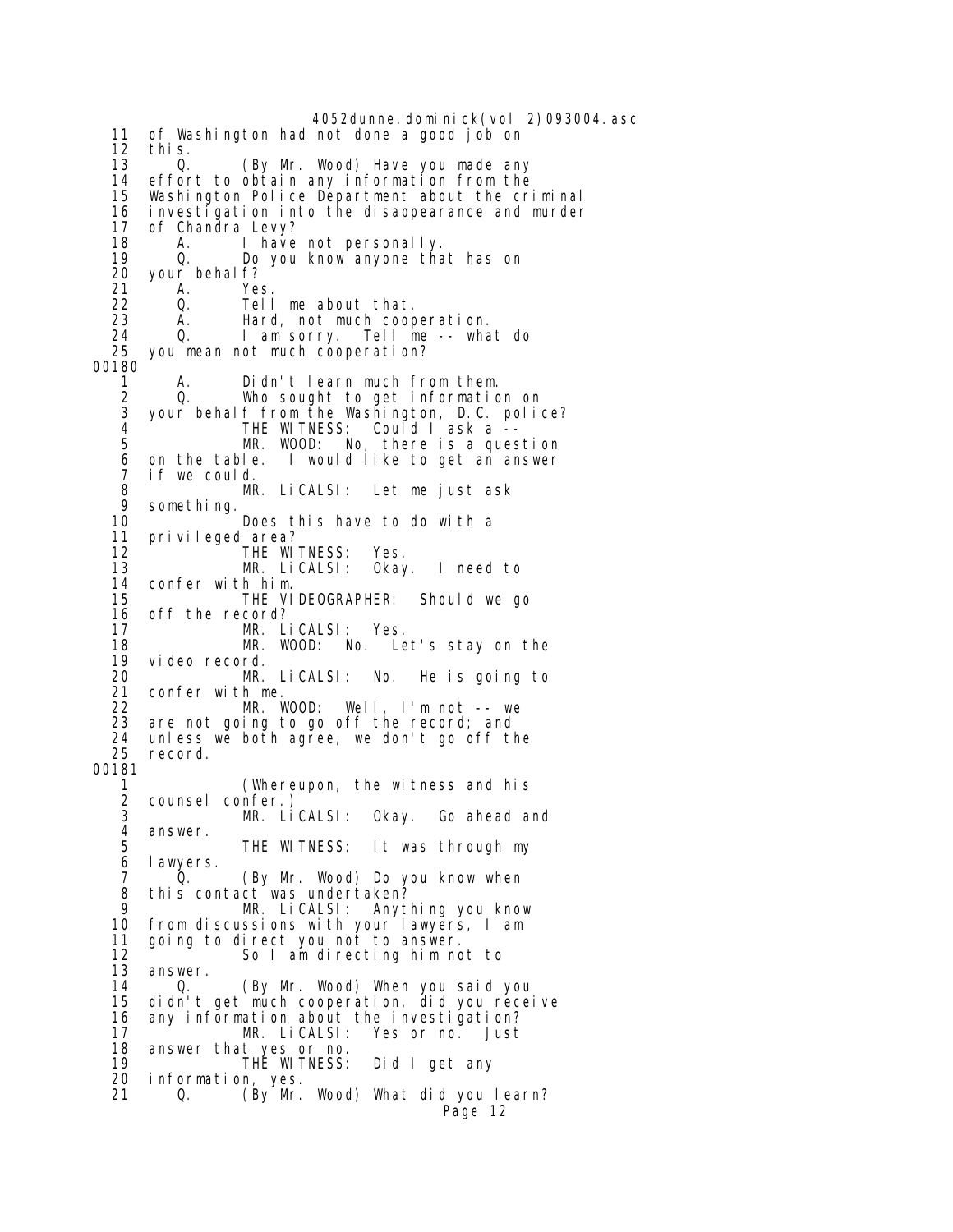4052dunne.dominick(vol 2)093004.asc 11 of Washington had not done a good job on 12 this. 13 Q. (By Mr. Wood) Have you made any<br>14 effort to obtain any information from the 14 effort to obtain any information from the Washington Police Department about the criminal 16 investigation into the disappearance and murder 17 of Chandra Levy?<br>18 1 A. I have 18 A. I have not personally.<br>19 Q. Do you know anyone tha 19 Q. Do you know anyone that has on 20 your behalf?<br>21 A. Ye 21 A. Yes.<br>22 Q. Tell 22 Q. Tell me about that.<br>23 A. Hard, not much coop 23 A. Hard, not much cooperation. 24 Q. I am sorry. Tell me -- what do you mean not much cooperation? 00180<br>1 A. Didn't learn much from them. 2 Q. Who sought to get information on 3 your behalf from the Washington, D.C. police?<br>4 THE WITNESS: Could Lask a -- 4 THE WITNESS: Could I ask a -- 5 MR. WOOD: No, there is a question<br>6 on the table. I would like to get an answer I would like to get an answer 7 if we could. 8 MR. LiCALSI: Let me just ask 9 something. 10 **Does this have to do with a**<br>11 privileged area? privileged area? 12 THE WITNESS: Yes. 13 MR. LiCALSI: Okay. I need to 14 confer with him. THE VIDEOGRAPHER: Should we go 16 off the record?<br>17 MR. L 17 MR. LiCALSI: Yes. 18 MR. WOOD: No. Let's stay on the 19 video record. 20 MR. LiCALSI: No. He is going to 21 confer with me. 22 MR. WOOD: Well, I'm not -- we<br>23 are not going to go off the record: and are not going to go off the record; and 24 unless we both agree, we don't go off the record. 00181 1 (Whereupon, the witness and his 2 counsel confer.) 3 MR. LiCALSI: Okay. Go ahead and 4 answer. 5 THE WITNESS: It was through my I awyers. 7 Q. (By Mr. Wood) Do you know when 8 this contact was undertaken? 9 MR. LiCALSI: Anything you know 10 from discussions with your lawyers, I am<br>11 going to direct you not to answer. 11 going to direct you not to answer.<br>12 So I am directing him no So I am directing him not to 13 answer.<br>14 0. 14 Q. (By Mr. Wood) When you said you 15 didn't get much cooperation, did you receive 16 any information about the investigation? 17 MR. LiCALSI: Yes or no. Just 18 answer that yes or no.<br>19 THE WITNESS: 19 THE WITNESS: Did I get any information, yes. 21 Q. (By Mr. Wood) What did you learn? Page 12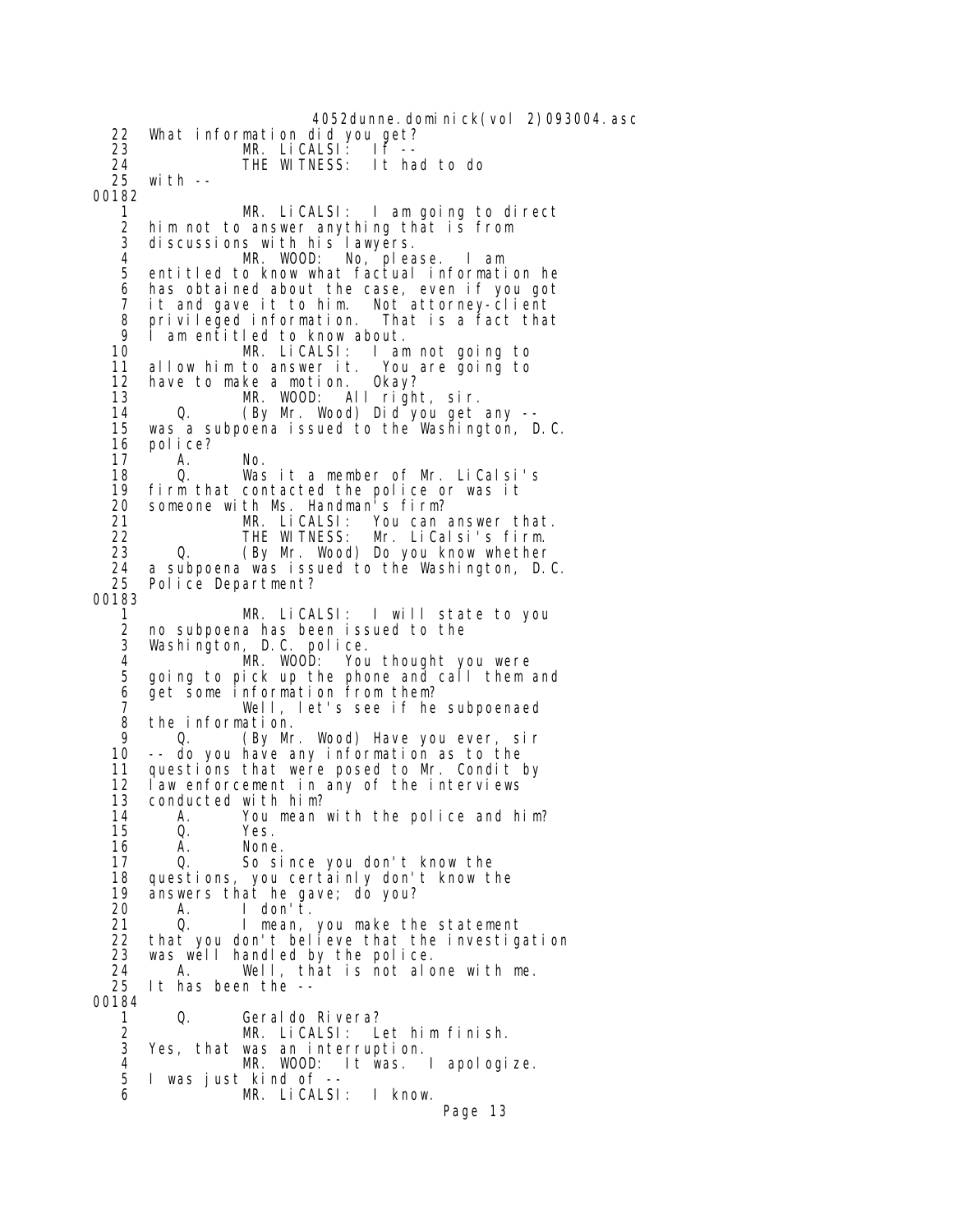4052dunne.dominick(vol 2)093004.asc 22 What information did you get? 23 MR. LiCALSI: IF<sup>-</sup><br>24 THE WITNESS: It ha 24 THE WITNESS: It had to do with  $-$ 00182 1 MR. LiCALSI: I am going to direct 2 him not to answer anything that is from 3 discussions with his lawyers.<br>4 MR. WOOD: No, plea 4 MR. WOOD: No, please. I am entitled to know what factual information he 6 has obtained about the case, even if you got 7 it and gave it to him. Not attorney-client 8 privileged information. That is a fact that<br>9 I am entitled to know about 9 I am entitled to know about.<br>10 MR. LiCALSI: I am 10 MR. LiCALSI: I am not going to 11 allow him to answer it. You<br>12 have to make a motion. Okay? have to make a motion. 13 MR. WOOD: All right, sir. 14 Q. (By Mr. Wood) Did you get any -- 15 was a subpoena issued to the Washington, D.C. 16 police?<br>17 A. 17 A. No. 18 Q. Was it a member of Mr. LiCalsi's 19 firm that contacted the police or was it 20 someone with Ms. Handman's firm?<br>21 MR. LiCALSI: You can 21 MR. LiCALSI: You can answer that.<br>22 THE WITNESS: Mr. LiCalsi's firm. 22 THE WITNESS: Mr. LiCalsi's firm. Q. (By Mr. Wood) Do you know whether 24 a subpoena was issued to the Washington, D.C.<br>25 Police Department? Police Department? 00183 1 MR. LiCALSI: I will state to you 2 no subpoena has been issued to the 3 Washington, D.C. police. 4 MR. WOOD: You thought you were<br>5 going to pick up the phone and call them 5 going to pick up the phone and call them and 6 get some information from them? 7 Well, let's see if he subpoenaed 8 the information.<br>9 0. (By Mr 9 Q. (By Mr. Wood) Have you ever, sir -- do you have any information as to the 11 questions that were posed to Mr. Condit by<br>12 law enforcement in any of the interviews law enforcement in any of the interviews 13 conducted with him? 14 A. You mean with the police and him? 15 Q. Yes. 16 A. None. So since you don't know the 18 questions, you certainly don't know the 19 answers that he gave; do you? 20 A. I don't<sup>'</sup>.<br>21 Q. I mean. 21 Q. I mean, you make the statement 22 that you don't believe that the investigation 23 was well handled by the police. 24 A. Well, that is not alone with me.<br>25 It has been the --It has been the --00184 1 Q. Geraldo Rivera? 2 MR. LiCALSI: Let him finish. Yes, that was an interruption. 4 MR. WOOD: It was. I apologize. 5 I was just kind of -- 6 MR. LiCALSI: I know. Page 13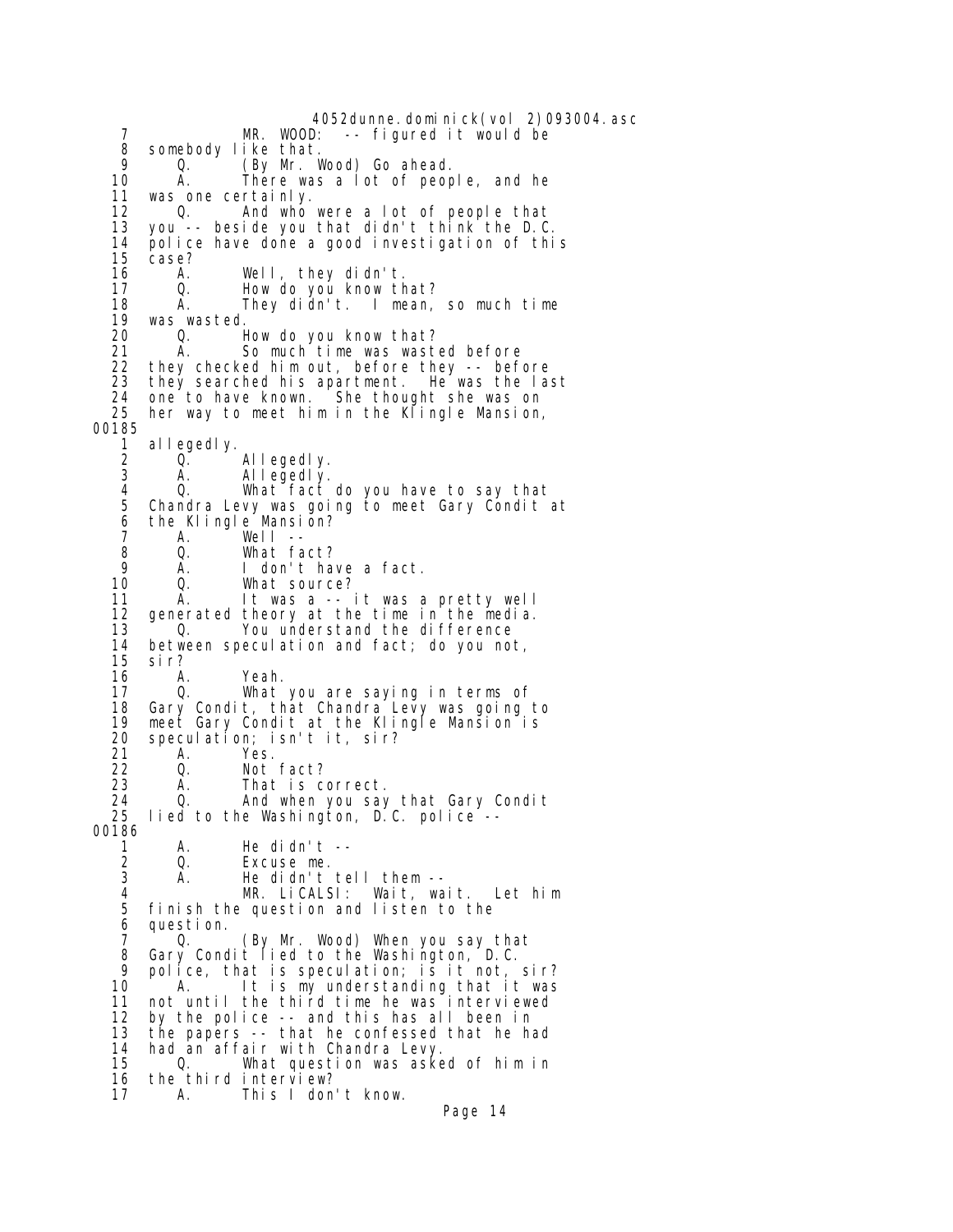4052dunne.dominick(vol 2)093004.asc<br>MR. WOOD: -- figured it would be -- figured it would be 8 somebody like that. 9 Q. (By Mr. Wood) Go ahead.<br>10 A. There was a lot of peop 10 A. There was a lot of people, and he<br>11 was one certainly. 11 was one certainly. 12 Q. And who were a lot of people that<br>13 you -- beside you that didn't think the D.C 13 you -- beside you that didn't think the D.C. 14 police have done a good investigation of this case? 16 A. Well, they didn't. 17 Q. How do you know that? 18 A. They didn't. I mean, so much time<br>19 was wasted. 19 was wasted. 20 Q. How do you know that? 21 A. So much time was wasted before<br>22 they checked him out. before they -- bef 22 they checked him out, before they -- before<br>23 they searched his apartment. He was the last they searched his apartment. 24 one to have known. She thought she was on 25 her way to meet him in the Klingle Mansion, 00185 1 allegedly.<br>2 0. 2 Q. Allegedly.<br>3 A. Allegedly. A. Allegedly. 4 Q. What fact do you have to say that Chandra Levy was going to meet Gary Condit at 6 the Klingle Mansion?<br>7 A. Well --7 A. Well --<br>8 O. What fa 8 Q. What fact? 9 A. I don't have a fact. What source? 11 A. It was a -- it was a pretty well 12 generated theory at the time in the media.<br>13  $\qquad$  0. You understand the difference 13 Q. You understand the difference<br>14 between speculation and fact: do you no 14 between speculation and fact; do you not, 15 sir? A. Yeah. 17 Q. What you are saying in terms of Gary Condit, that Chandra Levy was going to 19 meet Gary Condit at the Klingle Mansion is<br>20 speculation; isn't it, sir? 20 speculation; isn't it, sir? 21 A. Yes. 22 Q. Not fact? That is correct. 24 Q. And when you say that Gary Condit  $l$ ied to the Washington, D.C. police  $-$ -00186 1 A. He didn't -- 2 Q. Excuseme.<br>3 A. Hedidn't A. He didn't tell them -- 4 MR. LiCALSI: Wait, wait. Let him 5 finish the question and listen to the 6 question. 7 Q. (By Mr. Wood) When you say that<br>8 Gary Condit lied to the Washington, D.C. 8 Gary Condit lied to the Washington, D.C. 9 police, that is speculation; is it not, sir? A. It is my understanding that it was 11 not until the third time he was interviewed<br>12 by the police -- and this has all been in by the police -- and this has all been in 13 the papers -- that he confessed that he had 14 had an affair with Chandra Levy.<br>15 0. What question was aske 15 Q. What question was asked of him in 16 the third interview? 17 A. This I don't know. Page 14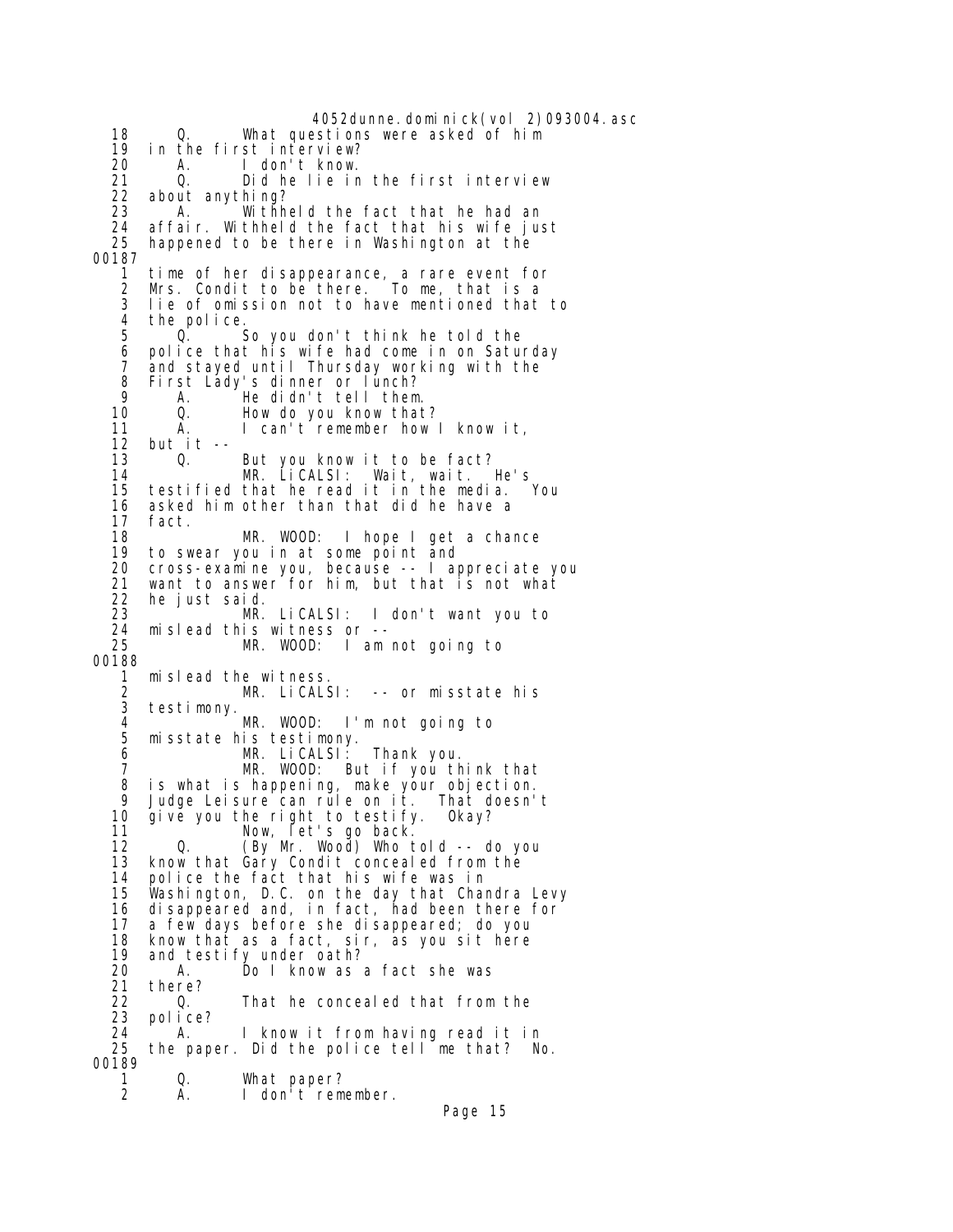4052dunne.dominick(vol 2)093004.asc 18 Q. What questions were asked of him 19 in the first interview? 20 A. I don't know. 21 0. Did he lie in the first interview<br>22 about anything? 22 about anything? 23 A. Withheld the fact that he had an<br>24 affair Withheld the fact that his wife in 24 affair. Withheld the fact that his wife just happened to be there in Washington at the 00187 1 time of her disappearance, a rare event for 2 Mrs. Condit to be there. To me, that is a 3 lie of omission not to have mentioned that to 4 the police.<br>5 0. So you don't think he told the 6 police that his wife had come in on Saturday 7 and stayed until Thursday working with the<br>8 First Lady's dinner or lunch? 8 First Lady's dinner or lunch?<br>9 A. He didn't tell them 9 A. He didn't tell them. How do you know that? 11 A. I can't remember how I know it,<br>12 but it --12 but it --<br>13 0. 13 Q. But you know it to be fact? 14 MR. LiCALSI: Wait, wait. He's 15 testified that he read it in the media. You 16 asked him other than that did he have a<br>17 fact. 17 fact. 18 MR. WOOD: I hope I get a chance<br>19 to swear you in at some point and 19 to swear you in at some point and 20 cross-examine you, because -- I appreciate you 21 want to answer for him, but that is not what<br>22 he just said. 22 he just said. 23 MR. LiCALSI: I don't want you to 24 mislead this witness or -- MR. WOOD: I am not going to 00188 1 mislead the witness.<br>2 MR. LiCALS 2 MR. LiCALSI: -- or misstate his 3 testimony. 4 MR. WOOD: I'm not going to 5 misstate his testimony. 6 MR. LiCALSI: Thank you. 7 MR. WOOD: But if you think that<br>8 is what is happening, make your objection. is what is happening, make your objection. 9 Judge Leisure can rule on it. That doesn't 10 give you the right to testify. Okay? 11 Now, let's go back. 12 Q. (By Mr. Wood) Who told -- do you know that Gary Condit concealed from the 14 police the fact that his wife was in 15 Washington, D.C. on the day that Chandra Levy 16 disappeared and, in fact, had been there for 17 a few days before she disappeared; do you 18 know that as a fact, sir, as you sit here and testify under oath? 20 A. Do I know as a fact she was 21 there? 22 Q. That he concealed that from the<br>23 police? 23 police? 24 A. I know it from having read it in<br>25 the paper Did the police tell me that? No the paper. Did the police tell me that? No. 00189 1 Q. What paper?<br>2 A. I don't reme I don't remember.

```
Page 15
```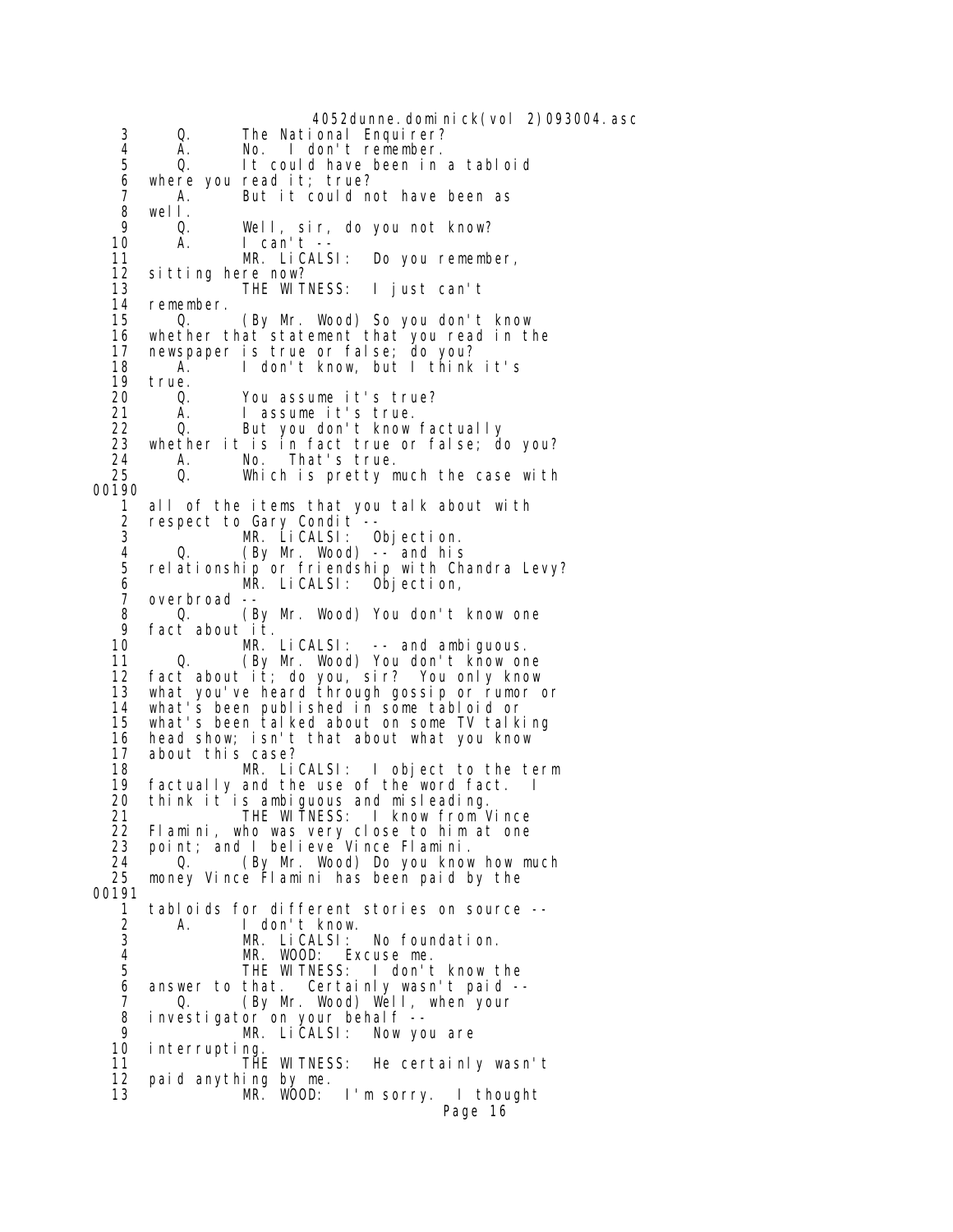4052dunne.dominick(vol 2)093004.asc 3 Q. The National Enquirer?<br>4 A. No. I don't remember. 4 A. No. I don't remember.<br>5 0. It could have been in 5 Q. It could have been in a tabloid 6 where you read it; true? 7 A. But it could not have been as<br>8 well. 8 well. 9 Q. Well, sir, do you not know?  $A.$  I can't  $-$ <br> $MR.$  Li CALSI: 11 MR. LiCALSI: Do you remember, 12 sitting here now?<br>13 THE WITNESS: 13 THE WITNESS: I just can't 14 remember.<br>15 0. 0. (By Mr. Wood) So you don't know 16 whether that statement that you read in the 17 newspaper is true or false; do you? 18 A. I don't know, but I think it's 19 true.<br>20 0. 20 Q. You assume it's true? 21 A. I assume it's true. 22 Q. But you don't know factually<br>23 whether it is in fact true or false: d 23 whether it is in fact true or false; do you? 24 A. No. That's true. 25 Q. Which is pretty much the case with 00190 1 all of the items that you talk about with<br>2 respect to Gary Condit --2 respect to Gary Condit<sup>-</sup>--<br>3 MR. LiCALSI: C MR. LiCALSI: Objection. 4 Q. (By Mr. Wood) -- and his 5 relationship or friendship with Chandra Levy? 6 MR. LiCALSI: Objection, overbroad -8 Q. (By Mr. Wood) You don't know one<br>9 fact about it 9 fact about it.<br>10 MR MR. LiCALSI: -- and ambiguous. 11 Q. (By Mr. Wood) You don't know one<br>12 fact about it; do you, sir? You only know fact about it; do you, sir? You only know 13 what you've heard through gossip or rumor or<br>14 what's been published in some tabloid or what's been published in some tabloid or 15 what's been talked about on some TV talking 16 head show; isn't that about what you know 17 about this case? 18 MR. LiCALSI: I object to the term<br>19 factually and the use of the word fact. I factually and the use of the word fact. I 20 think it is ambiguous and misleading. 21 THE WITNESS: I know from Vince 22 Flamini, who was very close to him at one<br>23 point; and I believe Vince Flamini. 23 point; and I believe Vince Flamini. 24 Q. (By Mr. Wood) Do you know how much 25 money Vince Flamini has been paid by the 00191 1 tabloids for different stories on source -- 2 A. I don't know.<br>3 MR. LiCALSI: 3 MR. LiCALSI: No foundation.<br>4 MR. WOOD: Excuse me. 4 MR. WOOD: Excuse me. I don't know the 6 answer to that. Certainly wasn't paid -- 7 Q. (By Mr. Wood) Well, when your<br>8 investigator on your behalf -- 8 investigator on your behalf -- 9 MR. LiCALSI: Now you are 10 interrupting<br>11 THI THE WITNESS: He certainly wasn't 12 paid anything by me. 13 MR. WOOD: I'm sorry. I thought Page 16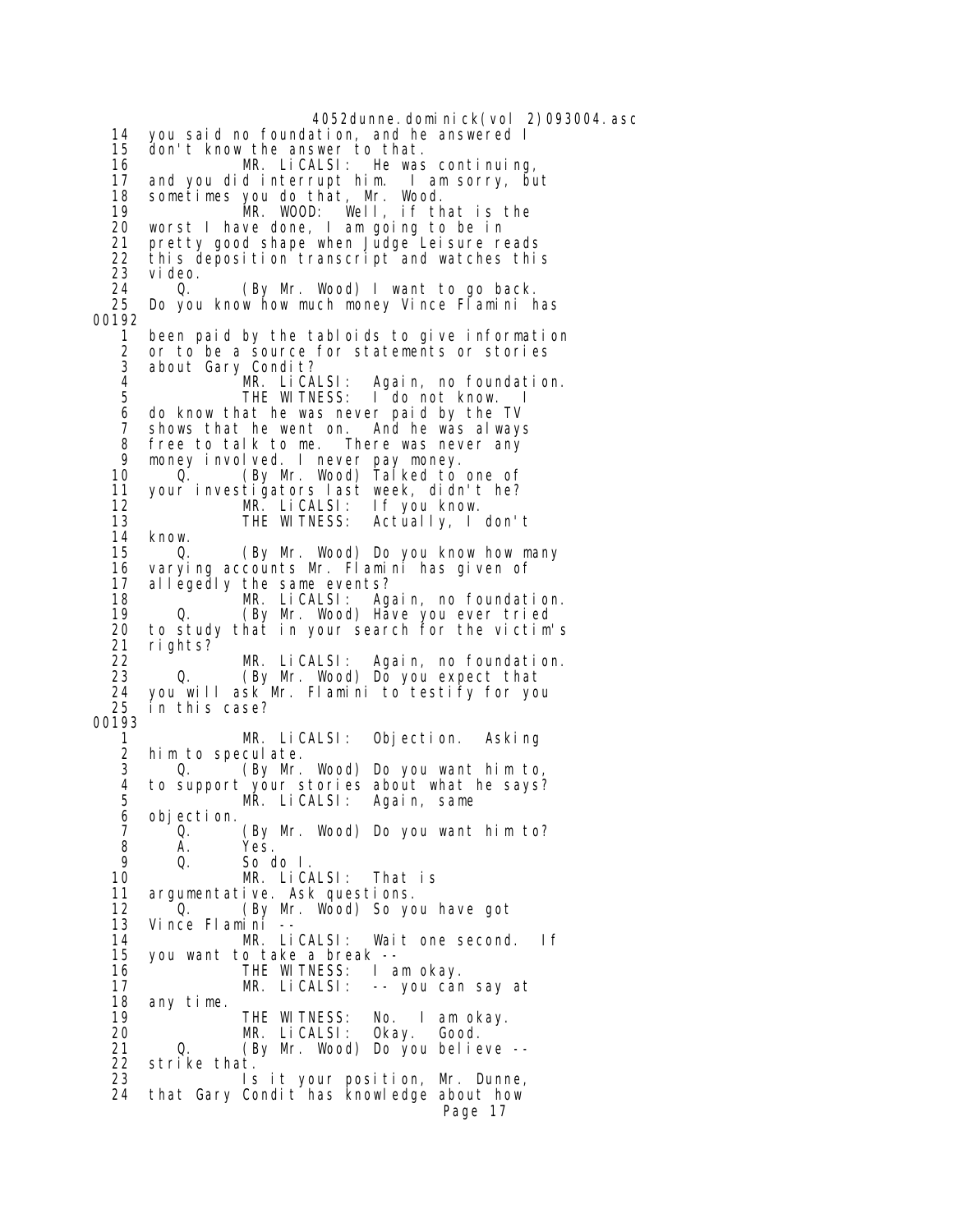4052dunne.dominick(vol 2)093004.asc 14 you said no foundation, and he answered I 15 don't know the answer to that. 16 MR. LiCALSI: He was continuing,<br>17 and you did interrupt him. I am sorry, but 17 and you did interrupt him. I am sorry, but 18 sometimes you do that, Mr. Wood. 19 MR. WOOD: Well, if that is the 20 worst I have done, I am going to be in 21 pretty good shape when Judge Leisure reads 22 this deposition transcript and watches this 23 video. 24 Q. (By Mr. Wood) I want to go back. Do you know how much money Vince Flamini has 00192 1 been paid by the tabloids to give information 2 or to be a source for statements or stories 3 about Gary Condit?<br>4 MR. LiCALSI: 4 MR. LiCALSI: Again, no foundation.<br>5 THE WITNESS: I do not know. I I do not know. I 6 do know that he was never paid by the TV 7 shows that he went on. And he was always 8 free to talk to me. There was never any<br>9 money involved. I never pay money. 9 money involved. I never pay money. 10 Q. (By Mr. Wood) Talked to one of 11 your investigators last week, didn't he? 12 MR. LiCALSI: If you know.<br>13 THE WITNESS: Actually, I 13 THE WITNESS: Actually, I don't 14 know.<br>15 0. 15 Q. (By Mr. Wood) Do you know how many 16 varying accounts Mr. Flamini has given of 17 allegedly the same events? 18 MR. LiCALSI: Again, no foundation. 19 Q. (By Mr. Wood) Have you ever tried 20 to study that in your search for the victim's 21 rights? 22 MR. LiCALSI: Again, no foundation. Q. (By Mr. Wood) Do you expect that 24 you will ask Mr. Flamini to testify for you in this case? 00193 1 MR. LiCALSI: Objection. Asking 2 him to speculate. 3 Q. (By Mr. Wood) Do you want him to, 4 to support your stories about what he says? MR. LiCALSI: Again, same 6 objection. 7 Q. (By Mr. Wood) Do you want him to? 8 A. Yes.<br>9 Q. Sod So do I. 10 MR. LiCALSI: That is 11 argumentative. Ask questions. 12 <sup>O</sup>. (By Mr. Wood) So you have got<br>13 Vince Flamini --13 Vince Flamini --<br>14 MR. LiCALSI: 14 MR. LiCALSI: Wait one second. If<br>15 you want to take a break -you want to take a break - 16 THE WITNESS: I am okay. 17 MR. LiCALSI: -- you can say at 18 any time. 19 THE WITNESS: No. I am okay. 20 MR. LiCALSI: Okay. Good. 21 Q. (By Mr. Wood) Do you believe --<br>22 strike that. strike that. 23 Is it your position, Mr. Dunne, 24 that Gary Condit has knowledge about how Page 17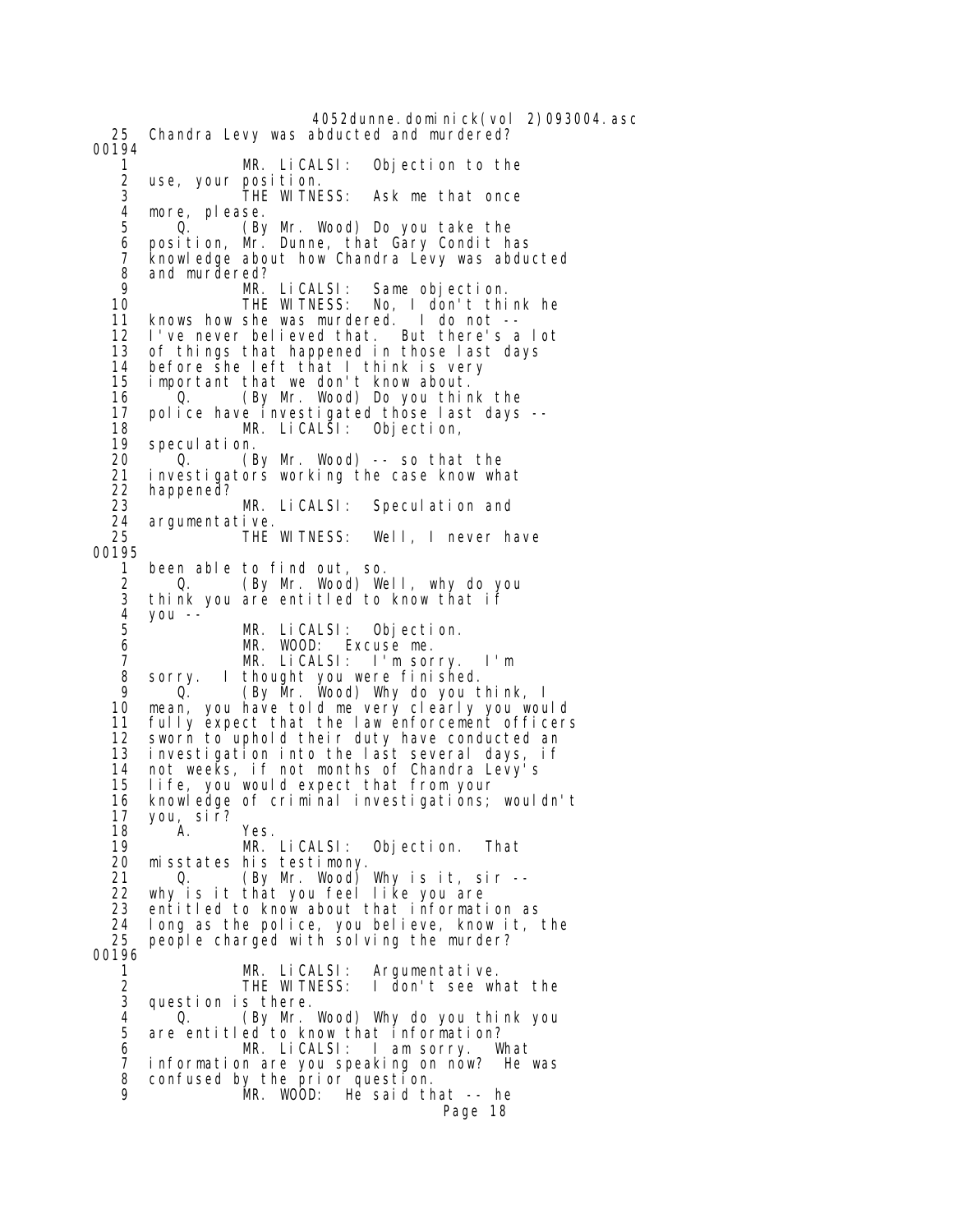4052dunne.dominick(vol 2)093004.asc 25 Chandra Levy was abducted and murdered? 00194 1 MR. LiCALSI: Objection to the 2 use, your position. 3 THE WITNESS: Ask me that once 4 more, please.<br>5 0 GN 5 Q. (By Mr. Wood) Do you take the 6 position, Mr. Dunne, that Gary Condit has 7 knowl edge about how Chandra Levy was abducted 8 and murdered?<br>9 MR. LiCALSI: 9 MR. LiCALSI: Same objection. No, I don't think he<br>ered. I do not -- 11 knows how she was murdered. I do not --  $12$  I've never believed that. 13 of things that happened in those last days<br>14 before she left that I think is very 14 before she left that I think is very important that we don't know about. 16 Q. (By Mr. Wood) Do you think the 17 police have investigated those last days -- 18 MR. LiCALSI: Objection, 19 speculation.<br>20 0. (E 20 Q. (By Mr. Wood) -- so that the 21 investigators working the case know what 22 happened?<br>23 23 MR. LiCALSI: Speculation and 24 argumentative. Well, I never have 00195 1 been able to find out, so. 2 Q. (By Mr. Wood) Well, why do you think you are entitled to know that if 4 you -- 5 MR. LiCALSI: Objection.<br>6 MR. WOOD: Excuse me. 6 MR. WOOD: Excuse me. 7 MR. LiCALSI: I'm sorry. I'm 8 sorry. I thought you were finished.<br>9 0 CBV Mr Wood) Why do you t 9 (By Mr. Wood) Why do you think, I<br>10 mean, you have told me very clearly you wou mean, you have told me very clearly you would 11 fully expect that the law enforcement officers 12 sworn to uphold their duty have conducted an 13 investigation into the last several days, if 14 not weeks, if not months of Chandra Levy's 15 life, you would expect that from your 16 knowledge of criminal investigations; wouldn't 17 you, sir? 18 A. Yes.<br>19 M.R. 19 MR. LiCALSI: Objection. That 20 misstates his testimony. 21 Q. (By Mr. Wood) Why is it, sir -- 22 why is it that you feel like you are 23 entitled to know about that information as 24 long as the police, you believe, know it, the people charged with solving the murder? 00196 1 MR. LiCALSI: Argumentative.<br>2 THE WITNESS: I don't see wh 2 THE WITNESS: I don't see what the question is there. 4 <sup>O</sup>. (By Mr. Wood) Why do you think you<br>5 are entitled to know that information? are entitled to know that information? 6 MR. LiCALSI: I am sorry. What 7 information are you speaking on now? He was 8 confused by the prior question. MR. WOOD: He said that -- he Page 18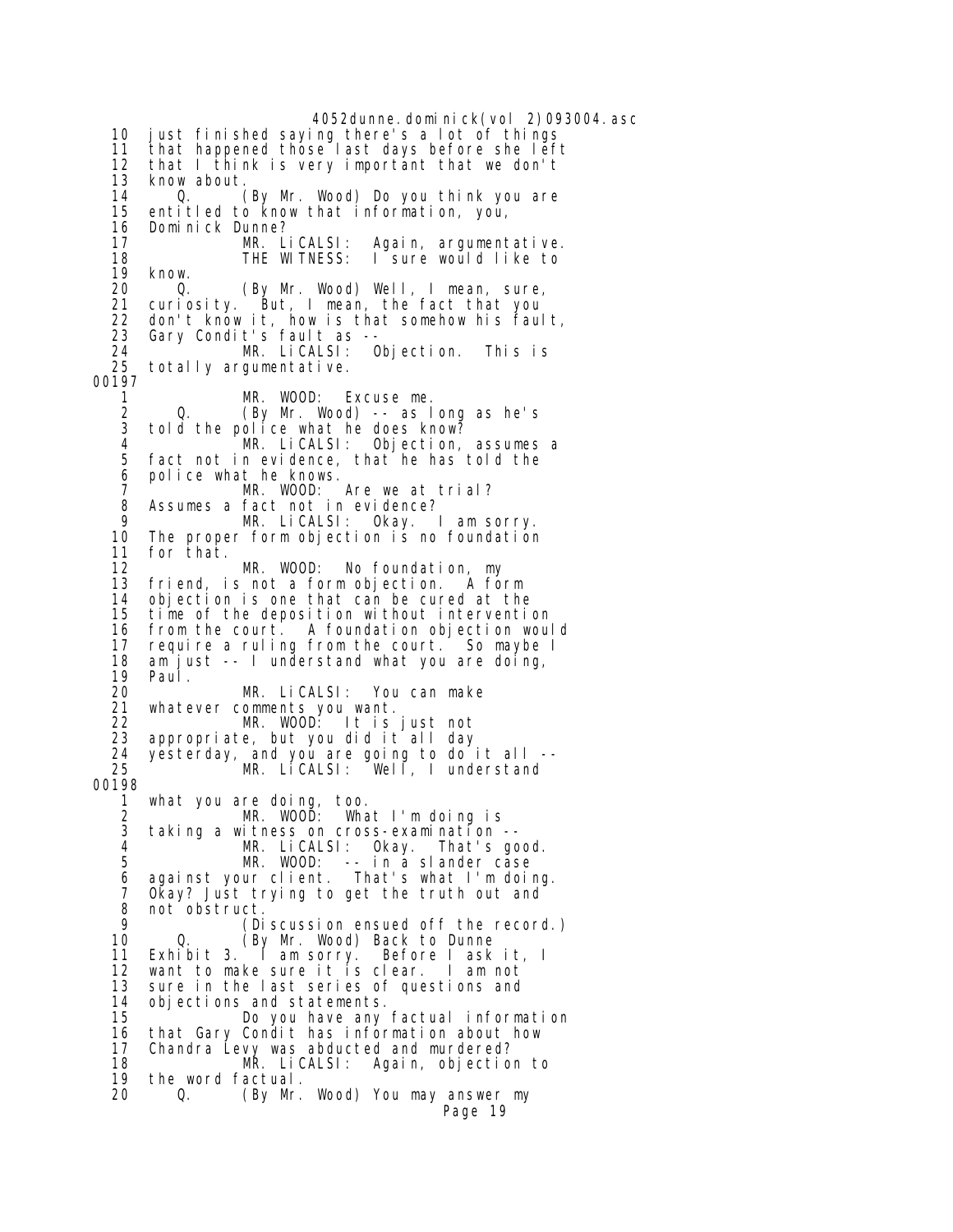4052dunne.dominick(vol 2)093004.asc 10 just finished saying there's a lot of things 11 that happened those last days before she left 12 that I think is very important that we don't<br>13 know about. 13 know about. 14 Q. (By Mr. Wood) Do you think you are entitled to know that information, you, 16 Dominick Dunne?<br>17 MR. LiCALSI: MR. LiCALSI: Again, argumentative.<br>THE WITNESS: I sure would like to 18 THE WITNESS: I sure would like to<br>19 know. 19 know.<br>20 0. 20 Q. (By Mr. Wood) Well, I mean, sure, 21 curiosity. But, I mean, the fact that you 22 don't know it, how is that somehow his fault, 23 Gary Condit's fault as -- 24 MR. LiCALSI: Objection. This is totally argumentative. 00197 1 MR. WOOD: Excuse me. 2 Q. (By Mr. Wood) -- as long as he's  $\frac{3}{4}$  told the police what he does know? 4 MR. LiCALSI: Objection, assumes a 5 fact not in evidence, that he has told the 6 police what he knows. 7 MR. WOOD: Are we at trial? 8 Assumes a fact not in evidence?<br>9 MR LiCALSL: Okay 9 MR. LiCALSI: Okay. I am sorry. The proper form objection is no foundation 11 for that. 12 MR. WOOD: No foundation, my friend, is not a form objection. A form 14 objection is one that can be cured at the time of the deposition without intervention 16 from the court. A foundation objection would require a ruling from the court. So maybe I 18 am just -- I understand what you are doing, 19 Paul. 20 MR. LiCALSI: You can make 21 whatever comments you want. 22 MR. WOOD: It is just not 23 appropriate, but you did it all day 24 yesterday, and you are going to do it all -- 25 MR. LiCALSI: Well, I understand 00198 1 what you are doing, too. 2 MR. WOOD: What I'm doing is 3 taking a witness on cross-examination -- 4 MR. LiCALSI: Okay. That's good. 5 MR. WOOD: -- in a slander case 6 against your client. That's what I'm doing. 7 Okay? Just trying to get the truth out and<br>8 not obstruct. 8 not obstruct. 9 (Discussion ensued off the record.)<br>10 0. (By Mr. Wood) Back to Dunne 10 Q. (By Mr. Wood) Back to Dunne<br>11 Exhibit 3. I am sorry. Before I ask Before I ask it, I 12 want to make sure it is clear. I am not 13 sure in the last series of questions and<br>14 objections and statements. 14 objections and statements. 15 Do you have any factual information 16 that Gary Condit has information about how<br>17 Chandra Levy was abducted and murdered? 17 Chandra Levy was abducted and murdered? MR. LiCALSI: Again, objection to 19 the word factual. 20 Q. (By Mr. Wood) You may answer my Page 19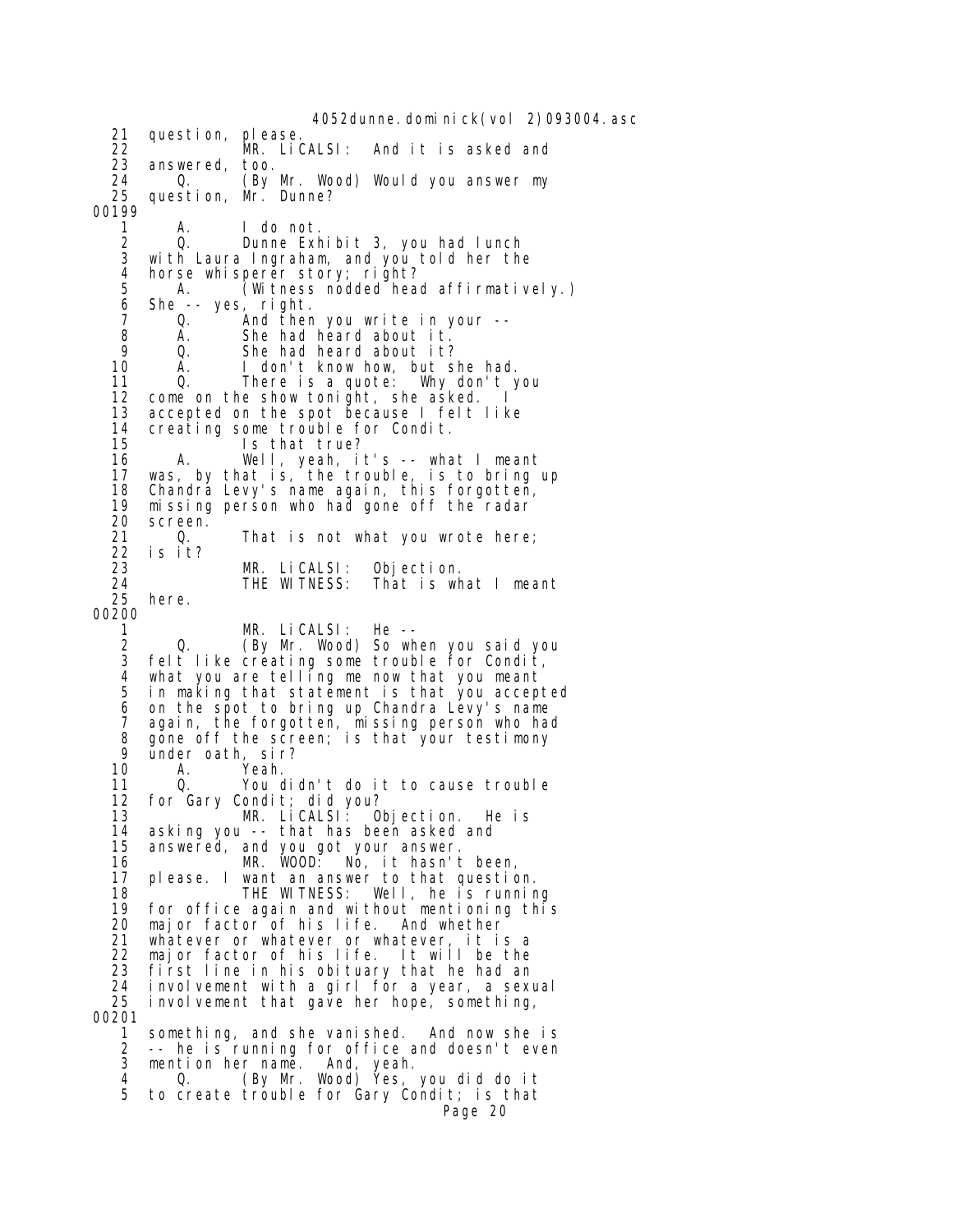4052dunne.dominick(vol 2)093004.asc 21 question, please. 22 MR. LiCALSI: And it is asked and 23 answered, too.<br>24 0. (By 24 Q. (By Mr. Wood) Would you answer my 25 question, Mr. Dunne? 00199 1 A. I do not.<br>2 0. Dunne Exh 2 Q. Dunne Exhibit 3, you had lunch with Laura Ingraham, and you told her the 4 horse whisperer story; right?<br>5 A. (Witness nodded hea 5 A. (Witness nodded head affirmatively.)<br>6 She -- yes, right. 6 She -- yes, right. 0. And then you write in your --8 A. She had heard about it.<br>9 0. She had heard about it? 9 Q. She had heard about it? 10 A. I don't know how, but she had.<br>11 Q. There is a quote: Why don't you There is a quote: 12 come on the show tonight, she asked. I 13 accepted on the spot because I felt like 14 creating some trouble for Condit. 15 Is that true?<br>16 A. Well, yeah, i 16 A. Well, yeah, it's -- what I meant 17 was, by that is, the trouble, is to bring up 18 Chandra Levy's name again, this forgotten,<br>19 missing person who had gone off the radar 19 missing person who had gone off the radar<br>20 screen. 20 screen. 21 Q. That is not what you wrote here;<br>22 is it? 22 is it? 23 MR. LiCALSI: Objection. 24 THE WITNESS: That is what I meant here. 00200 1 MR. LiCALSI: He -- Q. (By Mr. Wood) So when you said you 3 felt like creating some trouble for Condit, 4 what you are telling me now that you meant in making that statement is that you accepted 6 on the spot to bring up Chandra Levy's name 7 again, the forgotten, missing person who had 8 gone off the screen; is that your testimony<br>9 under oath sir? 9 under oath, sir?<br>10 A. Yeah. 10 A. Yeah.<br>11 Q. You c 0. You didn't do it to cause trouble 12 for Gary Condit; did you? 13 MR. LiCALSI: Objection. He is<br>14 asking you -- that has been asked and 14 asking you -- that has been asked and<br>15 answered, and you got your answer. 15 answered, and you got your answer. 16 MR. WOOD: No, it hasn't been, 17 please. I want an answer to that question. 18 THE WITNESS: Well, he is running 19 for office again and without mentioning this<br>20 maior factor of his life. And whether major factor of his life. And whether 21 whatever or whatever or whatever, it is a major factor of his life. It will be the 23 first line in his obituary that he had an 24 involvement with a girl for a year, a sexual<br>25 involvement that gave her hope, something, involvement that gave her hope, something, 00201 1 something, and she vanished. And now she is 2 -- he is running for office and doesn't even<br>3 mention her name. And, yeah. 3 mention her name. And, yeah. 4 Q. (By Mr. Wood) Yes, you did do it 5 to create trouble for Gary Condit; is that Page 20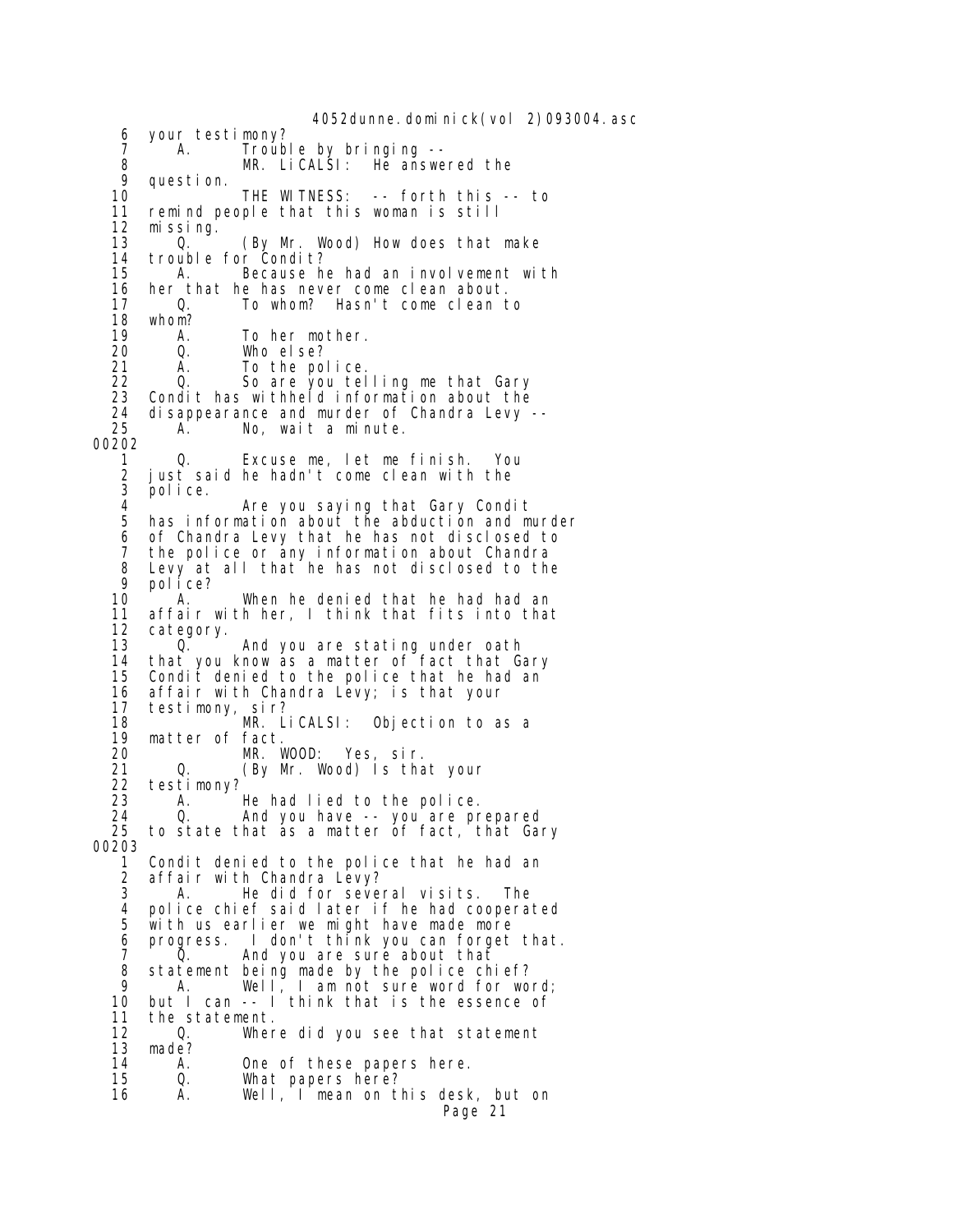4052dunne.dominick(vol 2)093004.asc 6 your testimony? 7 A. Trouble by bringing --<br>8 MR. LiCALSI: He answe 8 MR. LiCALSI: He answered the 9 question. 9 question. 10 THE WITNESS: -- forth this -- to<br>11 remind people that this woman is still remind people that this woman is still 12 missing. 13 Q. (By Mr. Wood) How does that make<br>14 trouble for Condit? 14 trouble for Condit?<br>15 A. Because he 15 A. Because he had an involvement with<br>16 her that he has never come clean about. 16 her that he has never come clean about. To whom? Hasn't come clean to 18 whom?<br>19 A. 19 A. To her mother.<br>20 Q. Who else? 20 Q. Who else? 21 A. To the police.<br>22 Q. So are you tel So are you telling me that Gary 23 Condit has withheld information about the 24 disappearance and murder of Chandra Levy -- A. No, wait a minute. 00202 0. Excuse me, let me finish. You 2 just said he hadn't come clean with the 3 police. 4 **Are you saying that Gary Condit**<br>5 has information about the abduction and m has information about the abduction and murder 6 of Chandra Levy that he has not disclosed to 7 the police or any information about Chandra 8 Levy at all that he has not disclosed to the<br>9 nolice? 9 police?<br>10 A. 10 A. When he denied that he had had an<br>11 affair with her, I think that fits into tha 11 affair with her, I think that fits into that 12 category.<br>13 0. 0. And you are stating under oath 14 that you know as a matter of fact that Gary<br>15 Condit denied to the police that he had an Condit denied to the police that he had an 16 affair with Chandra Levy; is that your 17 testimony, sir? 18 MR. LiCALSI: Objection to as a 19 matter of fact. 20 MR. WOOD: Yes, sir. 21 Q. (By Mr. Wood) Is that your 22 testimony?<br>23 A. A. He had lied to the police. 24 Q. And you have -- you are prepared to state that as a matter of fact, that Gary 00203 1 Condit denied to the police that he had an 2 affair with Chandra Levy? 3 A. He did for several visits. The 4 police chief said later if he had cooperated with us earlier we might have made more 6 progress. I don't think you can forget that.<br>7  $\qquad$  0. And you are sure about that And you are sure about that 8 statement being made by the police chief?<br>9 A Well Lam not sure word for wo 9 A. Well, I am not sure word for word; 10 but I can -- I think that is the essence of 11 the statement.<br>12 0. Wher 12 Q. Where did you see that statement<br>13 made? 13 made?<br>14 A. 14 A. One of these papers here.<br>15 Q. What papers here? What papers here? 16 A. Well, I mean on this desk, but on Page 21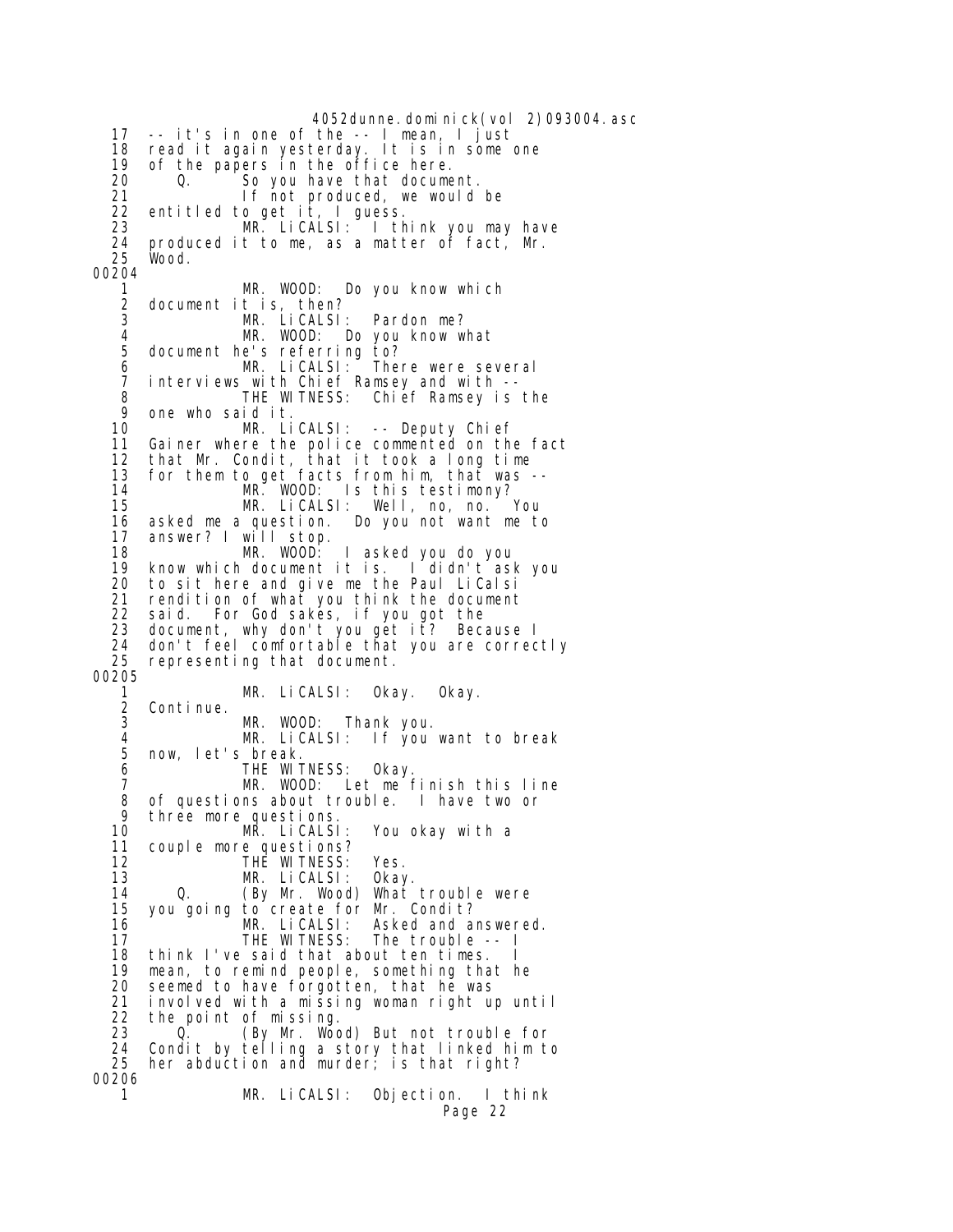4052dunne.dominick(vol 2)093004.asc 17 -- it's in one of the -- I mean, I just 18 read it again yesterday. It is in some one 19 of the papers in the office here.<br>20  $\qquad$  0. So you have that docume 20 Q. So you have that document. 21 **If not produced, we would be**  22 entitled to get it, I guess. 23 MR. LiCALSI: I think you may have 24 produced it to me, as a matter of fact, Mr. Wood. 00204 1 MR. WOOD: Do you know which 2 document it is, then?<br>3 MR. LiCALSL MR. LiCALSI: Pardon me?<br>MR. WOOD: Do you know w 4 MR. WOOD: Do you know what 5 document he's referring to? 6 MR. LiCALSI: There were several 7 interviews with Chief Ramsey and with -- 8 THE WITNESS: Chief Ramsey is the 9 one who said it. 10 MR. LiCALSI: -- Deputy Chief 11 Gainer where the police commented on the fact<br>12 that Mr. Condit, that it took a long time 12 that Mr. Condit, that it took a long time 13 for them to get facts from him, that was -- 14 MR. WOOD: Is this testimony?<br>15 MR. LiCALSI: Well. no. no. You 15 MR. LiCALSI: Well, no, no.<br>16 asked me a question. Do you not want m 16 asked me a question. Do you not want me to answer? I will stop. 18 MR. WOOD: I asked you do you 19 know which document it is. I didn't ask you to sit here and give me the Paul LiCalsi 21 rendition of what you think the document 22 said. For God sakes, if you got the 23 document, why don't you get it? Because I 24 don't feel comfortable that you are correctly representing that document. 00205 1 MR. LiCALSI: Okay. Okay. 2 Continue. MR. WOOD: Thank you.<br>MR. LiCALSI: If you 4 MR. LiCALSI: If you want to break 5 now, let's break. 6 THE WITNESS: Okay. MR. WOOD: Let me finish this line 8 of questions about trouble. I have two or<br>9 three more questions 9 three more questions.<br>10 MR. LiCALSI 10 MR. LiCALSI: You okay with a 11 couple more questions?<br>12 THE WITNESS: THE WITNESS: Yes.<br>MR. LiCALSI: Okay. 13 MR. LiCALSI: 14 Q. (By Mr. Wood) What trouble were<br>15 you going to create for Mr. Condit? 15 you going to create for Mr. Condit? 16 MR. LiCALSI: Asked and answered.<br>17 THE WITNESS: The trouble -- I 17 THE WITNESS: The trouble -- I think I've said that about ten times. 19 mean, to remind people, something that he 20 seemed to have forgotten, that he was<br>21 involved with a missing woman right up 21 involved with a missing woman right up until 22 the point of missing. 23 Q. (By Mr. Wood) But not trouble for 24 Condit by telling a story that linked him to 25 her abduction and murder; is that right? 00206 1 MR. LiCALSI: Objection. I think Page 22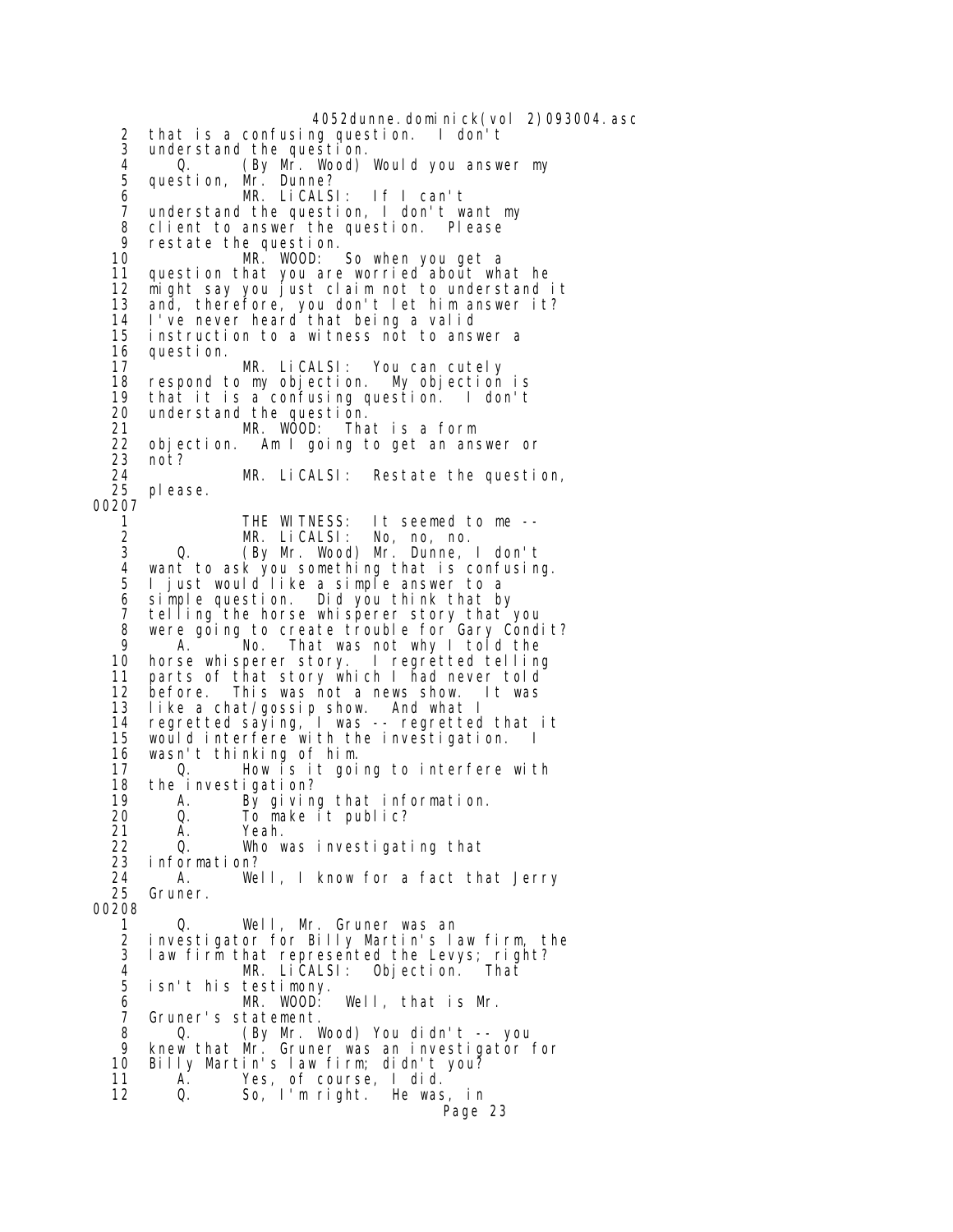4052dunne.dominick(vol 2)093004.asc 2 that is a confusing question. I don't 3 understand the question. 4 Q. (By Mr. Wood) Would you answer my 5 question, Mr. Dunne? 6 MR. LiCALSI: If I can't 7 understand the question, I don't want my 8 client to answer the question. Please<br>9 restate the question 9 restate the question. MR. WOOD: So when you get a 11 question that you are worried about what he 12 might say you just claim not to understand it 13 and, therefore, you don't let him answer it? 14 I've never heard that being a valid 15 instruction to a witness not to answer a 16 question. 17 MR. LiCALSI: You can cutely respond to my objection. My objection is 19 that it is a confusing question. I don't 20 understand the question. 21 MR. WOOD: That is a form 22 objection. Am I going to get an answer or 23 not? 24 MR. LiCALSI: Restate the question, please. 00207<br>1 1 THE WITNESS: It seemed to me --<br>2 MR. LiCALSI: No, no, no. 2 MR. LiCALSI: No, no, no. 3 Q. (By Mr. Wood) Mr. Dunne, I don't 4 want to ask you something that is confusing. 5 I just would like a simple answer to a 6 simple question. Did you think that by 7 telling the horse whisperer story that you 8 were going to create trouble for Gary Condit?<br>9 A Mo That was not why I told the 9 A. No. That was not why I told the 10 horse whisperer story. I regretted telling horse whisperer story. I regretted telling 11 parts of that story which I had never told 12 before. This was not a news show. It was like a chat/gossip show. And what I 14 regretted saying, I was -- regretted that it would interfere with the investigation. I 16 wasn't thinking of him. 17 Q. How is it going to interfere with 18 the investigation? 19 A. By giving that information. 20 Q. To make it public? 21 A. Yeah. 22 Q. Who was investigating that information? 24 A. Well, I know for a fact that Jerry Gruner. 00208 1 Q. Well, Mr. Gruner was an 2 investigator for Billy Martin's law firm, the law firm that represented the Levys; right? 4 MR. LiCALSI: Objection. That 5 isn't his testimony. 6 MR. WOOD: Well, that is Mr. Gruner's statement. 8 Q. (By Mr. Wood) You didn't -- you knew that Mr. Gruner was an investigator for 10 Billy Martin's law firm; didn't you? 11 A. Yes, of course, I did. 12 Q. So, I'm right. He was, in Page 23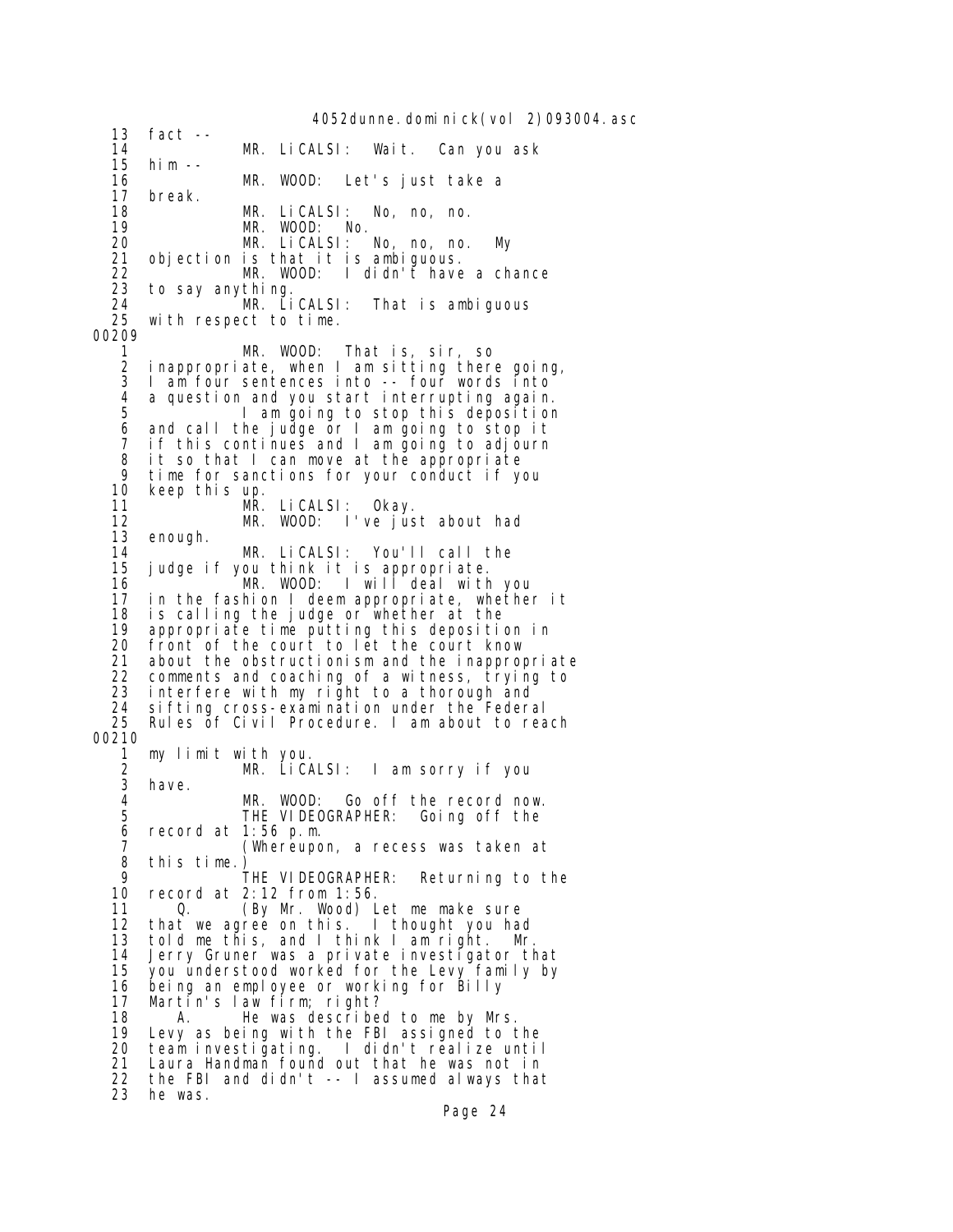4052dunne.dominick(vol 2)093004.asc 13 fact -- 14 MR. LiCALSI: Wait. Can you ask 15 him -- 16 MR. WOOD: Let's just take a 17 break. 18 MR. LiCALSI: No, no, no. 19 MR. WOOD: No.<br>20 MR. LiCALSI: No, no, no. 20 MR. LiCALSI: No, no, no. My 21 objection is that it is ambiguous. 22 <sup>T</sup> MR. WOOD: I didn't have a chance<br>23 to say anything. 23 to say anything. 24 **MR. LiCALSI: That is ambiguous**<br>25 with respect to time. with respect to time. 00209 1 MR. WOOD: That is, sir, so 2 inappropriate, when I am sitting there going, I am four sentences into -- four words into 4 a question and you start interrupting again. 5 I am going to stop this deposition 6 and call the judge or I am going to stop it 7 if this continues and I am going to adjourn<br>8 it so that I can move at the appropriate it so that I can move at the appropriate 9 time for sanctions for your conduct if you 10 keep this up. 11 MR. LiCALSI: Okay.<br>12 MR. WOOD: I've ius 12 MR. WOOD: I've just about had<br>13 enough. enough. 14 MR. LiCALSI: You'll call the judge if you think it is appropriate. 16  $\frac{1}{2}$  MR. WOOD: I will deal with you<br>17 in the fashion I deem appropriate, whether 17 in the fashion I deem appropriate, whether it 18 is calling the judge or whether at the 19 appropriate time putting this deposition in front of the court to let the court know 21 about the obstructionism and the inappropriate 22 comments and coaching of a witness, trying to 23 interfere with my right to a thorough and 24 sifting cross-examination under the Federal Rules of Civil Procedure. I am about to reach 00210 1 my limit with you. 2 MR. LiCALSI: I am sorry if you<br>3 have. 3 have. 4 MR. WOOD: Go off the record now. THE VIDEOGRAPHER: Going off the  $6$  record at 1:56 p.m.<br>Whereupo 7 (Whereupon, a recess was taken at 8 this time.)<br>9 9 THE VIDEOGRAPHER: Returning to the<br>10 record at 2:12 from 1:56. record at 2:12 from 1:56. 11 Q. (By Mr. Wood) Let me make sure 12 that we agree on this. I thought you had 13 told me this, and I think I am right. Mr.<br>14 Jerry Gruner was a private investigator th Jerry Gruner was a private investigator that 15 you understood worked for the Levy family by 16 being an employee or working for Billy 17 Martin's law firm; right?<br>18 A. He was describe 18 A. He was described to me by Mrs. 19 Levy as being with the FBI assigned to the 20 team investigating. I didn't realize until 21 Laura Handman found out that he was not in 22 the FBI and didn't -- I assumed always that 23 he was.

Page 24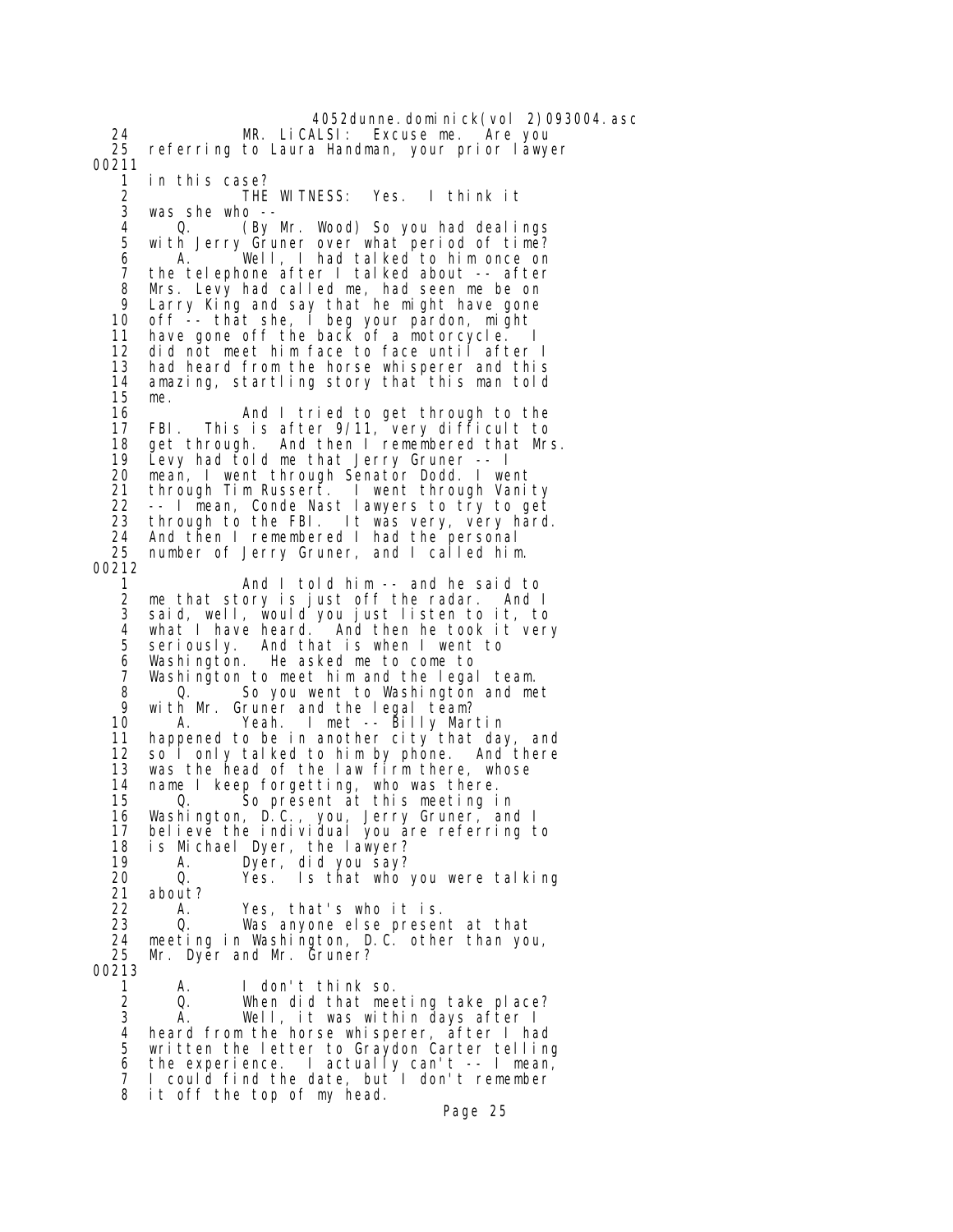4052dunne.dominick(vol 2)093004.asc MR. LiCALSI: Excuse me. Are you 25 referring to Laura Handman, your prior lawyer 00211 1 in this case? 2 THE WITNESS: Yes. I think it was she who  $-$ <br>0.  $(By$  4 Q. (By Mr. Wood) So you had dealings 5 with Jerry Gruner over what period of time? 6 A. Well, I had talked to him once on 7 the telephone after I talked about -- after 8 Mrs. Levy had called me, had seen me be on 9 Larry King and say that he might have gone 10 off -- that she, I beg your pardon, might 11 have gone off the back of a motorcycle. I 12 did not meet him face to face until after I 13 had heard from the horse whisperer and this<br>14 amazing, startling story that this man told amazing, startling story that this man told 15 me. 16 And I tried to get through to the 17 FBI. This is after 9/11, very difficult to<br>18 get through. And then I remembered that Mr 18 get through. And then I remembered that Mrs.<br>19 Levy had told me that Jerry Gruner -- I 19 Levy had told me that Jerry Gruner -- I 20 mean, I went through Senator Dodd. I went 21 through Tim Russert. I went through Vanity 22 -- I mean, Conde Nast lawyers to try to get<br>23 through to the FBI. It was very, very hard 23 through to the FBI. It was very, very hard.<br>24 And then I remembered I had the personal And then I remembered I had the personal 25 number of Jerry Gruner, and I called him. 00212 1 And I told him -- and he said to<br>2 me that story is just off the radar. And I 2 me that story is just off the radar. And I 3 said, well, would you just listen to it, to 4 what I have heard. And then he took it very seriously. And that is when I went to 6 Washington. He asked me to come to Washington to meet him and the legal team. 8 Q. So you went to Washington and met<br>9 with Mr. Gruner and the Legal team? 9 with Mr. Gruner and the legal team?<br>10 A. Yeah. I met -- Billy Mar A. Yeah. I met -- Billy Martin 11 happened to be in another city that day, and 12 so I only talked to him by phone. And there 13 was the head of the law firm there, whose 14 name I keep forgetting, who was there.<br>15 0. So present at this meeting i 0. So present at this meeting in 16 Washington, D.C., you, Jerry Gruner, and I 17 believe the individual you are referring to 18 is Michael Dyer, the lawyer? 19 A. Dyer, did you say? 20 Q. Yes. Is that who you were talking 21 about?<br>22 A. 22 A. Yes, that's who it is. 23 Q. Was anyone else present at that 24 meeting in Washington, D.C. other than you, Mr. Dyer and Mr. Gruner? 00213 1 A. I don't think so. When did that meeting take place? 3 A. Well, it was within days after I 4 heard from the horse whisperer, after I had 5 written the letter to Graydon Carter telling 6 the experience. I actually can't  $--$  I mean, I could find the date, but I don't remember 8 it off the top of my head. Page 25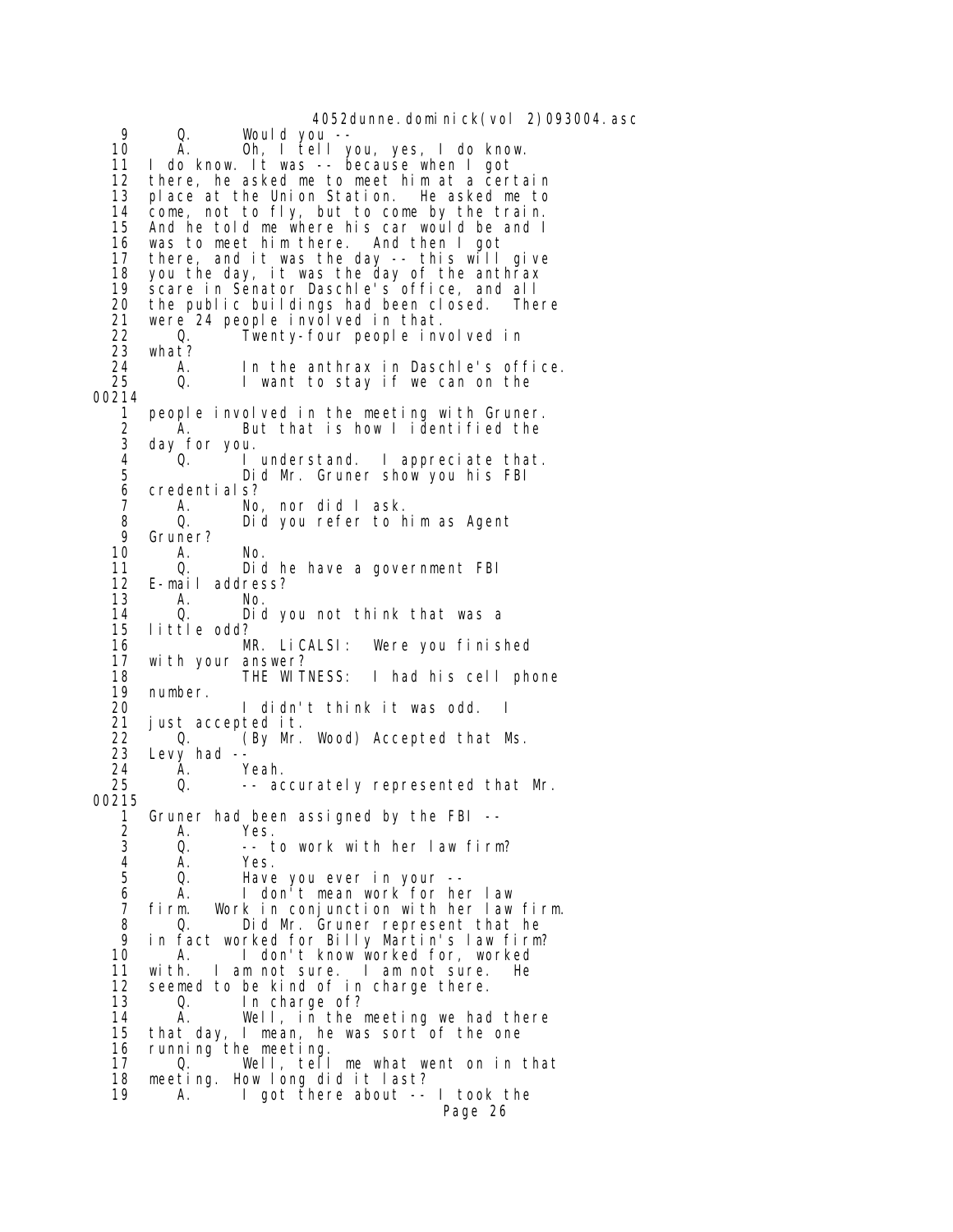4052dunne.dominick(vol 2)093004.asc 9 Q. Would you -- 10 A. Oh, I tell you, yes, I do know.<br>11 I do know. It was -- because when I got I do know. It was -- because when I got 12 there, he asked me to meet him at a certain 13 place at the Union Station. He asked me to 14 come, not to fly, but to come by the train. 15 And he told me where his car would be and I 16 was to meet him there. And then I got 17 there, and it was the day -- this will give 18 you the day, it was the day of the anthrax 19 scare in Senator Daschle's office, and all 20 the public buildings had been closed. There<br>21 were 24 people involved in that. 21 were 24 people involved in that.<br>22 0. Twenty-four people inv 22 Q. Twenty-four people involved in 23 what?<br>24 A. 24 A. In the anthrax in Daschle's office.<br>25 Q. I want to stay if we can on the I want to stay if we can on the 00214 1 people involved in the meeting with Gruner. 2 A. But that is how I identified the 3 day for you. I understand. I appreciate that. 5 Did Mr. Gruner show you his FBI 6 credentials? 7 A. No, nor did I ask. 8 Q. Did you refer to him as Agent 9 Gruner?<br>10 A. 10 A. No. 11 Q. Did he have a government FBI<br>12 E-mail address? 12 E-mail address? 13 A. No. 14 Q. Did you not think that was a 15 little odd? 16 MR. LiCALSI: Were you finished 17 with your answer?<br>18 THE WITNESS: 18 THE WITNESS: I had his cell phone 19 number. 20 I didn't think it was odd. I 21 just accepted it. 22 (By Mr. Wood) Accepted that Ms.<br>23 Levy had --23 Levy had  $-$ <br>24 A. 24 A. Yeah. -- accurately represented that Mr. 00215 1 Gruner had been assigned by the FBI --<br>2 A. Yes. 2 A. Yes. 3 Q. -- to work with her law firm? 4 A. Yes.<br>5 Q. Have 5 Q. Have you ever in your -- 6 A. I don't mean work for her law 7 firm. Work in conjunction with her law firm. 8 Q. Did Mr. Gruner represent that he 9 in fact worked for Billy Martin's law firm? A. I don't know worked for, worked 11 with. I am not sure. I am not sure. He 12 seemed to be kind of in charge there.<br>13 0. In charge of? 13 Q. In charge of? 14 A. Well, in the meeting we had there<br>15 that day, I mean, he was sort of the one that day, I mean, he was sort of the one 16 running the meeting.<br>17 0. Well tell 17 Q. Well, tell me what went on in that 18 meeting. How long did it last?<br>19 A. I got there about --A. I got there about -- I took the Page 26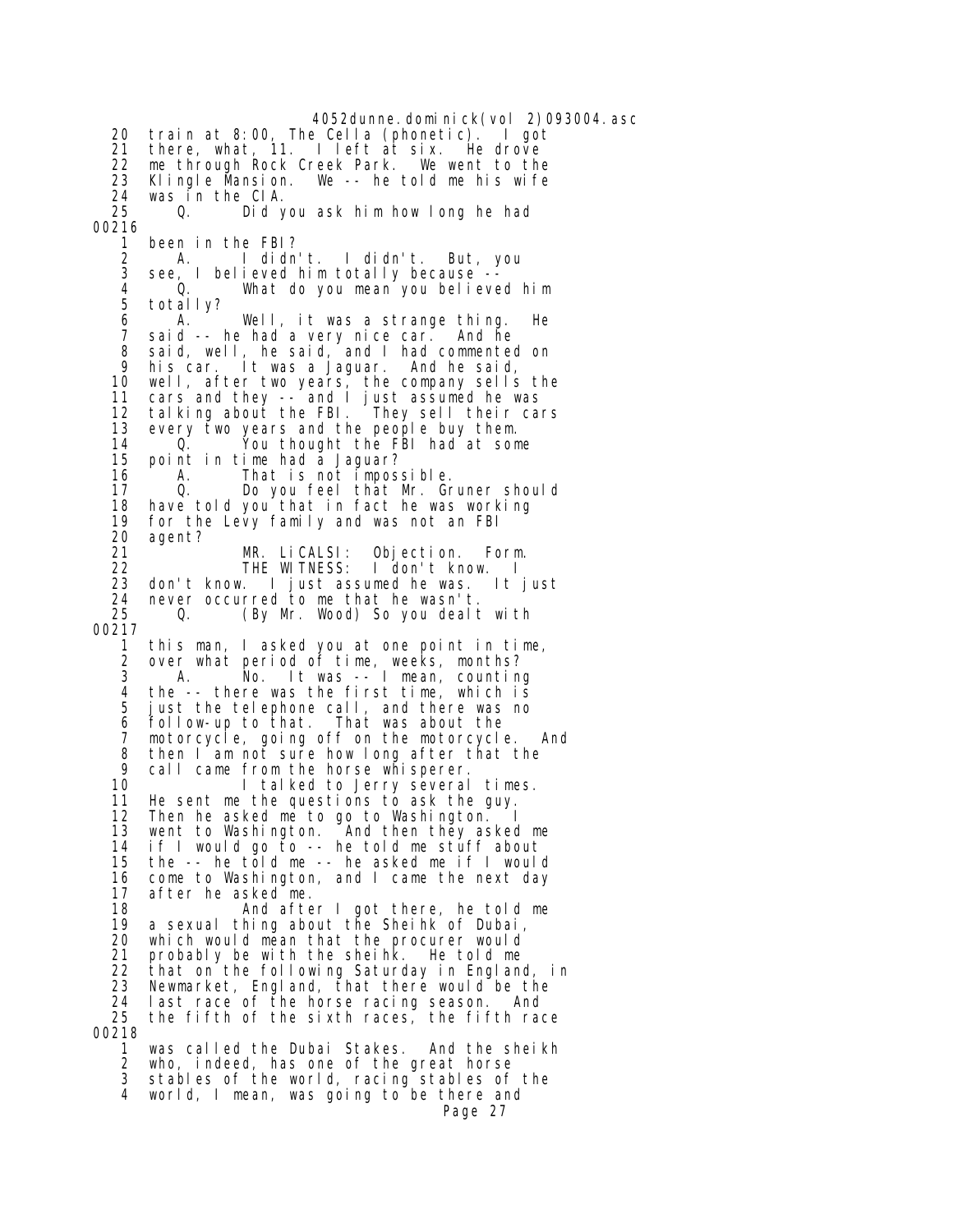4052dunne.dominick(vol 2)093004.asc 20 train at  $8:00$ , The Cella (phonetic). 21 there, what, 11. I left at six. He drove<br>22 me through Rock Creek Park. We went to the 22 me through Rock Creek Park. We went to the Klingle Mansion. We  $-$ - he told me his wife 24 was in the CIA. Did you ask him how long he had 00216 1 been in the FBI? 2 A. I didn't. I didn't. But, you<br>3 see. I believed him totally because -- 3 see, I believed him totally because -- 4 Q. What do you mean you believed him totally? 6 A. Well, it was a strange thing. He said -- he had a very nice car. And he 8 said, well, he said, and I had commented on<br>9 his car It was a laquar And he said 9 his car. It was a Jaguar. And he said, 10 well, after two years, the company sells the 11 cars and they -- and I just assumed he was 12 talking about the FBI. They sell their cars 13 every two years and the people buy them.<br>14 0. You thought the FBI had at som 14 Q. You thought the FBI had at some point in time had a Jaguar? 16 A. That is not impossible. 17 Q. Do you feel that Mr. Gruner should 18 have told you that in fact he was working<br>19 for the Levy family and was not an FBI 19 for the Levy family and was not an FBI<br>20 agent? agent? 21 MR. LiCALSI: Objection. Form. 22 THE WITNESS: I don't know. I 23 don't know. I just assumed he was. It just 24 never occurred to me that he wasn't. 25 Q. (By Mr. Wood) So you dealt with 00217 1 this man, I asked you at one point in time, 2 over what period of time, weeks, months?<br>3 A. No. It was -- I mean, counting A. No. It was -- I mean, counting 4 the -- there was the first time, which is<br>5 iust the telephone call, and there was no just the telephone call, and there was no 6 follow-up to that. That was about the motorcycle, going off on the motorcycle. And 8 then I am not sure how long after that the<br>9 call came from the horse whisperer. 9 call came from the horse whisperer. I talked to Jerry several times. 11 He sent me the questions to ask the guy. 12 Then he asked me to go to Washington. 13 went to Washington. And then they asked me<br>14 if I would go to -- he told me stuff about 14 if I would go to -- he told me stuff about the  $-$ - he told me  $-$ - he asked me if I would 16 come to Washington, and I came the next day 17 after he asked me. 18 And after I got there, he told me<br>19 a sexual thing about the Sheihk of Dubai. 19 a sexual thing about the Sheihk of Dubai, 20 which would mean that the procurer would<br>21 probably be with the sheihk. He told me 21 probably be with the sheihk. He told me 22 that on the following Saturday in England, in<br>23 Newmarket, England, that there would be the Newmarket, England, that there would be the 24 last race of the horse racing season. And 25 the fifth of the sixth races, the fifth race 00218 1 was called the Dubai Stakes. And the sheikh 2 who, indeed, has one of the great horse stables of the world, racing stables of the 4 world, I mean, was going to be there and Page 27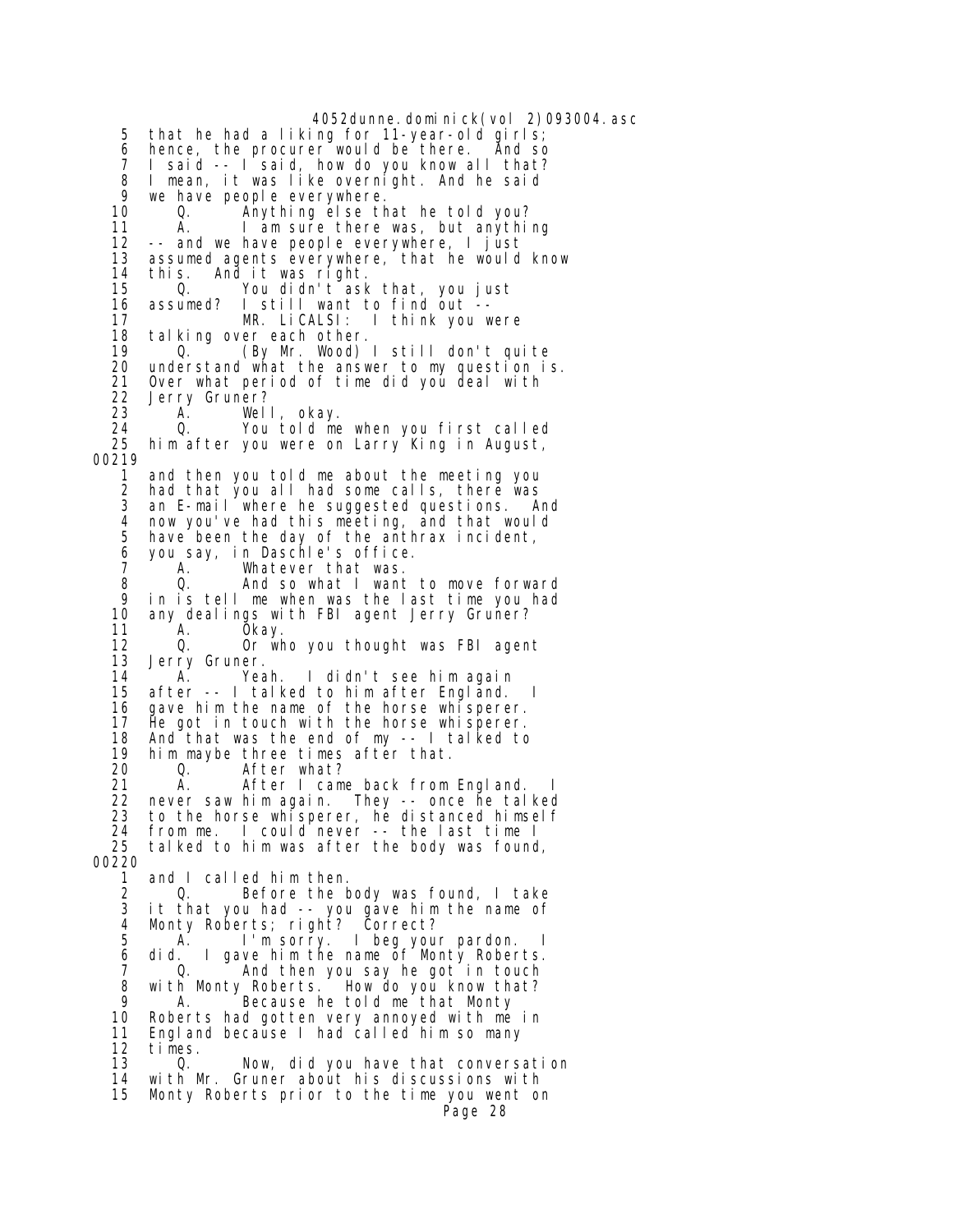4052dunne.dominick(vol 2)093004.asc 5 that he had a liking for 11-year-old girls; 6 hence, the procurer would be there. And so 7 I said -- I said, how do you know all that?<br>8 I mean, it was like overnight. And he said 8 I mean, it was like overnight. And he said 9 we have people everywhere.<br>10 0. Anything else the 10 Q. Anything else that he told you? 11 A. I am sure there was, but anything<br>12 -- and we have people everywhere. I just -- and we have people everywhere, I just 13 assumed agents everywhere, that he would know 14 this. And it was right. 15 Q. You didn't ask that, you just I still want to find out --<br>MR. LiCALSI: I think you w 17 MR. LiCALSI: I think you were 18 talking over each other.<br>19 0. (By Mr. Wood) 19 Q. (By Mr. Wood) I still don't quite<br>20 understand what the answer to my question i 20 understand what the answer to my question is. Over what period of time did you deal with 22 Jerry Gruner? 23 A. Well, okay. 24 Q. You told me when you first called him after you were on Larry King in August, 00219 1 and then you told me about the meeting you 2 had that you all had some calls, there was 3 an E-mail where he suggested questions. And 4 now you've had this meeting, and that would have been the day of the anthrax incident, 6 you say, in Daschle's office. 7 A. Whatever that was. 8 Q. And so what I want to move forward 9 in is tell me when was the last time you had<br>10 any dealings with FBI agent Jerry Gruner? 10 any dealings with FBI agent Jerry Gruner?<br>11 A. Okay. 11 A. Okay.<br>12 O. Orwh 12 Q. Or who you thought was FBI agent Jerry Gruner. 14 A. Yeah. I didn't see him again 15 after -- I talked to him after England. I<br>16 aave him the name of the horse whisperer. gave him the name of the horse whisperer. 17 He got in touch with the horse whisperer. 18 And that was the end of my -- I talked to 19 him maybe three times after that. 20 Q. After what?<br>21 A. After I cam A. After I came back from England. 22 never saw him again. They -- once he talked 23 to the horse whisperer, he distanced himself 24 from me. I could never -- the last time I<br>25 talked to him was after the body was found tal ked to him was after the body was found, 00220 1 and I called him then. 2 Q. Before the body was found, I take<br>3 it that you had -- you gave him the name of 3 it that you had -- you gave him the name of 4 Monty Roberts; right? Correct? 5 A. I'm sorry. I beg your pardon.<br>6 did. I gave him the name of Monty Rober did. I gave him the name of Monty Roberts.<br>Q. And then you say he got in touch 7 Q. And then you say he got in touch 8 with Monty Roberts. How do you know that?<br>9 A Because he told me that Monty 9 A. Because he told me that Monty<br>10 Roberts had gotten very annoyed with me Roberts had gotten very annoyed with me in 11 England because I had called him so many 12 times.<br>13 0. 0. Now, did you have that conversation 14 with Mr. Gruner about his discussions with 15 Monty Roberts prior to the time you went on Page 28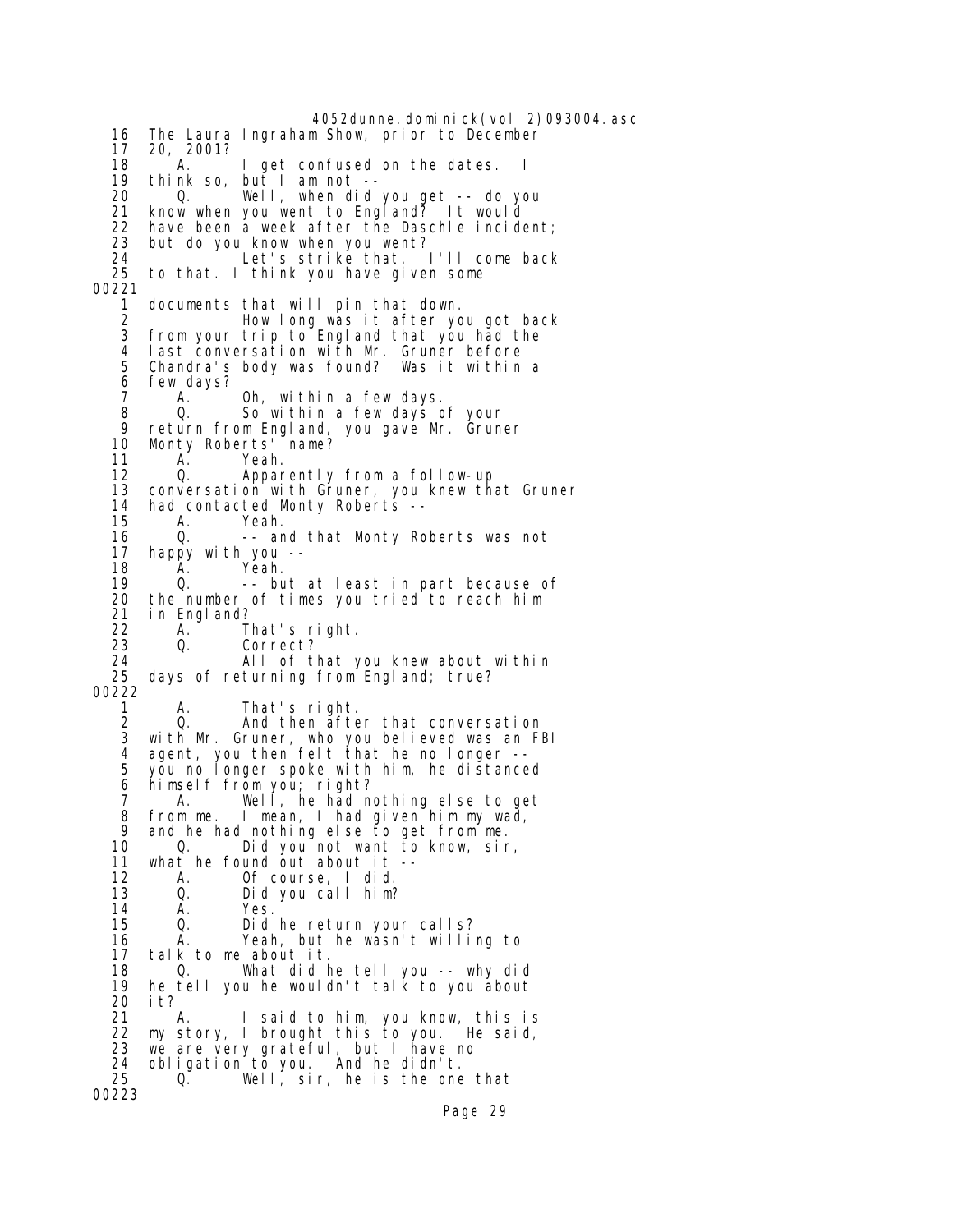4052dunne.dominick(vol 2)093004.asc 16 The Laura Ingraham Show, prior to December 17 20, 2001? 18 A. I get confused on the dates. I<br>19 think so, but I am not -- 19 think so, but I am not -- 20 Q. Well, when did you get -- do you 21 know when you went to England? It would 22 have been a week after the Daschle incident; 23 but do you know when you went? 24 Let's strike that. I'll come back<br>25 to that. I think you have given some to that. I think you have given some 00221 1 documents that will pin that down. 2 How long was it after you got back 3 from your trip to England that you had the 4 last conversation with Mr. Gruner before 5 Chandra's body was found? Was it within a 6 few days?<br>7 A. A. Oh, within a few days. 8 Q. So within a few days of your 9 return from England, you gave Mr. Gruner<br>10 Montv Roberts' name? 10 Monty Roberts' name?<br>11 A. Yeah. Yeah. 12 Q. Apparently from a follow-up 13 conversation with Gruner, you knew that Gruner 14 had contacted Monty Roberts --<br>15 A. Yeah. 15 A. Yeah. -- and that Monty Roberts was not 17 happy with you -- 18 A. Yeah.<br>19 Q. -- bu 19 Q. -- but at least in part because of 20 the number of times you tried to reach him 21 in England?<br>22 A. 22 A. That's right.<br>23 O. Correct? Q. Correct? 24 All of that you knew about within<br>25 days of returning from England; true? days of returning from England; true? 00222 1 A. That's right. 2 Q. And then after that conversation 3 with Mr. Gruner, who you believed was an FBI 4 agent, you then felt that he no longer -- 5 you no longer spoke with him, he distanced 6 himself from you; right? 7 A. Well, he had nothing else to get 8 from me. I mean, I had given him my wad, 9 and he had nothing else to get from me. 10 Q. Did you not want to know, sir,<br>11 what he found out about it -what he found out about  $it$  -- 12 A. Of course, I did. 13 Q. Did you call him?<br>14 A. Yes. 14 A. Yes. Did he return your calls? 16 A. Yeah, but he wasn't willing to<br>17 talk to me about it. talk to me about it. 18 Q. What did he tell you -- why did 19 he tell you he wouldn't talk to you about<br>20 it? 20 it? 21 A. I said to him, you know, this is 22 my story, I brought this to you. He said, 23 we are very grateful, but I have no 24 obligation to you. And he didn't. 25 Q. Well, sir, he is the one that 00223

Page 29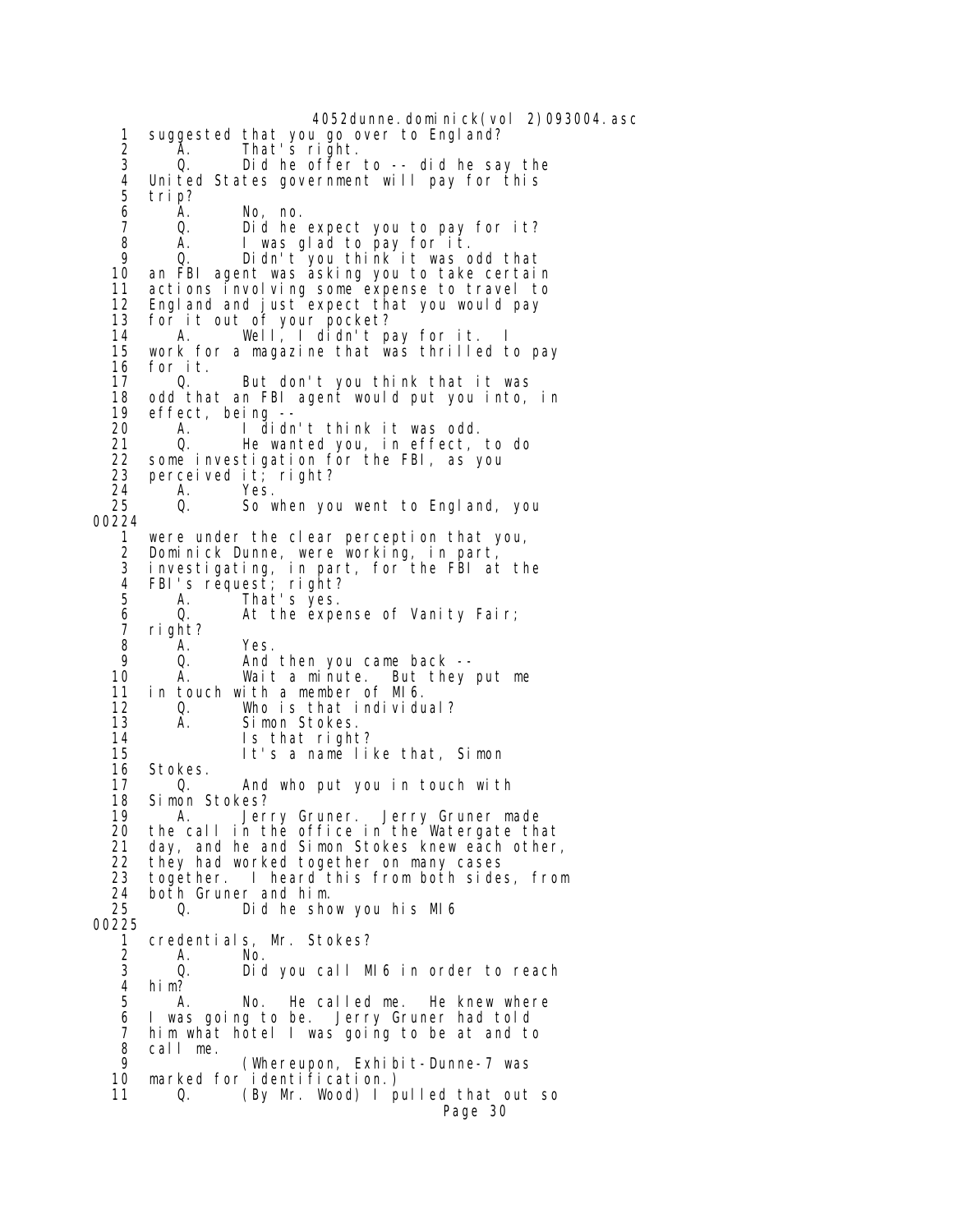4052dunne.dominick(vol 2)093004.asc 1 suggested that you go over to England? 2 A. That's right. 3 Q. Did he offer to -- did he say the 4 United States government will pay for this 5 trip? 6 A. No, no. 7 Q. Did he expect you to pay for it?<br>8 A. I was glad to pay for it. 8 A. I was glad to pay for it. 9 Q. Didn't you think it was odd that 10 an FBI agent was asking you to take certain 11 actions involving some expense to travel to<br>12 England and iust expect that you would pay 12 England and just expect that you would pay<br>13 for it out of your pocket? 13 for it out of your pocket? 14 A. Well, I didn't pay for it. I 15 work for a magazine that was thrilled to pay 16 for it.<br>17 0. But don't you think that it was 18 odd that an FBI agent would put you into, in 19 effect, being -- 20 A. I didn't think it was odd. 21 Q. He wanted you, in effect, to do<br>22 some investigation for the FBI, as you 22 some investigation for the FBI, as you<br>23 perceived it; right? 23 perceived it; right?<br>24 A. Yes. 24 A. Yes. So when you went to England, you 00224 1 were under the clear perception that you, 2 Dominick Dunne, were working, in part, 3 investigating, in part, for the FBI at the 4 FBI's request; right? 5 A. That's yes. 6 Q. At the expense of Vanity Fair; 7 right? 8 A. Yes. 9 Q. And then you came back --<br>10 A. Wait a minute. But they A. Wait a minute. But they put me 11 in touch with a member of MI6.<br>12 0. Who is that individu 12 Q. Who is that individual? 13 A. Simon Stokes.<br>14 Is that right 14 Is that right? 15 It's a name like that, Simon 16 Stokes.<br>17 0. And who put you in touch with 18 Simon Stokes? 19 A. Jerry Gruner. Jerry Gruner made<br>20 the call in the office in the Watergate th 20 the call in the office in the Watergate that<br>21 day, and he and Simon Stokes knew each other 21 day, and he and Simon Stokes knew each other,<br>22 they had worked together on many cases 22 they had worked together on many cases<br>23 together. I heard this from both side 23 together. I heard this from both sides, from<br>24 both Gruner and him. 24 both Gruner and him.<br>25 0. Did he sho 25 Q. Did he show you his MI6 00225 1 credentials, Mr. Stokes?<br>2 A. No. 2 A. No. 3 Q. Did you call MI6 in order to reach 4 him? A. No. He called me. He knew where 6 I was going to be. Jerry Gruner had told 7 him what hotel I was going to be at and to<br>8 call me 8 call me. 9 (Whereupon, Exhibit-Dunne-7 was marked for identification.) 11 Q. (By Mr. Wood) I pulled that out so Page 30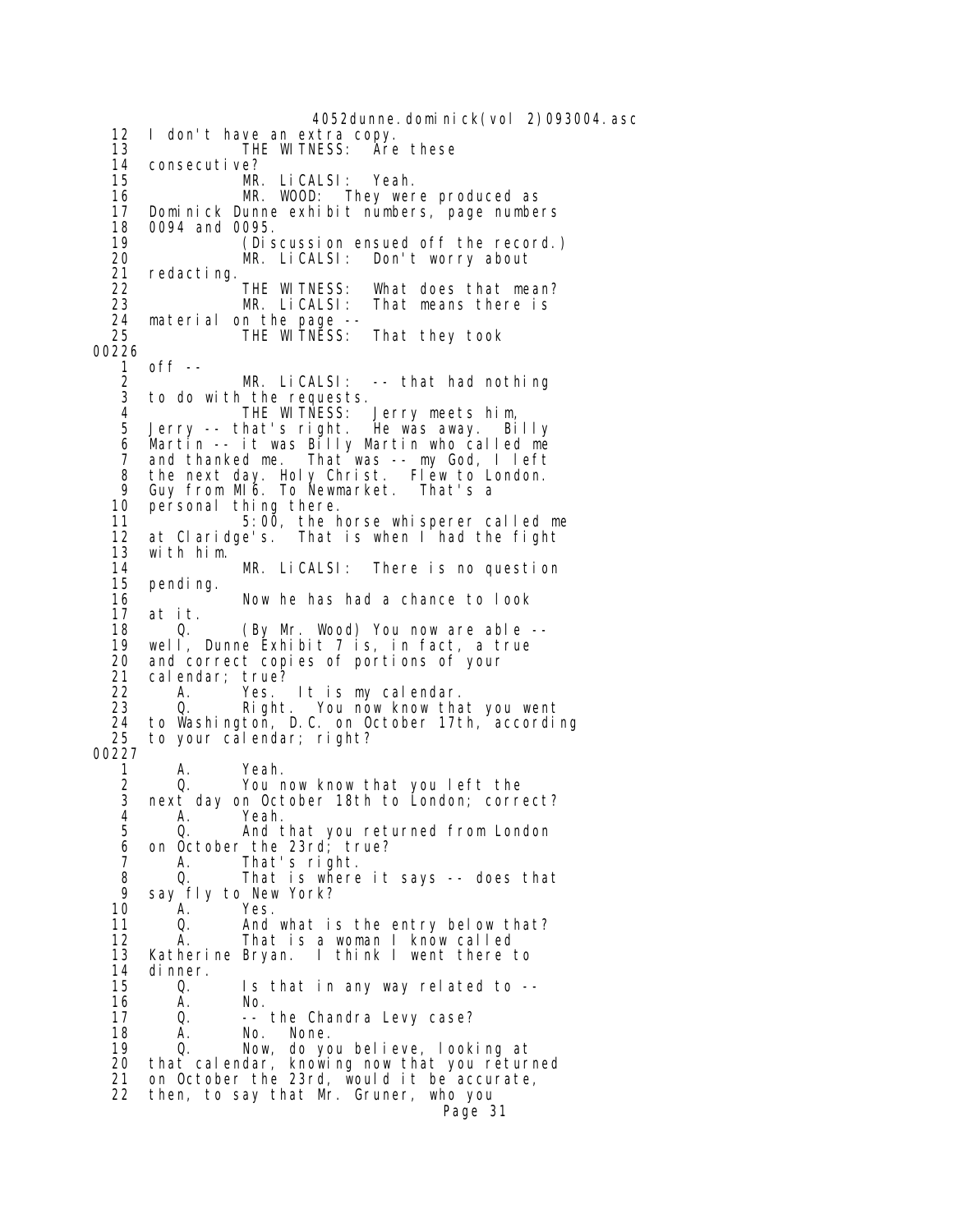4052dunne.dominick(vol 2)093004.asc 12 I don't have an extra copy. 13 THE WITNESS: Are these 14 consecutive?<br>15 MR 15 MR. LiCALSI: Yeah.<br>16 MR. WOOD: They wer 16 MR. WOOD: They were produced as<br>17 Dominick Dunne exhibit numbers, page numbe 17 Dominick Dunne exhibit numbers, page numbers<br>18 0094 and 0095. 18 0094 and 0095.<br>19 (Dis 19 (Discussion ensued off the record.)<br>20 MR. LiCALSI: Don't worry about 20 MR. LiCALSI: Don't worry about 21 redacting.<br>22 THE WITNESS: 22 THE WITNESS: What does that mean? That means there is 24 material on the page -- 25 THE WITNESS: That they took 00226<br>1 1 off -- 2 MR. LiCALSI: -- that had nothing to do with the requests. 4 THE WITNESS: Jerry meets him, 5 Jerry -- that's right. He was away. Billy 6 Martin -- it was Billy Martin who called me 7 and thanked me. That was -- my God, I left 8 the next day. Holy Christ. Flew to London. 9 Guy from MI6. To Newmarket. That's a 10 personal thing there.<br>11 5:00, the h 11 5:00, the horse whisperer called me at Claridge's. That is when I had the fight 13 with him. 14 MR. LiCALSI: There is no question 15 pending. 16 Now he has had a chance to look<br>17 at it. 17 at it. 18 Q. (By Mr. Wood) You now are able - well, Dunne Exhibit  $7$  is, in fact, a true 20 and correct copies of portions of your<br>21 calendar; true? 21 calendar; true?<br>22 A. Yes. 22 A. Yes. It is my calendar. You now know that you went 24 to Washington, D.C. on October 17th, according<br>25 to your calendar; right? to your calendar; right? 00227 1 A. Yeah.<br>2 Q. Youn 2 Q. You now know that you left the next day on October 18th to London; correct? 4 A. Yeah.<br>5 0. And t 5 Q. And that you returned from London<br>6 on October the 23rd; true? 6 on October the 23rd; true? 7 A. That's right. 8 Q. That is where it says -- does that 9 say fly to New York?<br>10 A. Yes. 10 A. Yes. 11 Q. And what is the entry below that? 12 A. That is a woman I know called<br>13 Katherine Bryan. I think I went there Katherine Bryan. I think I went there to 14 dinner.<br>15 0. 15 Q. Is that in any way related to -- 16 A. No. 17 Q. -- the Chandra Levy case? 18 A. No. None.<br>19 O. Now do\_vo 19 Q. Now, do you believe, looking at<br>20 that calendar, knowing now that you retur that calendar, knowing now that you returned 21 on October the 23rd, would it be accurate, 22 then, to say that Mr. Gruner, who you Page 31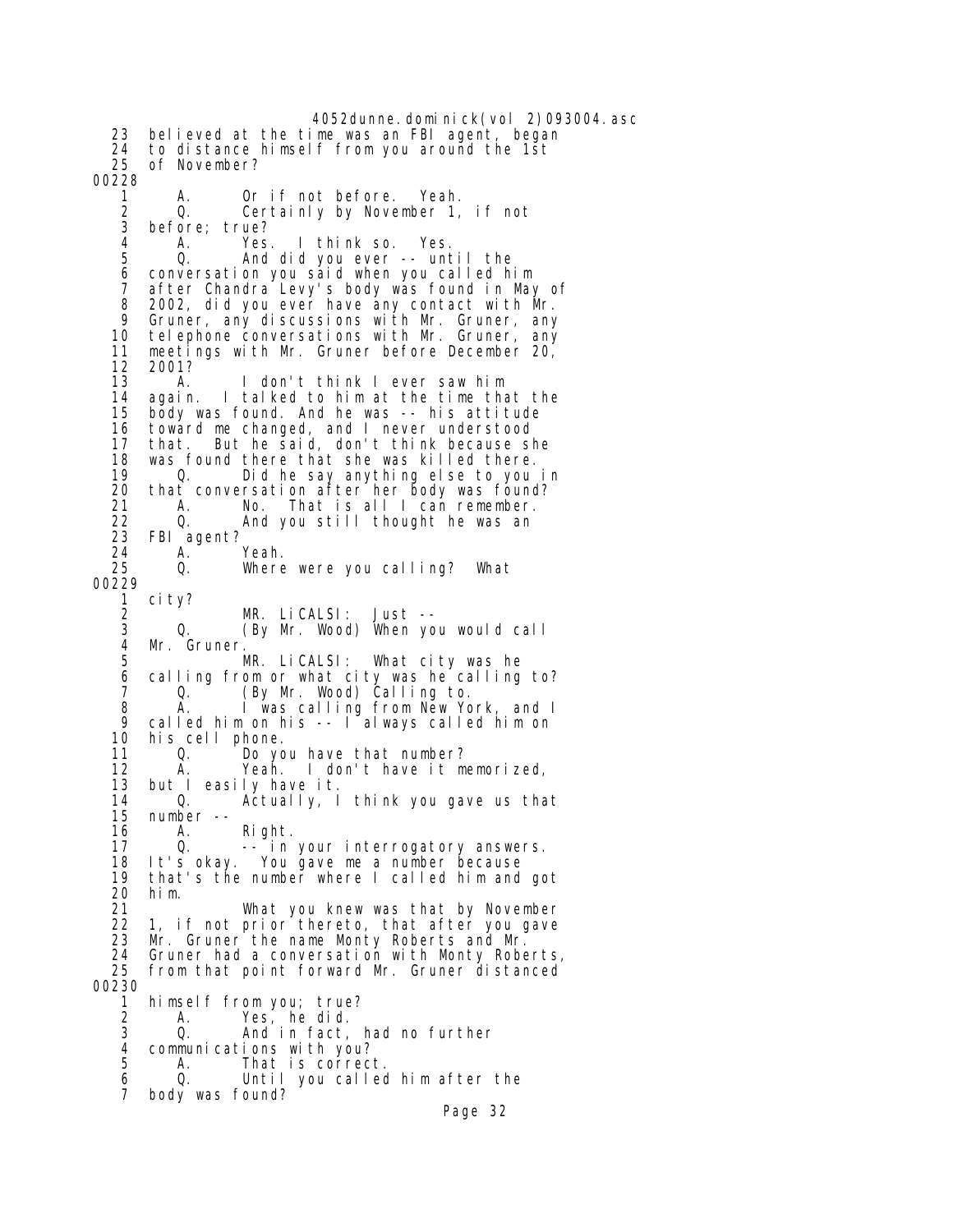4052dunne.dominick(vol 2)093004.asc 23 believed at the time was an FBI agent, began 24 to distance himself from you around the 1st of November? 00228 1 A. Orif not before. Yeah.<br>2 Q. Certainly by November 1. 2 Q. Certainly by November 1, if not<br>3 before: true? 3 before; true? 4 A. Yes. I think so. Yes. 5 Q. And did you ever -- until the 6 conversation you said when you called him 7 after Chandra Levy's body was found in May of 8 2002, did you ever have any contact with Mr.<br>9 Gruner any discussions with Mr. Gruner any 9 Gruner, any discussions with Mr. Gruner, any 10 telephone conversations with Mr. Gruner, any 11 meetings with Mr. Gruner before December 20, 12 2001?<br>13 A. I don't think I ever saw him 14 again. I talked to him at the time that the 15 body was found. And he was -- his attitude 16 toward me changed, and I never understood 17 that. But he said, don't think because she<br>18 was found there that she was killed there. was found there that she was killed there. 19 Q. Did he say anything else to you in 20 that conversation after her body was found? 21 A. No. That is all I can remember.<br>22 Q. And you still thought he was an 22 Q. And you still thought he was an FBI agent? 24 A. Yeah.<br>25 Q. Where Where were you calling? What 00229 1 city? 2 MR. LiCALSI: Just -- 3 Q. (By Mr. Wood) When you would call 4 Mr. Gruner.<br>5 I MR. LiCALSI: What city was he 6 calling from or what city was he calling to? 7 Q. (By Mr. Wood) Calling to. 8 A. I was calling from New York, and I 9 called him on his -- I always called him on his cell phone. 11 Q. Do you have that number?<br>12 A. Yeah. I don't have it m 12 A. Yeah. I don't have it memorized, but I easily have it.<br>Q. Actually. I 14 Q. Actually, I think you gave us that 15 number<br>16 A. 16 A. Right. 17 0. -- in your interrogatory answers.<br>18 lt's okav. You gave me a number because It's okay. You gave me a number because 19 that's the number where I called him and got 20 him. 21 What you knew was that by November 22 1, if not prior thereto, that after you gave<br>23 Mr. Gruner the name Monty Roberts and Mr. 23 Mr. Gruner the name Monty Roberts and Mr. Gruner had a conversation with Monty Roberts, 25 from that point forward Mr. Gruner distanced 00230 1 himself from you; true? 2 A. Yes, he did. 3 Q. And in fact, had no further 4 communications with you?<br>5 A. That is correc A. That is correct. 6 Q. Until you called him after the 7 body was found?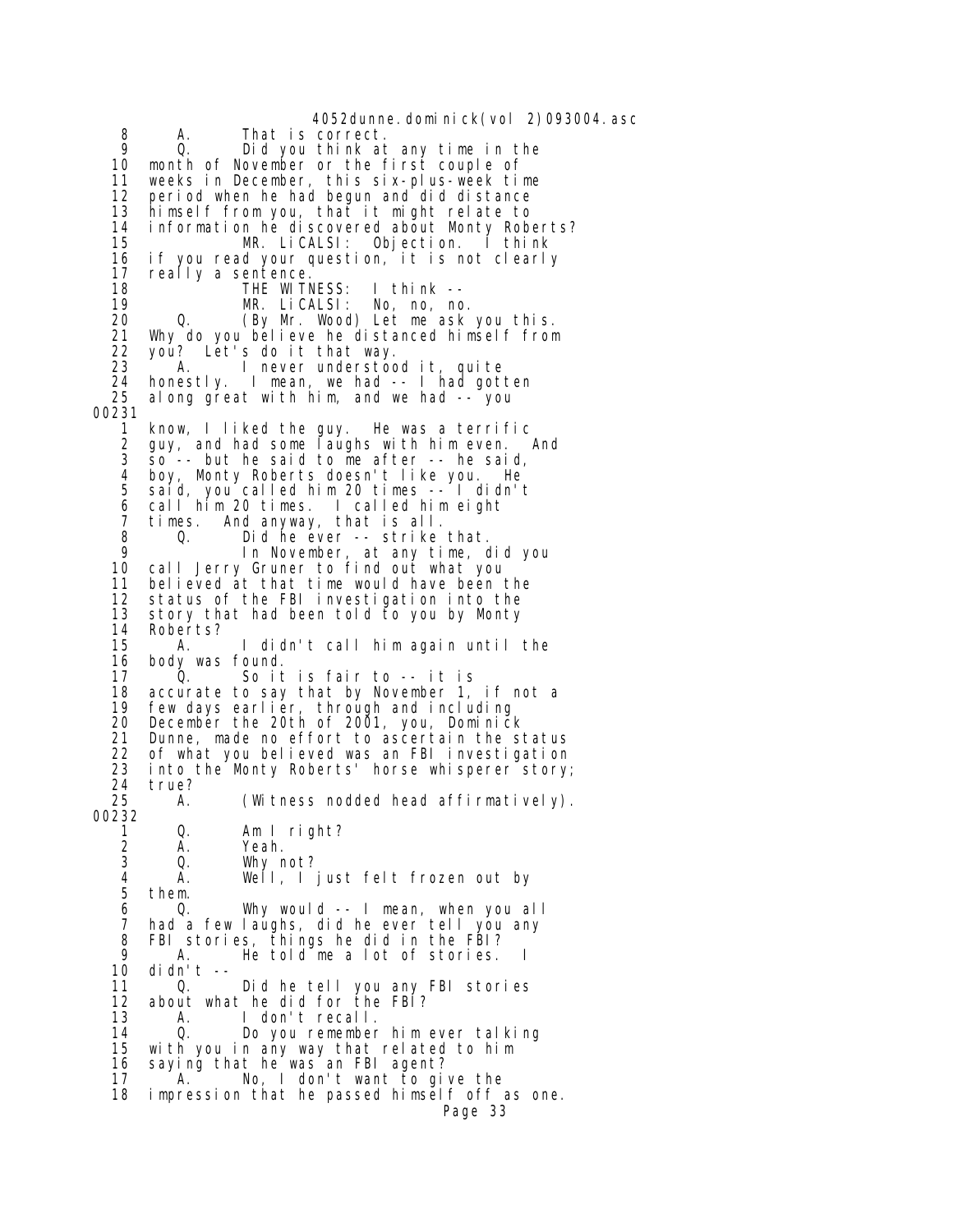4052dunne.dominick(vol 2)093004.asc 8 A. That is correct. 9 Q. Did you think at any time in the 10 month of November or the first couple of 11 weeks in December, this six-plus-week time 12 period when he had begun and did distance 13 himself from you, that it might relate to 14 information he discovered about Monty Roberts?<br>15 MR. LiCALSI: Objection. I think MR. LiCALSI: Objection. I think 16 if you read your question, it is not clearly 17 really a sentence. 18 THE WITNESS: I think -- 19 MR. LiCALSI: No, no, no. 20 Q. (By Mr. Wood) Let me ask you this. 21 Why do you believe he distanced himself from 22 you? Let's do it that way. 23 <sup>A.</sup> I never understood it, quite<br>24 honestly. I mean, we had -- I had got 24 honestly. I mean, we had -- I had gotten along great with him, and we had -- you 00231 1 know, I liked the guy. He was a terrific 2 guy, and had some laughs with him even. And<br>3 so -- but he said to me after -- he said,  $50$  -- but he said to me after -- he said, 4 boy, Monty Roberts doesn't like you. He 5 said, you called him 20 times -- I didn't 6 call him 20 times. I called him eight 7 times. And anyway, that is all. 8 Q. Did he ever -- strike that. 9 In November, at any time, did you 10 call Jerry Gruner to find out what you believed at that time would have been the 12 status of the FBI investigation into the 13 story that had been told to you by Monty<br>14 Roberts? 14 Roberts?<br>15 A. I didn't call him again until the 16 body was found.<br>17 0. So it 17 Q. So it is fair to -- it is 18 accurate to say that by November 1, if not a<br>19 few days earlier, through and including 19 few days earlier, through and including<br>20 December the 20th of 2001, you, Dominicl 20 December the 20th of 2001, you, Dominick<br>21 Dunne, made no effort to ascertain the s 21 Dunne, made no effort to ascertain the status<br>22 of what you believed was an FBI investigation 22 of what you believed was an FBI investigation<br>23 into the Monty Roberts' horse whisperer story 23 into the Monty Roberts' horse whisperer story;<br>24 true? 24 true?<br>25 A. A. (Witness nodded head affirmatively). 00232 1 Q. Am I right? 2 A. Yeah. Why not? 4 A. Well, I just felt frozen out by them. 6 Q. Why would -- I mean, when you all 7 had a few laughs, did he ever tell you any<br>8 FBI stories, things he did in the FBI? 8 FBI stories, things he did in the FBI?<br>9 A. He told me a lot of stories. 9 A. He told me a lot of stories.<br>10 didn't -didn't  $-$  11 Q. Did he tell you any FBI stories 12 about what he did for the FBI? 13 A. I don't recall. 0. Do you remember him ever talking 15 with you in any way that related to him 16 saying that he was an FBI agent? 17 A. No, I don't want to give the 18 impression that he passed himself off as one. Page 33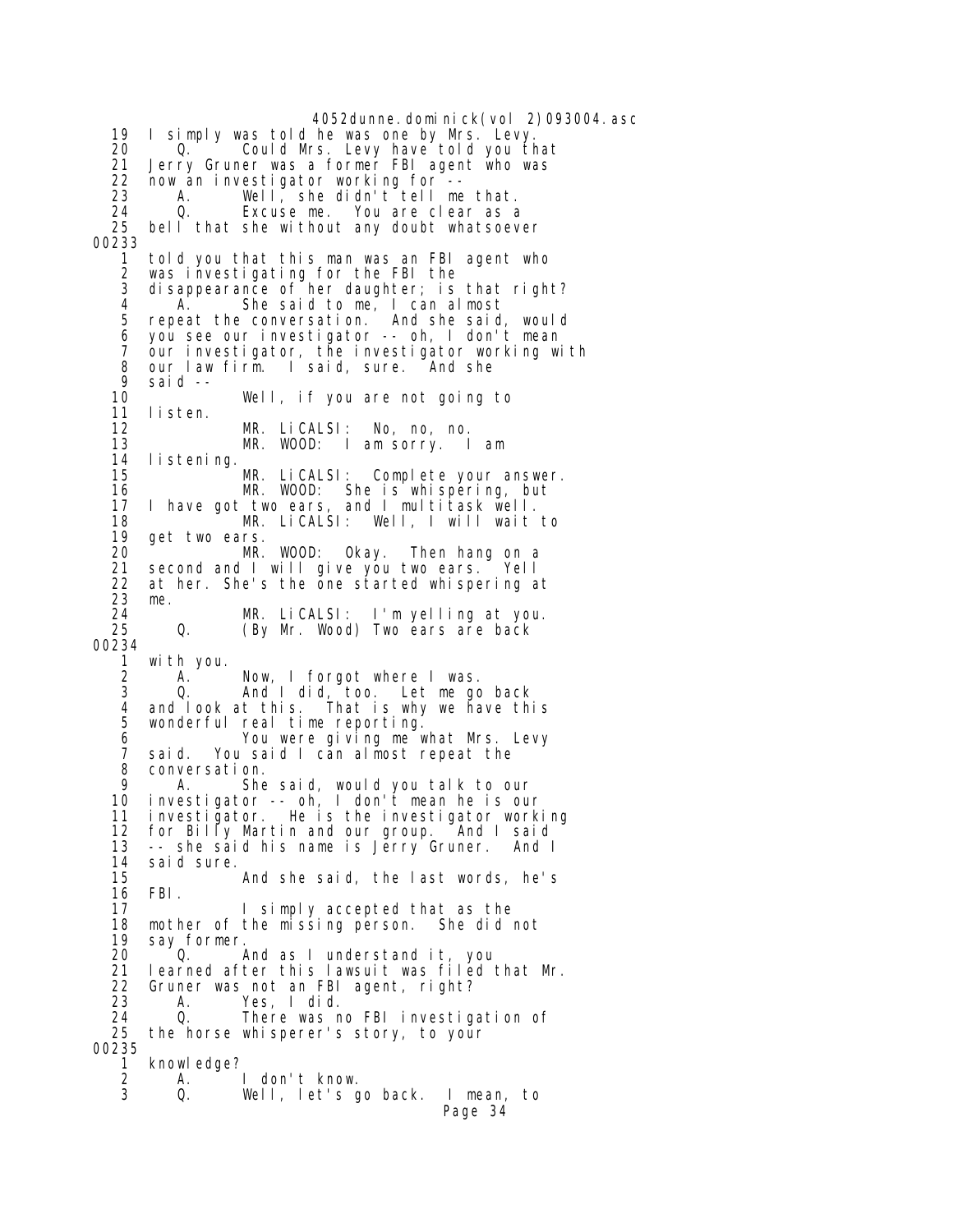4052dunne.dominick(vol 2)093004.asc 19 I simply was told he was one by Mrs. Levy. 20 Q. Could Mrs. Levy have told you that<br>21 Jerry Gruner was a former FBI agent who was 21 Jerry Gruner was a former FBI agent who was<br>22 now an investigator working for -- 22 now an investigator working for -- 23 A. Well, she didn't tell me that. 24 Q. Excuse me. You are clear as a<br>25 bell that she without any doubt whatsoev bell that she without any doubt whatsoever 00233 1 told you that this man was an FBI agent who 2 was investigating for the FBI the 3 disappearance of her daughter; is that right?<br>4 A. She said to me, I can almost 4 A. She said to me, I can almost<br>5 repeat the conversation. And she said 5 repeat the conversation. And she said, would 6 you see our investigator -- oh, I don't mean 7 our investigator, the investigator working with 8 our law firm. I said, sure. And she 9 said -- Well, if you are not going to 11 listen. 12 MR. LiCALSI: No, no, no. 13 MR. WOOD: I am sorry. I am I i stening. 15 MR. LiCALSI: Complete your answer. 16 MR. WOOD: She is whispering, but 17 I have got two ears, and I multitask well. 18 MR. LiCALSI: Well, I will wait to<br>19 get two ears. get two ears. 20 MR. WOOD: Okay. Then hang on a<br>21 second and I will give you two ears. Yell second and I will give you two ears. Yell 22 at her. She's the one started whispering at 23 me. 24 MR. LiCALSI: I'm yelling at you.<br>25 Q. (By Mr. Wood) Two ears are back (By Mr. Wood) Two ears are back 00234 1 with you. 2 A. Now, I forgot where I was.<br>3 0. And I did, too. Let me ac 3 Q. And I did, too. Let me go back 4 and look at this. That is why we have this wonderful real time reporting. 6 You were giving me what Mrs. Levy 7 said. You said I can almost repeat the 8 conversation.<br>9 A She 9 A. She said, would you talk to our 10 investigator -- oh, I don't mean he is our 11 investigator. He is the investigator working 12 for Billy Martin and our group. And I said<br>13 -- she said his name is Jerry Gruner. And I 13 -- she said his name is Jērry Gruner. And I<br>14 said sure. said sure. 15 And she said, the last words, he's 16 FBI. 17 I simply accepted that as the<br>18 mother of the missing person. She did 18 mother of the missing person. She did not 19 say former.<br>20 0. And as I understand it, you 21 learned after this lawsuit was filed that Mr.<br>22 Gruner was not an FBI agent, right? 22 Gruner was not an FBI agent, right?<br>23 A. Yes, I did. 23 A. Yes, I did. 24 Q. There was no FBI investigation of 25 the horse whisperer's story, to your 00235 1 knowledge?<br>2 A. 2 A. I don't know. Well, let's go back. I mean, to Page 34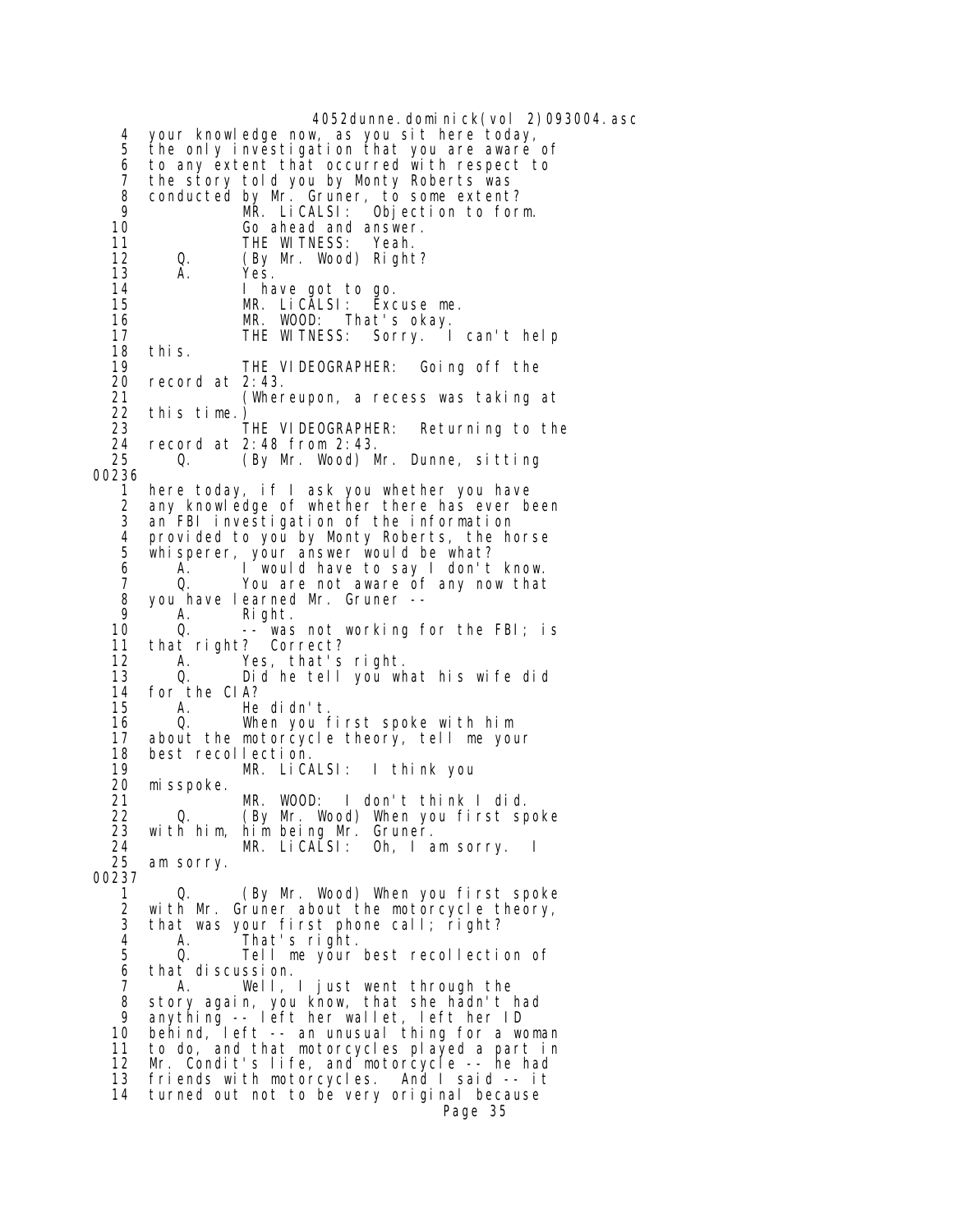4052dunne.dominick(vol 2)093004.asc 4 your knowledge now, as you sit here today, 5 the only investigation that you are aware of 6 to any extent that occurred with respect to 7 the story told you by Monty Roberts was 8 conducted by Mr. Gruner, to some extent? 9 MR. LiCALSI: Objection to form. 10 Go ahead and answer.<br>11 **THE WITNESS:** Yeah. 11 THE WITNESS: Yeah.<br>12 0. (By Mr. Wood) Righ (By Mr. Wood) Right? 13 A. Yes. 14 I have got to go. 15 MR. LiCALSI: Excuse me. 16 MR. WOOD: That's okay. 16 MR. WOOD: That's okay.<br>17 THE WITNESS: Sorry. I can't help 18 this.<br>19 19 THE VIDEOGRAPHER: Going off the 20 record at 2:43. record at  $2:43$ . 21 (Whereupon, a recess was taking at 22 this time.)<br>23 23 THE VIDEOGRAPHER: Returning to the<br>24 record at 2:48 from 2:43. 24 record at 2:48 from 2:43.<br>25 0. (By Mr. Wood) M (By Mr. Wood) Mr. Dunne, sitting 00236 1 here today, if I ask you whether you have 2 any knowledge of whether there has ever been<br>3 an FBI investigation of the information an FBI investigation of the information 4 provided to you by Monty Roberts, the horse whisperer, your answer would be what? 6 A. I would have to say I don't know. 7 Q. You are not aware of any now that<br>8 you have learned Mr. Gruner -- $8 \cdot \text{you have learned Mr. Gruner } -$ 9 A. Right.<br>10 Q. -- was 10 Q. -- was not working for the FBI; is 11 that right? Correct? 12 A. Yes, that's right.<br>13 Q. Did he tell you wh Did he tell you what his wife did 14 for the CIA? He didn't. 16 Q. When you first spoke with him 17 about the motorcycle theory, tell me your 18 best recollection.<br>19 MR. LiCA 19 MR. LiCALSI: I think you 20 misspoke.<br>21 21 MR. WOOD: I don't think I did. 22 Q. (By Mr. Wood) When you first spoke 23 with him, him being Mr. Gruner. 24 MR. LiCALSI: Oh, I am sorry. I am sorry. 00237 1 Q. (By Mr. Wood) When you first spoke 2 with Mr. Gruner about the motorcycle theory, 3 that was your first phone call; right? 4 A. That's right. Tell me your best recollection of  $6$  that discussion.<br> $7$   $8$   $M$   $M$  7 A. Well, I just went through the 8 story again, you know, that she hadn't had<br>9 anything -- Left her wallet left her ID 9 anything -- left her wallet, left her ID 10 behind, left -- an unusual thing for a woman 11 to do, and that motorcycles played a part in 12 Mr. Condit's life, and motorcycle -- he had 13 friends with motorcycles. And I said -- it 14 turned out not to be very original because Page 35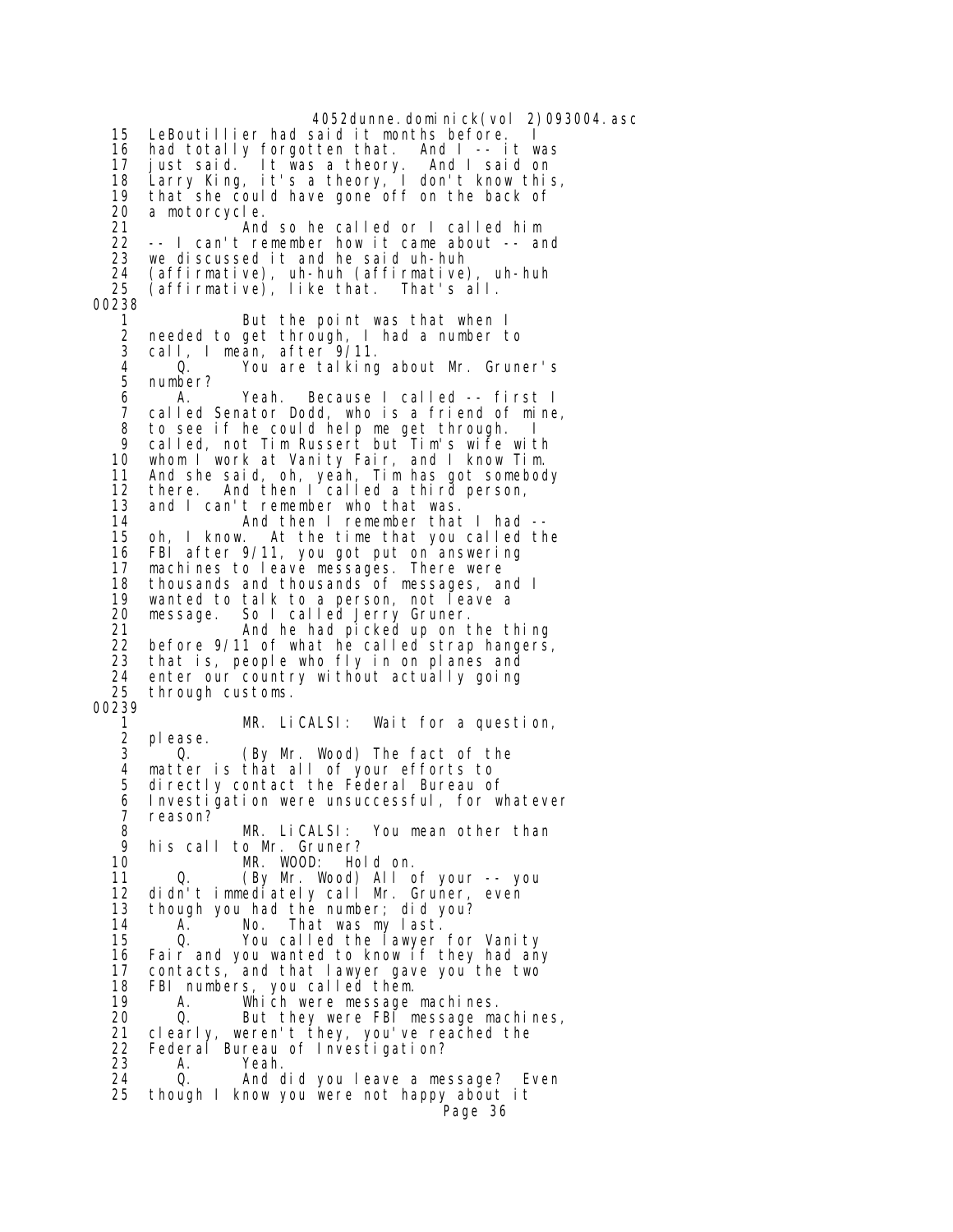4052dunne.dominick(vol 2)093004.asc 15 LeBoutillier had said it months before. 16 had totally forgotten that. And I -- it was 17 just said. It was a theory. And I said on 18 Larry King, it's a theory, I don't know this, 19 that she could have gone off on the back of<br>20 a motorcycle. 20 a motorcycle. 21 And so he called or I called him<br>22 -- I can't remember how it came about -- and -- I can't remember how it came about -- and 23 we discussed it and he said uh-huh 24 (affirmative), uh-huh (affirmative), uh-huh 25 (affirmative), like that. That's all. 00238 1 But the point was that when I 2 needed to get through, I had a number to 3 call, I meăn, after<sup>~9/</sup>11.<br>4 0. You are talking 4 Q. You are talking about Mr. Gruner's 5 number? 6 A. Yeah. Because I called -- first I 7 called Senator Dodd, who is a friend of mine, 8 to see if he could help me get through. I 9 called, not Tim Russert but Tim's wife with<br>10 whom I work at Vanity Fair, and I know Tim. whom I work at Vanity Fair, and I know Tim. 11 And she said, oh, yeah, Tim has got somebody 12 there. And then I called a third person, 13 and I can't remember who that was.<br>14 And then I remember that 14 And then I remember that I had --<br>15 oh, I know. At the time that you called th At the time that you called the 16 FBI after 9/11, you got put on answering<br>17 machines to Leave messages. There were 17 machines to leave messages. There were<br>18 thousands and thousands of messages. a 18 thousands and thousands of messages, and I 19 wanted to talk to a person, not leave a 20 message. So I called Jerry Gruner. 21 **And he had picked up on the thing**  22 before 9/11 of what he called strap hangers, 23 that is, people who fly in on planes and 24 enter our country without actually going<br>25 through customs. through customs. 00239 1 MR. LiCALSI: Wait for a question, please. 3 Q. (By Mr. Wood) The fact of the 4 matter is that all of your efforts to directly contact the Federal Bureau of 6 Investigation were unsuccessful, for whatever 7 reason? 8 MR. LiCALSI: You mean other than 9 his call to Mr. Gruner? MR. WOOD: Hold on. 11 Q. (By Mr. Wood) All of your -- you 12 didn't immediately call Mr. Gruner, even 13 though you had the number; did you?<br>14 A. No. That was my last. 14 A. No. That was my last. 15 Q. You called the lawyer for Vanity<br>16 Fair and you wanted to know if they had any Fair and you wanted to know if they had any 17 contacts, and that lawyer gave you the two 18 FBI numbers, you called them. 18 FBI numbers, you called them. 19 A. Which were message machines.<br>20 Q. But they were FBI message ma 20 Q. But they were FBI message machines, 21 clearly, weren't they, you've reached the 22 Federal Bureau of Investigation? 23 A. Yeah. 24 Q. And did you leave a message? Even<br>25 though I know you were not happy about it 25 though I know you were not happy about it Page 36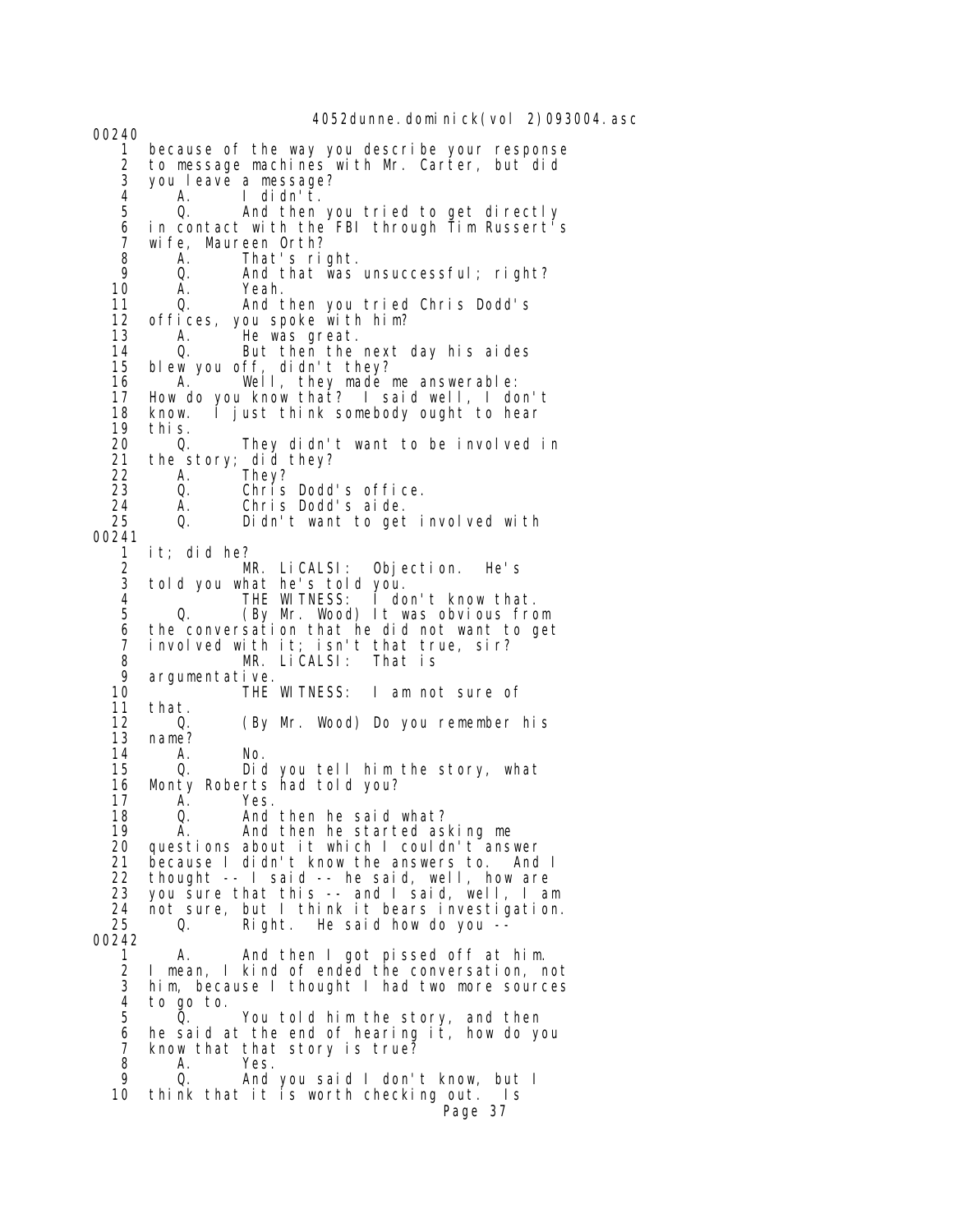00240 1 because of the way you describe your response 2 to message machines with Mr. Carter, but did 3 you leave a message? 4 A. I didn't. And then you tried to get directly 6 in contact with the FBI through Tim Russert's<br>7 wife. Maureen Orth? 7 wife, Maureen Orth? 8 A. That's right.<br>9 Q. And that was 9 Q. And that was unsuccessful; right? 10 A. Yeah. Q. And then you tried Chris Dodd's<br>offices, you spoke with him? 12 offices, you spoke with him? 13 A. He was great.<br>14 Q. But then the 14 Q. But then the next day his aides 15 blew you off, didn't they? 16 A. Well, they made me answerable:<br>17 How do you know that? I said well, I do How do you know that? I said well, I don't 18 know. I just think somebody ought to hear 19 this. 20  $\,$  Q. They didn't want to be involved in 21 the story; did they? 21 the story; did they? 22 A. They? 23 Q. Chris Dodd's office. 24 A. Chris Dodd's aide. Didn't want to get involved with 00241 1 it; did he? 2 MR. LiCALSI: Objection. He's 3 told you what he's told you. 4 THE WITNESS: I don't know that. 5 Q. (By Mr. Wood) It was obvious from 6 the conversation that he did not want to get 7 involved with it; isn't that true, sir? 8 MR. LiCALSI: That is 9 argumentative. 10 THE WITNESS: I am not sure of that. 12 Q. (By Mr. Wood) Do you remember his 13 name?<br>14 A. 14 A. No. 15 Q. Did you tell him the story, what Monty Roberts had told you? 17 A. Yes. 18 Q. And then he said what? 19 A. And then he started asking me 20 questions about it which I couldn't answer<br>21 because I didn't know the answers to. And because I didn't know the answers to. And I 22 thought -- I said -- he said, well, how are 23 you sure that this -- and I said, well, I am 24 not sure, but I think it bears investigation.<br>25 0. Right. He said how do you  $-$ Right. He said how do you --00242 1 A. And then I got pissed off at him. 2 I mean, I kind of ended the conversation, not 3 him, because I thought I had two more sources 4 to go to. 5 Q. You told him the story, and then 6 he said at the end of hearing it, how do you 7 know that that story is true? 8 A. Yes. 9 Q. And you said I don't know, but I 10 think that it is worth checking out. Is Page 37

4052dunne.dominick(vol 2)093004.asc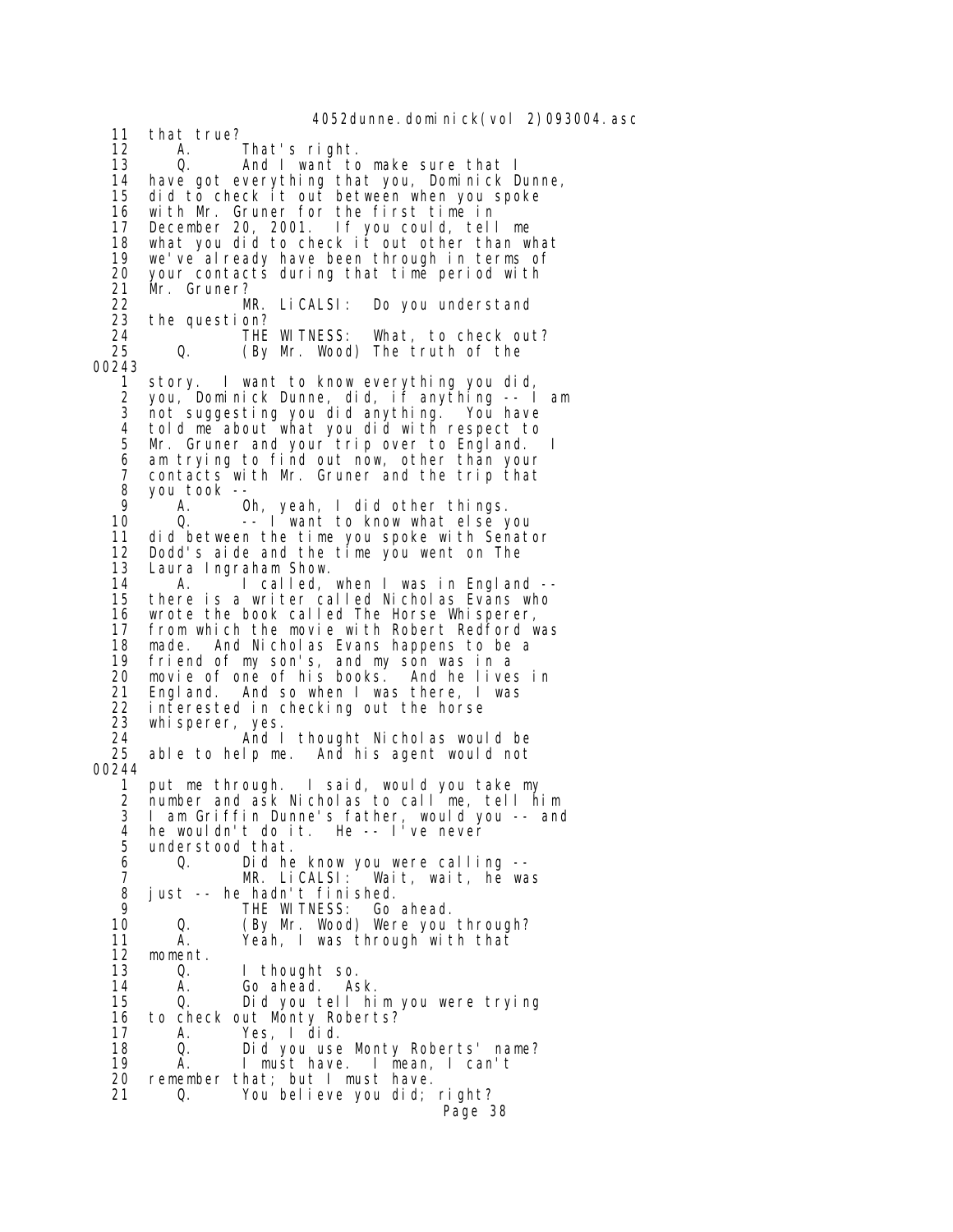4052dunne.dominick(vol 2)093004.asc 11 that true? 12 A. That's right. 13 Q. And I want to make sure that I<br>14 have got everything that you, Dominick D 14 have got everything that you, Dominick Dunne, 15 did to check it out between when you spoke 16 with Mr. Gruner for the first time in 17 December 20, 2001. If you could, tell me 18 what you did to check it out other than what 19 we've already have been through in terms of 20 your contacts during that time period with 21 Mr. Gruner? 22 MR. LiCALSI: Do you understand 23 the question? 24 THE WITNESS: What, to check out? Q. (By Mr. Wood) The truth of the 00243 story. I want to know everything you did, 2 you, Dominick Dunne, did, if anything -- I am 3 not suggesting you did anything. You have 4 told me about what you did with respect to<br>5 Mr. Gruner and your trip over to England. 5 Mr. Gruner and your trip over to England. I am trying to find out now, other than your 7 contacts with Mr. Gruner and the trip that 8 you took -- 9 A. Oh, yeah, I did other things.<br>10 Q. ––I want to know what else y -- I want to know what else you 11 did between the time you spoke with Senator 12 Dodd's aide and the time you went on The 13 Laura Ingraham Show.<br>14 A. I called. 14 A. I called, when I was in England --<br>15 there is a writer called Nicholas Evans who there is a writer called Nicholas Evans who 16 wrote the book called The Horse Whisperer,<br>17 from which the movie with Robert Redford v from which the movie with Robert Redford was 18 made. And Nicholas Evans happens to be a 19 friend of my son's, and my son was in a movie of one of his books. And he lives in 21 England. And so when I was there, I was 22 interested in checking out the horse<br>23 whisperer, ves. 23 whisperer, yes. 24 And I thought Nicholas would be able to help me. And his agent would not 00244 put me through. I said, would you take my 2 number and ask Nicholas to call me, tell him 3 I am Griffin Dunne's father, would you -- and 4 he wouldn't do it. He -- I've never 5 understood that.<br>6 0. Did he 6 Q. Did he know you were calling -- 7 MR. LiCALSI: Wait, wait, he was 8 just -- he hadn't finished. 9 THE WITNESS: Go ahead. 10 Q. (By Mr. Wood) Were you through?<br>11 A. Yeah, I was through with that 11 A. Yeah, I was through with that<br>12 moment. moment. 13 Q. I thought so. 14 A. Go ahead. Ask. 15 Q. Did you tell him you were trying 16 to check out Monty Roberts?<br>17 A. Yes, I did. 17 A. Yes, I did. 18 Q. Did you use Monty Roberts' name?<br>19 A. I must have. I mean. I can't A. I must have. I mean, I can't 20 remember that; but I must have. 21 Q. You believe you did; right? Page 38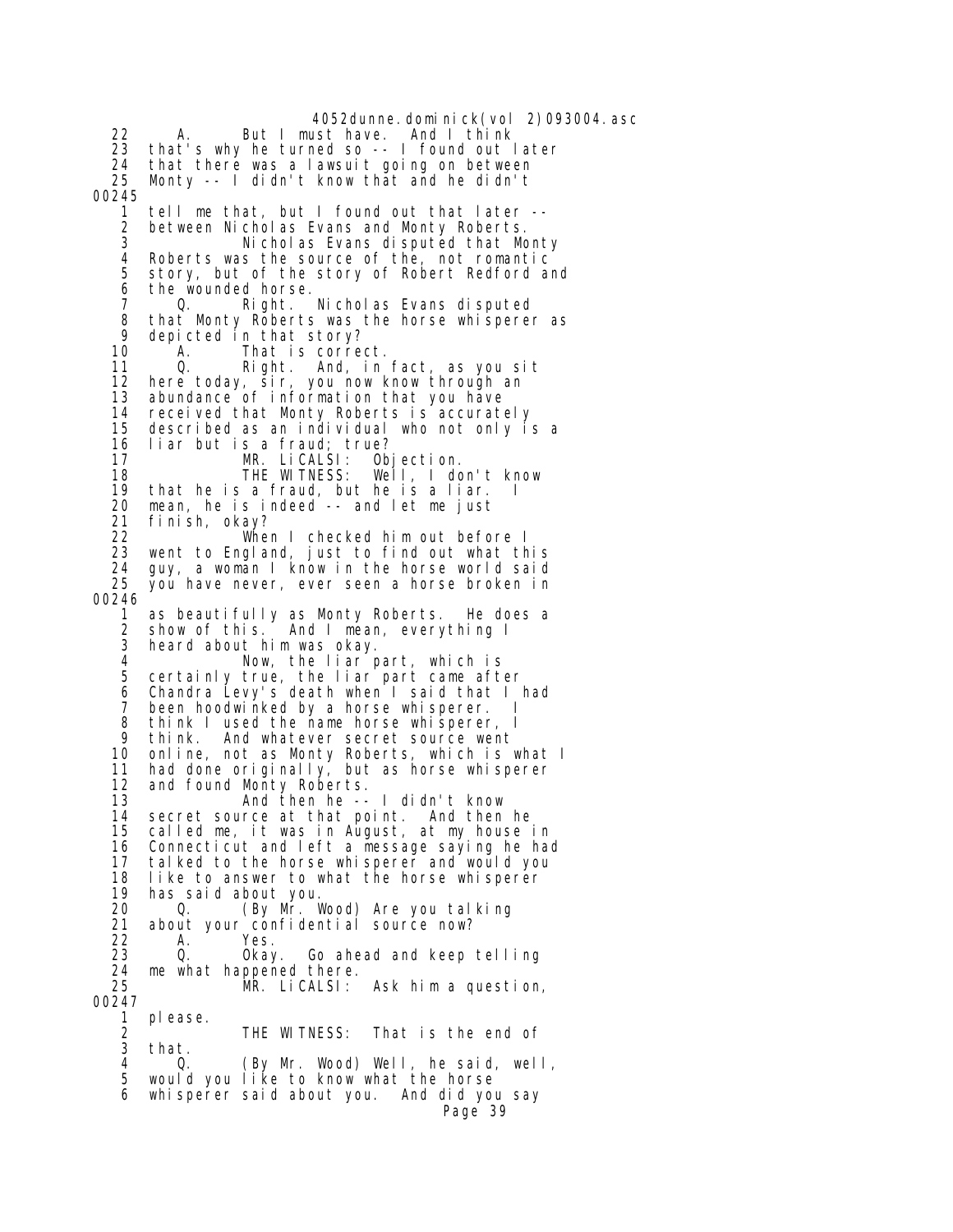4052dunne.dominick(vol 2)093004.asc<br>ust have. And I think 22 A. But I must have. 23 that's why he turned so -- I found out later<br>24 that there was a lawsuit going on between 24 that there was a lawsuit going on between<br>25 Monty -- I didn't know that and he didn't Monty  $-$  I didn't know that and he didn't 00245 1 tell me that, but I found out that later -- 2 between Nicholas Evans and Monty Roberts. 3 Nicholas Evans disputed that Monty 4 Roberts was the source of the, not romantic story, but of the story of Robert Redford and 6 the wounded horse.<br> $7 \qquad Q.$  Right. 7 Q. Right. Nicholas Evans disputed 8 that Monty Roberts was the horse whisperer as 9 depicted in that story?<br>10 A. That is corre 10 A. That is correct. 11 Q. Right. And, in fact, as you sit here today, sir, you now know through an 13 abundance of information that you have 14 received that Monty Roberts is accurately 15 described as an individual who not only is a 16 liar but is a fraud; true? MR. LiCALSI:<br>THE WITNESS: 18 THE WITNESS: Well, I don't know 19 that he is a fraud, but he is a liar. I 20 mean, he is indeed -- and let me just 21 finish, okay? When I checked him out before I 23 went to England, just to find out what this 24 guy, a woman I know in the horse world said you have never, ever seen a horse broken in 00246 1 as beautifully as Monty Roberts. He does a 2 show of this. And I mean, everything I heard about him was okay. 4 Now, the liar part, which is<br>5 certainly true, the liar part came afte 5 certainly true, the liar part came after 6 Chandra Levy's death when I said that I had<br>7 heen boodwinked by a borse whisperer 7 been hoodwinked by a horse whisperer. I<br>8 think Lused the name horse whisperer I 8 think I used the name horse whisperer, I 9 think. And whatever secret source went 10 online, not as Monty Roberts, which is what I 11 had done originally, but as horse whisperer 12 and found Monty Roberts. 13 And then he -- I didn't know 14 secret source at that point. And then he 15 called me, it was in August, at my house in 16 Connecticut and left a message saying he had tal ked to the horse whisperer and would you 18 like to answer to what the horse whisperer 19 has said about you. 20 Q. (By Mr. Wood) Are you talking<br>21 about your confidential source now? 21 about your confidential source now? 22 A. Yes.<br>23 Q. Okay. Go ahead and keep telling 24 me what happened there.<br>25 MR. LiCALSI: MR. LiCALSI: Ask him a question, 00247 1 please. 2 THE WITNESS: That is the end of<br>3 that 3 that. 4 Q. (By Mr. Wood) Well, he said, well, would you like to know what the horse 6 whisperer said about you. And did you say Page 39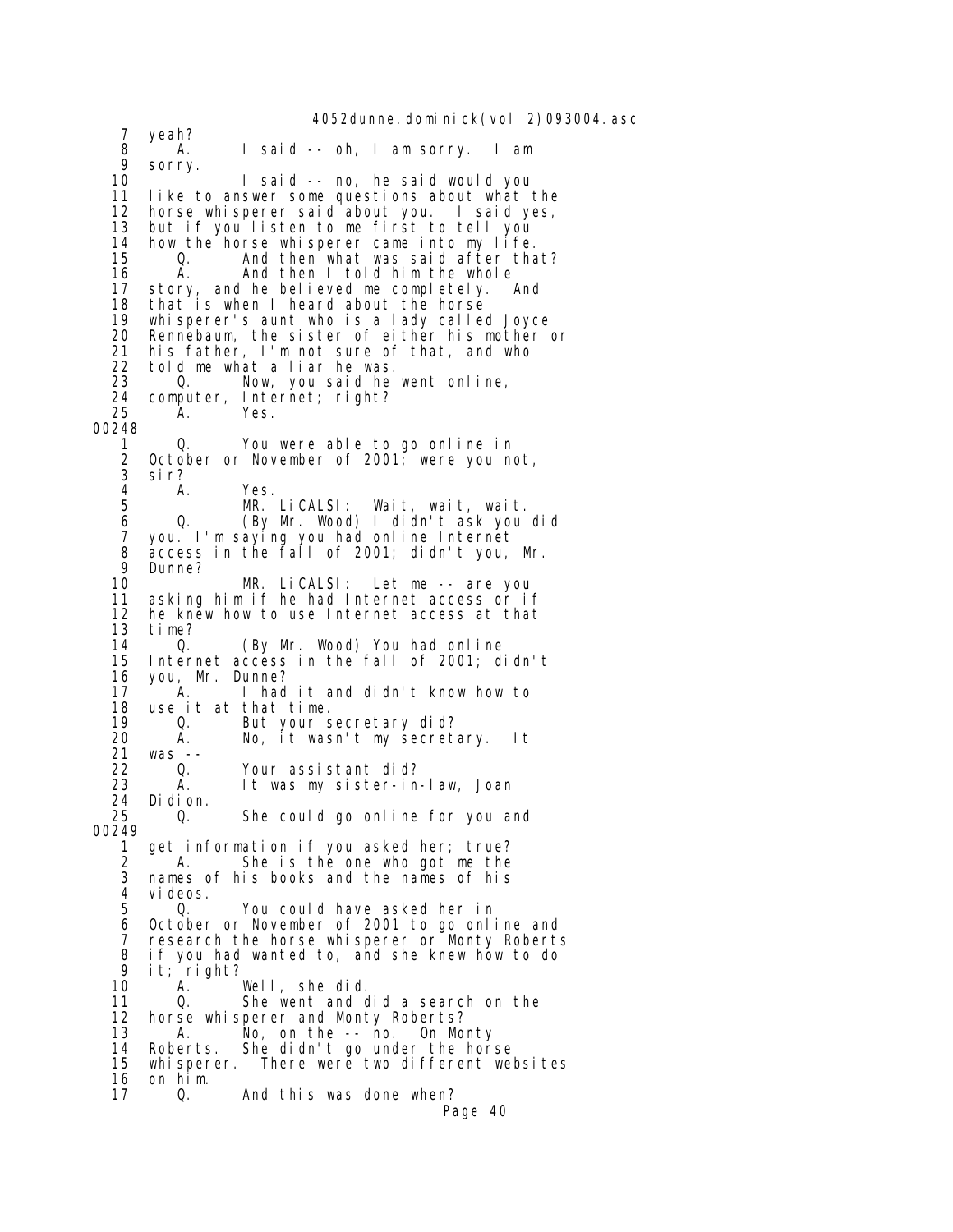4052dunne.dominick(vol 2)093004.asc 7 yeah? 8 A. I said -- oh, I am sorry. I am 9 sorry. 1 said -- no, he said would you 11 like to answer some questions about what the 12 horse whisperer said about you. I said yes, 13 but if you listen to me first to tell you<br>14 how the horse whisperer came into my life. 14 how the horse whisperer came into my life. 0. And then what was said after that?<br>A. And then I told him the whole 16 A. And then I told him the whole<br>17 story, and he believed me completely. 17 story, and he believed me completely. And that is when I heard about the horse 19 whisperer's aunt who is a lady called Joyce 20 Rennebaum, the sister of either his mother or 21 his father, I'm not sure of that, and who 22 told me what a liar he was. Q. Now, you said he went online, 24 computer, Internet; right? 25 A. Yes. 00248 1 Q. You were able to go online in<br>2 October or November of 2001; were you ne October or November of 2001; were you not, 3 sir? 4 A. Yes.<br>5 MR. 5 MR. LiCALSI: Wait, wait, wait.<br>6 0. (By Mr. Wood) I didn't ask you 6 Q. (By Mr. Wood) I didn't ask you did 7 you. I'm saying you had online Internet 8 access in the fall of 2001; didn't you, Mr. 9 Dunne? 10 MR. LiCALSI: Let me -- are you 11 asking him if he had Internet access or if 12 he knew how to use Internet access at that<br>13 time? 13 time?<br>14 0. 14 Q. (By Mr. Wood) You had online 15 Internet access in the fall of 2001; didn't you, Mr. Dunne? 17 A. I had it and didn't know how to 18 use it at that time. 19 Q. But your secretary did? 20 A. No, it wasn't my secretary. It 21 was -- 22 Q. Your assistant did? It was my sister-in-law, Joan 24 Di di on.<br>25 0. 25 Q. She could go online for you and 00249 get information if you asked her; true? 2 A. She is the one who got me the 3 names of his books and the names of his 4 videos.<br>5 0. 5 Q. You could have asked her in 6 October or November of 2001 to go online and 7 research the horse whisperer or Monty Roberts<br>8 if you had wanted to, and she knew how to do  $8$  if you had wanted to, and she knew how to do 9 it: right? 9 it; right? 10 A. Well, she did. 11 Q. She went and did a search on the 12 horse whisperer and Monty Roberts? 12 horse whisperer and Monty Roberts? 13 A. No, on the -- no. On Monty 14 Roberts. She didn't go under the horse<br>15 whisperer. There were two different well whisperer. There were two different websites 16 on him.<br>17 0. 17 Q. And this was done when? Page 40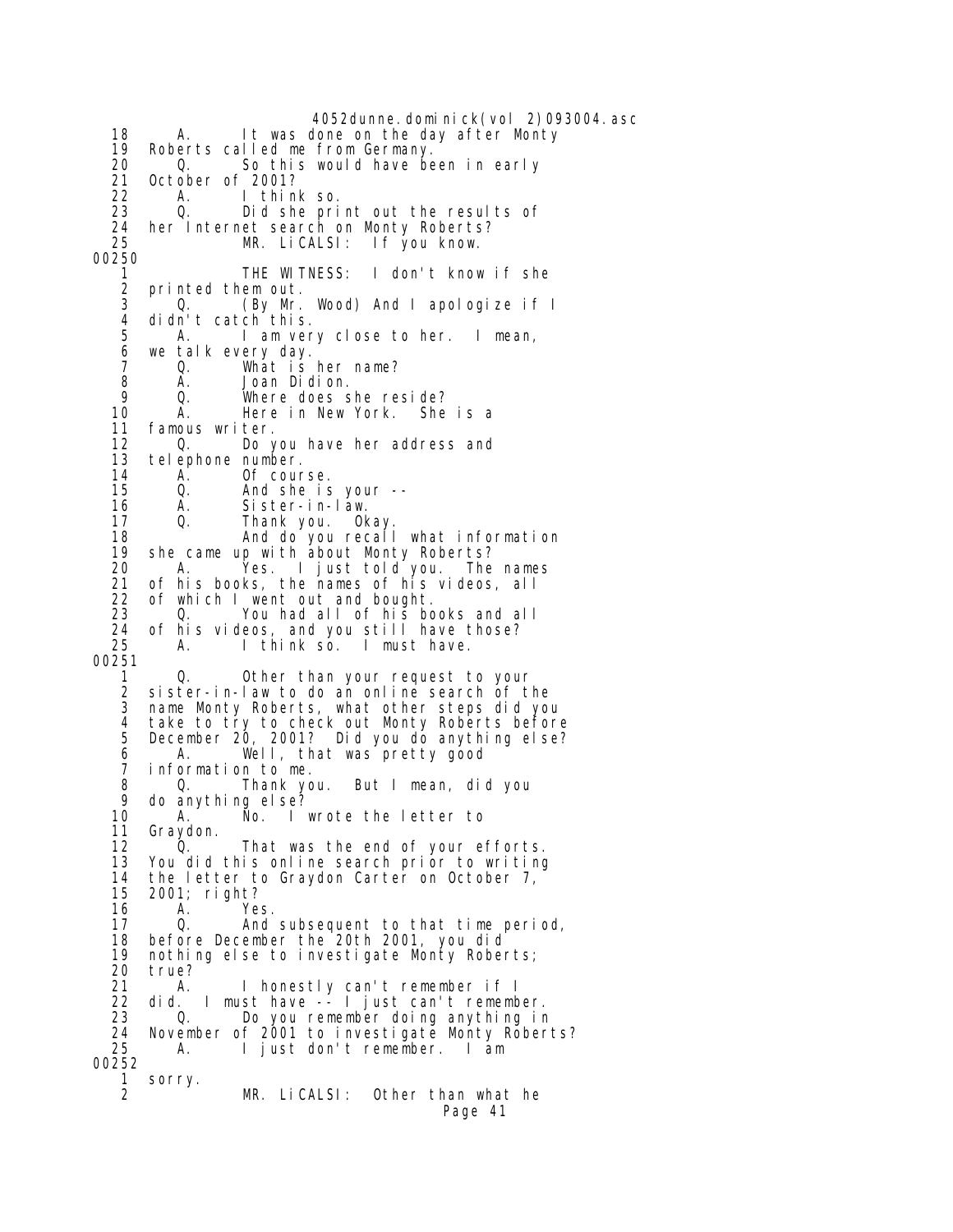4052dunne.dominick(vol 2)093004.asc 18 A. It was done on the day after Monty 19 Roberts called me from Germany. 20 Q. So this would have been in early 21 October of 2001? 22 A. I think so. Did she print out the results of 24 her Internet search on Monty Roberts?<br>25 MR. LiCALSI: If you know. If you know. 00250 1 THE WITNESS: I don't know if she 2 printed them out. 3 Q. (By Mr. Wood) And I apologize if I 4 didn't catch<sup>this.</sup><br>5 A. Iamver A. I am very close to her. I mean, 6 we talk every day. 7 Q. What is her name?<br>8 A. Joan Didion. 8 A. Joan Didion.<br>9 O. Where doess 9 Q. Where does she reside? A. Here in New York. She is a 11 famous writer. 12 Q. Do you have her address and telephone number. 14 A. Of course. 15 Q. And she is your -- 16 A. Sister-in-law.<br>17 Q. Thank\_vou. Ok 17 Q. Thank you. Okay. 18 And do you recall what information 19 she came up with about Monty Roberts?<br>20 A. Yes. I just told you. The 20 A. Yes. I just told you. The names of his books, the names of his videos, all 22 of which I went out and bought.<br>23 0. You had all of his bo 23 Q. You had all of his books and all 24 of his videos, and you still have those?<br>25 A. I think so. I must have. A. I think so. I must have. 00251 1 Q. Other than your request to your 2 sister-in-law to do an online search of the name Monty Roberts, what other steps did you 4 take to try to check out Monty Roberts before 5 December 20, 2001? Did you do anything else? 6 A. Well, that was pretty good 7 information to me.<br>8 0. Thank you. 0. Thank you. But I mean, did you 9 do anything else? A. No. I wrote the letter to 11 Graydon. 12 Q. That was the end of your efforts.<br>13 You did this online search prior to writing You did this online search prior to writing 14 the letter to Graydon Carter on October 7, 15 2001; right? 16 A. Yes.<br>17 Q. And 17 Q. And subsequent to that time period,<br>18 before December the 20th 2001, you did 18 before December the 20th 2001, you did 19 nothing else to investigate Monty Roberts; 20 true?<br>21 A. 21 A. I honestly can't remember if I 22 did. I must have -- I just can't remember. 23 Q. Do you remember doing anything in 24 November of 2001 to investigate Monty Roberts? 25 A. I just don't remember. I am 00252 1 sorry. MR. LiCALSI: Other than what he Page 41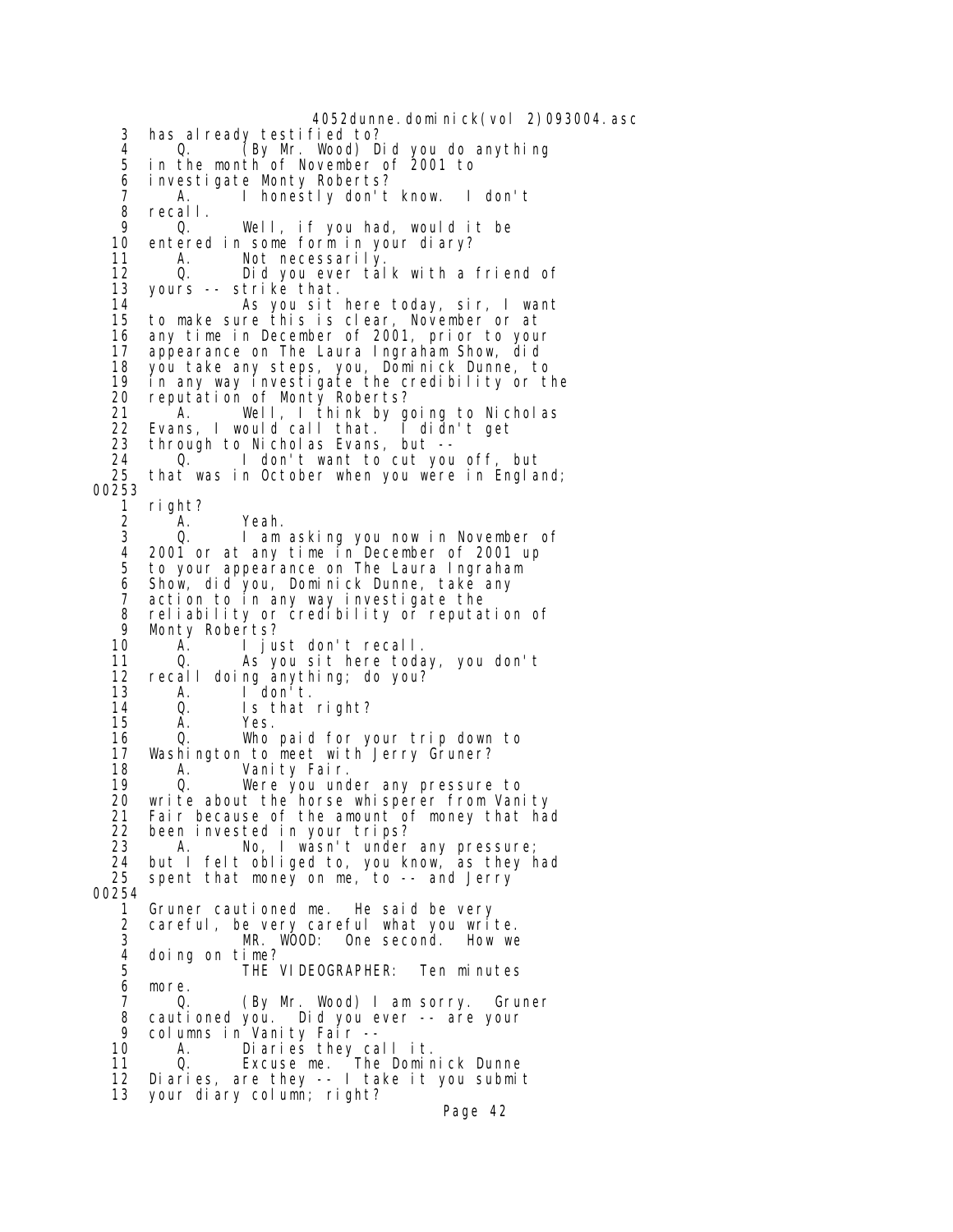4052dunne.dominick(vol 2)093004.asc 3 has already testified to? 4 Q. (By Mr. Wood) Did you do anything 5 in the month of November of 2001 to 6 investigate Monty Roberts? 7 A. I honestly don't know. I don't 8 recall.<br>9 O 9 Q. Well, if you had, would it be entered in some form in your diary? 11 A. Not necessarily. 12 Q. Did you ever talk with a friend of 13 yours -- strike that. 14 As you sit here today, sir, I want 15 to make sure this is clear, November or at 16 any time in December of 2001, prior to your 17 appearance on The Laura Ingraham Show, did 18 you take any steps, you, Dominick Dunne, to<br>19 in any way investigate the credibility or t 19 in any way investigate the credibility or the 20 reputation of Monty Roberts? 21 A. Well, I think by going to Nicholas 22 Evans, I would call that. I didn't get<br>23 through to Nicholas Evans, but --23 through to Nicholas Evans, but --<br>24 0. I don't want to cut you 24 Q. I don't want to cut you off, but that was in October when you were in England; 00253 1 right? 2 A. Yeah.<br>3 Q. Iam I am asking you now in November of 4 2001 or at any time in December of 2001 up 5 to your appearance on The Laura Ingraham 6 Show, did you, Dominick Dunne, take any 7 action to in any way investigate the 8 reliability or credibility or reputation of 9 Monty Roberts?<br>10 A. I ju A. I just don't recall.<br>O. As you sit here toda 11 Q. As you sit here today, you don't<br>12 recall doing anything; do you? recall doing anything; do you? 13 A. I don't. 14 Q. Is that right?<br>15 A. Yes. A. Yes. 16 Q. Who paid for your trip down to 17 Washington to meet with Jerry Gruner?<br>18 A. Vanity Fair. 18 A. Vanity Fair. 0. Were you under any pressure to 20 write about the horse whisperer from Vanity 21 Fair because of the amount of money that had 22 been invested in your trips? 23 A. No, I wasn't under any pressure; 24 but I felt obliged to, you know, as they had 25 spent that money on me, to -- and Jerry 00254 1 Gruner cautioned me. He said be very 2 careful, be very careful what you write. 3 MR. WOOD: One second. How we 4 doing on time?<br>5 THE THE VIDEOGRAPHER: Ten minutes 6 more. 7 Q. (By Mr. Wood) I am sorry. Gruner<br>8 cautioned you. Did you ever -- are your 8 cautioned you. Did you ever -- are your<br>9 columns in Vanity Fair -- 9 columns in Vanity Fair -- 10 A. Diaries they call it.<br>11 0. Excuse me. The Domin 0. Excuse me. The Dominick Dunne 12 Diaries, are they -- I take it you submit 13 your diary column; right? Page 42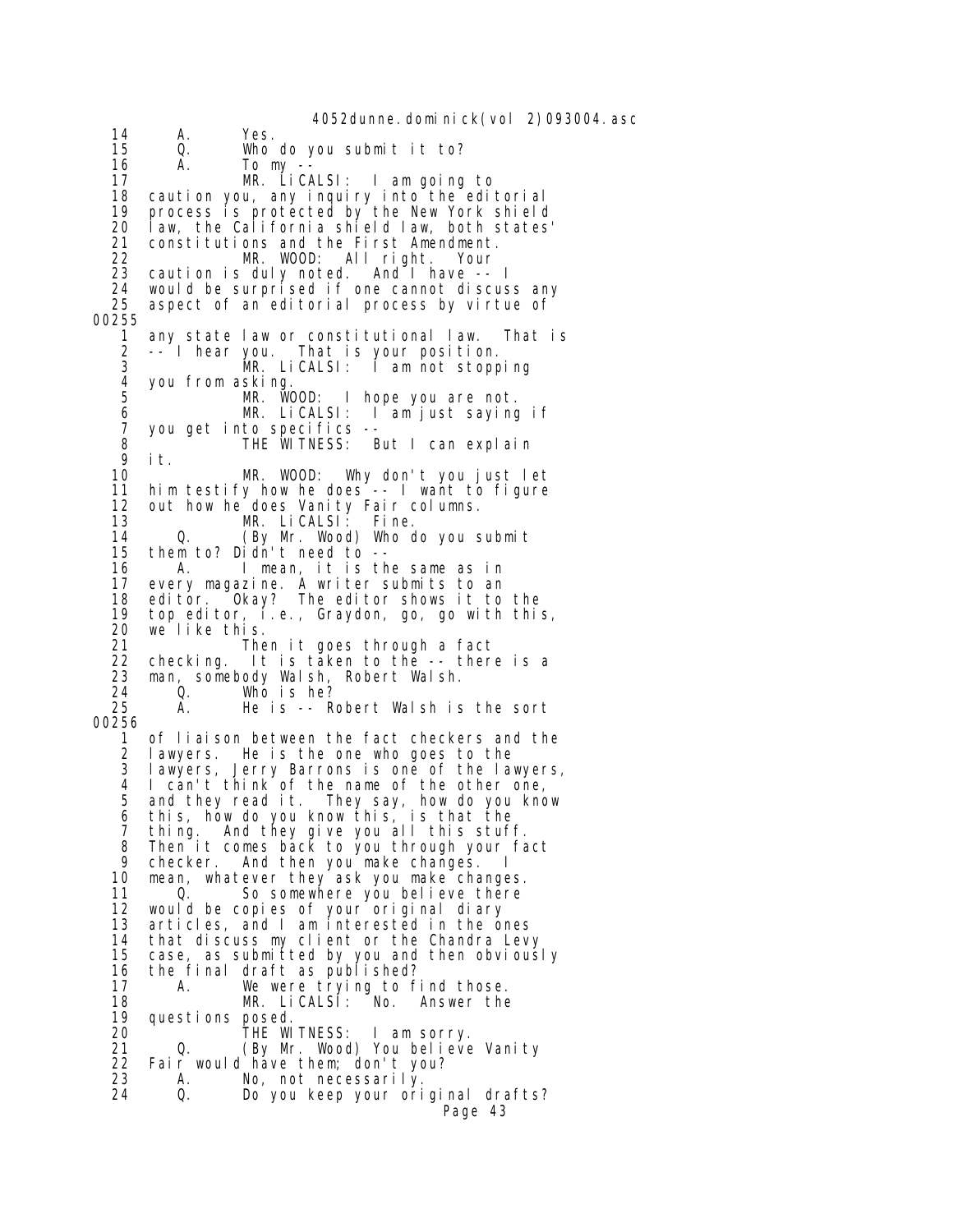4052dunne.dominick(vol 2)093004.asc 14 A. Yes.<br>15 Q. Who 15 Q. Who do you submit it to? 16 A. Tomy--<br>17 MR. LiC*I*  17 MR. LiCALSI: I am going to 18 caution you, any inquiry into the editorial 19 process is protected by the New York shield 20 law, the California shield law, both states' constitutions and the First Amendment. 22 MR. WOOD: All right. Your 23 caution is duly noted. And I have -- I 24 would be surprised if one cannot discuss any aspect of an editorial process by virtue of 00255 1 any state law or constitutional law. That is 2 -- I hear you. That is your position. 3 MR. LiCALSI: I am not stopping 4 you from asking. MR. WOOD: I hope you are not.<br>MR. LiCALSI: I am just sayinc 6 MR. LiCALSI: I am just saying if 7 you get into specifics -- 8 THE WITNESS: But I can explain<br>9 it. 9 it. 10 MR. WOOD: Why don't you just let 11 him testify how he does -- I want to figure 12 out how he does Vanity Fair columns.<br>13 MR. LiCALSI: Fine. 13 MR. LiCALSI: Fine. 14 Q. (By Mr. Wood) Who do you submit<br>15 them to? Didn't need to -them to? Didn't need to --16 A. I mean, it is the same as in<br>17 every magazine. A writer submits to an 17 every magazine. A writer submits to an 18 editor. Okay? The editor shows it to the 19 top editor, i.e., Graydon, go, go with this, 20 we like this. Then it goes through a fact<br>checking. It is taken to the -- ther 22 checking. It is taken to the -- there is a<br>23 man, somebody Walsh, Robert Walsh. 23 man, somebody Walsh, Robert Walsh. 24 Q. Who is he? He is -- Robert Walsh is the sort 00256 1 of liaison between the fact checkers and the 2 lawyers. He is the one who goes to the 3 lawyers, Jerry Barrons is one of the lawyers, 4 I can't think of the name of the other one, 5 and they read it. They say, how do you know 6 this, how do you know this, is that the 7 thing. And they give you all this stuff. 8 Then it comes back to you through your fact<br>9 checker. And then you make changes. I 9 checker. And then you make changes. I<br>10 mean, whatever they ask you make change mean, whatever they ask you make changes. 11 Q. So somewhere you believe there 12 would be copies of your original diary 13 articles, and I am interested in the ones 14 that discuss my client or the Chandra Levy<br>15 case, as submitted by you and then obvious case, as submitted by you and then obviously 16 the final draft as published?<br>17 A. We were trying to f 17 A. We were trying to find those.<br>18 MR. LiCALSI: No. Answer the 18 MR. LiCALSI: No. Answer the 19 questions posed.<br>20 THE W 20 THE WITNESS: I am sorry.<br>21 0 (By Mr Wood) You believe 21 Q. (By Mr. Wood) You believe Vanity<br>22 Fair would have them: don't you? Fair would have them; don't you? 23 A. No, not necessarily. Do you keep your original drafts? Page 43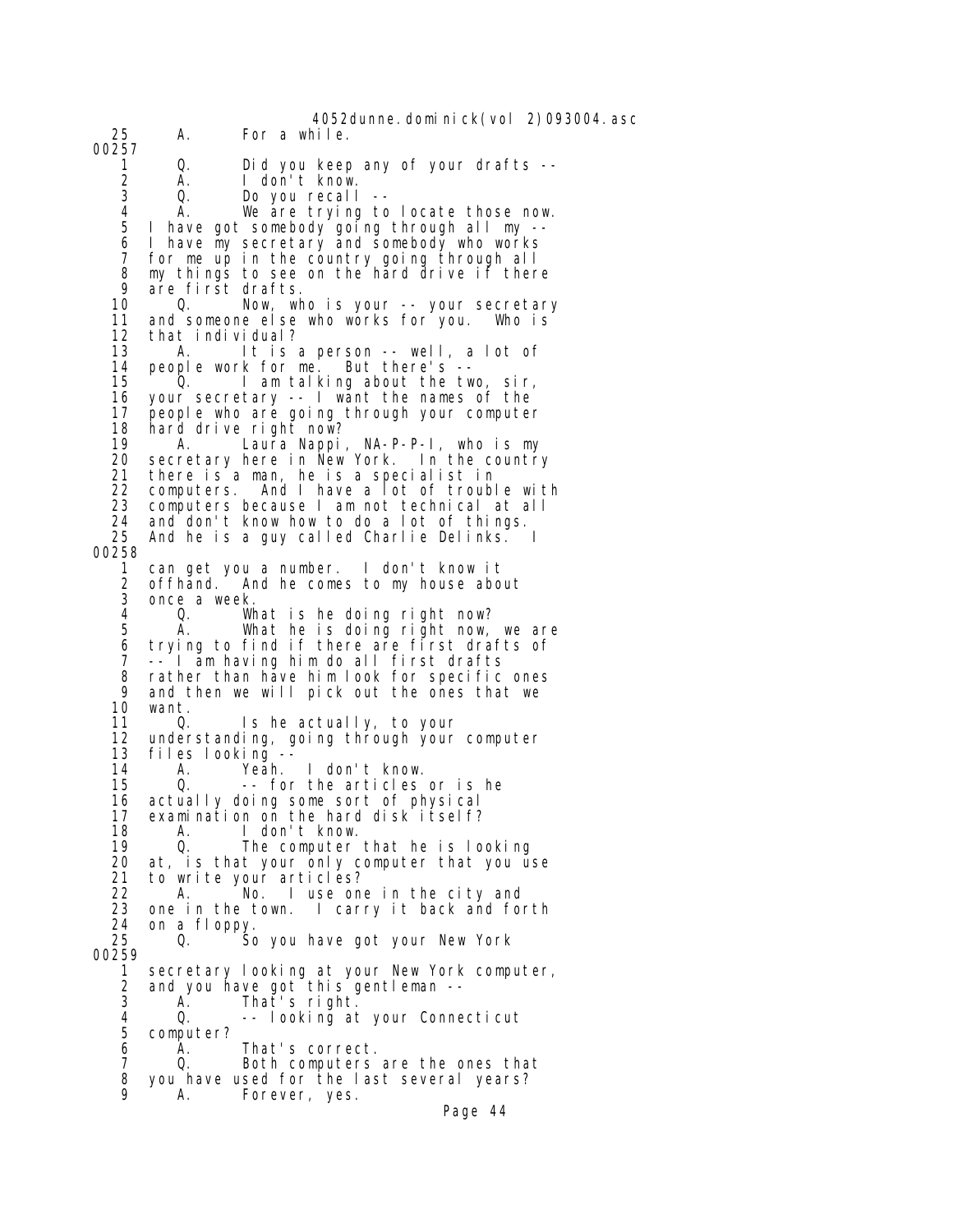4052dunne.dominick(vol 2)093004.asc 25 A. For a while. 00257 1 Q. Did you keep any of your drafts -- 2 A. I don't know. Do you recall 4 A. We are trying to locate those now.<br>5 I have got somebody going through all my --I have got somebody going through all my -- 6 I have my secretary and somebody who works 7 for me up in the country going through all 8 my things to see on the hard drive if there<br>9 are first drafts 9 are first drafts. Now, who is your -- your secretary 11 and someone else who works for you. Who is 12 that individual? 13 A. It is a person -- well, a lot of 14 people work for me. But there's --<br>15 0. I am talking about the tw 1 am talking about the two, sir, 16 your secretary -- I want the names of the 17 people who are going through your computer 18 hard drive right now?<br>19 A. Laura Nappi 19 A. Laura Nappi, NA-P-P-I, who is my<br>20 secretary here in New York. In the country secretary here in New York. In the country 21 there is a man, he is a specialist in 22 computers. And I have a lot of trouble with<br>23 computers because I am not technical at all 23 computers because I am not technical at all<br>24 and don't know how to do a lot of things. 24 and don't know how to do a lot of things. And he is a guy called Charlie Delinks. 00258 1 can get you a number. I don't know it 2 offhand. And he comes to my house about once a week. 4 Q. What is he doing right now? A. What he is doing right now, we are 6 trying to find if there are first drafts of 7 -- I am having him do all first drafts<br>8 rather than have him look for specific 8 rather than have him look for specific ones 9 and then we will pick out the ones that we<br>10 want. want. 11 Q. Is he actually, to your 12 understanding, going through your computer 13 files looking -- 14 A. Yeah. I don't know.<br>15 0. -- for the articles 0. -- for the articles or is he 16 actually doing some sort of physical 17 examination on the hard disk itself?<br>18 A. I don't know. 18 A. I don't know. 19 0. The computer that he is looking<br>20 at, is that your only computer that you u at, is that your only computer that you use 21 to write your articles? 22 A. No. I use one in the city and 23 one in the town. I carry it back and forth 24 on a floppy. 25 Q. So you have got your New York 00259 1 secretary looking at your New York computer, 2 and you have got this gentleman -- 3 A. That's right. 4 Q. -- looking at your Connecticut 5 computer? 6 A. That's correct. Q. Both computers are the ones that  $8$  you have used for the last several years? A. Forever, yes.

Page 44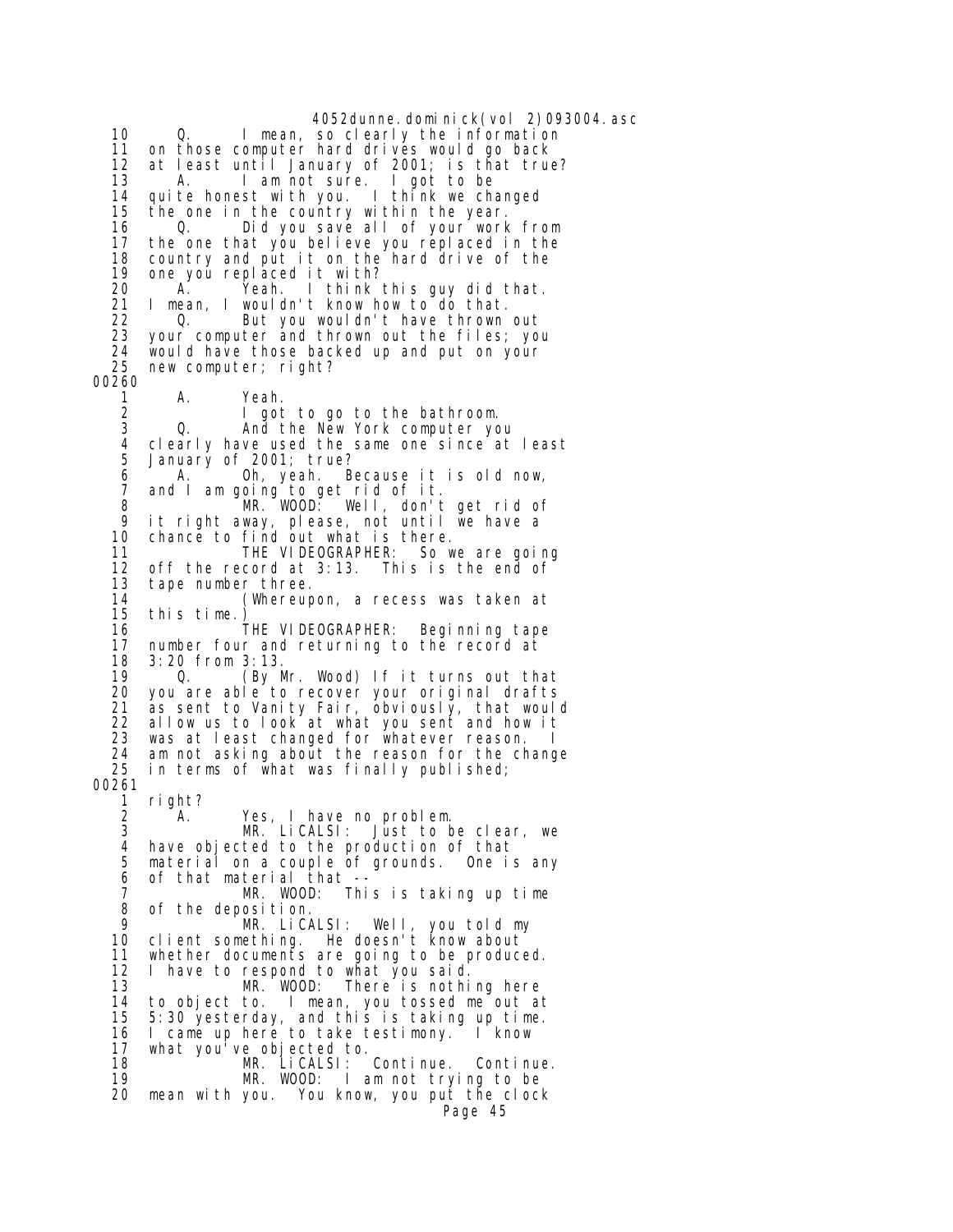4052dunne.dominick(vol 2)093004.asc 10 Q. I mean, so clearly the information 11 on those computer hard drives would go back 12 at least until January of 2001; is that true? 13 A. I am not sure. I got to be 14 quite honest with you. I think we changed 15 the one in the country within the year. 16 0. Did you save all of your work from<br>17 the one that you believe you replaced in the the one that you believe you replaced in the 18 country and put it on the hard drive of the 19 one you replaced it with? 20 A. Yeah. I think this guy did that.<br>21 I mean. I wouldn't know how to do that. I mean, I wouldn't know how to do that. 22 Q. But you wouldn't have thrown out 23 your computer and thrown out the files; you 24 would have those backed up and put on your new computer; right? 00260 1 A. Yeah.<br>2 I got 2 I got to go to the bathroom. 3 Q. And the New York computer you 4 clearly have used the same one since at least<br>5 January of 2001; true? January of 2001; true? 6 A. Oh, yeah. Because it is old now, 7 and I am going to get rid of it. 8 MR. WOOD: Well, don't get rid of<br>9 it right away please not until we have a 9 it right away, please, not until we have a chance to find out what is there. 11 THE VIDEOGRAPHER: So we are going<br>12 off the record at 3:13. This is the end of 12 off the record at 3:13. This is the end of 13 tape number three.<br>14 (Whereup 14 (Whereupon, a recess was taken at 15 this time.) 16 THE VIDEOGRAPHER: Beginning tape number four and returning to the record at 18 3:20 from 3:13.<br>19 0. (By M 0. (By Mr. Wood) If it turns out that 20 you are able to recover your original drafts as sent to Vanity Fair, obviously, that would 22 allow us to look at what you sent and how it 23 was at least changed for whatever reason. 24 am not asking about the reason for the change  $25$  in terms of what was finally published; in terms of what was finally published; 00261 1 right? 2 A. Yes, I have no problem.<br>3 MR. LiCALSI: Just to b 3 MR. LiCALSI: Just to be clear, we 4 have objected to the production of that 5 material on a couple of grounds. One is any 6 of that material that -- 7 MR. WOOD: This is taking up time 8 of the deposition.<br>9 MR LiCA 9 MR. LiCALSI: Well, you told my 10 client something. He doesn't know about<br>11 whether documents are going to be produce whether documents are going to be produced. 12 I have to respond to what you said. 13 MR. WOOD: There is nothing here<br>14 to obiect to. I mean, you tossed me out a 14 to object to. I mean, you tossed me out at<br>15 5:30 yesterday, and this is taking up time. 15 5:30 yesterday, and this is taking up time. 16 I came up here to take testimony. I know 17 what you've objected to. MR. LiCALSI: Continue. Continue. 19 MR. WOOD: I am not trying to be 20 mean with you. You know, you put the clock Page 45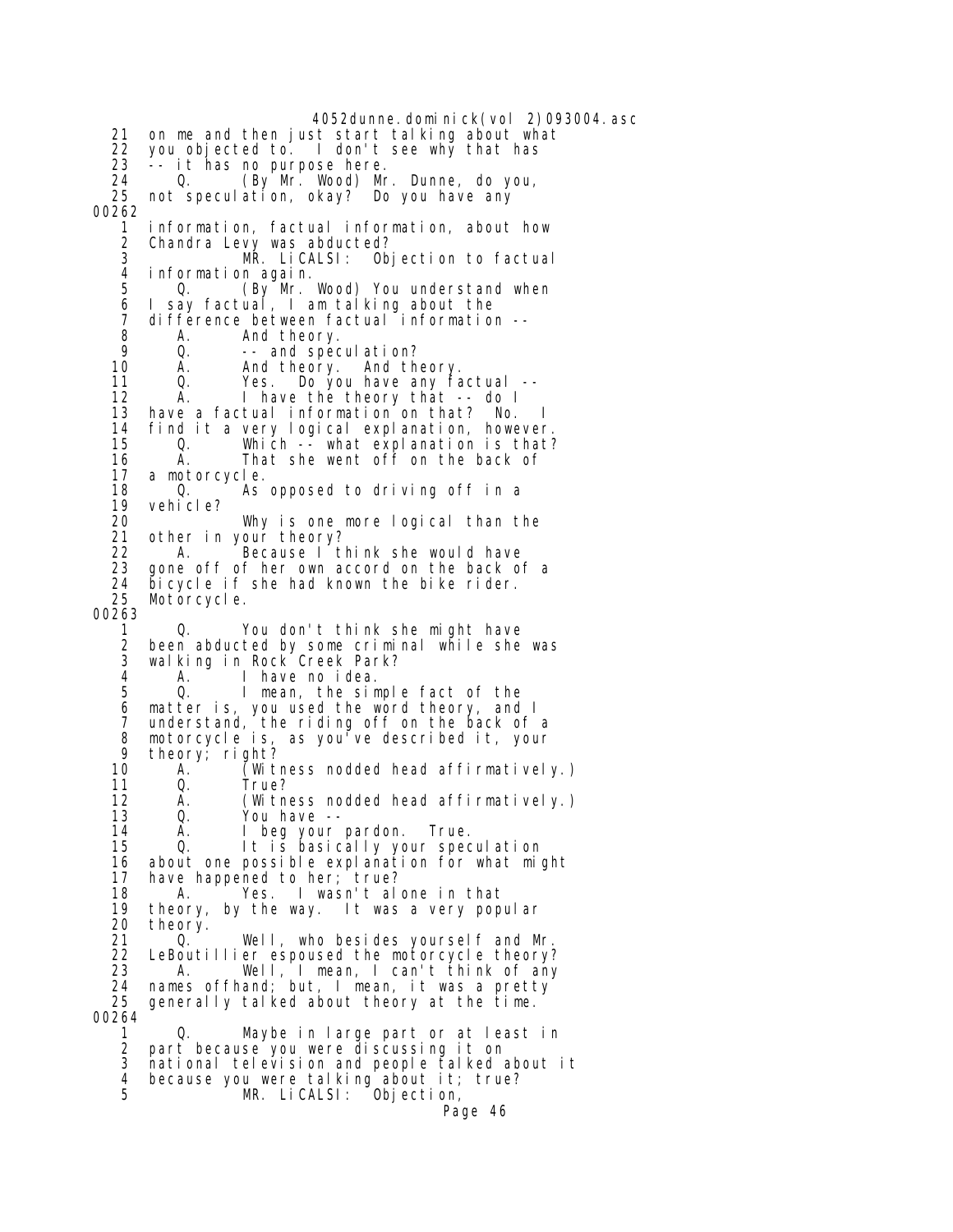4052dunne.dominick(vol 2)093004.asc 21 on me and then just start talking about what 22 you objected to. I don't see why that has 23 -- it has no purpose here.<br>24 0. (By Mr. Wood) Mr 24 Q. (By Mr. Wood) Mr. Dunne, do you, 25 not speculation, okay? Do you have any 00262 1 information, factual information, about how 2 Chandra Levy was abducted? MR. LiCALSI: Objection to factual 4 information again. 5 Q. (By Mr. Wood) You understand when 6 I say factual, I am talking about the 7 difference between factual information --8 A. And theory.<br>9 0. -- and spec 9 Q. -- and speculation? 10 A. And theory. And theory.<br>11 Q. Yes. Do you have any fa Yes. Do you have any factual -- 12 A. I have the theory that -- do I 13 have a factual information on that? No. 14 find it a very logical explanation, however. 15 Q. Which -- what explanation is that?<br>16 A. That she went off on the back of That she went off on the back of 17 a motorcycle. 18 Q. As opposed to driving off in a 19 vehicle?<br>20 20 Why is one more logical than the 21 other in your theory?<br>22 A. Because I t 22 A. Because I think she would have<br>23 gone off of her own accord on the back o 23 gone off of her own accord on the back of a<br>24 bicycle if she had known the bike rider. 24 bicycle if she had known the bike rider. Motorcycle. 00263 1 Q. You don't think she might have 2 been abducted by some criminal while she was walking in Rock Creek Park? 4 A. I have no idea. 5 Q. I mean, the simple fact of the 6 matter is, you used the word theory, and I 7 understand, the riding off on the back of a 8 motorcycle is, as you've described it, your 9 theory; right? 10 A. (Witness nodded head affirmatively.) 11 Q. True? A. (Witness nodded head affirmatively.) 13 Q. You have -- 14 A. I beg your pardon. True.<br>15 It is basically your spec 15 Q. It is basically your speculation about one possible explanation for what might 17 have happened to her; true? 18 A. 'Yes. I wasn't alone in that<br>19 theory, by the way. It was a very pop 19 theory, by the way. It was a very popular 20 theory.<br>21 0. 21 Q. Well, who besides yourself and Mr.<br>22 LeBoutillier espoused the motorcycle theory? LeBoutillier espoused the motorcycle theory? 23 A. Well, I mean, I can't think of any 24 names offhand; but, I mean, it was a pretty 25 generally talked about theory at the time. 00264 1 Q. Maybe in large part or at least in 2 part because you were discussing it on 3 national television and people talked about it 4 because you were talking about it; true? MR. LiCALSI: Objection,

Page 46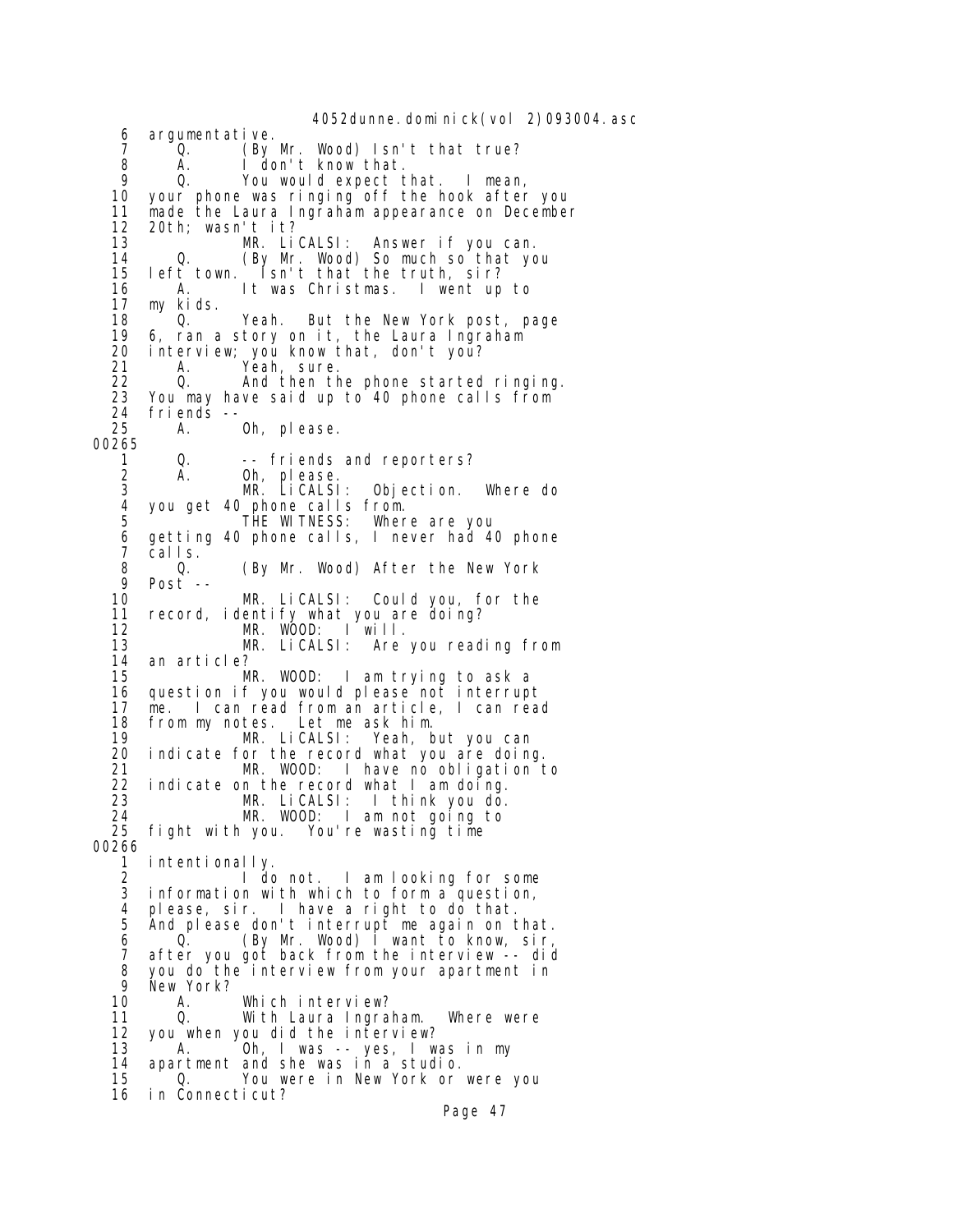4052dunne.dominick(vol 2)093004.asc 6 argumentative. 7 Q. (By Mr. Wood) Isn't that true? 8 A. I don't know that. 9 Q. You would expect that. I mean, 10 your phone was ringing off the hook after you 11 made the Laura Ingraham appearance on December 12 20th; wasn't it?<br>13 MR. LiCALSI: Answer if you can. 14 Q. (By Mr. Wood) So much so that you<br>15 left town. Isn't that the truth, sir? 15 left town. Isn't that the truth, sir?<br>16 A. It was Christmas. I went up 16 A. It was Christmas. I went up to my kids. 18 <sup>O</sup>. Yeah. But the New York post, page 19 6, ran a story on it, the Laura Ingraham<br>20 interview; you know that, don't you? 20 interview; you know that, don't you? 21 A. Yeah, sure. 22 Q. And then the phone started ringing. 23 You may have said up to 40 phone calls from 24 friends -- A. Oh, please. 00265 1 Q. -- friends and reporters? 2 A. Oh, please. 3 MR. LiCALSI: Objection. Where do 4 you get 40 phone calls from.<br>5 THE WITNESS: Wher 5 THE WITNESS: Where are you 6 getting 40 phone calls, I never had 40 phone 7 calls.<br>8 Q. 8 Q. (By Mr. Wood) After the New York 9 Post -- MR. LiCALSI: Could you, for the 11 record, identify what you are doing?<br>12 MR. WOOD: I will. 12 MR. WOOD: I will. MR. LiCALSI: Are you reading from 14 an article? MR. WOOD: I am trying to ask a 16 question if you would please not interrupt me. I can read from an article, I can read 18 from my notes. Let me ask him. 19 MR. LiCALSI: Yeah, but you can 20 indicate for the record what you are doing. 21 MR. WOOD: I have no obligation to 22 indicate on the record what I am doing.<br>23 MR. LiCALSI: I think you do. 1 think you do. 24 MR. WOOD: I am not going to fight with you. You're wasting time 00266 intentionally. 2 I do not. I am looking for some 3 information with which to form a question, 4 please, sir. I have a right to do that. 5 And please don't interrupt me again on that. 6 Q. (By Mr. Wood) I want to know, sir, 7 after you got back from the interview -- did 8 you do the interview from your apartment in 9 New York?<br>10 A. 10 A. Which interview?<br>11 Q. With Laura Ingra 0. With Laura Ingraham. Where were 12 you when you did the interview? 13 A. Oh, I was -- yes, I was in my<br>14 apartment and she was in a studio. apartment and she was in a studio. 15 Q. You were in New York or were you 16 in Connecticut?

Page 47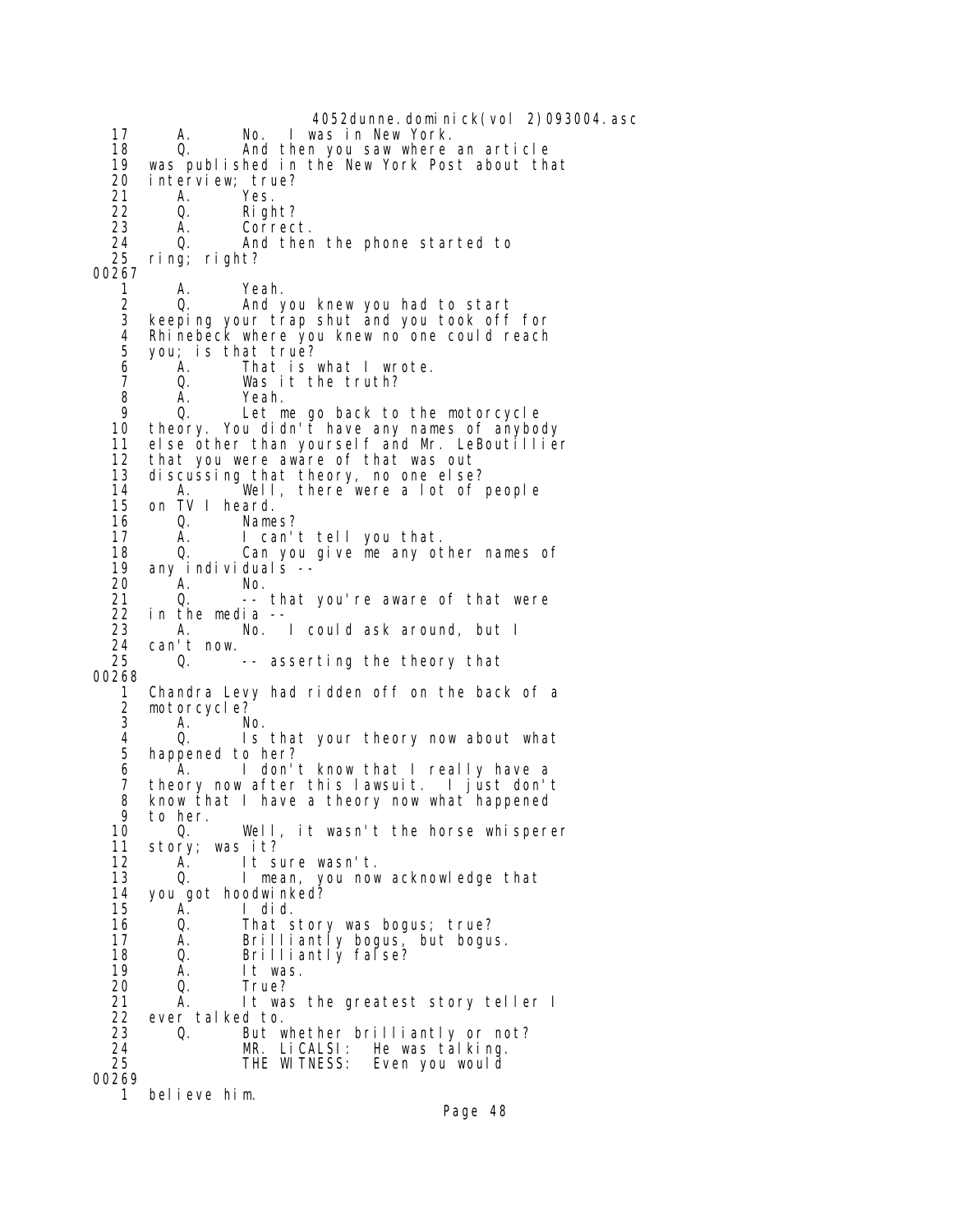4052dunne.dominick(vol 2)093004.asc 17 A. No. I was in New York. 18 Q. And then you saw where an article<br>19 was published in the New York Post about the 19 was published in the New York Post about that 20 interview; true? 21 A. Yes.<br>22 Q. Rig 22 Q. Right? 23 A. Correct. 24 Q. And then the phone started to ring; right? 00267 1 A. Yeah. 2 Q. And you knew you had to start 3 keeping your trap shut and you took off for 4 Rhinebeck where you knew no one could reach 5 you; is that true?<br>6 A. That is 6 A. That is what I wrote. 7 Q. Was it the truth? 8 A. Yeah.<br>9 O. Letm 9 Q. Let me go back to the motorcycle 10 theory. You didn't have any names of anybody 11 else other than yourself and Mr. LeBoutillier<br>12 that you were aware of that was out that you were aware of that was out 13 discussing that theory, no one else? 14 A. Well, there were a lot of people 15 on TV I heard.<br>16 0. Name 16 Q. Names?<br>17 A. I can' I can't tell you that. 18 Q. Can you give me any other names of<br>19 any individuals -- 19 any individuals -- 20 A. No. 21 Q. -- that you're aware of that were<br>22 in the media --22 in the media<br>23 A. No. 23 A. No. I could ask around, but I 24 can't now. -- asserting the theory that 00268 1 Chandra Levy had ridden off on the back of a 2 motorcycle?<br>3 A N 3 A. No. 4 Q. Is that your theory now about what happened to her? 6 <sup>A</sup>. I don't know that I really have a<br>7 theory now after this lawsuit I iust don't theory now after this lawsuit. I just don't 8 know that I have a theory now what happened<br>9 to her 9 to her.<br>10 0. 10 Q. Well, it wasn't the horse whisperer<br>11 story; was it? 11 story; was it? It sure wasn't. 13 Q. I mean, you now acknowledge that 14 you got hoodwinked? 15 A. I did. 16 Q. That story was bogus; true?<br>17 A. Brilliantly bogus, but bogus 17 A. Brilliantly bogus, but bogus. 18 Q. Brilliantly false? 19 A. It was. 20 Q. True? 21 A. It was the greatest story teller I 22 ever talked to. 23 Q. But whether brilliantly or not?<br>24 MR. LiCALSI: He was talking. 24 MR. LiCALSI: He was talking.<br>25 THE WITNESS: Even you would Even you would 00269 1 believe him.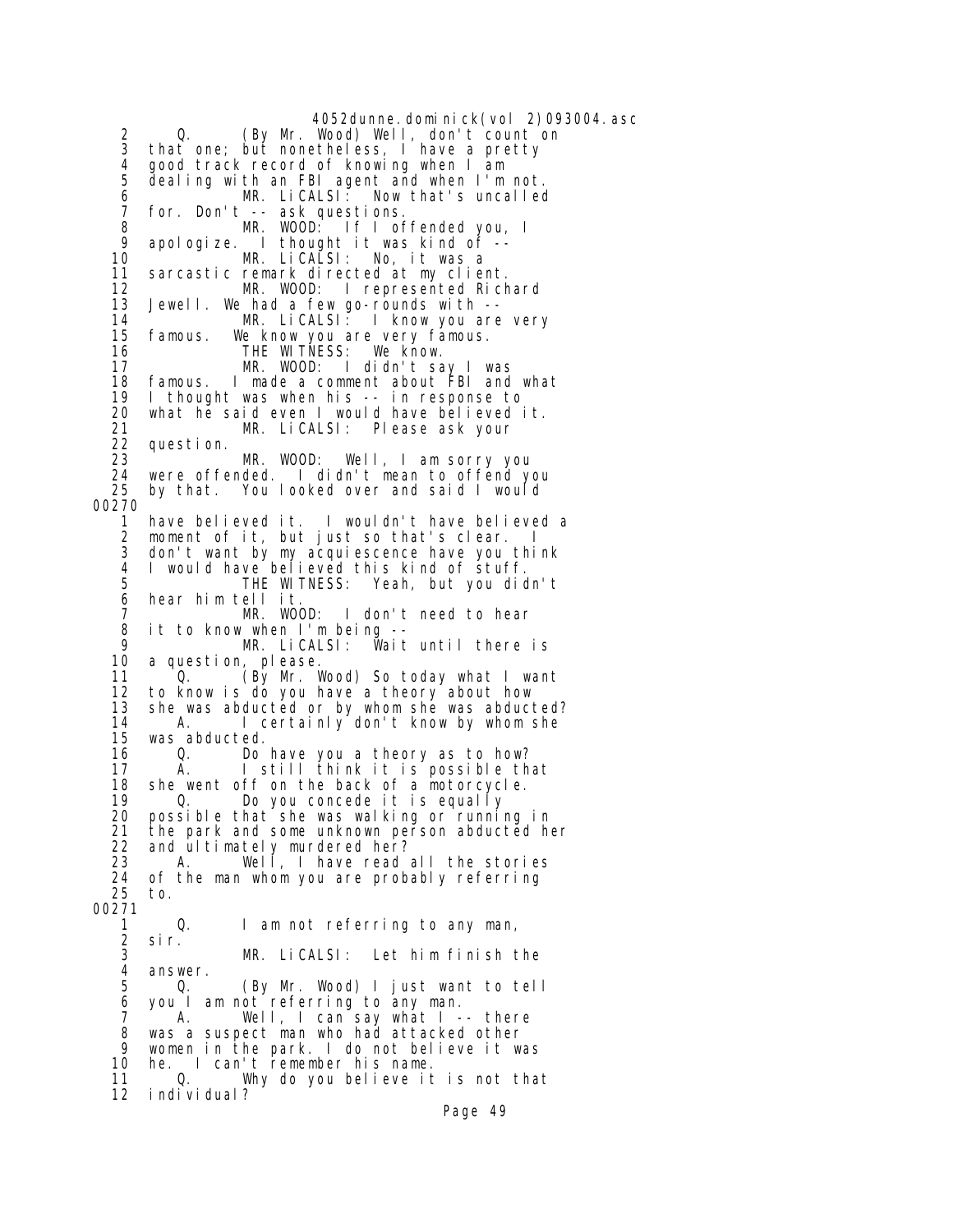4052dunne.dominick(vol 2)093004.asc 2 Q. (By Mr. Wood) Well, don't count on 3 that one; but nonetheless, I have a pretty 4 good track record of knowing when I am dealing with an FBI agent and when I'm not.<br>MR. LiCALSI: Now that's uncalled 6 MR. LiCALSI: Now that's uncalled 7 for. Don't -- ask questions. 8 MR. WOOD: If I offended you, I 9 apologize. I thought it was kind of -- MR. LiCALSI: No, it was a 11 sarcastic remark directed at my client.<br>12 MR. WOOD: I represented Rich 12 MR. WOOD: I represented Richard<br>13 Jewell. We had a few go-rounds with --Jewell. We had a few go-rounds with -- 14 MR. LiCALSI: I know you are very 15 famous. We know you are very famous. 16 THE WITNESS: We know.<br>17 MR. WOOD: I didn't sa 17 MR. WOOD: I didn't say I was<br>18 famous. I made a comment about FBI and I made a comment about FBI and what 19 I thought was when his -- in response to 20 what he said even I would have believed it. 21 MR. LiCALSI: Please ask your 22 question. MR. WOOD: Well, I am sorry you 24 were offended. I didn't mean to offend you by that. You looked over and said I would 00270 1 have believed it. I wouldn't have believed a 2 moment of it, but just so that's clear.<br>3 don't want by my acquiescence have you : 3 don't want by my acquiescence have you think 4 I would have believed this kind of stuff. 5 THE WITNESS: Yeah, but you didn't 6 hear him tell it. 7 MR. WOOD: I don't need to hear 8 it to know when I'm being -- 9 MR. LiCALSI: Wait until there is a question, please. 11 Q. (By Mr. Wood) So today what I want 12 to know is do you have a theory about how she was abducted or by whom she was abducted? 14 A. I certainly don't know by whom she was abducted. 16 Q. Do have you a theory as to how? 17 A. I still think it is possible that 18 she went off on the back of a motorcycle. 19 Q. Do you concede it is equally 20 possible that she was walking or running in 21 the park and some unknown person abducted her  $22$  and ultimately murdered her? 22 and ultimately murdered her? A. Well, I have read all the stories 24 of the man whom you are probably referring 25 to. 00271 1 Q. I am not referring to any man,<br>2 sir. 2 sir. MR. LiCALSI: Let him finish the 4 answer.<br>5 Q. 5 Q. (By Mr. Wood) I just want to tell 6 you I am not referring to any man. 7 A. Well, I can say what I -- there 8 was a suspect man who had attacked other 9 women in the park. I do not believe it was 10 he. I can't remember his name. 11 Q. Why do you believe it is not that 12 individual?

Page 49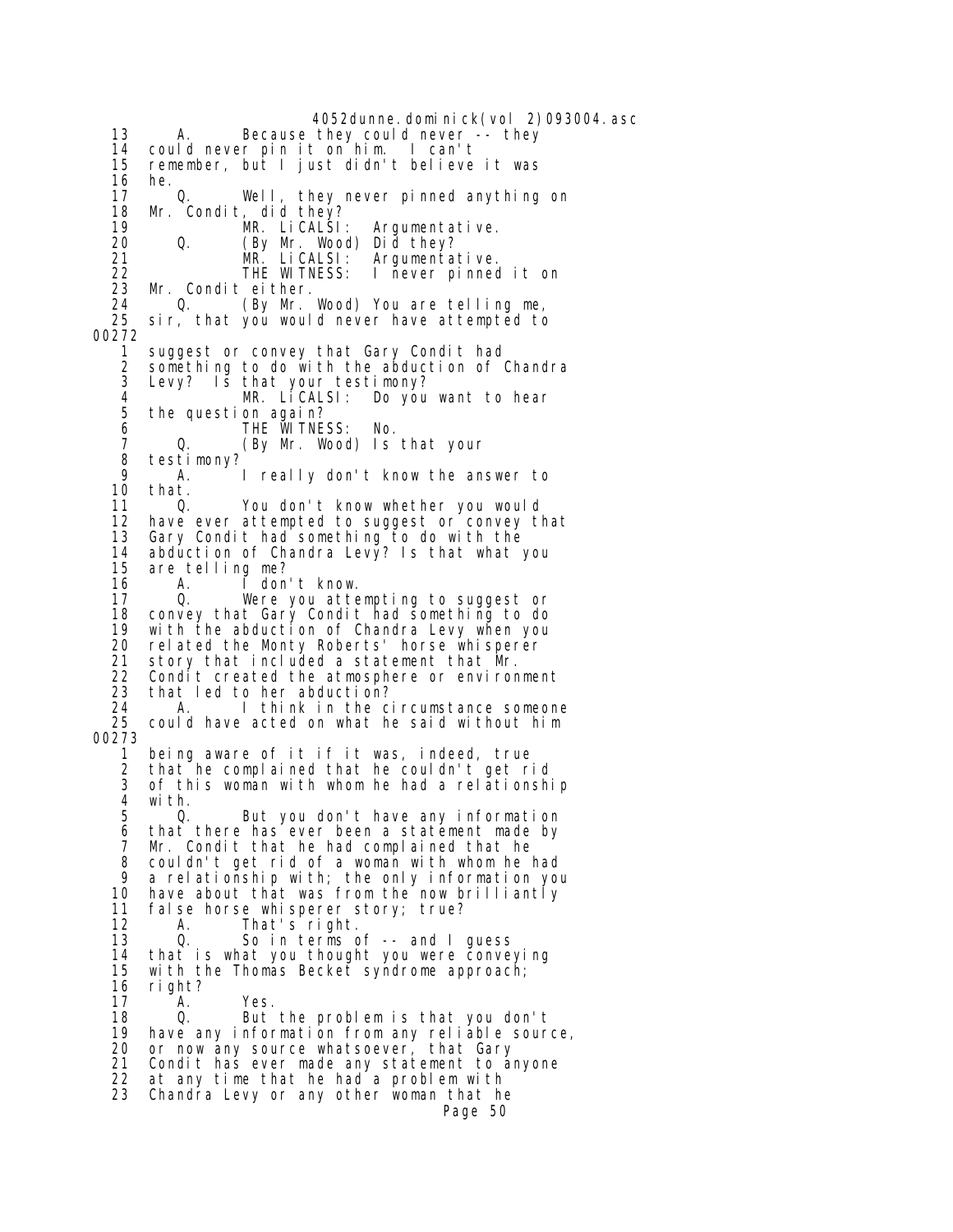4052dunne.dominick(vol 2)093004.asc 13 A. Because they could never -- they 14 could never pin it on him. I can't remember, but I just didn't believe it was 16 he. 17 Q. Well, they never pinned anything on 18 Mr. Condit, did they? 19 MR. LiCALSI: Argumentative. 20 Q. (By Mr. Wood) Did they? 21 MR. LiCALSI: Argumentative. 22 THE WITNESS: I never pinned it on<br>23 Mr. Condit either. 23 Mr. Condit either. 24 Q. (By Mr. Wood) You are telling me, sir, that you would never have attempted to 00272 1 suggest or convey that Gary Condit had 2 something to do with the abduction of Chandra<br>3 Levy? Is that your testimony? Levy? Is that your testimony?<br>MR. LiCALSI: Do you 4 MR. LiCALSI: Do you want to hear the question again? 6 THE WITNESS: No. 7 Q. (By Mr. Wood) Is that your 8 testimony?<br>9 A 9 A. I really don't know the answer to<br>10 that. 10 that.<br>11 0. 11 Q. You don't know whether you would<br>12 have ever attempted to suggest or convey th 12 have ever attempted to suggest or convey that<br>13 Gary Condit had something to do with the Gary Condit had something to do with the 14 abduction of Chandra Levy? Is that what you<br>15 are telling me? 15 are telling me?<br>16 A. I don 16 A. I don't know. 17 Q. Were you attempting to suggest or 18 convey that Gary Condit had something to do<br>19 with the abduction of Chandra Levy when you 19 with the abduction of Chandra Levy when you rel ated the Monty Roberts' horse whisperer 21 story that included a statement that Mr. 22 Condit created the atmosphere or environment 23 that led to her abduction? 24 A. I think in the circumstance someone could have acted on what he said without him 00273 1 being aware of it if it was, indeed, true 2 that he complained that he couldn't get rid<br>3 of this woman with whom he had a relationshi of this woman with whom he had a relationship 4 with. 5 Q. But you don't have any information 6 that there has ever been a statement made by<br>7 Mr. Condit that he had complained that he 7 Mr. Condit that he had complained that he<br>8 couldn't get rid of a woman with whom he l 8 couldn't get rid of a woman with whom he had 9 a relationship with; the only information you 10 have about that was from the now brilliantly 11 false horse whisperer story; true?<br>12 A. That's right. 12 A. That's<sup>'</sup>right.<br>13 O. Sointerms.c 13 Q. So in terms of -- and I guess<br>14 that is what you thought you were conver that is what you thought you were conveying 15 with the Thomas Becket syndrome approach; 16 right?<br>17 A. 17 A. Yes. 18 Q. But the problem is that you don't 19 have any information from any reliable source, 20 or now any source whatsoever, that Gary 21 Condit has ever made any statement to anyone 22 at any time that he had a problem with 23 Chandra Levy or any other woman that he Page 50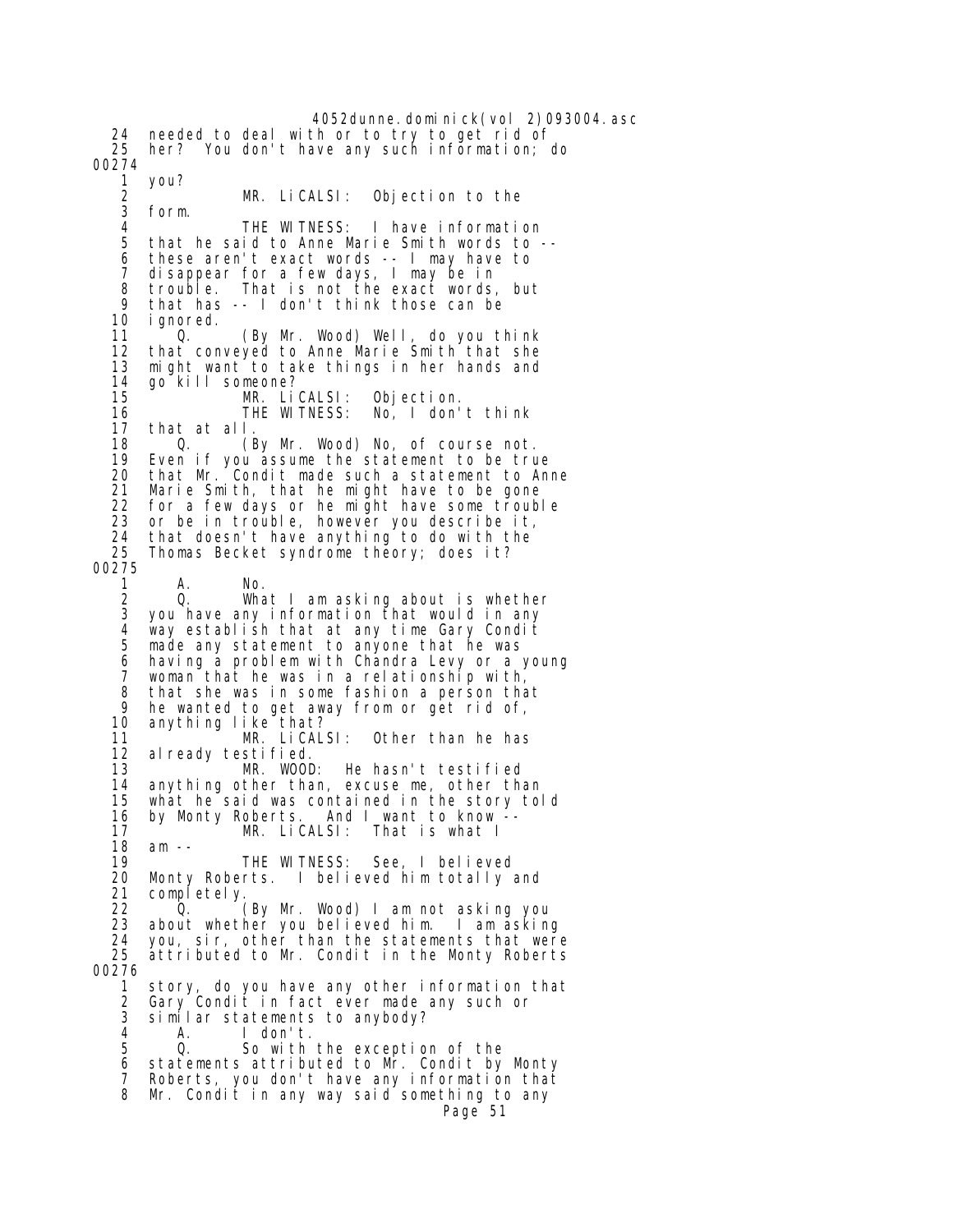4052dunne.dominick(vol 2)093004.asc 24 needed to deal with or to try to get rid of 25 her? You don't have any such information; do 00274 1 you? 2 MR. LiCALSI: Objection to the form. 4 THE WITNESS: I have information 5 that he said to Anne Marie Smith words to -- 6 these aren't exact words -- I may have to 7 disappear for a few days, I may be in 8 trouble. That is not the exact words, but<br>9 that has -- I don't think those can be 9 that has -- I don't think those can be i gnored. 11 <sup>o</sup> Q. (By Mr. Wood) Well, do you think 12 that conveyed to Anne Marie Smith that she<br>13 might want to take things in her hands and 13 might want to take things in her hands and 14 go<sup>-</sup>kill someone?<br>15 MR. Li MR. LiCALSI: Objection.<br>THE WITNESS: No, I don' 16 THE WITNESS: No, I don't think 17 that at all. 18 Q. (By Mr. Wood) No, of course not.<br>19 Even if you assume the statement to be tru 19 Even if you assume the statement to be true 20 that Mr. Condit made such a statement to Anne 21 Marie Smith, that he might have to be gone<br>22 for a few days or he might have some troub 22 for a few days or he might have some trouble<br>23 or be in trouble, however you describe it. 23 or be in trouble, however you describe it,<br>24 that doesn't have anything to do with the 24 that doesn't have anything to do with the<br>25 Thomas Becket syndrome theory: does it? Thomas Becket syndrome theory; does it? 00275 1 A. No. 2 Q. What I am asking about is whether you have any information that would in any 4 way establish that at any time Gary Condit made any statement to anyone that he was 6 having a problem with Chandra Levy or a young 7 woman that he was in a relationship with, 8 that she was in some fashion a person that<br>9 he wanted to get away from or get rid of 9 he wanted to get away from or get rid of,<br>10 anything like that? anything like that? 11 <sup>MR.</sup> LiCALSI: Other than he has<br>12 already testified. 12 already testified.<br>13 MR. WOOD: 13 MR. WOOD: He hasn't testified<br>14 anything other than excuse me other than anything other than, excuse me, other than 15 what he said was contained in the story told 16 by Monty Roberts. And I want to know -- 17 MR. LiCALSI: That is what I 18 am -- THE WITNESS: See, I believed 20 Monty Roberts. I believed him totally and 21 completely.<br>22 0. 22 Q. (By Mr. Wood) I am not asking you about whether you believed him. I am asking 24 you, sir, other than the statements that were attributed to Mr. Condit in the Monty Roberts 00276 1 story, do you have any other information that 2 Gary Condit in fact ever made any such or<br>3 similar statements to anybody? similar statements to anybody? 4 A. I don't. 5 Q. So with the exception of the 6 statements attributed to Mr. Condit by Monty Roberts, you don't have any information that 8 Mr. Condit in any way said something to any Page 51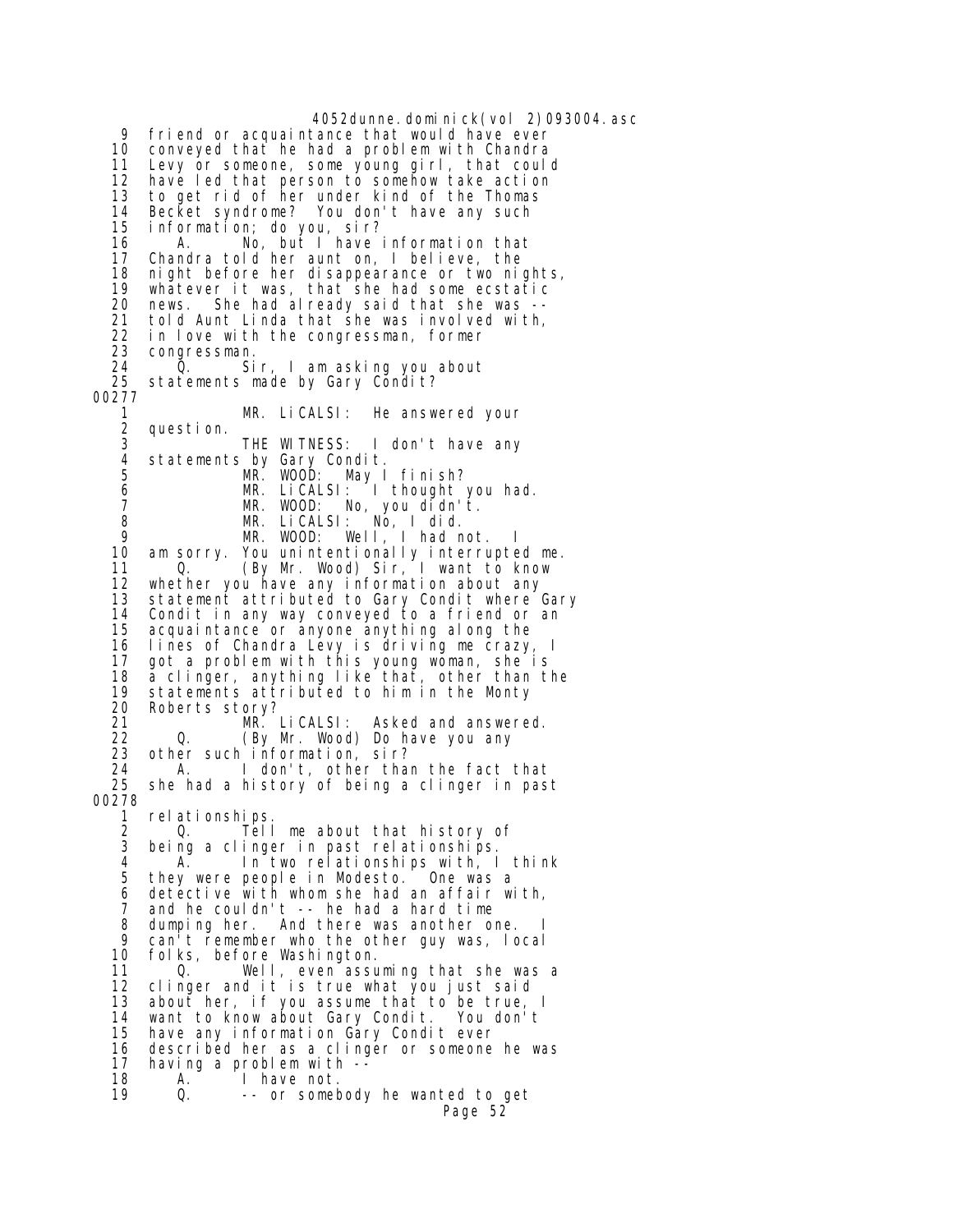4052dunne.dominick(vol 2)093004.asc 9 friend or acquaintance that would have ever 10 conveyed that he had a problem with Chandra<br>11 Levy or someone, some young girl, that coul 11 Levy or someone, some young girl, that could 12 have led that person to somehow take action 13 to get rid of her under kind of the Thomas 14 Becket syndrome? You don't have any such 15 information; do you, sir? A. No, but I have information that 17 Chandra told her aunt on, I believe, the 18 night before her disappearance or two nights,<br>19 whatever it was, that she had some ecstatic 19 whatever it was, that she had some ecstatic news. She had already said that she was --21 told Aunt Linda that she was involved with,<br>22 in love with the congressman, former 22 in love with the congressman, former<br>23 congressman. 23 congressman.<br>24 O Si 24 Q. Sir, I am asking you about statements made by Gary Condit? 00277 1 MR. LiCALSI: He answered your 2 question. 3 THE WITNESS: I don't have any 4 statements by Gary Condit. 5 MR. WOOD: May I finish? 6 MR. LiCALSI: I thought you had. 7 MR. WOOD: No, you didn't. 8 MR. LICALSI: NÓ, I did.<br>9 MR. WOOD: Well I had n MR. WOOD: Well, I had not. 10 am sorry. You unintentionally interrupted me. 11 Q. (By Mr. Wood) Sir, I want to know 12 whether you have any information about any 13 statement attributed to Gary Condit where Gary 14 Condit in any way conveyed to a friend or an 15 acquaintance or anyone anything along the 16 lines of Chandra Levy is driving me crazy, I 17 got a problem with this young woman, she is<br>18 a clinger, anything like that, other than th 18 a clinger, anything like that, other than the<br>19 statements attributed to him in the Monty 19 statements attributed to him in the Monty<br>20 Roberts storv? 20 Roberts story?<br>21 MR. I 21 MR. LiCALSI: Asked and answered.<br>22 O. (By Mr. Wood) Do have you any 22 Q. (By Mr. Wood) Do have you any 23 other such information, sir?<br>24 A. I don't other tha 24 A. I don't, other than the fact that<br>25 she had a history of being a clinger in pas she had a history of being a clinger in past 00278 1 relationships. 2 Q. Tell me about that history of<br>3 being a clinger in past relationships. 3 being a clinger in past relationships. In two relationships with, I think 5 they were people in Modesto. One was a 6 detective with whom she had an affair with, 7 and he couldn't -- he had a hard time 8 dumping her. And there was another one.<br>9 can't remember who the other guy was lo 9 can't remember who the other guy was, local<br>10 folks, before Washington. folks, before Washington. 11 Q. Well, even assuming that she was a 12 clinger and it is true what you just said 13 about her, if you assume that to be true, I want to know about Gary Condit. 15 have any information Gary Condit ever<br>16 described her as a clinger or someone described her as a clinger or someone he was 17 having a problem with --<br>18 A. I have not. 18 A. I have not.<br>19 Q. -- or somet -- or somebody he wanted to get Page 52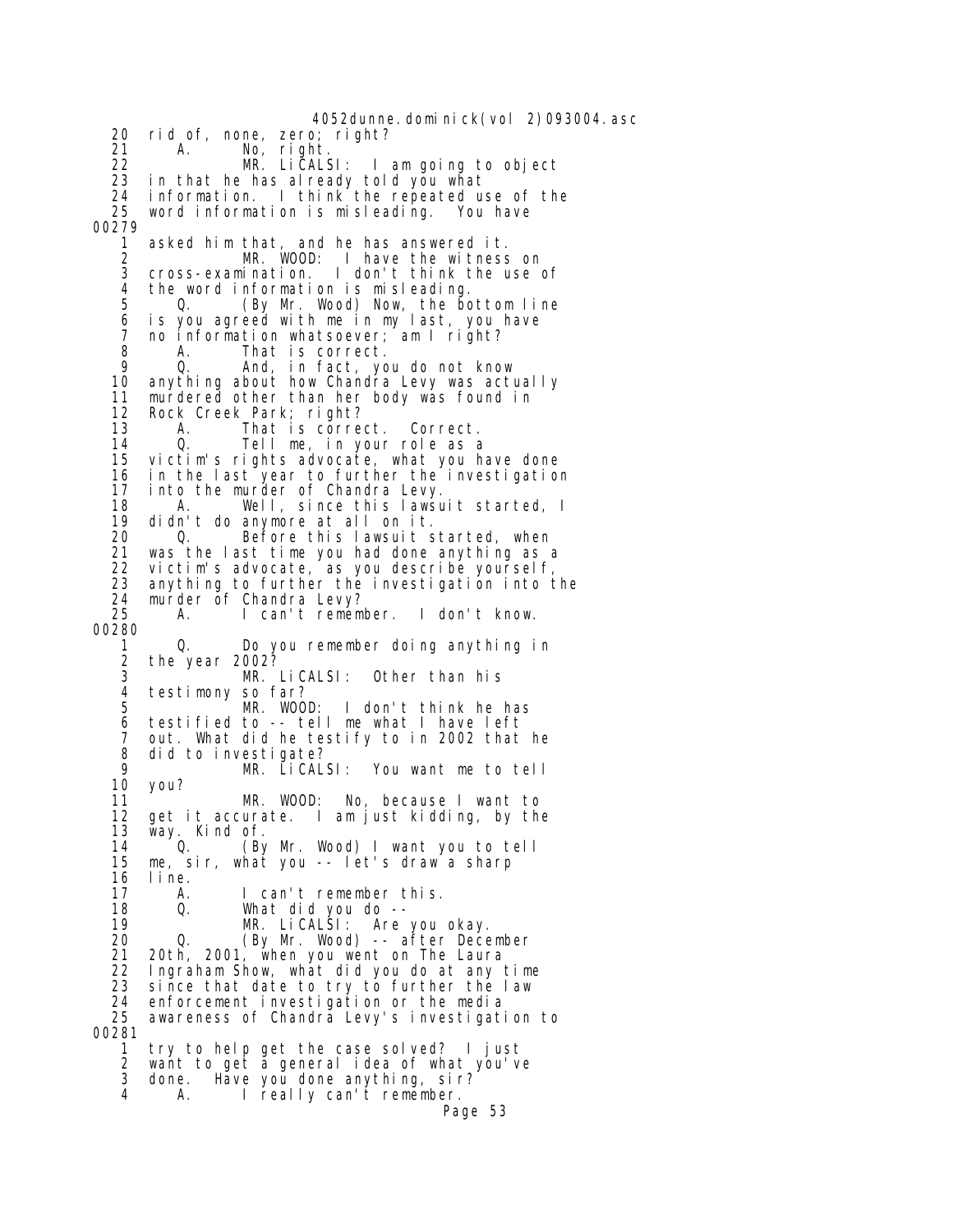4052dunne.dominick(vol 2)093004.asc 20 rid of, none, zero; right? 21 A. No, right. 22 MR. LiCALSI: I am going to object<br>23 in that he has already told you what 23 in that he has already told you what 24 information. I think the repeated use of the 25 word information is misleading. You have 00279 1 asked him that, and he has answered it. 2 MR. WOOD: I have the witness on 3 cross-examination. I don't think the use of 4 the word information is misleading.<br>5 0. (By Mr. Wood) Now, the bo 5 Q. (By Mr. Wood) Now, the bottom line 6 is you agreed with me in my last, you have 7 no information whatsoever; am I right? 8 A. That is correct. 9 Q. And, in fact, you do not know 10 anything about how Chandra Levy was actually 11 murdered other than her body was found in 12 Rock Creek Park; right? 13 A. That is correct. Correct. 14 Q. Tell me, in your role as a 15 victim's rights advocate, what you have done 16 in the last year to further the investigation 17 into the murder of Chandra Levy. 18 A. Well, since this lawsuit started, I<br>19 didn't do anymore at all on it. 19 didn't do anymore at all on it. Before this lawsuit started, when 21 was the last time you had done anything as a 22 victim's advocate, as you describe yourself, anything to further the investigation into the 24 murder of Chandra Levy?<br>25 A. I can't remem A. I can't remember. I don't know. 00280 1 Q. Do you remember doing anything in 2 the year 2002?<br>3 MR. MR. LiCALSI: Other than his 4 testimony so far?<br>5 MR. WOO 5 MR. WOOD: I don't think he has 6 testified to -- tell me what I have left 7 out. What did he testify to in 2002 that he 8 did to investigate?<br>9 MR. LiCAL 9 MR. LiCALSI: You want me to tell you? 11 MR. WOOD: No, because I want to 12 get it accurate. I am just kidding, by the 13 way. Kind of.<br>14 0. (By 14 Q. (By Mr. Wood) I want you to tell me, sir, what you -- let's draw a sharp 16 line.<br>17 A. 17 A. I can't remember this. 18 Q. What did you do -- 19 MR. LiCALSI: Are you okay. 20 Q. (By Mr. Wood) -- after December 20th, 2001, when you went on The Laura 22 Ingraham Show, what did you do at any time since that date to try to further the law 24 enforcement investigation or the media awareness of Chandra Levy's investigation to 00281 1 try to help get the case solved? I just 2 want to get a general idea of what you've done. Have you done anything, sir?<br>4. I really can't remember. 4 A. I really can't remember. Page 53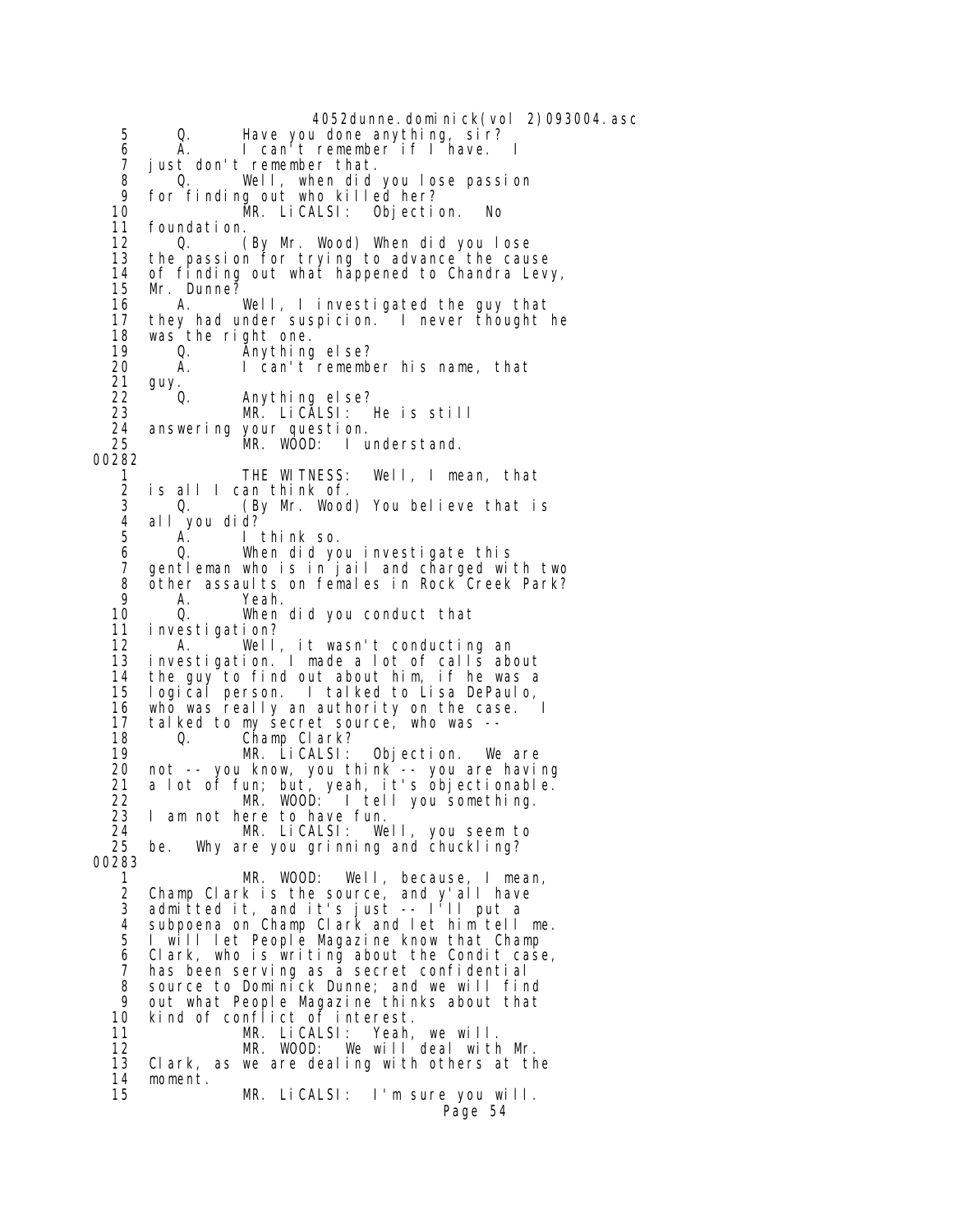4052dunne.dominick(vol 2)093004.asc 5 Q. Have you done anything, sir? 6 A. I can't remember if I have. I 7 just don't remember that. 8 Q. Well, when did you lose passion 9 for finding out who killed her? 10 MR. LiCALSI: Objection. No 11 foundation.<br>12 0. 0. (By Mr. Wood) When did you lose 13 the passion for trying to advance the cause 14 of finding out what happened to Chandra Levy, 15 Mr. Dunne? 16 A. Well, I investigated the guy that they had under suspicion. I never thought he 18 was the right one.<br>19 0. Anything 19 Q. Anything else? 20 A. I can't remember his name, that<br>21 auv. 21 guy.<br>22 0. 22 Q. Anything else? 23 MR. LiCALSI: He is still 24 answering your question.<br>25 MR. WOOD: I u MR. WOOD: I understand. 00282 1 THE WITNESS: Well, I mean, that 2 is all I can think of.<br>3 0. (By Mr. Wood 3 Q. (By Mr. Wood) You believe that is 4 all you did? I think so. 6 Q. When did you investigate this 7 gentleman who is in jail and charged with two 8 other assaults on females in Rock Creek Park?<br>9  $\mu$  Yeah 9 A. Yeah. 10 Q. When did you conduct that 11 investigation? A. Well, it wasn't conducting an 13 investigation. I made a lot of calls about 14 the guy to find out about him, if he was a 15 logical person. I talked to Lisa DePaulo, 16 who was really an authority on the case.<br>17 talked to my secret source, who was --17 talked to my secret source, who was --<br>18 0. Champ Clark? 18 Q. Champ Clark? 19 MR. LiCALSI: Objection. We are 20 not -- you know, you think -- you are having 21 a lot of fun; but, yeah, it's objectionable. 22 MR. WOOD: I tell you something. 23 I am not here to have fun.<br>24 MR. LiCALSI: We 24 MR. LiCALSI: Well, you seem to<br>25 be. Why are you grinning and chuckling? be. Why are you grinning and chuckling? 00283 1 MR. WOOD: Well, because, I mean, 2 Champ Clark is the source, and y'all have 3 admitted it, and it's just -- I'll put a 4 subpoena on Champ Clark and let him tell me. 5 I will let People Magazine know that Champ 6 Clark, who is writing about the Condit case, 7 has been serving as a secret confidential 8 source to Dominick Dunne; and we will find 9 out what People Magazine thinks about that 10 kind of conflict of interest. 11 MR. LiCALSI: Yeah, we will.<br>12 MR. WOOD: We will deal wit 12 MR. WOOD: We will deal with Mr.<br>13 Clark, as we are dealing with others at th Clark, as we are dealing with others at the 14 moment. MR. LiCALSI: I'm sure you will. Page 54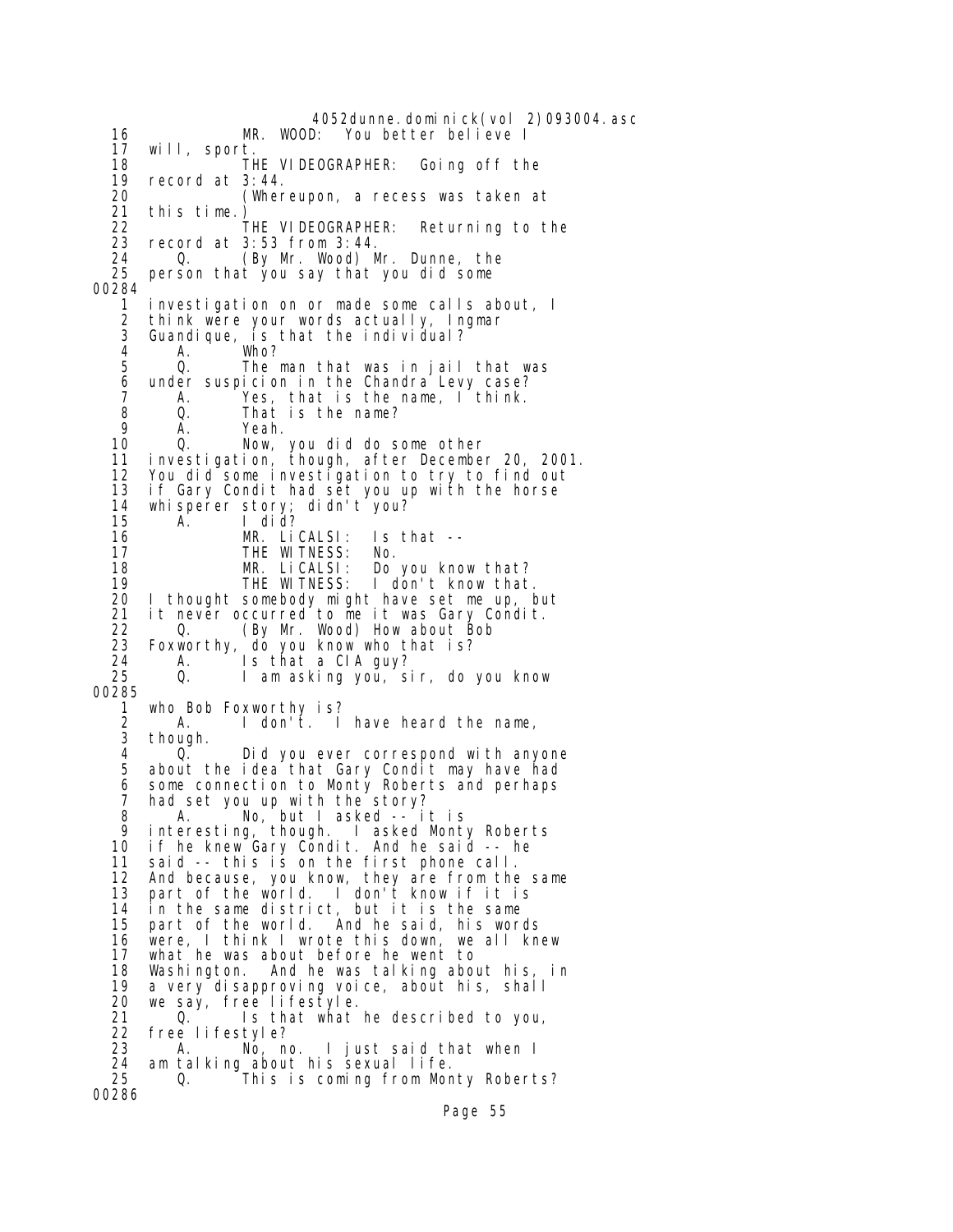4052dunne.dominick(vol 2)093004.asc<br>MR. WOOD: You better believe I 16 MR. WOOD: You better believe I 17 will, sport. 18 THE VIDEOGRAPHER: Going off the 19 record at 3:44. 19 record at 3:44.<br>20 (Wher 20 (Whereupon, a recess was taken at 21 this time.) 22 THE VIDEOGRAPHER: Returning to the<br>23 record at 3:53 from 3:44. 23 record at 3:53 from 3:44. 24 Q. (By Mr. Wood) Mr. Dunne, the<br>25 person that you say that you did some 25 person that you say that you did some 00284 1 investigation on or made some calls about, I 2 think were your words actually, Ingmar 3 Guandique, is that the individual? 4 A. Who? 5 Q. The man that was in jail that was 6 under suspicion in the Chandra Levy case?<br>7 A. Yes, that is the name, I think. A. Yes, that is the name, I think. 8 Q. That is the name?<br>9 A. Yeah. 9 A. Yeah.<br>10 O. Now. 10 Q. Now, you did do some other 11 investigation, though, after December 20, 2001. 12 You did some investigation to try to find out 13 if Gary Condit had set you up with the horse 14 whisperer story; didn't you? 15 A. I did? MR. LiCALSI: Is that -- 17 THE WITNESS: No. 18 MR. LiCALSI: Do you know that? 19 THE WITNESS: I don't know that.<br>20 I thought somebody might have set me up, b 20 I thought somebody might have set me up, but 21 it never occurred to me it was Gary Condit. 22 Q. (By Mr. Wood) How about Bob Foxworthy, do you know who that is? 24 A. Is that a CIA guy?<br>25 Q. I am asking you, s 1 am asking you, sir, do you know 00285 1 who Bob Foxworthy is? 2 A. I don't. I have heard the name,<br>3 though. though. 4 Q. Did you ever correspond with anyone about the idea that Gary Condit may have had 6 some connection to Monty Roberts and perhaps 7 had set you up with the story? 8 A. No, but I asked -- it is 9 interesting, though. I asked Monty Roberts 10 if he knew Gary Condit. And he said -- he 11 said -- this is on the first phone call. 12 And because, you know, they are from the same 13 part of the world. I don't know if it is 14 in the same district, but it is the same<br>15 part of the world. And he said, his wor And he said, his words 16 were, I think I wrote this down, we all knew what he was about before he went to 18 Washington. And he was talking about his, in 19 a very disapproving voice, about his, shall 20 we say, free lifestyle. 21 Q. Is that what he described to you,<br>22 free lifestyle? 22 free lifestyle? 23 A. No, no. I just said that when I<br>24 am talking about his sexual life. 24 am talking about his sexual life.<br>25 0. This is coming from Mor Q. This is coming from Monty Roberts? 00286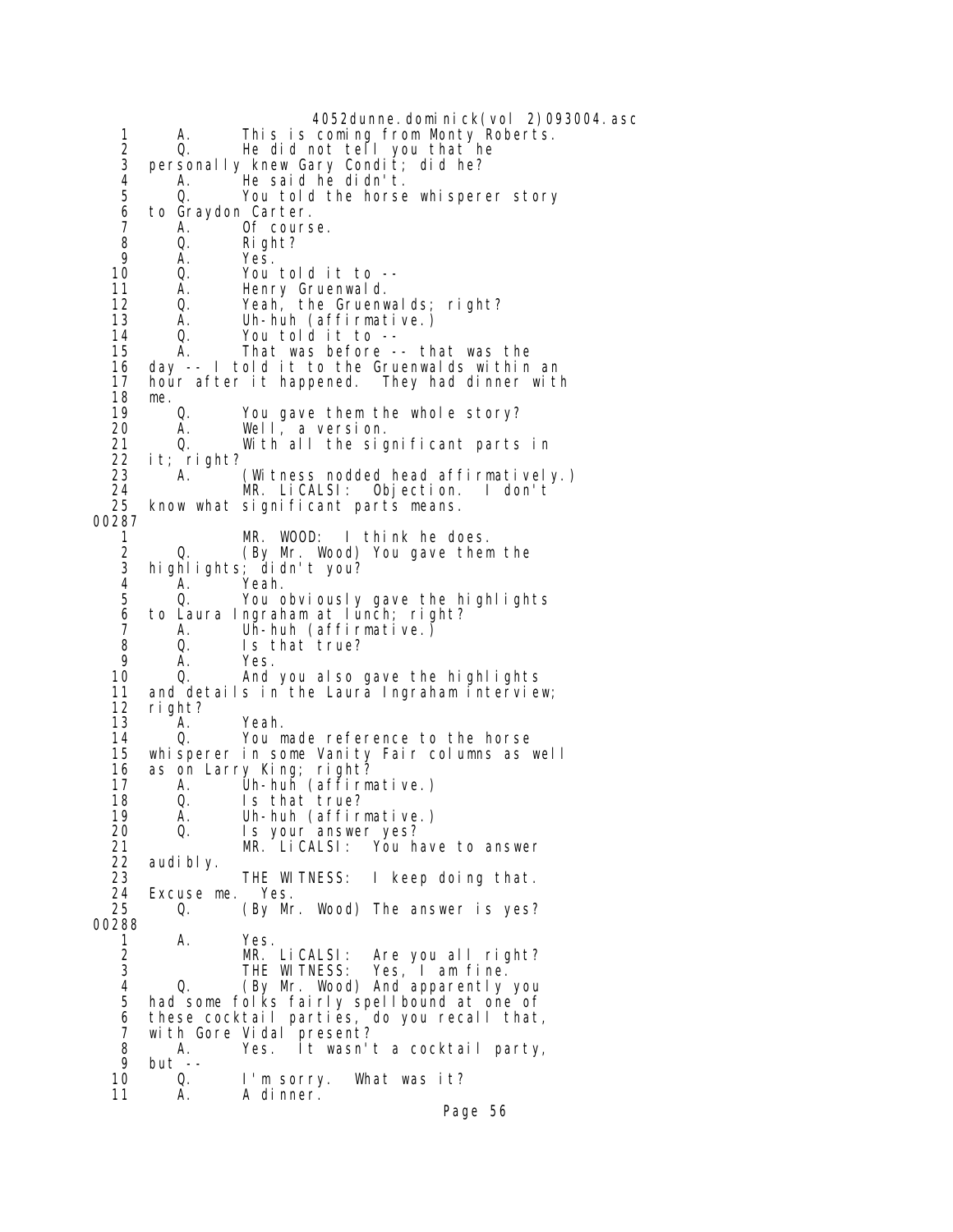4052dunne.dominick(vol 2)093004.asc 1 A. This is coming from Monty Roberts. 2 Q. He did not tell you that he 2 Q. He did not tell you that h<br>3 personally knew Gary Condit; did he?<br>4 A. He said he didn't. 4 A. He said he didn't.<br>5 0. You told the horse Q. You told the horse whisperer story 6 to Graydon Carter. 7 A. Of course.<br>8 Q. Right? 8 Q. Right?<br>9 A. Yes. 9 A. Yes. 10 Q. You told it to -- 11 A. Henry Gruenwald. 12 Q. Yeah, the Gruenwalds; right? 13 A. Uh-huh (affirmative.) 14 Q. You told it to -<br>15 A. That was before 15 A. That was before -- that was the 16 day -- I told it to the Gruenwalds within an hour after it happened. They had dinner with 18 me.<br>19 0. 19 Q. You gave them the whole story? 20 A. Well, a version. 21  $Q_i$  With all the significant parts in  $22$  it; right? 22 it; right? 23 A. (Witness nodded head affirmatively.)<br>24 MR. LiCALSI: Obiection. I don't 24 MR. LiCALSI: Objection. I don't know what significant parts means. 00287 1 MR. WOOD: I think he does. 2 Q. (By Mr. Wood) You gave them the 3 highlights; didn't you? 4 A. Yeah. 0. You obviously gave the highlights 6 to Laura Ingraham at lunch; right? 7 A. Uh-huh (affirmative.) 8 Q. Is that true? 9 A. Yes.<br>10 Q. And 0. And you also gave the highlights 11 and details in the Laura Ingraham interview; 12 right? 13 A. Yeah. 14 Q. You made reference to the horse 15 whisperer in some Vanity Fair columns as well 16 as on Larry King; right? 17 A. Uh-huh (affirmative.) 18 Q. Is that true?<br>19 A. Uh-huh (affirm 19 A. Uh-huh (affirmative.) 20 Q. Is your answer yes? 21 MR. LiCALSI: You have to answer 22 audi bl y.<br>23 23 THE WITNESS: I keep doing that.<br>24 Excuse me. Yes. 24 Excuse me. Yes. Q. (By Mr. Wood) The answer is yes? 00288 1 A. Yes.<br>2 MR. LiCALSI: 2 MR. LiCALSI: Are you all right? 3 THE WITNESS: Yes, I am fine. 4 Q. (By Mr. Wood) And apparently you<br>5 had some folks fairly spellbound at one of had some folks fairly spellbound at one of 6 these cocktail parties, do you recall that, 7 with Gore Vidal present? 8 A. Yes. It wasn't a cocktail party, 8 A.<br>9 but --<br>10 Q. 0. I'm sorry. What was it?<br>A. A dinner. 11 A. A dinner.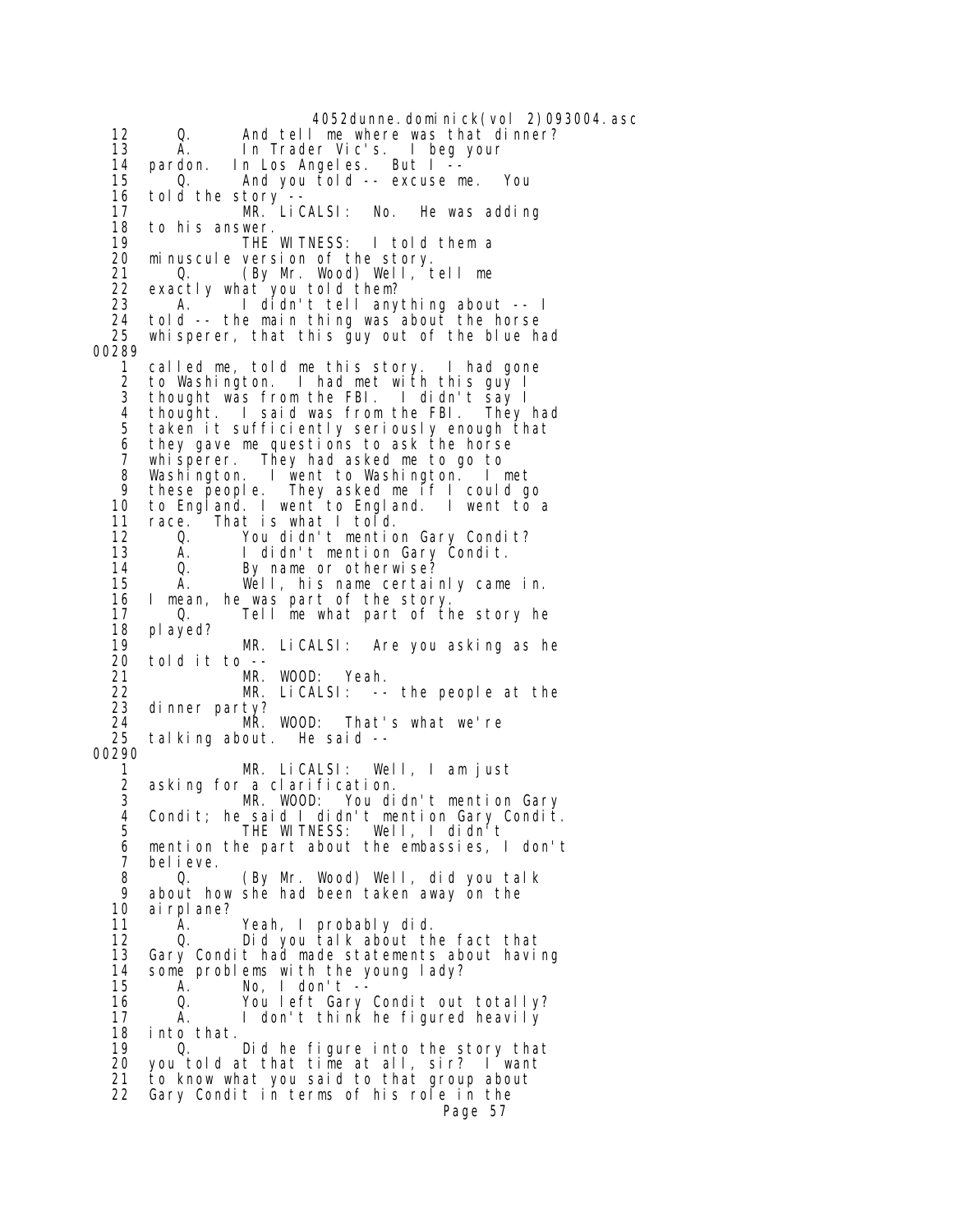4052dunne.dominick(vol 2)093004.asc 12 Q. And tell me where was that dinner? 13 A. In Trader Vic's. I beg your 14 pardon. In Los Angeles. But I -- 15 Q. And you told -- excuse me. You 16 told the story -- 17 MR. LiCALSI: No. He was adding 18 to his answer.<br>19 THE WITNESS: 19 THE WITNESS: I told them a<br>20 minuscule version of the story. 20 minuscule version of the story.<br>21 0. (By Mr. Wood) Well, t 21 Q. (By Mr. Wood) Well, tell me<br>22 exactly what you told them? 22 exactly what you told them? 1 didn't tell anything about -- I 24 told -- the main thing was about the horse whisperer, that this guy out of the blue had 00289 1 called me, told me this story. I had gone I had met with this guy I 3 thought was from the FBI. I didn't say I 4 thought. I said was from the FBI. They had 5 taken it sufficiently seriously enough that<br>6 they gave me questions to ask the horse 6 they gave me questions to ask the horse<br>7 whisperer They had asked me to go to 7 whisperer. They had asked me to go to 8 Washington. I went to Washington. I met 9 these people. They asked me if I could go 10 to England. I went to England. I went to a 11 race. That is what I told.<br>12 0. You didn't mentio You didn't mention Gary Condit? 13 A. I didn't mention Gary Condit.<br>14 0. By name or otherwise? 14 Q. By name or otherwise? 15 A. Well, his name certainly came in.<br>16 I mean, he was part of the story. 16 I mean, he was part of the story. 17 Q. Tell me what part of the story he 18 played? MR. LiCALSI: Are you asking as he 20 told it to -- 21 MR. WOOD: Yeah. 22 MR. LiCALSI: -- the people at the 23 dinner party? 24 MR. WOOD: That's what we're talking about. He said  $-$ 00290 1 MR. LiCALSI: Well, I am just 2 asking for a clarification. MR. WOOD: You didn't mention Gary 4 Condit; he said I didn't mention Gary Condit. 5 THE WITNESS: Well, I didn't<br>6 mention the part about the embassies, 6 mention the part about the embassies, I don't bel i eve. 8 Q. (By Mr. Wood) Well, did you talk 9 about how she had been taken away on the<br>10 airplane? 10 airplane?<br>11 A. 11 A. Yeah, I probably did. 12 Q. Did you talk about the fact that<br>13 Gary Condit had made statements about havi Gary Condit had made statements about having 14 some problems with the young lady?<br>15 A. No. I don't -- 15 A. No, I don't -- 16 Q. You left Gary Condit out totally? 17 A. I don't think he figured heavily 18 into that.<br>19 0 19 Q. Did he figure into the story that you told at that time at all, sir? I want 21 to know what you said to that group about 22 Gary Condit in terms of his role in the Page 57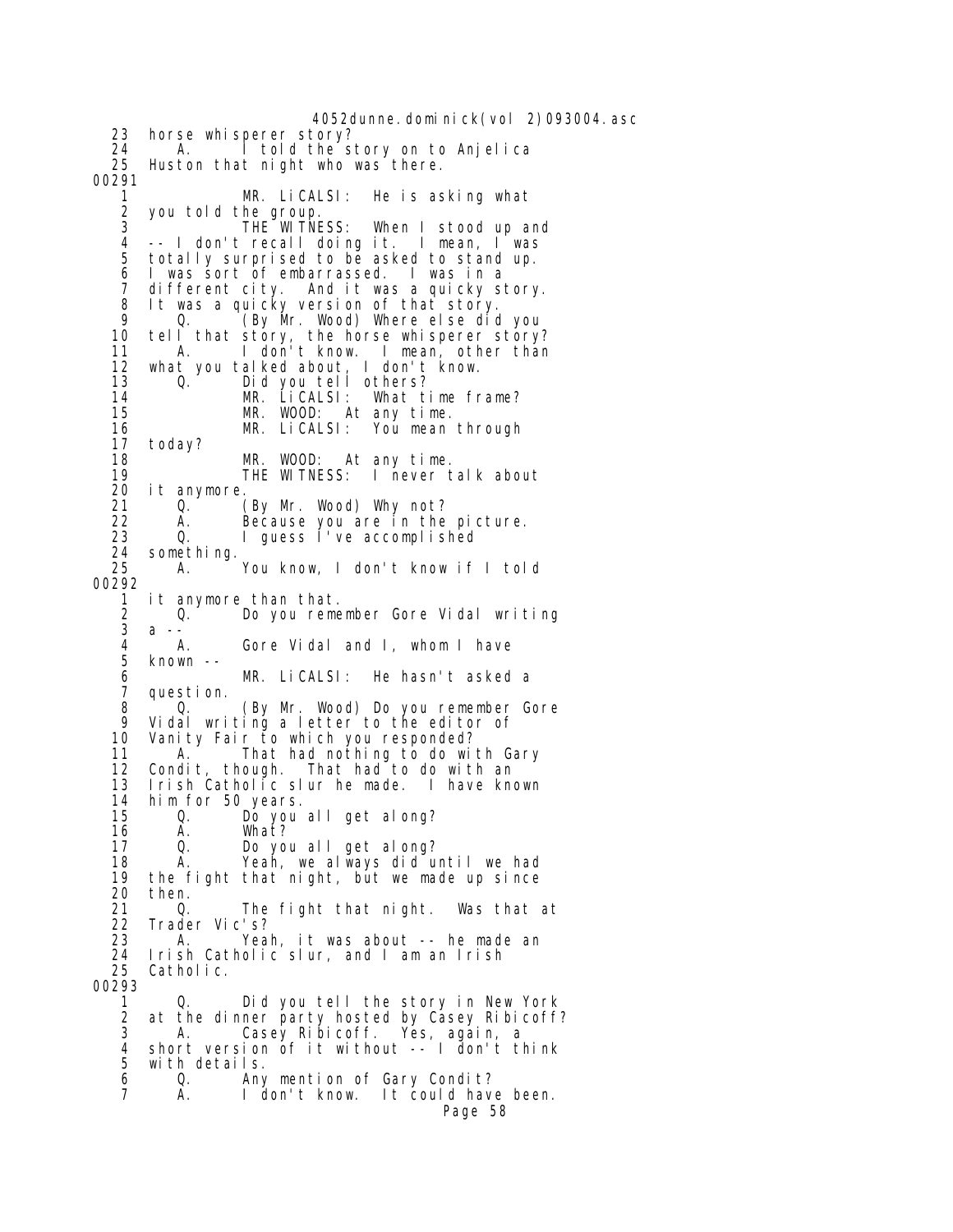4052dunne.dominick(vol 2)093004.asc 23 horse whisperer story? 24 A. I told the story on to Anjelica<br>25 Huston that night who was there. Huston that night who was there. 00291 1 MR. LiCALSI: He is asking what 2 you told the group. 3 THE WITNESS: When I stood up and 4 -- I don't recall doing it. I mean, I was totally surprised to be asked to stand up. 6 I was sort of embarrassed. I was in a 7 different city. And it was a quicky story. 8 It was a quicky version of that story. 9 Q. (By Mr. Wood) Where else did you 10 tell that story, the horse whisperer story? 11 A. I don't know. I mean, other than 12 what you talked about, I don't know.<br>13 0. Did you tell others? 13 Q. Did you tell others?<br>14 MR. LiCALSI: What t 14 MR. LiCALSI: What time frame? MR. WOOD: At any time.<br>MR. LiCALSI: You mean 16 MR. LiCALSI: You mean through 17 today? MR. WOOD: At any time.<br>THE WITNESS: I never t 19 THE WITNESS: I never talk about 20 it anymore. 21 Q. (By Mr. Wood) Why not?<br>22 A. Because you are in the 22 A. Because you are in the picture.<br>23 0. I quess I've accomplished I guess I've accomplished 24 something.<br>25 A. A. You know, I don't know if I told 00292 1 it anymore than that. 2 Q. Do you remember Gore Vidal writing<br>3 a -- 3 a -- 4 A. Gore Vidal and I, whom I have  $known --$  6 MR. LiCALSI: He hasn't asked a 7 question. 8 Q. (By Mr. Wood) Do you remember Gore 9 Vidal writing a letter to the editor of Vanity Fair to which you responded? 11 A. That had nothing to do with Gary 12 Condit, though. That had to do with an 13 Irish Catholic slur he made. I have known 14 him for 50 years. 15 Q. Do you all get along?<br>16 A. What? 16 A. What?<br>17 Q. Do\_yo 17 Q. Do you all get along? A. Yeah, we always did until we had 19 the fight that night, but we made up since 20 then.<br>21 0. 21 Q. The fight that night. Was that at 22 Trader Vic's? 23 A. Yeah, it was about -- he made an 24 Irish Catholic slur, and I am an Irish Catholic. 00293 1 Q. Did you tell the story in New York<br>2 at the dinner party hosted by Casey Ribicoff 2 at the dinner party hosted by Casey Ribicoff?<br>3 A Casey Ribicoff Yes again a 3 A. Casey Ribicoff. Yes, again, a 4 short version of it without -- I don't think 5 with details. 6 Q. Any mention of Gary Condit? I don't know. It could have been. Page 58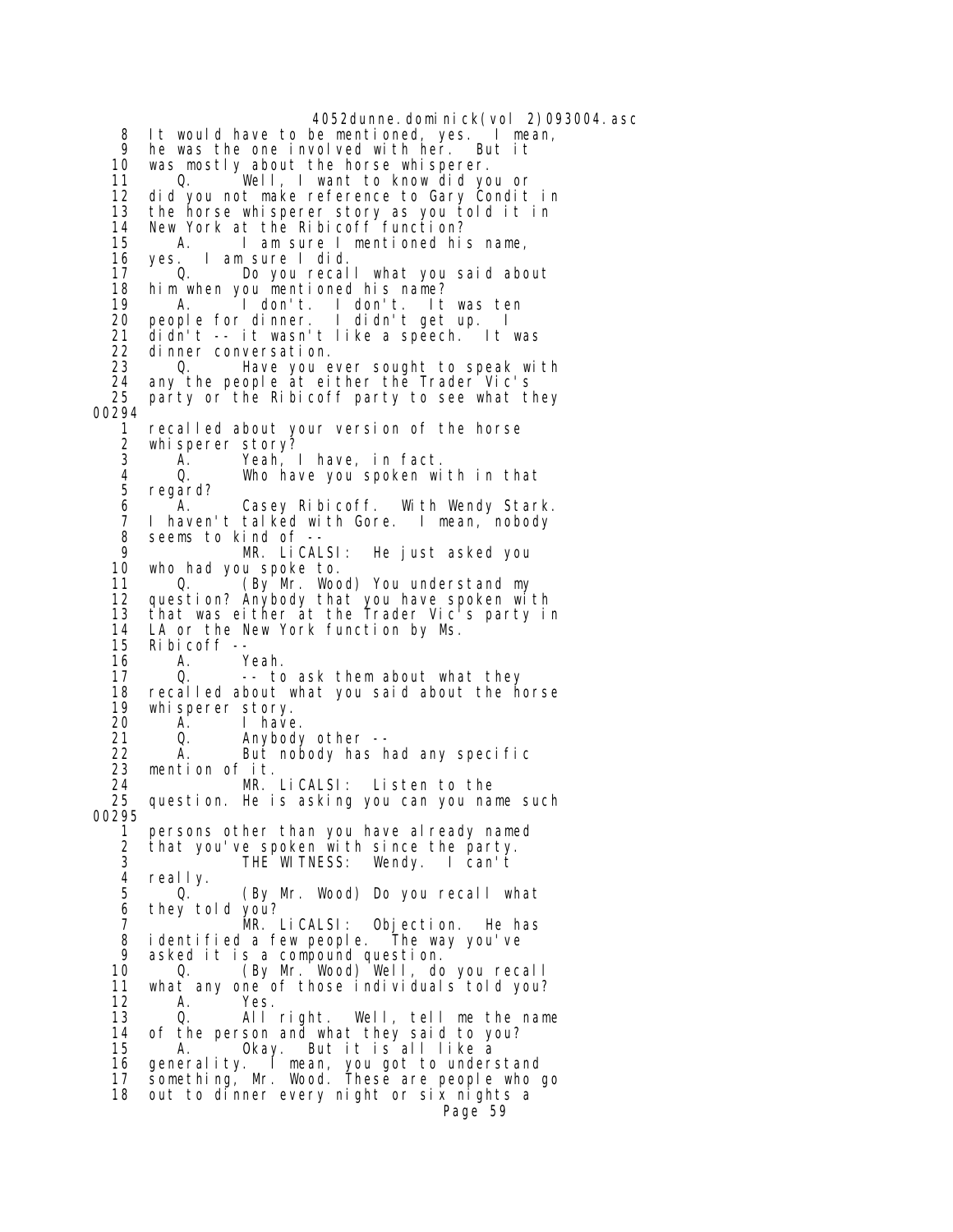4052dunne.dominick(vol 2)093004.asc 8 It would have to be mentioned, yes. I mean, 9 he was the one involved with her. But it<br>10 was mostly about the horse whisperer. 10 was mostly about the horse whisperer.<br>11 0. Well, I want to know did yo Well, I want to know did you or 12 did you not make reference to Gary Condit in 13 the horse whisperer story as you told it in 14 New York at the Ribicoff function? 15 A. I am sure I mentioned his name, 16 yes. I am sure I did. 17 Q. Do you recall what you said about 18 him when you mentioned his name? 19 A. I don't. I don't. It was ten 20 people for dinner. I didn't get up. I 21 didn't -- it wasn't like a speech. It was<br>22 dinner conversation. 22 dinner conversation. 23  $\alpha$  Bave you ever sought to speak with  $24$  any the people at either the Irader Vic's 24 any the people at either the Trader Vic's<br>25 party or the Ribicoff party to see what t party or the Ribicoff party to see what they 00294<br>1 1 recalled about your version of the horse 2 whisperer story?<br>3 A. Yeah, Yeah, I have, in fact. 4 Q. Who have you spoken with in that 5 regard? 6 T. Casey Ribicoff. With Wendy Stark.<br>The haven't talked with Gore. I mean, nobody 7 I haven't talked with Gore. I mean, nobody 8 seems to kind of --<br>9 MR LICAL 9 MR. LiCALSI: He just asked you 10 who had you spoke to. 0. **(By Mr. Wood) You understand my**  12 question? Anybody that you have spoken with 13 that was either at the Trader Vic's party in 14 LA or the New York function by Ms.<br>15 Ribicoff -- $Ri \text{ bi coff } -$ <br>A. Y 16 A. Yeah.<br>17 Q. -- to -- to ask them about what they 18 recalled about what you said about the horse 19 whisperer story. 20 A. I have.<br>21 Q. Anybody 21 Q. Anybody other -- 22 A. But nobody has had any specific 23 mention of it. 24 MR. LiCALSI: Listen to the question. He is asking you can you name such 00295 1 persons other than you have already named 2 that you've spoken with since the party. THE WITNESS: Wendy. I can't 4 really.<br>5  $0.$ 0. (By Mr. Wood) Do you recall what  $6$  they told you?<br> $7$  7 MR. LiCALSI: Objection. He has 8 identified a few people. The way you've 9 asked it is a compound question. 10 Q. (By Mr. Wood) Well, do you recall 11 what any one of those individuals told you?<br>12 1. A. Yes. 12 A. Yes. 13 Q. All right. Well, tell me the name 14 of the person and what they said to you? 15 A. Okay. But it is all like a 16 generality. I mean, you got to understand 17 something, Mr. Wood. These are people who go 18 out to dinner every night or six nights a Page 59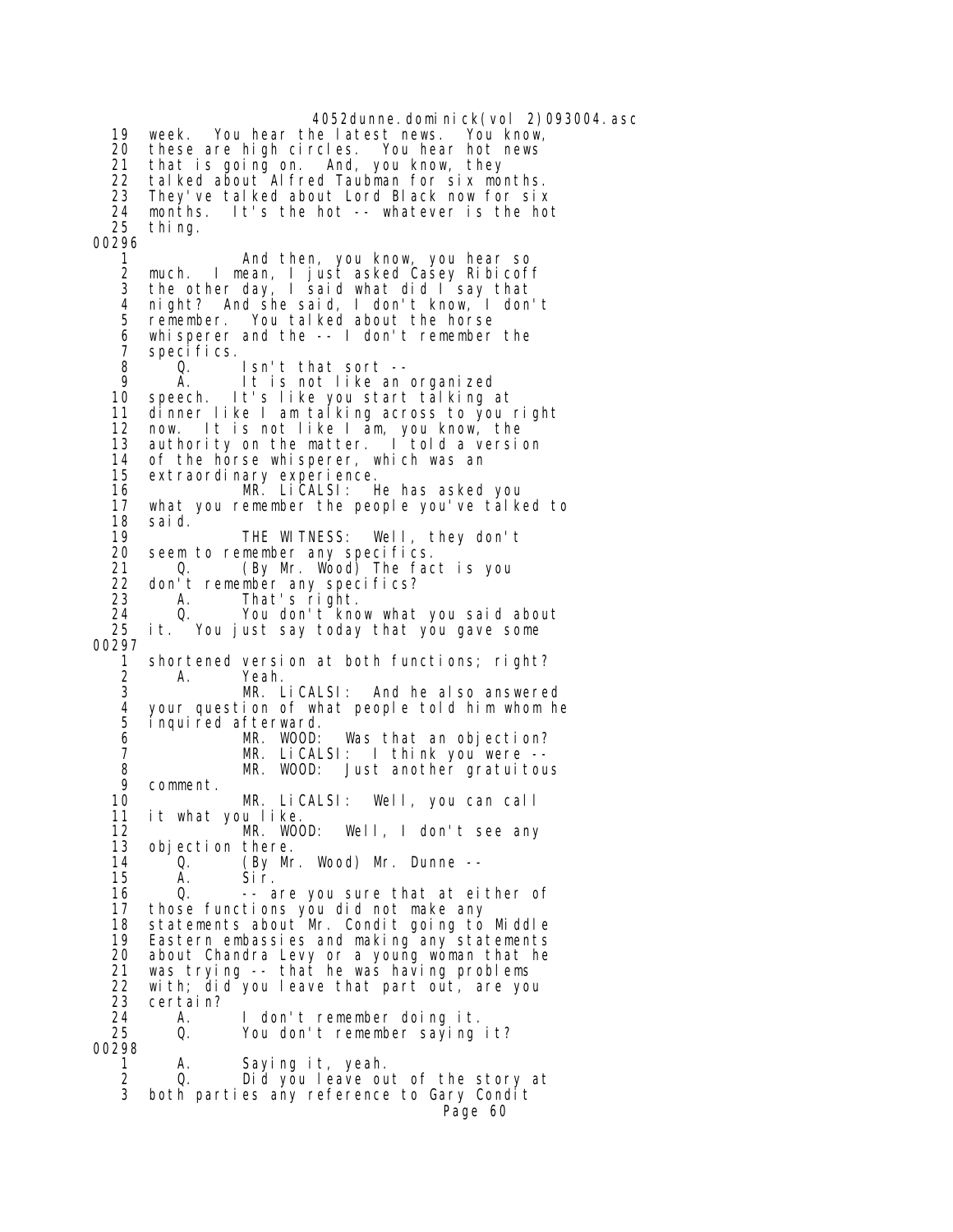4052dunne.dominick(vol 2)093004.asc<br>helatest news. You know, 19 week. You hear the latest news. 20 these are high circles. You hear hot news that is going on. And, you know, they 22 talked about Alfred Taubman for six months.<br>23 They've talked about Lord Black now for six 23 They've talked about Lord Black now for six 24 months. It's the hot -- whatever is the hot thing. 00296 1 And then, you know, you hear so 2 much. I mean, I just asked Casey Ribicoff 3 the other day, I said what did I say that 4 night? And she said, I don't know, I don't remember. You talked about the horse 6 whisperer and the -- I don't remember the 7 specifics.<br>8 0. 8 Q. Isn't that sort -- 9 A. It is not like an organized<br>10 speech. It's like you start talking speech. It's like you start talking at 11 dinner like I am talking across to you right 12 now. It is not like I am, you know, the 13 authority on the matter. I told a version 14 of the horse whisperer, which was an 15 extraordinary experience. 16 MR. LiCALSI: He has asked you 17 what you remember the people you've talked to<br>18 said. 18 said.<br>19 19 THE WITNESS: Well, they don't<br>20 seem to remember any specifics. 20 seem to remember any specifics.<br>21 0. (By Mr. Wood) The fac 21 Q. (By Mr. Wood) The fact is you 22 don't remember any specifics?<br>23 A. That's right. 23 A. That's right. 24 Q. You don't know what you said about<br>25 it. You just say today that you gave some it. You just say today that you gave some 00297 1 shortened version at both functions; right?<br>2 A. Yeah. A. Yeah. 3 MR. LiCALSI: And he also answered 4 your question of what people told him whom he inquired afterward. 6 MR. WOOD: Was that an objection? 7 MR. LiCALSI: I think you were -- 8 MR. WOOD: Just another gratuitous<br>9 comment. 9 comment. MR. LiCALSI: Well, you can call 11 it what you like. 12 MR. WOOD: Well, I don't see any 13 objection there.<br>14 0. (Bv Mr (By Mr. Wood) Mr. Dunne -- 15 A. Sir. 16 Q. -- are you sure that at either of 17 those functions you did not make any 18 statements about Mr. Condit going to Middle<br>19 Eastern embassies and making any statements 19 Eastern embassies and making any statements<br>20 about Chandra Levy or a young woman that he about Chandra Levy or a young woman that he 21 was trying -- that he was having problems 22 with; did you leave that part out, are you<br>23 certain? 23 certain? 24 A. I don't remember doing it. You don't remember saying it? 00298 A. Saying it, yeah. 2 Q. Did you leave out of the story at 3 both parties any reference to Gary Condit Page 60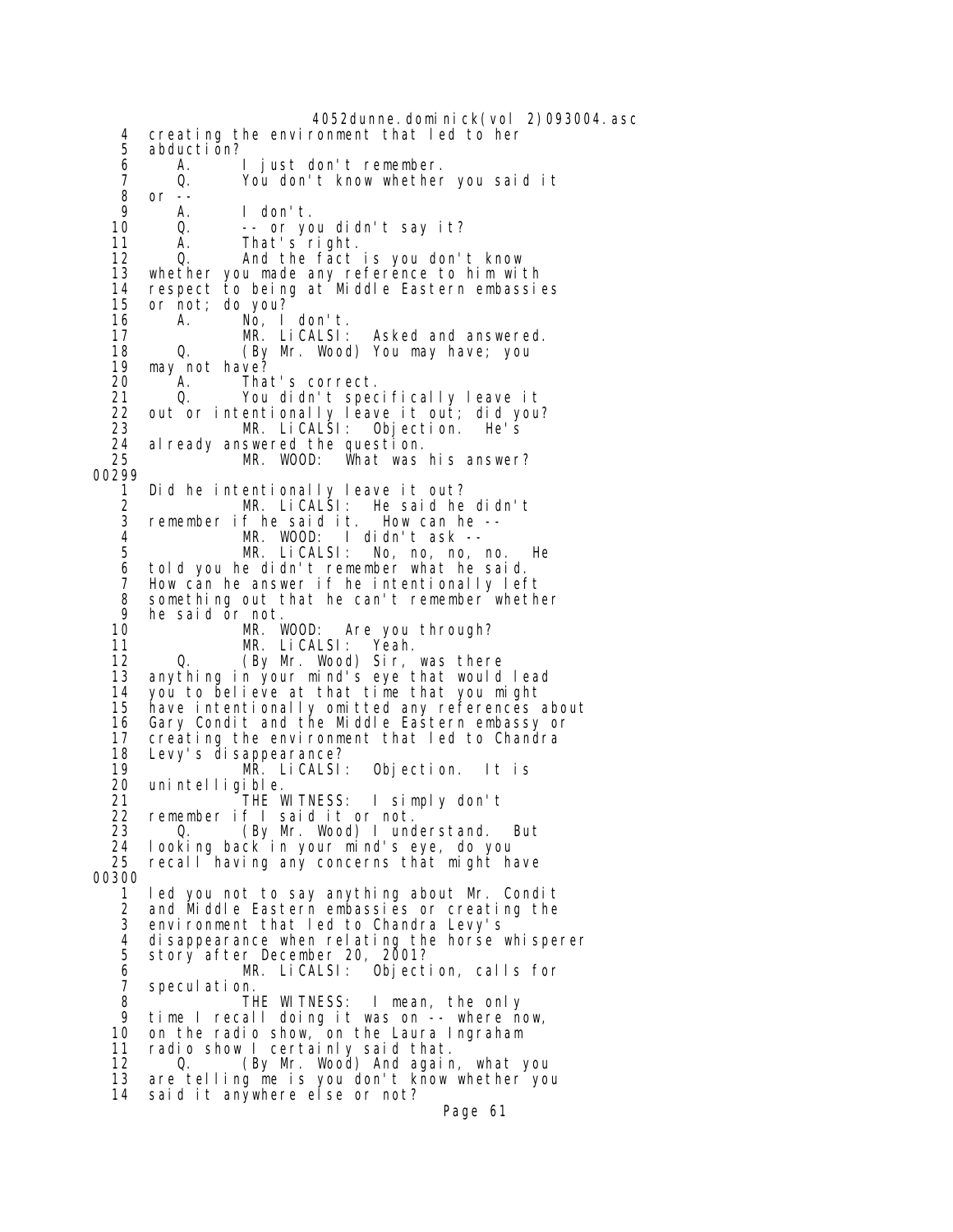4052dunne.dominick(vol 2)093004.asc 4 creating the environment that led to her 5 abduction?<br>6 A. 6 A. I just don't remember. 7 Q. You don't know whether you said it 8 or --<br>9 A. 9 A. I don't. 10 Q. -- or you didn't say it? 11 A. That's<sup>right.</sup><br>12 Q. And the fact 0. And the fact is you don't know 13 whether you made any reference to him with 14 respect to being at Middle Eastern embassies or not; do you? 16 A. No, I don't.<br>17 M.R. Li CALSI: 17 MR. LiCALSI: Asked and answered. 18 Q. (By Mr. Wood) You may have; you 19 may not have?<br>20 A. Tha That's correct. 21 Q. You didn't specifically leave it 22 out or intentionally leave it out; did you? 23 MR. LiCALSI: Objection. He's 24 already answered the question. MR. WOOD: What was his answer? 00299 1 Did he intentionally leave it out? 2 MR. LiCALSI: He said he didn't 3 remember if he said it.<br>4 MR. WOOD: I MR. WOOD: I didn't ask -- 5 MR. LiCALSI: No, no, no, no. He 6 told you he didn't remember what he said. 7 How can he answer if he intentionally left<br>8 something out that he can't remember wheth 8 something out that he can't remember whether 9 he said or not.<br>10 MR. WOOD: 10 MR. WOOD: Are you through?<br>11 MR. LiCALSI: Yeah. 11 MR. LiCALSI:<br>12 0. (By Mr. Wood) 12 Q. (By Mr. Wood) Sir, was there<br>13 anything in your mind's eye that would anything in your mind's eye that would lead 14 you to believe at that time that you might have intentionally omitted any references about 16 Gary Condit and the Middle Eastern embassy or 17 creating the environment that led to Chandra<br>18 Levy's disappearance? 18 Levy's disappearance? 19 MR. LiCALSI: Objection. It is 20 unintelligible.<br>1 THE l 21 <sup>THE WITNESS:</sup> I simply don't<br>22 remember if I said it or not. 22 remember if I said it or not. 23 Q. (By Mr. Wood) I understand. But<br>24 Iooking back in your mind's eye, do you 24 looking back in your mind's eye, do you recall having any concerns that might have 00300 1 led you not to say anything about Mr. Condit and Middle Eastern embassies or creating the 3 environment that led to Chandra Levy's 4 disappearance when relating the horse whisperer 5 story after December 20, 2001? 6 MR. LiCALSI: Objection, calls for 7 speculation.<br>8 T<del>l</del> 8 THE WITNESS: I mean, the only<br>9 time I recall doing it was on -- where no 9 time I recall doing it was on -- where now,<br>10 on the radio show, on the Laura Ingraham on the radio show, on the Laura Ingraham 11 radio show I certainly said that. 12 Q. (By Mr. Wood) And again, what you 13 are telling me is you don't know whether you 14 said it anywhere else or not? Page 61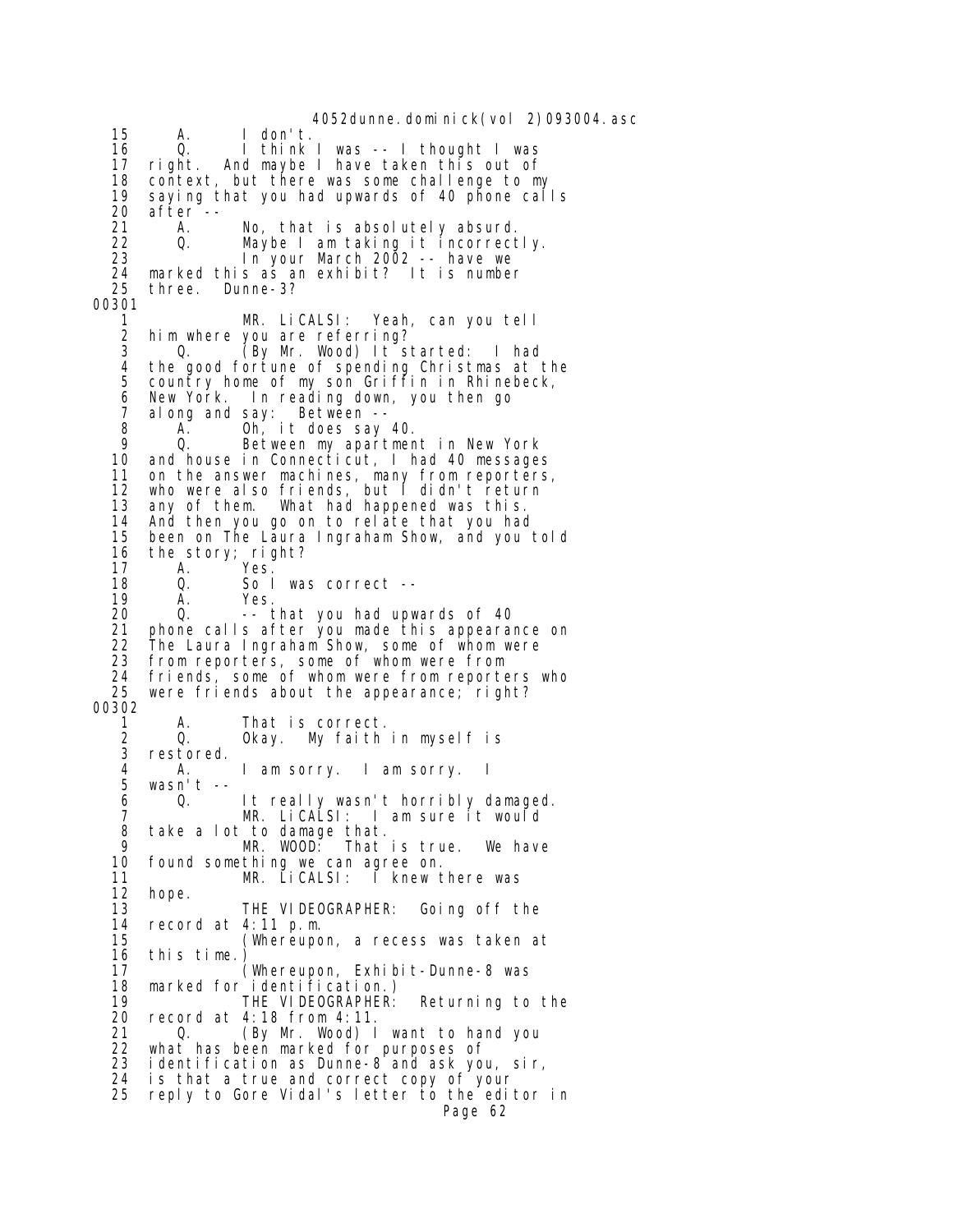4052dunne.dominick(vol 2)093004.asc 15 A. I don't. 16 Q. I think I was -- I thought I was 17 right. And maybe I have taken this out of 18 context, but there was some challenge to my 19 saying that you had upwards of 40 phone calls 20 after -- 21 A. No, that is absolutely absurd.<br>22 O. Maybe I am taking it incorrect 22 Q. Maybe I am taking it incorrectly. In your March 2002 -- have we 24 marked this as an exhibit? It is number 25 three. Dunne-3? 00301 MR. LiCALSI: Yeah, can you tell 2 him where you are referring? 3 Q. (By Mr. Wood) It started: I had<br>4 the good fortune of spending Christmas at 4 the good fortune of spending Christmas at the country home of my son Griffin in Rhinebeck, 6 New York. In reading down, you then go 7 along and say: Between -- 8 A. Oh, it does say 40. 9 Q. Between my apartment in New York<br>10 and house in Connecticut, I had 40 message and house in Connecticut, I had 40 messages 11 on the answer machines, many from reporters, 12 who were also friends, but I didn't return 13 any of them. What had happened was this.<br>14 And then you go on to relate that you had 14 And then you go on to relate that you had<br>15 been on The Laura Ingraham Show, and you been on The Laura Ingraham Show, and you told 16 the story; right?<br>17 A. Yes. 17 A. Yes.<br>18 Q. Sol 18 Q. So I was correct --<br>19 A. Yes. 19 A. Yes. 20 Q. -- that you had upwards of 40 21 phone calls after you made this appearance on<br>22 The Laura Lngraham Show, some of whom were The Laura Ingraham Show, some of whom were 23 from reporters, some of whom were from 24 friends, some of whom were from reporters who<br>25 were friends about the appearance; right? were friends about the appearance; right? 00302 1 A. That is correct. Okay. My faith in myself is 3 restored. 4 A. I am sorry. I am sorry. I wasn't 6 Q. It really wasn't horribly damaged. 7 MR. LiCALSI: I am sure it would 8 take a lot to damage that. 9 MR. WOOD: That is true. We have found something we can agree on. 11 MR. LiCALSI: I knew there was 12 hope. 13 THE VIDEOGRAPHER: Going off the 14 record at 4:11 p.m. 14 record at 4:11 p.m. 15 (Whereupon, a recess was taken at this time.) 17 (Whereupon, Exhibit-Dunne-8 was 18 marked for identification.) 19 THE VIDEOGRAPHER: Returning to the 20 record at 4:18 from 4:11. 21 Q. (By Mr. Wood) I want to hand you<br>22 what has been marked for purposes of 22 what has been marked for purposes of<br>23 identification as Dunne-8 and ask you identification as Dunne-8 and ask you, sir, 24 is that a true and correct copy of your 25 reply to Gore Vidal's letter to the editor in Page 62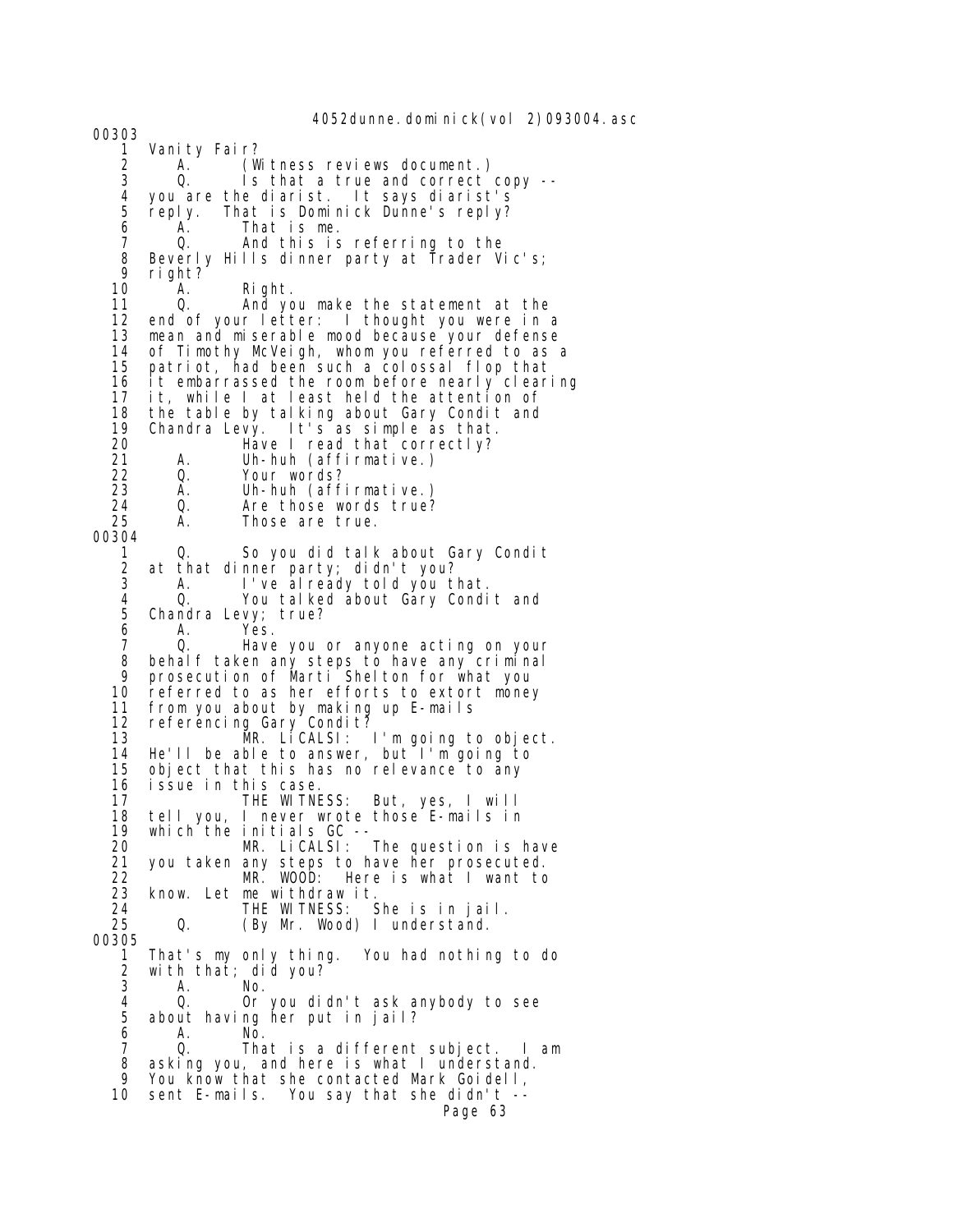4052dunne.dominick(vol 2)093004.asc 00303 1 Vanity Fair? 2 A. (Witness reviews document.)<br>3 Q. Is that a true and correct Is that a true and correct copy -- 4 you are the diarist. It says diarist's reply. That is Dominick Dunne's reply? 6 A. That is me. 7 Q. And this is referring to the 8 Beverly Hills dinner party at Trader Vic's;<br>9 right? 9 right?<br>10 A. 10 A. Right.<br>11 Q. And. vo And you make the statement at the 12 end of your letter: I thought you were in a 13 mean and miserable mood because your defense 14 of Timothy McVeigh, whom you referred to as a<br>15 patriot had been such a colossal flop that 15 patriot, had been such a colossal flop that 16 it embarrassed the room before nearly clearing<br>17 it, while I at least held the attention of it, while I at least held the attention of 18 the table by talking about Gary Condit and 19 Chandra Levy. It's as simple as that. 20 Have I read that correctly?<br>21 A. Uh-huh (affirmative.) 21 A. Uh-huh (affirmative.) 22 Q. Your words? 23 A. Uh-huh (affirmative.) 24 Q. Are those words true? Those are true. 00304 1 Q. So you did talk about Gary Condit<br>2 at that dinner party; didn't you? 2 at that dinner party; didn't you? 3 A. I've already told you that. 4 Q. You talked about Gary Condit and 5 Chandra Levy; true? 6 A. Yes.<br>7 O. Have 7 Q. Have you or anyone acting on your 8 behalf taken any steps to have any criminal 9 prosecution of Marti Shelton for what you 10 referred to as her efforts to extort money<br>11 from you about by making up E-mails from you about by making up E-mails 12 referencing Gary Condit?<br>13 MR. LiCALSI: 13 MR. LiCALSI: I'm going to object. 14 He'll be able to answer, but I'm going to 15 object that this has no relevance to any 16 issue in this case. 17 THE WITNESS: But, yes, I will 18 tell you, I never wrote those E-mails in 19 which the initials GC -- 20 MR. LiCALSI: The question is have 21 you taken any steps to have her prosecuted. 22 MR. WOOD: Here is what I want to 23 know. Let me withdraw it.<br>24 THE WITNESS: 24 THE WITNESS: She is in jail.<br>25 0. (By Mr. Wood) I understand. (By Mr. Wood) I understand. 00305<br>1 1 That's my only thing. You had nothing to do 2 with that; did you? 3 A. No. 4 Q. Or you didn't ask anybody to see<br>5 about having her put in jail? 5 about having her put in jail? 6 A. No. 7 Q. That is a different subject. I am 8 asking you, and here is what I understand. 9 You know that she contacted Mark Goidell, 10 sent E-mails. You say that she didn't -- Page 63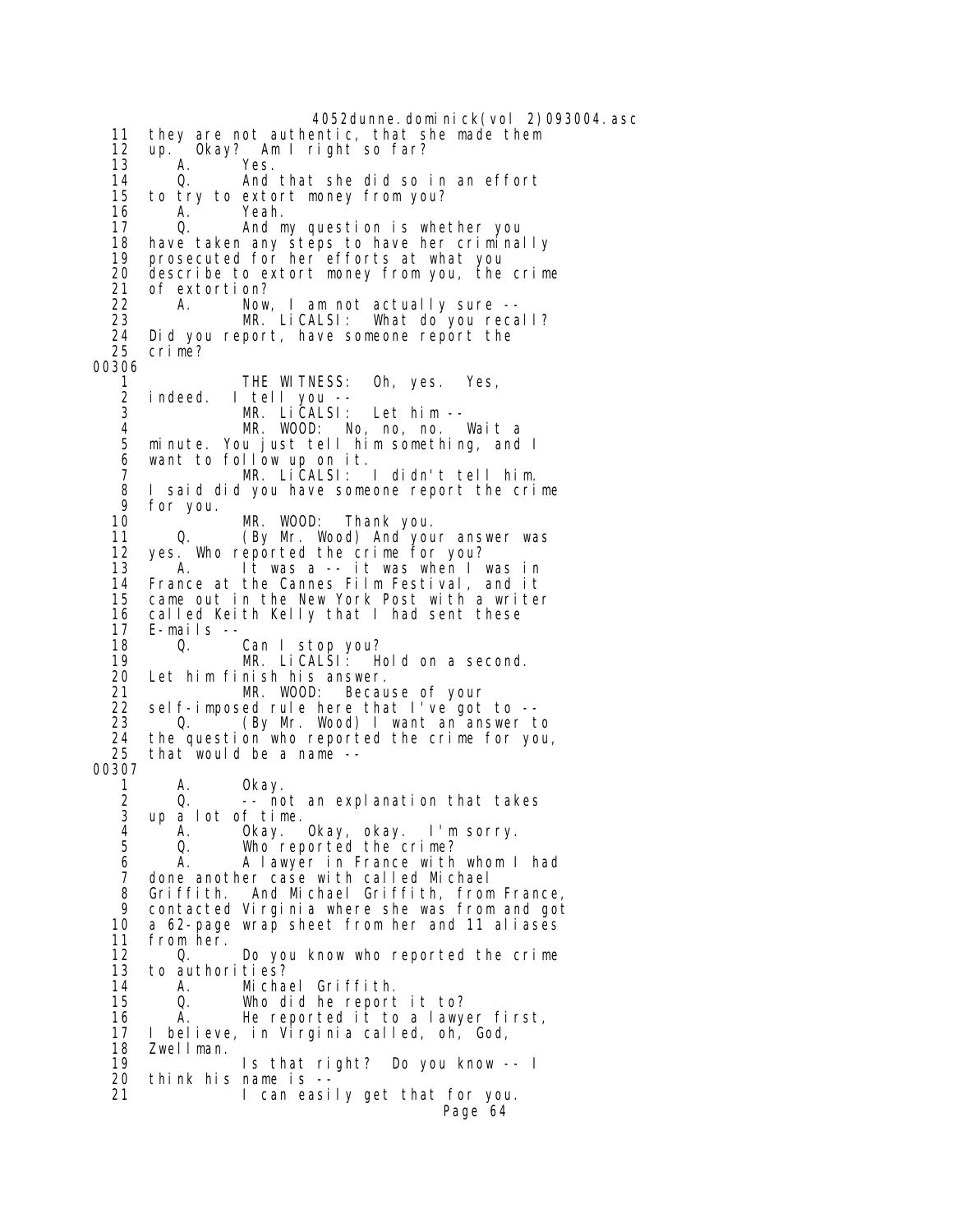4052dunne.dominick(vol 2)093004.asc 11 they are not authentic, that she made them 12 up. Okay? Am I right so far? 13 A. Yes. 14 Q. And that she did so in an effort 15 to try to extort money from you?<br>16 A. Yeah. 16 A. Yeah.<br>17 0 And\_m 17 Q. And my question is whether you 18 have taken any steps to have her criminally 19 prosecuted for her efforts at what you 20 describe to extort money from you, the crime 21 of extortion? 22 A. Now, I am not actually sure -- 23 MR. LiCALSI: What do you recall? 24 Did you report, have someone report the crime? 00306 1 THE WITNESS: Oh, yes. Yes,<br>2 indeed. I tell you -- 2 indeed. I tell you -- 3 MR. LICALSI: Let him --<br>4 MR. WOOD: No. no. no. 4 MR. WOOD: No, no, no. Wait a 5 minute. You just tell him something, and I want to follow up on it. 7 MR. LiCALSI: I didn't tell him. 8 I said did you have someone report the crime 9 for you. 10 MR. WOOD: Thank you.<br>11 Q. (By Mr. Wood) And you. (By Mr. Wood) And your answer was 12 yes. Who reported the crime for you?<br>13 A. It was a -- it was when I 13 A. It was a -- it was when I was in 14 France at the Cannes Film Festival, and it came out in the New York Post with a writer 16 called Keith Kelly that I had sent these<br>17 E-mails -- 17 E-mails -- 18 Q. Can I stop you?<br>19 MR. LiCALSI: H 19 MR. LiCALSI: Hold on a second.<br>20 Let him finish his answer. Let him finish his answer. 21 MR. WOOD: Because of your 22 self-imposed rule here that I've got to -- 23 Q. (By Mr. Wood) I want an answer to<br>24 the question who reported the crime for you 24 the question who reported the crime for you,<br>25 that would be a name -that would be a name --00307 1 A. 0kay.<br>2 0. –– no 2 Q. -- not an explanation that takes 3 up a lot of time.<br>4 A. Okay. 4 A. Okay. Okay, okay. I'm sorry. 5 Q. Who reported the crime?<br>6 A. Alawyer in France with 6 A. A lawyer in France with whom I had 7 done another case with called Michael 8 Griffith. And Michael Griffith, from France, 9 contacted Virginia where she was from and got 10 a 62-page wrap sheet from her and 11 aliases<br>11 from her. 11 from her.<br>12 0. Do you know who reported the crime 13 to authorities? 14 A. Michael Griffith. 15 Q. Who did he report it to?<br>16 A. He reported it to a lawy 16 A. He reported it to a lawyer first, 17 I believe, in Virginia called, oh, God, 18 Zwellman.<br>19 19 Is that right? Do you know -- I 20 think his name is -- 21 I can easily get that for you. Page 64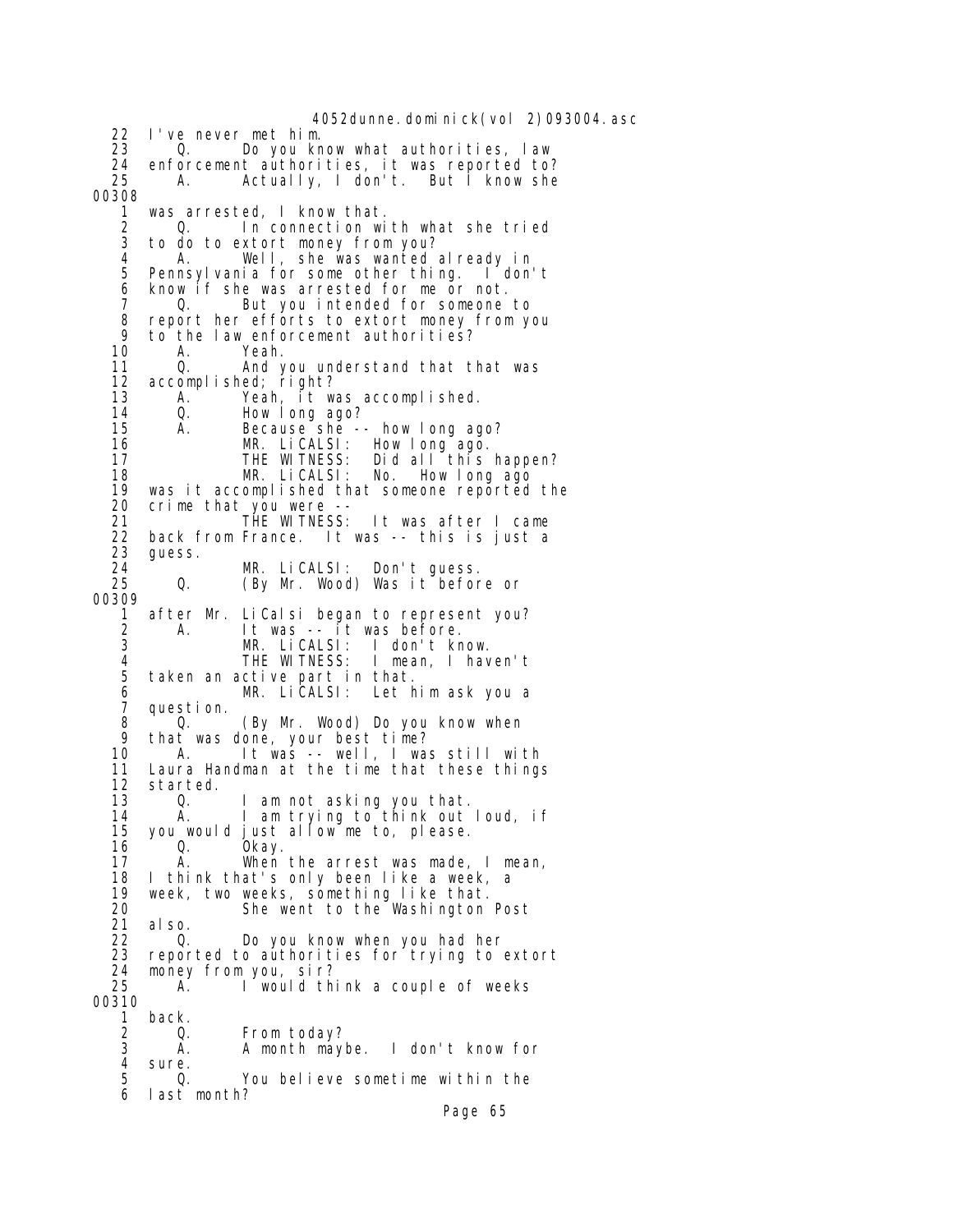4052dunne.dominick(vol 2)093004.asc 22 I've never met him. 23 Q. Do you know what authorities, law 24 enforcement authorities, it was reported to?<br>25 A. Actually, I don't. But I know she Actually, I don't. But I know she 00308 1 was arrested, I know that.<br>2 0. In connection wi 2 Q. In connection with what she tried 3 to do to extort money from you? 4 A. Well, she was wanted already in Pennsylvania for some other thing. I don't 6 know if she was arrested for me or not.<br>7  $\hbar$  . But you intended for someone 7 Q. But you intended for someone to 8 report her efforts to extort money from you 9 to the law enforcement authorities?<br>10 A. Yeah. 10 A. Yeah.<br>11 Q. And 11 Q. And you understand that that was<br>12 accomplished: right? 12 accomplished; right?<br>13 A. Yeah, it w. A. Yeah, it was accomplished. 14 Q. How long ago?<br>15 A. Because she - 15 A. Because she -- how long ago? 16 MR. LiCALSI: How long ago.<br>17 THE WITNESS: Did all this Did all this happen? 18 MR. LiCALSI: No. How long ago 19 was it accomplished that someone reported the<br>20 crime that you were --20 crime that you were --<br>21 THE WITNESS: 21 THE WITNESS: It was after I came 22 back from France. It was -- this is just a 23 guess. 24 MR. LiCALSI: Don't guess. (By Mr. Wood) Was it before or 00309 1 after Mr. LiCalsi began to represent you? 2 A. It was -- it was before. 3 MR. LiCALSI: I don't know. 4 THE WITNESS: I mean, I haven't taken an active part in that. 6 MR. LiCALSI: Let him ask you a 7 question. 8 Q. (By Mr. Wood) Do you know when 9 that was done, your best time? 10 A. It was -- well, I was still with 11 Laura Handman at the time that these things 12 started.<br>13 0. Q. I am not asking you that. 14 A. I am trying to think out loud, if<br>15 you would just allow me to, please. 15 you would just allow me to, please.<br>16 0. Okay. 16 Q. Okay.<br>17 A. When When the arrest was made,  $I$  mean, 18 I think that's only been like a week, a 19 week, two weeks, something like that.<br>20 20 She went to the Washington 20 She went to the Washington Post<br>21 also. 21 also. 22 Q. Do you know when you had her<br>23 reported to authorities for trying to reported to authorities for trying to extort 24 money from you, sir? A. I would think a couple of weeks 00310<br>1 1 back. 2 Q. From today?<br>3 A. A month maybe. I don't know for 4 sure.<br>5 0. 5 Q. You believe sometime within the 6 last month?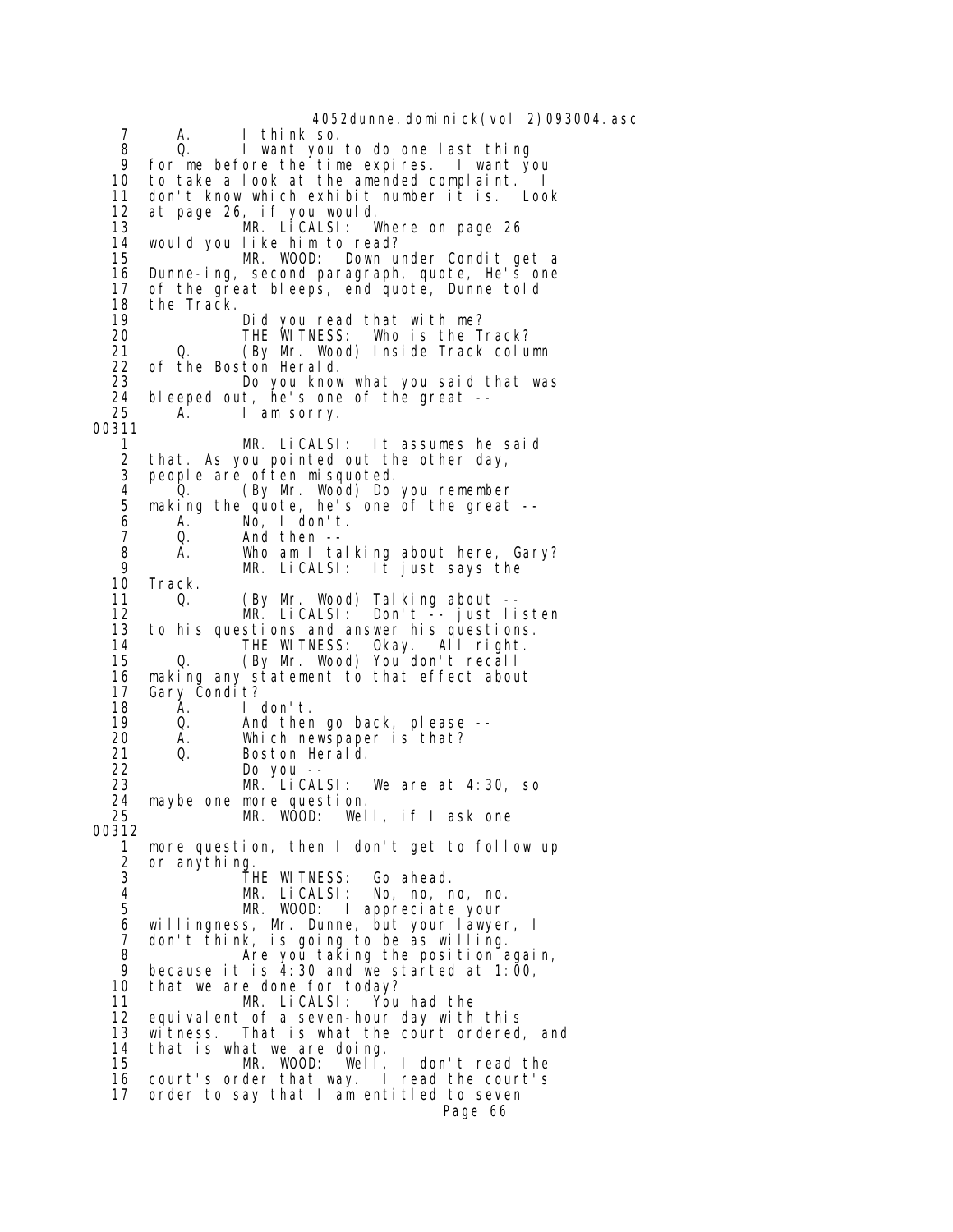4052dunne.dominick(vol 2)093004.asc 7 A. I think so. 8 Q. I want you to do one last thing 9 for me before the time expires. I want you to take a look at the amended complaint. I 11 don't know which exhibit number it is. Look 12 at page 26, if you would. 13 MR. LiCALSI: Where on page 26 14 would you like him to read? MR. WOOD: Down under Condit get a 16 Dunne-ing, second paragraph, quote, He's one<br>17 of the great bleeps, end quote, Dunne told 17 of the great bleeps, end quote, Dunne told 18 the Track.<br>19 19 Did you read that with me? 20 THE WITNESS: Who is the Track? 21 Q. (By Mr. Wood) Inside Track column<br>22 of the Boston Herald. 22 of the Boston Herald. Do you know what you said that was 24 bleeped out, he's one of the great --<br>25 A. I am sorry. A. I am sorry. 00311 1 MR. LiCALSI: It assumes he said<br>2 that. As you pointed out the other day, that. As you pointed out the other day, 3 people are often misquoted. 4 Q. (By Mr. Wood) Do you remember 5 making the quote, he's one of the great -- 6 A. No, I don't.<br>7 Q. And then --7 Q. And then -<br>8 A. Who am I ta 8 A. Who am I talking about here, Gary? 9 MR. LiCALSI: It just says the 10 Track.<br>11 0. 11 Q. (By Mr. Wood) Talking about -- 12 MR. LiCALSI: Don't -- just listen 13 to his questions and answer his questions. 14 THE WITNESS: Okay. All right.<br>15 0. (By Mr. Wood) You don't recall 0. (By Mr. Wood) You don't recall 16 making any statement to that effect about 17 Gary Condit?<br>18 A. I 18 A. I don't. 19 Q. And then go back, please -- 20 A. Which newspaper is that? 21 Q. Boston Herald. 22 Do you -- We are at  $4:30$ , so 24 maybe one more question. MR. WOOD: Well, if I ask one 00312 1 more question, then I don't get to follow up 2 or anything.<br>3 3 THE WITNESS: Go ahead.<br>4 MR Licalsi: No no r 4 MR. LiCALSI: No, no, no, no. MR. WOOD: I appreciate your 6 willingness, Mr. Dunne, but your lawyer, I 7 don't think, is going to be as willing.<br>8 Are you taking the position a 8 **Are you taking the position again,**<br>9 **because it is 4:30** and we started at 1:00 9 because it is  $\overline{4}$ : 30 and we started at 1:00,<br>10 that we are done for today? that we are done for today? 11 MR. LiCALSI: You had the equival ent of a seven-hour day with this 13 witness. That is what the court ordered, and 14 that is what we are doing. MR. WOOD: Well, I don't read the<br>der that way. I read the court's 16 court's order that way. 17 order to say that I am entitled to seven Page 66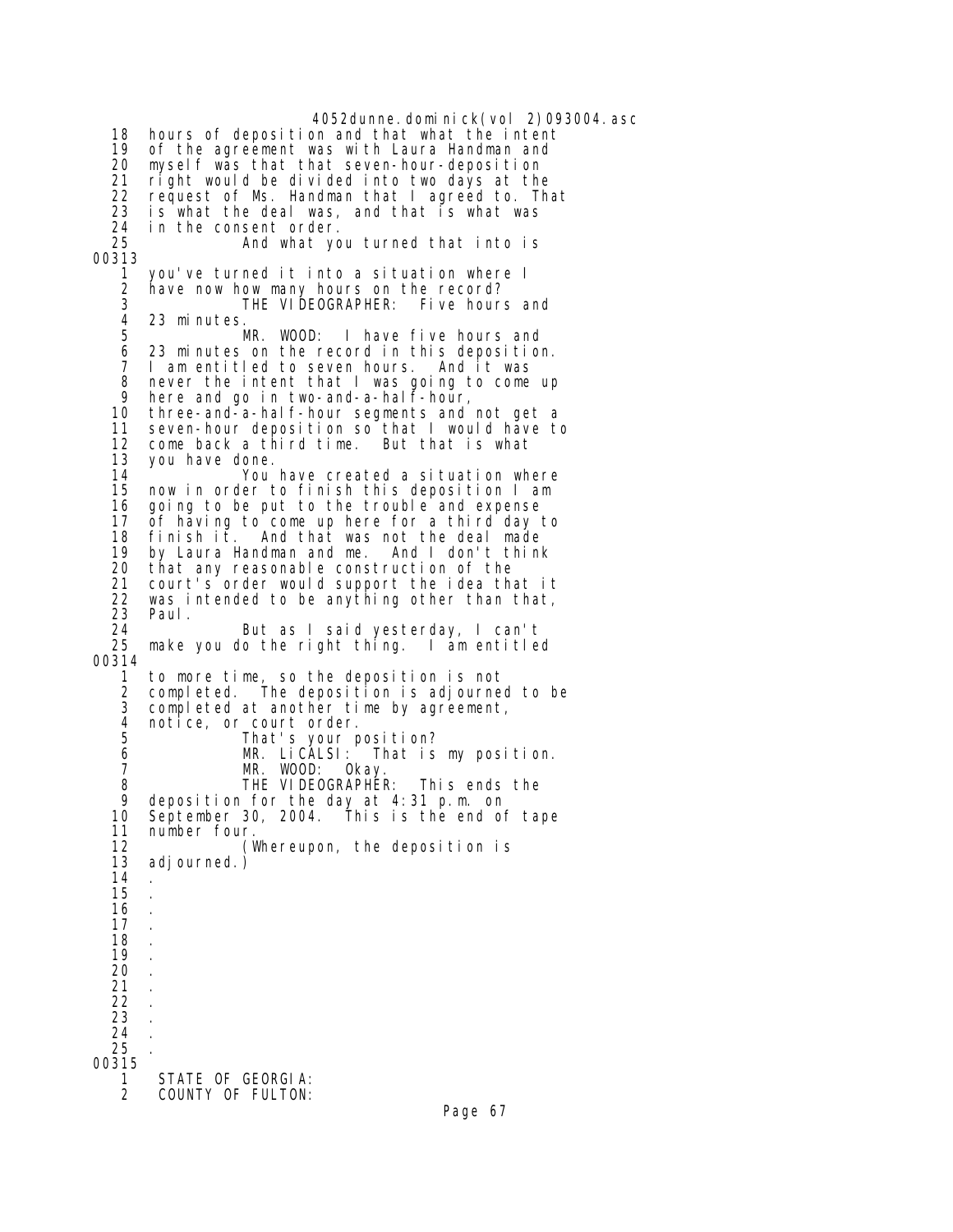4052dunne.dominick(vol 2)093004.asc 18 hours of deposition and that what the intent 19 of the agreement was with Laura Handman and 20 myself was that that seven-hour-deposition right would be divided into two days at the 22 request of Ms. Handman that I agreed to. That<br>23 is what the deal was, and that is what was is what the deal was, and that is what was 24 in the consent order. And what you turned that into is 00313 1 you've turned it into a situation where I 2 have now how many hours on the record?<br>3 THE VIDEOGRAPHER: Five bour 3 THE VIDEOGRAPHER: Five hours and 23 minutes. 5 MR. WOOD: I have five hours and 6 23 minutes on the record in this deposition. 7 I am entitled to seven hours. And it was<br>8 never the intent that I was going to come never the intent that I was going to come up 9 here and go in two-and-a-half-hour,<br>10 three-and-a-half-hour segments and three-and-a-half-hour segments and not get a 11 seven-hour deposition so that I would have to 12 come back a third time. But that is what you have done. 14 You have created a situation where now in order to finish this deposition I am 16 going to be put to the trouble and expense<br>17 of having to come up here for a third day 17 of having to come up here for a third day to  $fini sh$  it. And that was not the deal made 19 by Laura Handman and me. And I don't think 20 that any reasonable construction of the court's order would support the idea that it 22 was intended to be anything other than that,<br>23 Paul. 23 Paul. 24 But as I said yesterday, I can't make you do the right thing. I am entitled 00314 1 to more time, so the deposition is not 2 completed. The deposition is adjourned to be<br>3 completed at another time by agreement. completed at another time by agreement, 4 notice, or court order.<br>5 That's your p 5 That's your position? 6 MR. LiCALSI: That is my position. 7 MR. WOOD: Okay.<br>8 THE VIDEOGRAPHEI 8 THE VIDEOGRAPHER: This ends the 9 deposition for the day at 4:31 p.m. on 10 September 30, 2004. This is the end of tape .11 number four<br>12 (۱ 12 (Whereupon, the deposition is adj ourned.) 14 15 . 16 . 17 . 18 . 19 20 . 21 . 22 . 23 . 24 . 25 . 00315 1 STATE OF GEORGIA:<br>2 COUNTY OF FULTON: COUNTY OF FULTON: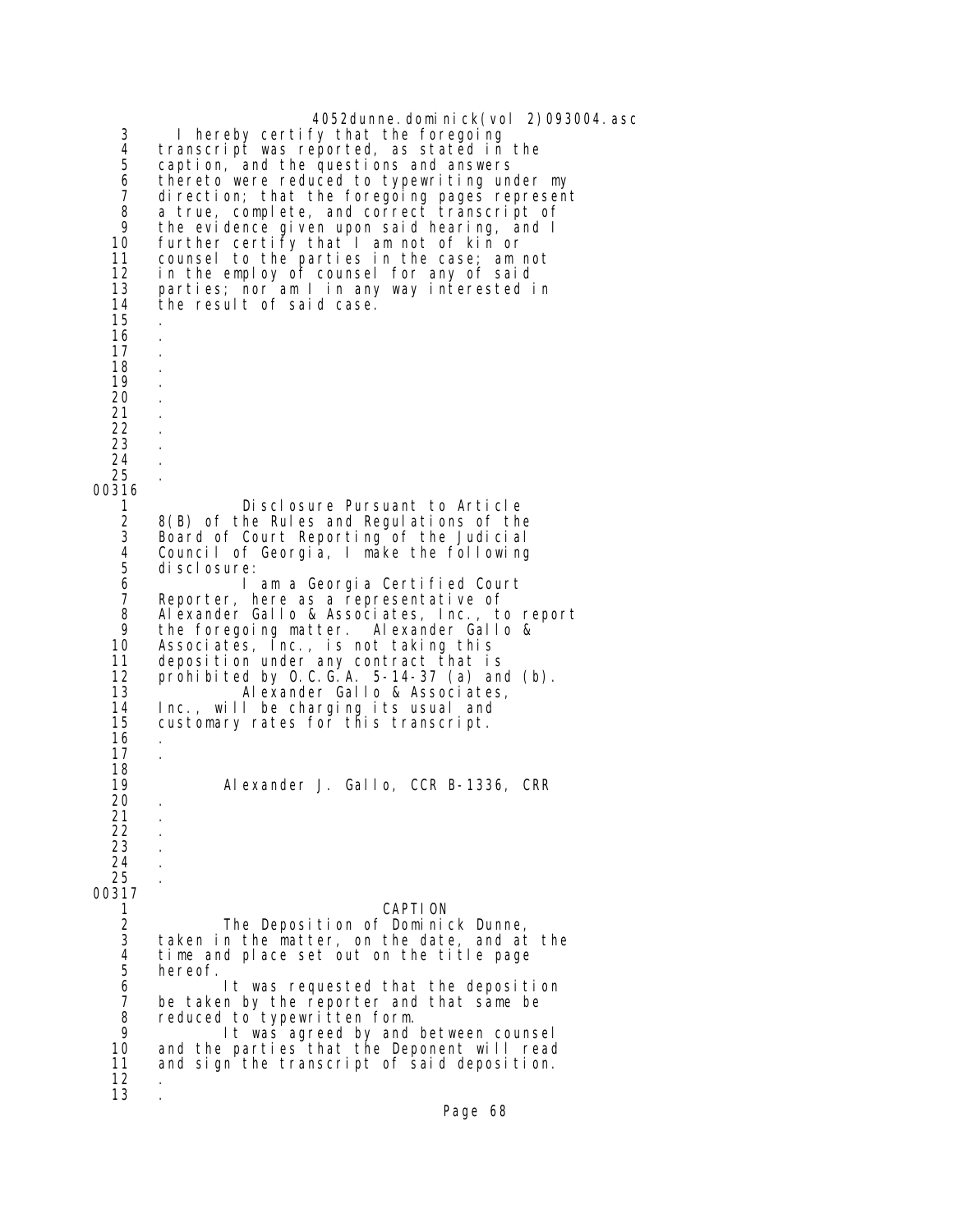4052dunne. dominick(vol 2)093004. asc 3 I hereby certify that the foregoing 4 transcript was reported, as stated in the<br>5 caption, and the questions and answers 5 caption, and the questions and answers 6 thereto were reduced to typewriting under my 7 direction; that the foregoing pages represent 8 a true, complete, and correct transcript of 9 the evidence given upon said hearing, and I<br>10 further certify that I am not of kin or 10 further certify that I am not of kin or<br>11 counsel to the parties in the case; am m 11 counsel to the parties in the case; am not 12 in the employ of counsel for any of said<br>13 parties; nor am I in any way interested i 13 parties; nor am I in any way interested in the result of said case. 15 . 16 . 17 . 18 . 19 . 20 . 21 . 22 . 23 . 24 . 25 . 00316 1 Disclosure Pursuant to Article<br>2 8(B) of the Rules and Regulations of the 2 8(B) of the Rules and Regulations of the 3 Board of Court Reporting of the Judicial 4 Council of Georgia, I make the following 5 disclosure:<br>6 l 6 I am a Georgia Certified Court 7 Reporter, here as a representative of 8 Alexander Gallo & Associates, Inc., to report 9 the foregoing matter. Alexander Gallo & 10 Associates, Inc., is not taking this 11 deposition under any contract that is 12 prohibited by O.C.G.A. 5-14-37 (a) and (b).<br>13 Alexander Gallo & Associates, 13 Alexander Gallo & Associates, 14 Inc., will be charging its usual and customary rates for this transcript. 16 . 17 . 18 Alexander J. Gallo, CCR B-1336, CRR 20 . 21 . 22 . 23 . 24 . 25 . 00317 1 CAPTION<br>2 The Deposition of Domini 2 The Deposition of Dominick Dunne,<br>3 taken in the matter, on the date, and at 3 taken in the matter, on the date, and at the 4 time and place set out on the title page 5 hereof. 6 It was requested that the deposition<br>7 be taken by the reporter and that same be 7 be taken by the reporter and that same be<br>8 reduced to typewritten form. 8 reduced to typewritten form.<br>9 1t was agreed by and 9 It was agreed by and between counsel 10 and the parties that the Deponent will read 11 and sign the transcript of said deposition. 12 . 13 .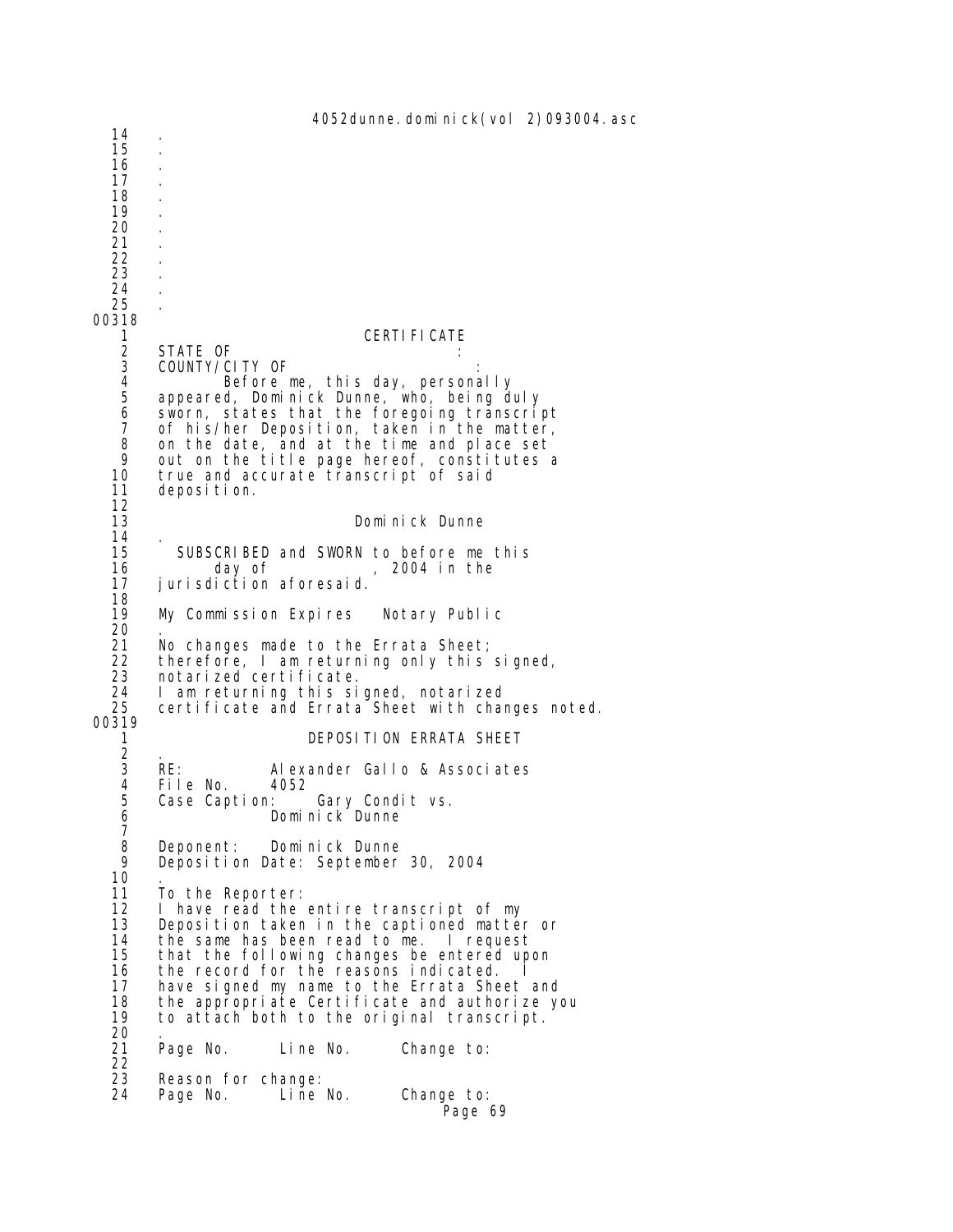4052dunne. dominick(vol 2)093004. asc 14 . 15 . 16 . 17 . 18 . 19 . 20 . 21 . 22 . 23 . 24 . 25 . 00318 1 CERTIFICATE 2 STATE OF<br>3 COUNTY/C 3 COUNTY/CITY OF<br>4 Before 4 Before me, this day, personally 5 appeared, Dominick Dunne, who, being duly<br>6 sworn, states that the foregoing transcrip 6 sworn, states that the foregoing transcript 7 of his/her Deposition, taken in the matter,<br>8 on the date, and at the time and place set 8 on the date, and at the time and place set<br>9 out on the title page hereof, constitutes a 9 out on the title page hereof, constitutes a<br>10 true and accurate transcript of said 10 true and accurate transcript of said<br>11 deposition. deposition.  $\frac{12}{13}$ Dominick Dunne 14<br>15 15 SUBSCRIBED and SWORN to before me this<br>16 day of 2004 in the 16 day of , 2004 in the<br>17 iurisdiction aforesaid. jurisdiction aforesaid. 18<br>19 My Commission Expires Notary Public  $^{20}_{21}$ 21 No changes made to the Errata Sheet;<br>22 therefore, I am returning only this 22 therefore, I am returning only this signed, 23 notarized certificate. 24 I am returning this signed, notarized 25 certificate and Errata Sheet with changes noted. 00319 1 DEPOSITION ERRATA SHEET  $\begin{array}{ccc} 2 & . \\ 3 & \text{RE:} \end{array}$ 3 RE: Alexander Gallo & Associates<br>4 File No. 4052 4 File No.<br>5 Case Cap 5 Case Caption: Gary Condit vs. 6 Dominick Dunne 7 8 Deponent: Dominick Dunne Deposition Date: September 30, 2004 10<br>11 11 To the Reporter:<br>12 I have read the 12 I have read the entire transcript of my<br>13 Deposition taken in the captioned matter 13 Deposition taken in the captioned matter or<br>14 the same has been read to me. I request 14 the same has been read to me. I request<br>15 that the following changes be entered upo 15 that the following changes be entered upon 16 the record for the reasons indicated. I 17 have signed my name to the Errata Sheet and<br>18 the appropriate Certificate and authorize ye 18 the appropriate Certificate and authorize you<br>19 to attach both to the original transcript. 19 to attach both to the original transcript. 20 . Line No. Change to:  $\frac{22}{23}$ 23 Reason for change:<br>24 Page No. Line Page No. Line No. Change to: Page 69